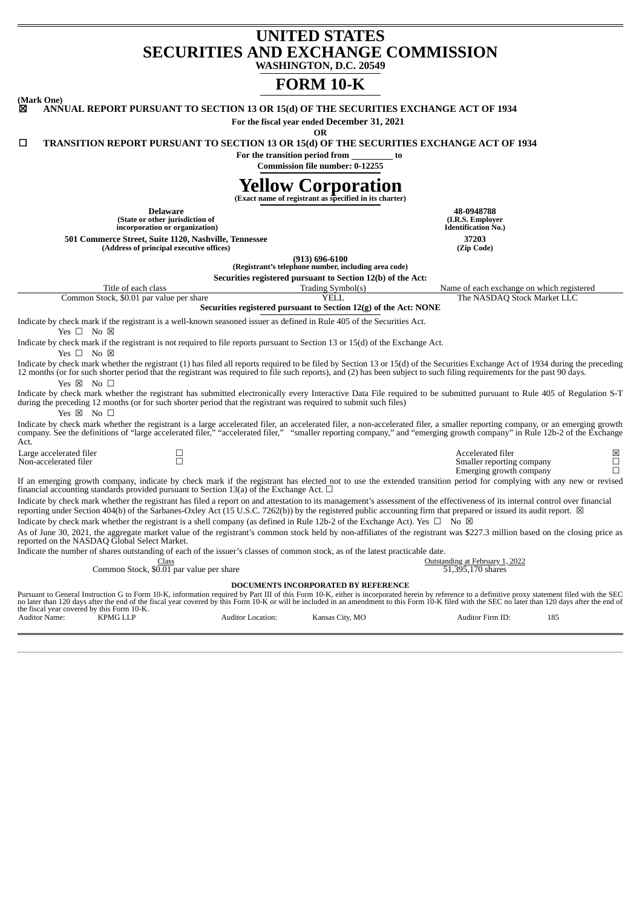# **UNITED STATES SECURITIES AND EXCHANGE COMMISSION WASHINGTON, D.C. 20549**

**FORM 10-K**

☒ **ANNUAL REPORT PURSUANT TO SECTION 13 OR 15(d) OF THE SECURITIES EXCHANGE ACT OF 1934**

**(Mark One)**

**For the fiscal year ended December 31, 2021 OR** ☐ **TRANSITION REPORT PURSUANT TO SECTION 13 OR 15(d) OF THE SECURITIES EXCHANGE ACT OF 1934 For the transition period from \_\_\_\_\_\_\_\_\_\_ to Commission file number: 0-12255 Yellow Corporation (Exact name of registrant as specified in its charter) Delaware 48-0948788**<br> **18-0948788**<br> **18-0948788**<br> **18-0948788**<br> **18-0948788 (State or other jurisdiction of (I.R.S. Employer incorporation or organization) Identification No.) 501 Commerce Street, Suite 1120, Nashville, Tennessee 37203 (Address of principal executive offices) (Zip Code) (913) 696-6100 (Registrant's telephone number, including area code) Securities registered pursuant to Section 12(b) of the Act:** Title of each class Trading Symbol(s) Name of each exchange on which registered Common Stock, \$0.01 par value per share  $YELL$  The NASDAQ Stock Market LLC **Securities registered pursuant to Section 12(g) of the Act: NONE** Indicate by check mark if the registrant is a well-known seasoned issuer as defined in Rule 405 of the Securities Act. Yes □ No ⊠ Indicate by check mark if the registrant is not required to file reports pursuant to Section 13 or 15(d) of the Exchange Act. Yes □ No ⊠ Indicate by check mark whether the registrant (1) has filed all reports required to be filed by Section 13 or 15(d) of the Securities Exchange Act of 1934 during the preceding 12 months (or for such shorter period that the registrant was required to file such reports), and (2) has been subject to such filing requirements for the past 90 days. Yes ⊠ No □ Indicate by check mark whether the registrant has submitted electronically every Interactive Data File required to be submitted pursuant to Rule 405 of Regulation S-T during the preceding 12 months (or for such shorter period that the registrant was required to submit such files) Yes ⊠ No □ Indicate by check mark whether the registrant is a large accelerated filer, an accelerated filer, a non-accelerated filer, a smaller reporting company, or an emerging growth company. See the definitions of "large accelerated filer," "accelerated filer," "smaller reporting company," and "emerging growth company" in Rule 12b-2 of the Exchange Act. Large accelerated filer  $□$ <br>  $□$ <br>
Non-accelerated filer  $□$ <br>  $□$ Smaller reporting company Emerging growth company If an emerging growth company, indicate by check mark if the registrant has elected not to use the extended transition period for complying with any new or revised financial accounting standards provided pursuant to Section 13(a) of the Exchange Act.  $\Box$ Indicate by check mark whether the registrant has filed a report on and attestation to its management's assessment of the effectiveness of its internal control over financial reporting under Section 404(b) of the Sarbanes-Oxley Act (15 U.S.C. 7262(b)) by the registered public accounting firm that prepared or issued its audit report.  $\boxtimes$ Indicate by check mark whether the registrant is a shell company (as defined in Rule 12b-2 of the Exchange Act). Yes  $\Box$  No  $\boxtimes$ As of June 30, 2021, the aggregate market value of the registrant's common stock held by non-affiliates of the registrant was \$227.3 million based on the closing price as reported on the NASDAQ Global Select Market. Indicate the number of shares outstanding of each of the issuer's classes of common stock, as of the latest practicable date. Class Outstanding at February 1, 2022 Common Stock,  $\overline{50.01}$  par value per share **DOCUMENTS INCORPORATED BY REFERENCE** Pursuant to General Instruction G to Form 10-K, information required by Part III of this Form 10-K, either is incorporated herein by reference to a definitive proxy statement filed with the SEC in later than 120 days after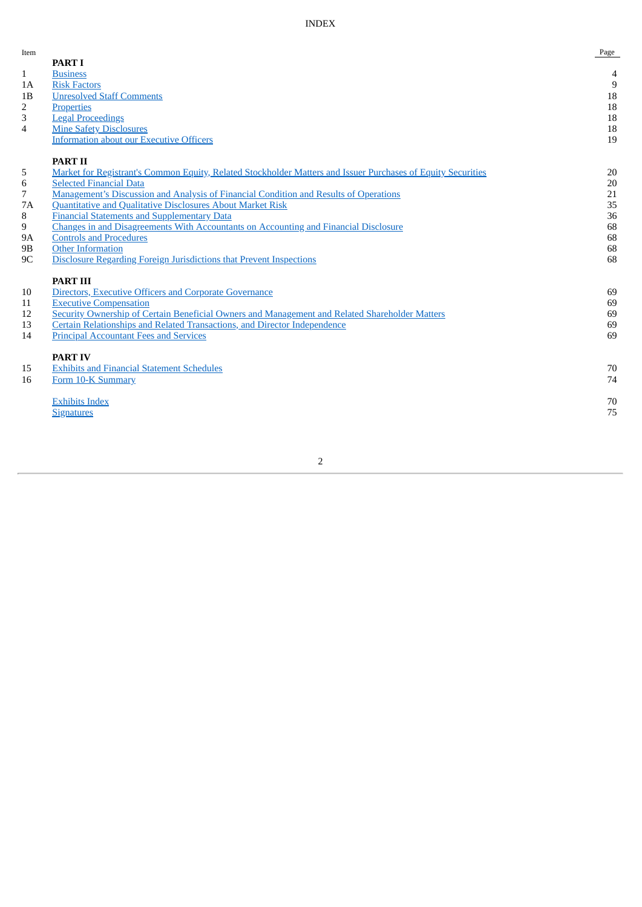# INDEX

| Item         |                                                                                                              | Page |
|--------------|--------------------------------------------------------------------------------------------------------------|------|
|              | <b>PART I</b>                                                                                                |      |
| $\mathbf{1}$ | <b>Business</b>                                                                                              | 4    |
| 1A           | <b>Risk Factors</b>                                                                                          | 9    |
| 1B           | <b>Unresolved Staff Comments</b>                                                                             | 18   |
| 2            | <b>Properties</b>                                                                                            | 18   |
| $\sqrt{3}$   | <b>Legal Proceedings</b>                                                                                     | 18   |
| 4            | <b>Mine Safety Disclosures</b>                                                                               | 18   |
|              | <b>Information about our Executive Officers</b>                                                              | 19   |
|              | <b>PART II</b>                                                                                               |      |
| 5            | Market for Registrant's Common Equity, Related Stockholder Matters and Issuer Purchases of Equity Securities | 20   |
| 6            | <b>Selected Financial Data</b>                                                                               | 20   |
| 7            | Management's Discussion and Analysis of Financial Condition and Results of Operations                        | 21   |
| 7A           | Quantitative and Qualitative Disclosures About Market Risk                                                   | 35   |
| 8            | <b>Financial Statements and Supplementary Data</b>                                                           | 36   |
| 9            | Changes in and Disagreements With Accountants on Accounting and Financial Disclosure                         | 68   |
| <b>9A</b>    | <b>Controls and Procedures</b>                                                                               | 68   |
| 9B           | <b>Other Information</b>                                                                                     | 68   |
| 9C           | Disclosure Regarding Foreign Jurisdictions that Prevent Inspections                                          | 68   |
|              | <b>PART III</b>                                                                                              |      |
| 10           | Directors, Executive Officers and Corporate Governance                                                       | 69   |
| 11           | <b>Executive Compensation</b>                                                                                | 69   |
| 12           | Security Ownership of Certain Beneficial Owners and Management and Related Shareholder Matters               | 69   |
| 13           | Certain Relationships and Related Transactions, and Director Independence                                    | 69   |
| 14           | <b>Principal Accountant Fees and Services</b>                                                                | 69   |
|              | <b>PART IV</b>                                                                                               |      |
| 15           | <b>Exhibits and Financial Statement Schedules</b>                                                            | 70   |
| 16           | Form 10-K Summary                                                                                            | 74   |
|              | <b>Exhibits Index</b>                                                                                        | 70   |
|              | <b>Signatures</b>                                                                                            | 75   |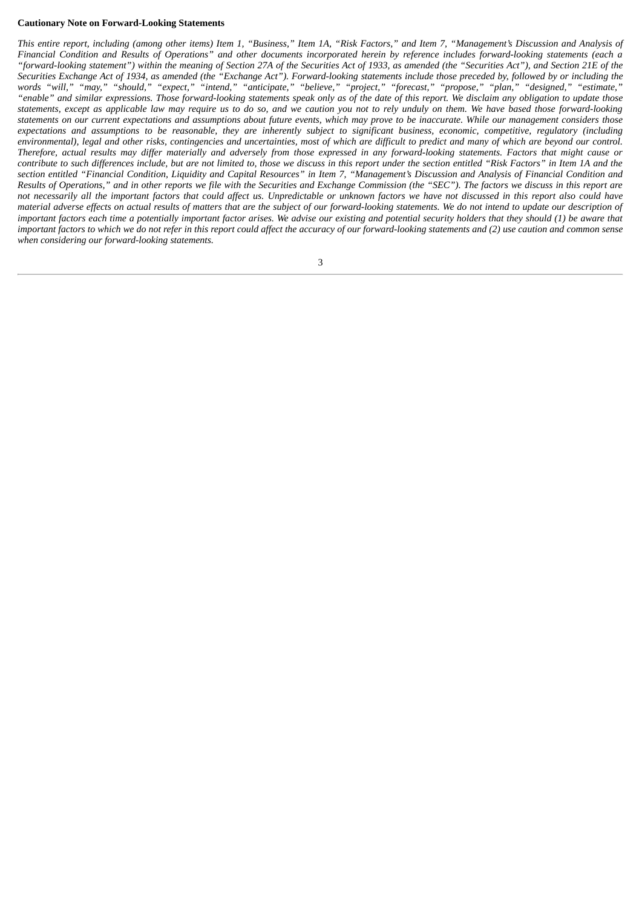#### **Cautionary Note on Forward-Looking Statements**

This entire report, including (among other items) Item 1, "Business," Item 1A, "Risk Factors," and Item 7, "Management's Discussion and Analysis of Financial Condition and Results of Operations" and other documents incorporated herein by reference includes forward-looking statements (each a "forward-looking statement") within the meaning of Section 27A of the Securities Act of 1933, as amended (the "Securities Act"), and Section 21E of the Securities Exchange Act of 1934, as amended (the "Exchange Act"). Forward-looking statements include those preceded by, followed by or including the words "will," "may," "should," "expect," "intend," "anticipate," "believe," "project," "forecast," "propose," "plan," "designed," "estimate," "enable" and similar expressions. Those forward-looking statements speak only as of the date of this report. We disclaim any obligation to update those statements, except as applicable law may require us to do so, and we caution you not to rely unduly on them. We have based those forward-looking statements on our current expectations and assumptions about future events, which may prove to be inaccurate. While our management considers those expectations and assumptions to be reasonable, they are inherently subject to significant business, economic, competitive, regulatory (including environmental), legal and other risks, contingencies and uncertainties, most of which are difficult to predict and many of which are beyond our control. Therefore, actual results may differ materially and adversely from those expressed in any forward-looking statements. Factors that might cause or contribute to such differences include, but are not limited to, those we discuss in this report under the section entitled "Risk Factors" in Item 1A and the section entitled "Financial Condition, Liquidity and Capital Resources" in Item 7, "Management's Discussion and Analysis of Financial Condition and Results of Operations," and in other reports we file with the Securities and Exchange Commission (the "SEC"). The factors we discuss in this report are not necessarily all the important factors that could affect us. Unpredictable or unknown factors we have not discussed in this report also could have material adverse effects on actual results of matters that are the subject of our forward-looking statements. We do not intend to update our description of important factors each time a potentially important factor arises. We advise our existing and potential security holders that they should (1) be aware that important factors to which we do not refer in this report could affect the accuracy of our forward-looking statements and (2) use caution and common sense *when considering our forward-looking statements.*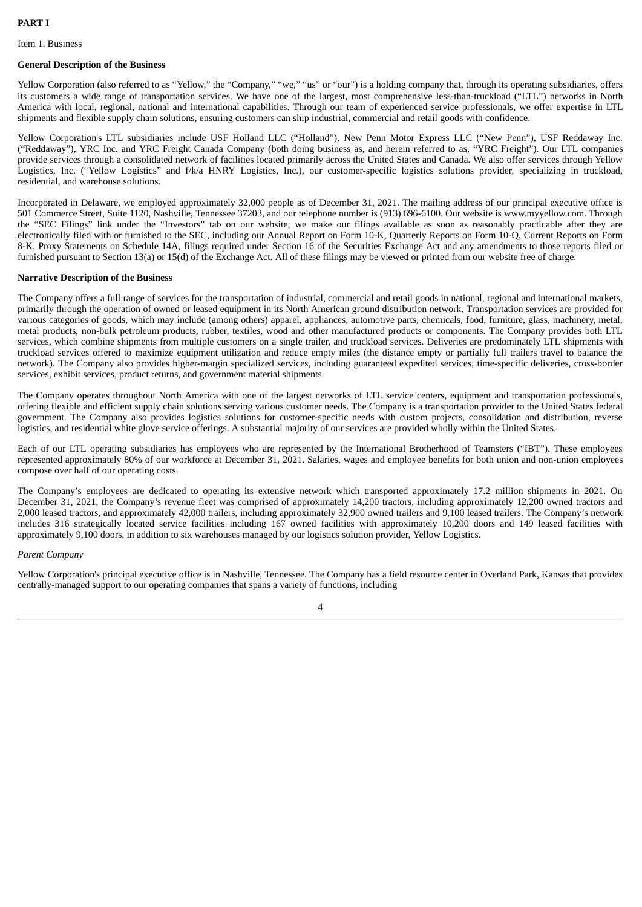## **PART I**

## <span id="page-3-0"></span>Item 1. Business

#### **General Description of the Business**

Yellow Corporation (also referred to as "Yellow," the "Company," "we," "us" or "our") is a holding company that, through its operating subsidiaries, offers its customers a wide range of transportation services. We have one of the largest, most comprehensive less-than-truckload ("LTL") networks in North America with local, regional, national and international capabilities. Through our team of experienced service professionals, we offer expertise in LTL shipments and flexible supply chain solutions, ensuring customers can ship industrial, commercial and retail goods with confidence.

Yellow Corporation's LTL subsidiaries include USF Holland LLC ("Holland"), New Penn Motor Express LLC ("New Penn"), USF Reddaway Inc. ("Reddaway"), YRC Inc. and YRC Freight Canada Company (both doing business as, and herein referred to as, "YRC Freight"). Our LTL companies provide services through a consolidated network of facilities located primarily across the United States and Canada. We also offer services through Yellow Logistics, Inc. ("Yellow Logistics" and f/k/a HNRY Logistics, Inc.), our customer-specific logistics solutions provider, specializing in truckload, residential, and warehouse solutions.

Incorporated in Delaware, we employed approximately 32,000 people as of December 31, 2021. The mailing address of our principal executive office is 501 Commerce Street, Suite 1120, Nashville, Tennessee 37203, and our telephone number is (913) 696-6100. Our website is www.myyellow.com. Through the "SEC Filings" link under the "Investors" tab on our website, we make our filings available as soon as reasonably practicable after they are electronically filed with or furnished to the SEC, including our Annual Report on Form 10-K, Quarterly Reports on Form 10-Q, Current Reports on Form 8-K, Proxy Statements on Schedule 14A, filings required under Section 16 of the Securities Exchange Act and any amendments to those reports filed or furnished pursuant to Section 13(a) or 15(d) of the Exchange Act. All of these filings may be viewed or printed from our website free of charge.

#### **Narrative Description of the Business**

The Company offers a full range of services for the transportation of industrial, commercial and retail goods in national, regional and international markets, primarily through the operation of owned or leased equipment in its North American ground distribution network. Transportation services are provided for various categories of goods, which may include (among others) apparel, appliances, automotive parts, chemicals, food, furniture, glass, machinery, metal, metal products, non-bulk petroleum products, rubber, textiles, wood and other manufactured products or components. The Company provides both LTL services, which combine shipments from multiple customers on a single trailer, and truckload services. Deliveries are predominately LTL shipments with truckload services offered to maximize equipment utilization and reduce empty miles (the distance empty or partially full trailers travel to balance the network). The Company also provides higher-margin specialized services, including guaranteed expedited services, time-specific deliveries, cross-border services, exhibit services, product returns, and government material shipments.

The Company operates throughout North America with one of the largest networks of LTL service centers, equipment and transportation professionals, offering flexible and efficient supply chain solutions serving various customer needs. The Company is a transportation provider to the United States federal government. The Company also provides logistics solutions for customer-specific needs with custom projects, consolidation and distribution, reverse logistics, and residential white glove service offerings. A substantial majority of our services are provided wholly within the United States.

Each of our LTL operating subsidiaries has employees who are represented by the International Brotherhood of Teamsters ("IBT"). These employees represented approximately 80% of our workforce at December 31, 2021. Salaries, wages and employee benefits for both union and non-union employees compose over half of our operating costs.

The Company's employees are dedicated to operating its extensive network which transported approximately 17.2 million shipments in 2021. On December 31, 2021, the Company's revenue fleet was comprised of approximately 14,200 tractors, including approximately 12,200 owned tractors and 2,000 leased tractors, and approximately 42,000 trailers, including approximately 32,900 owned trailers and 9,100 leased trailers. The Company's network includes 316 strategically located service facilities including 167 owned facilities with approximately 10,200 doors and 149 leased facilities with approximately 9,100 doors, in addition to six warehouses managed by our logistics solution provider, Yellow Logistics.

## *Parent Company*

Yellow Corporation's principal executive office is in Nashville, Tennessee. The Company has a field resource center in Overland Park, Kansas that provides centrally-managed support to our operating companies that spans a variety of functions, including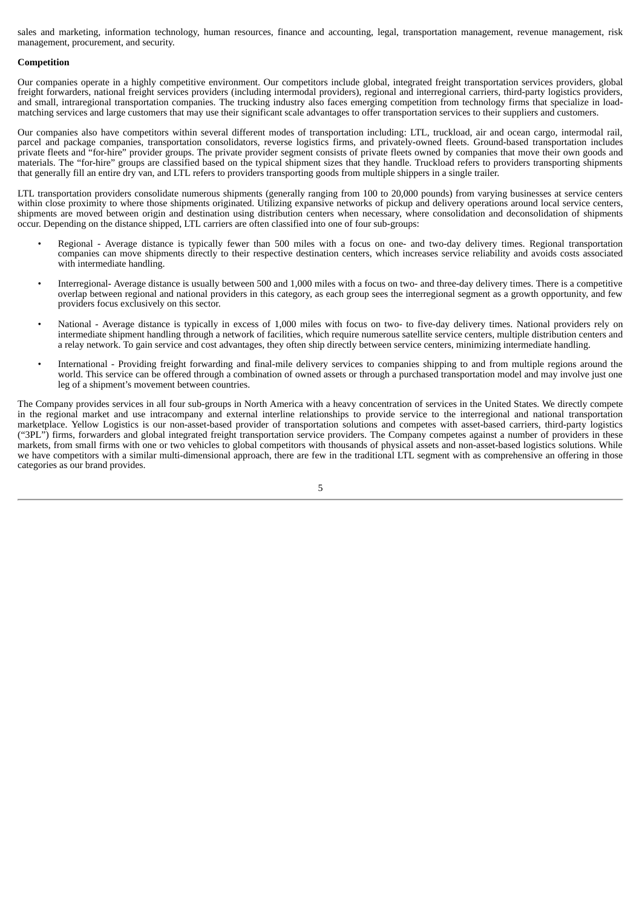sales and marketing, information technology, human resources, finance and accounting, legal, transportation management, revenue management, risk management, procurement, and security.

#### **Competition**

Our companies operate in a highly competitive environment. Our competitors include global, integrated freight transportation services providers, global freight forwarders, national freight services providers (including intermodal providers), regional and interregional carriers, third-party logistics providers, and small, intraregional transportation companies. The trucking industry also faces emerging competition from technology firms that specialize in loadmatching services and large customers that may use their significant scale advantages to offer transportation services to their suppliers and customers.

Our companies also have competitors within several different modes of transportation including: LTL, truckload, air and ocean cargo, intermodal rail, parcel and package companies, transportation consolidators, reverse logistics firms, and privately-owned fleets. Ground-based transportation includes private fleets and "for-hire" provider groups. The private provider segment consists of private fleets owned by companies that move their own goods and materials. The "for-hire" groups are classified based on the typical shipment sizes that they handle. Truckload refers to providers transporting shipments that generally fill an entire dry van, and LTL refers to providers transporting goods from multiple shippers in a single trailer.

LTL transportation providers consolidate numerous shipments (generally ranging from 100 to 20,000 pounds) from varying businesses at service centers within close proximity to where those shipments originated. Utilizing expansive networks of pickup and delivery operations around local service centers, shipments are moved between origin and destination using distribution centers when necessary, where consolidation and deconsolidation of shipments occur. Depending on the distance shipped, LTL carriers are often classified into one of four sub-groups:

- Regional Average distance is typically fewer than 500 miles with a focus on one- and two-day delivery times. Regional transportation companies can move shipments directly to their respective destination centers, which increases service reliability and avoids costs associated with intermediate handling.
- Interregional- Average distance is usually between 500 and 1,000 miles with a focus on two- and three-day delivery times. There is a competitive overlap between regional and national providers in this category, as each group sees the interregional segment as a growth opportunity, and few providers focus exclusively on this sector.
- National Average distance is typically in excess of 1,000 miles with focus on two- to five-day delivery times. National providers rely on intermediate shipment handling through a network of facilities, which require numerous satellite service centers, multiple distribution centers and a relay network. To gain service and cost advantages, they often ship directly between service centers, minimizing intermediate handling.
- International Providing freight forwarding and final-mile delivery services to companies shipping to and from multiple regions around the world. This service can be offered through a combination of owned assets or through a purchased transportation model and may involve just one leg of a shipment's movement between countries.

The Company provides services in all four sub-groups in North America with a heavy concentration of services in the United States. We directly compete in the regional market and use intracompany and external interline relationships to provide service to the interregional and national transportation marketplace. Yellow Logistics is our non-asset-based provider of transportation solutions and competes with asset-based carriers, third-party logistics ("3PL") firms, forwarders and global integrated freight transportation service providers. The Company competes against a number of providers in these markets, from small firms with one or two vehicles to global competitors with thousands of physical assets and non-asset-based logistics solutions. While we have competitors with a similar multi-dimensional approach, there are few in the traditional LTL segment with as comprehensive an offering in those categories as our brand provides.

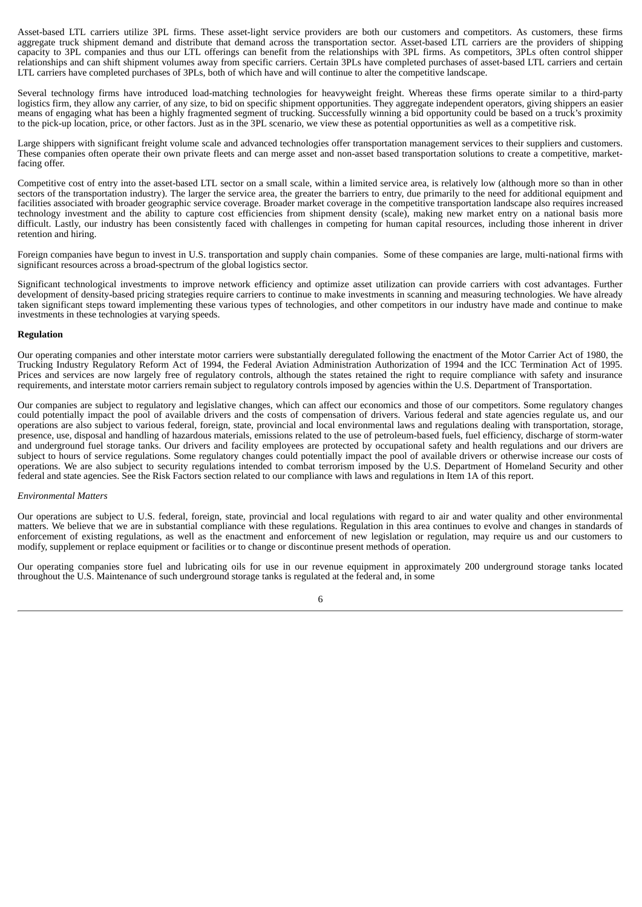Asset-based LTL carriers utilize 3PL firms. These asset-light service providers are both our customers and competitors. As customers, these firms aggregate truck shipment demand and distribute that demand across the transportation sector. Asset-based LTL carriers are the providers of shipping capacity to 3PL companies and thus our LTL offerings can benefit from the relationships with 3PL firms. As competitors, 3PLs often control shipper relationships and can shift shipment volumes away from specific carriers. Certain 3PLs have completed purchases of asset-based LTL carriers and certain LTL carriers have completed purchases of 3PLs, both of which have and will continue to alter the competitive landscape.

Several technology firms have introduced load-matching technologies for heavyweight freight. Whereas these firms operate similar to a third-party logistics firm, they allow any carrier, of any size, to bid on specific shipment opportunities. They aggregate independent operators, giving shippers an easier means of engaging what has been a highly fragmented segment of trucking. Successfully winning a bid opportunity could be based on a truck's proximity to the pick-up location, price, or other factors. Just as in the 3PL scenario, we view these as potential opportunities as well as a competitive risk.

Large shippers with significant freight volume scale and advanced technologies offer transportation management services to their suppliers and customers. These companies often operate their own private fleets and can merge asset and non-asset based transportation solutions to create a competitive, marketfacing offer.

Competitive cost of entry into the asset-based LTL sector on a small scale, within a limited service area, is relatively low (although more so than in other sectors of the transportation industry). The larger the service area, the greater the barriers to entry, due primarily to the need for additional equipment and facilities associated with broader geographic service coverage. Broader market coverage in the competitive transportation landscape also requires increased technology investment and the ability to capture cost efficiencies from shipment density (scale), making new market entry on a national basis more difficult. Lastly, our industry has been consistently faced with challenges in competing for human capital resources, including those inherent in driver retention and hiring.

Foreign companies have begun to invest in U.S. transportation and supply chain companies. Some of these companies are large, multi-national firms with significant resources across a broad-spectrum of the global logistics sector.

Significant technological investments to improve network efficiency and optimize asset utilization can provide carriers with cost advantages. Further development of density-based pricing strategies require carriers to continue to make investments in scanning and measuring technologies. We have already taken significant steps toward implementing these various types of technologies, and other competitors in our industry have made and continue to make investments in these technologies at varying speeds.

#### **Regulation**

Our operating companies and other interstate motor carriers were substantially deregulated following the enactment of the Motor Carrier Act of 1980, the Trucking Industry Regulatory Reform Act of 1994, the Federal Aviation Administration Authorization of 1994 and the ICC Termination Act of 1995. Prices and services are now largely free of regulatory controls, although the states retained the right to require compliance with safety and insurance requirements, and interstate motor carriers remain subject to regulatory controls imposed by agencies within the U.S. Department of Transportation.

Our companies are subject to regulatory and legislative changes, which can affect our economics and those of our competitors. Some regulatory changes could potentially impact the pool of available drivers and the costs of compensation of drivers. Various federal and state agencies regulate us, and our operations are also subject to various federal, foreign, state, provincial and local environmental laws and regulations dealing with transportation, storage, presence, use, disposal and handling of hazardous materials, emissions related to the use of petroleum-based fuels, fuel efficiency, discharge of storm-water and underground fuel storage tanks. Our drivers and facility employees are protected by occupational safety and health regulations and our drivers are subject to hours of service regulations. Some regulatory changes could potentially impact the pool of available drivers or otherwise increase our costs of operations. We are also subject to security regulations intended to combat terrorism imposed by the U.S. Department of Homeland Security and other federal and state agencies. See the Risk Factors section related to our compliance with laws and regulations in Item 1A of this report.

#### *Environmental Matters*

Our operations are subject to U.S. federal, foreign, state, provincial and local regulations with regard to air and water quality and other environmental matters. We believe that we are in substantial compliance with these regulations. Regulation in this area continues to evolve and changes in standards of enforcement of existing regulations, as well as the enactment and enforcement of new legislation or regulation, may require us and our customers to modify, supplement or replace equipment or facilities or to change or discontinue present methods of operation.

Our operating companies store fuel and lubricating oils for use in our revenue equipment in approximately 200 underground storage tanks located throughout the U.S. Maintenance of such underground storage tanks is regulated at the federal and, in some

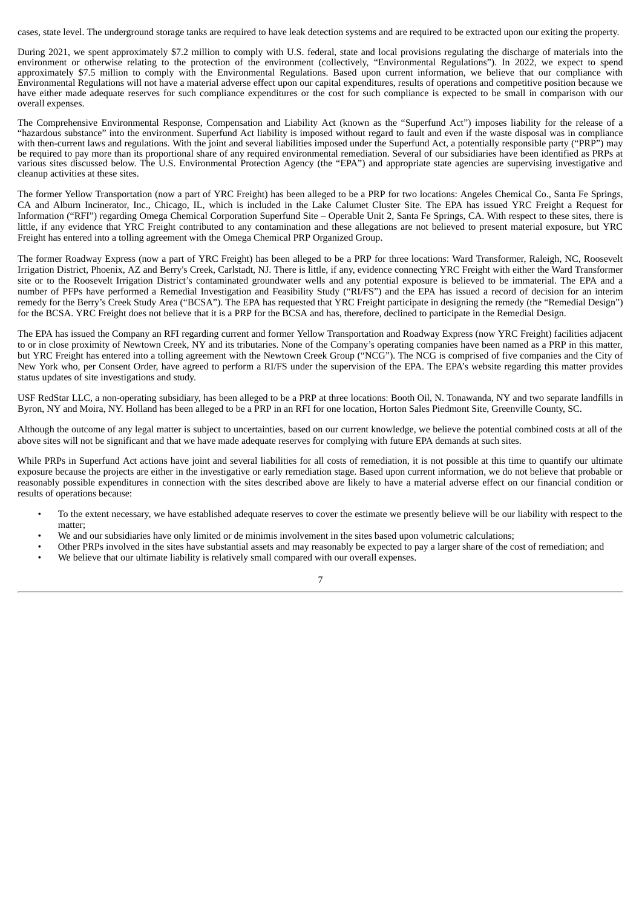cases, state level. The underground storage tanks are required to have leak detection systems and are required to be extracted upon our exiting the property.

During 2021, we spent approximately \$7.2 million to comply with U.S. federal, state and local provisions regulating the discharge of materials into the environment or otherwise relating to the protection of the environment (collectively, "Environmental Regulations"). In 2022, we expect to spend approximately \$7.5 million to comply with the Environmental Regulations. Based upon current information, we believe that our compliance with Environmental Regulations will not have a material adverse effect upon our capital expenditures, results of operations and competitive position because we have either made adequate reserves for such compliance expenditures or the cost for such compliance is expected to be small in comparison with our overall expenses.

The Comprehensive Environmental Response, Compensation and Liability Act (known as the "Superfund Act") imposes liability for the release of a "hazardous substance" into the environment. Superfund Act liability is imposed without regard to fault and even if the waste disposal was in compliance with then-current laws and regulations. With the joint and several liabilities imposed under the Superfund Act, a potentially responsible party ("PRP") may be required to pay more than its proportional share of any required environmental remediation. Several of our subsidiaries have been identified as PRPs at various sites discussed below. The U.S. Environmental Protection Agency (the "EPA") and appropriate state agencies are supervising investigative and cleanup activities at these sites.

The former Yellow Transportation (now a part of YRC Freight) has been alleged to be a PRP for two locations: Angeles Chemical Co., Santa Fe Springs, CA and Alburn Incinerator, Inc., Chicago, IL, which is included in the Lake Calumet Cluster Site. The EPA has issued YRC Freight a Request for Information ("RFI") regarding Omega Chemical Corporation Superfund Site – Operable Unit 2, Santa Fe Springs, CA. With respect to these sites, there is little, if any evidence that YRC Freight contributed to any contamination and these allegations are not believed to present material exposure, but YRC Freight has entered into a tolling agreement with the Omega Chemical PRP Organized Group.

The former Roadway Express (now a part of YRC Freight) has been alleged to be a PRP for three locations: Ward Transformer, Raleigh, NC, Roosevelt Irrigation District, Phoenix, AZ and Berry's Creek, Carlstadt, NJ. There is little, if any, evidence connecting YRC Freight with either the Ward Transformer site or to the Roosevelt Irrigation District's contaminated groundwater wells and any potential exposure is believed to be immaterial. The EPA and a number of PFPs have performed a Remedial Investigation and Feasibility Study ("RI/FS") and the EPA has issued a record of decision for an interim remedy for the Berry's Creek Study Area ("BCSA"). The EPA has requested that YRC Freight participate in designing the remedy (the "Remedial Design") for the BCSA. YRC Freight does not believe that it is a PRP for the BCSA and has, therefore, declined to participate in the Remedial Design.

The EPA has issued the Company an RFI regarding current and former Yellow Transportation and Roadway Express (now YRC Freight) facilities adjacent to or in close proximity of Newtown Creek, NY and its tributaries. None of the Company's operating companies have been named as a PRP in this matter, but YRC Freight has entered into a tolling agreement with the Newtown Creek Group ("NCG"). The NCG is comprised of five companies and the City of New York who, per Consent Order, have agreed to perform a RI/FS under the supervision of the EPA. The EPA's website regarding this matter provides status updates of site investigations and study.

USF RedStar LLC, a non-operating subsidiary, has been alleged to be a PRP at three locations: Booth Oil, N. Tonawanda, NY and two separate landfills in Byron, NY and Moira, NY. Holland has been alleged to be a PRP in an RFI for one location, Horton Sales Piedmont Site, Greenville County, SC.

Although the outcome of any legal matter is subject to uncertainties, based on our current knowledge, we believe the potential combined costs at all of the above sites will not be significant and that we have made adequate reserves for complying with future EPA demands at such sites.

While PRPs in Superfund Act actions have joint and several liabilities for all costs of remediation, it is not possible at this time to quantify our ultimate exposure because the projects are either in the investigative or early remediation stage. Based upon current information, we do not believe that probable or reasonably possible expenditures in connection with the sites described above are likely to have a material adverse effect on our financial condition or results of operations because:

- To the extent necessary, we have established adequate reserves to cover the estimate we presently believe will be our liability with respect to the matter;
- We and our subsidiaries have only limited or de minimis involvement in the sites based upon volumetric calculations;
- Other PRPs involved in the sites have substantial assets and may reasonably be expected to pay a larger share of the cost of remediation; and
- We believe that our ultimate liability is relatively small compared with our overall expenses.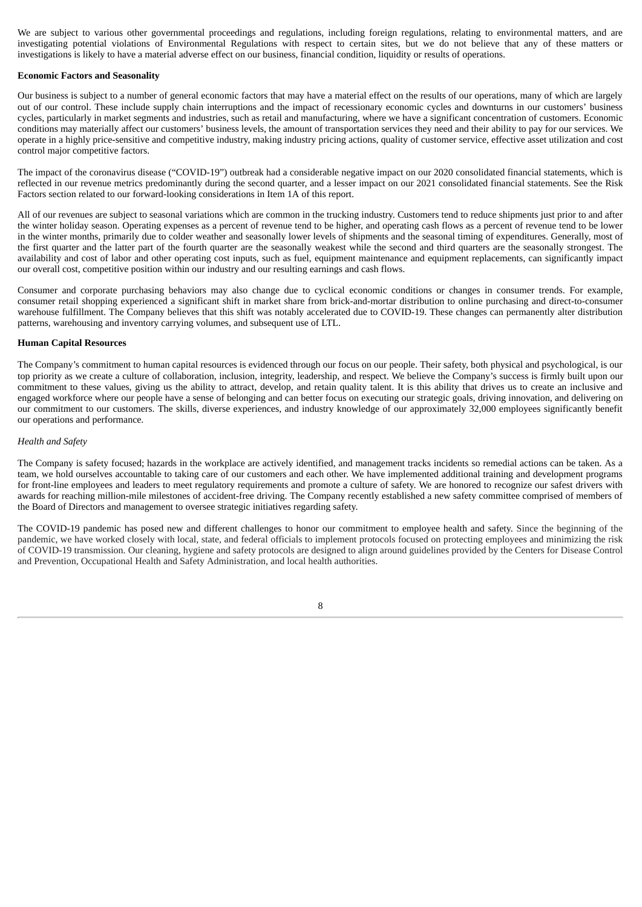We are subject to various other governmental proceedings and regulations, including foreign regulations, relating to environmental matters, and are investigating potential violations of Environmental Regulations with respect to certain sites, but we do not believe that any of these matters or investigations is likely to have a material adverse effect on our business, financial condition, liquidity or results of operations.

#### **Economic Factors and Seasonality**

Our business is subject to a number of general economic factors that may have a material effect on the results of our operations, many of which are largely out of our control. These include supply chain interruptions and the impact of recessionary economic cycles and downturns in our customers' business cycles, particularly in market segments and industries, such as retail and manufacturing, where we have a significant concentration of customers. Economic conditions may materially affect our customers' business levels, the amount of transportation services they need and their ability to pay for our services. We operate in a highly price-sensitive and competitive industry, making industry pricing actions, quality of customer service, effective asset utilization and cost control major competitive factors.

The impact of the coronavirus disease ("COVID-19") outbreak had a considerable negative impact on our 2020 consolidated financial statements, which is reflected in our revenue metrics predominantly during the second quarter, and a lesser impact on our 2021 consolidated financial statements. See the Risk Factors section related to our forward-looking considerations in Item 1A of this report.

All of our revenues are subject to seasonal variations which are common in the trucking industry. Customers tend to reduce shipments just prior to and after the winter holiday season. Operating expenses as a percent of revenue tend to be higher, and operating cash flows as a percent of revenue tend to be lower in the winter months, primarily due to colder weather and seasonally lower levels of shipments and the seasonal timing of expenditures. Generally, most of the first quarter and the latter part of the fourth quarter are the seasonally weakest while the second and third quarters are the seasonally strongest. The availability and cost of labor and other operating cost inputs, such as fuel, equipment maintenance and equipment replacements, can significantly impact our overall cost, competitive position within our industry and our resulting earnings and cash flows.

Consumer and corporate purchasing behaviors may also change due to cyclical economic conditions or changes in consumer trends. For example, consumer retail shopping experienced a significant shift in market share from brick-and-mortar distribution to online purchasing and direct-to-consumer warehouse fulfillment. The Company believes that this shift was notably accelerated due to COVID-19. These changes can permanently alter distribution patterns, warehousing and inventory carrying volumes, and subsequent use of LTL.

#### **Human Capital Resources**

The Company's commitment to human capital resources is evidenced through our focus on our people. Their safety, both physical and psychological, is our top priority as we create a culture of collaboration, inclusion, integrity, leadership, and respect. We believe the Company's success is firmly built upon our commitment to these values, giving us the ability to attract, develop, and retain quality talent. It is this ability that drives us to create an inclusive and engaged workforce where our people have a sense of belonging and can better focus on executing our strategic goals, driving innovation, and delivering on our commitment to our customers. The skills, diverse experiences, and industry knowledge of our approximately 32,000 employees significantly benefit our operations and performance.

## *Health and Safety*

The Company is safety focused; hazards in the workplace are actively identified, and management tracks incidents so remedial actions can be taken. As a team, we hold ourselves accountable to taking care of our customers and each other. We have implemented additional training and development programs for front-line employees and leaders to meet regulatory requirements and promote a culture of safety. We are honored to recognize our safest drivers with awards for reaching million-mile milestones of accident-free driving. The Company recently established a new safety committee comprised of members of the Board of Directors and management to oversee strategic initiatives regarding safety.

The COVID-19 pandemic has posed new and different challenges to honor our commitment to employee health and safety. Since the beginning of the pandemic, we have worked closely with local, state, and federal officials to implement protocols focused on protecting employees and minimizing the risk of COVID-19 transmission. Our cleaning, hygiene and safety protocols are designed to align around guidelines provided by the Centers for Disease Control and Prevention, Occupational Health and Safety Administration, and local health authorities.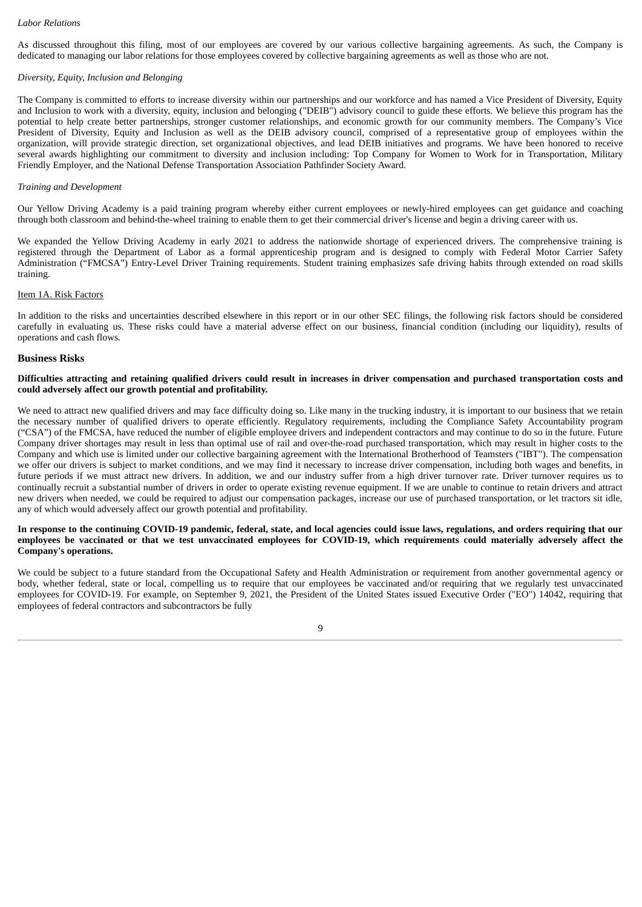#### *Labor Relations*

As discussed throughout this filing, most of our employees are covered by our various collective bargaining agreements. As such, the Company is dedicated to managing our labor relations for those employees covered by collective bargaining agreements as well as those who are not.

#### *Diversity, Equity, Inclusion and Belonging*

The Company is committed to efforts to increase diversity within our partnerships and our workforce and has named a Vice President of Diversity, Equity and Inclusion to work with a diversity, equity, inclusion and belonging ("DEIB") advisory council to guide these efforts. We believe this program has the potential to help create better partnerships, stronger customer relationships, and economic growth for our community members. The Company's Vice President of Diversity, Equity and Inclusion as well as the DEIB advisory council, comprised of a representative group of employees within the organization, will provide strategic direction, set organizational objectives, and lead DEIB initiatives and programs. We have been honored to receive several awards highlighting our commitment to diversity and inclusion including: Top Company for Women to Work for in Transportation, Military Friendly Employer, and the National Defense Transportation Association Pathfinder Society Award.

#### *Training and Development*

Our Yellow Driving Academy is a paid training program whereby either current employees or newly-hired employees can get guidance and coaching through both classroom and behind-the-wheel training to enable them to get their commercial driver's license and begin a driving career with us.

We expanded the Yellow Driving Academy in early 2021 to address the nationwide shortage of experienced drivers. The comprehensive training is registered through the Department of Labor as a formal apprenticeship program and is designed to comply with Federal Motor Carrier Safety Administration ("FMCSA") Entry-Level Driver Training requirements. Student training emphasizes safe driving habits through extended on road skills training.

#### <span id="page-8-0"></span>Item 1A. Risk Factors

In addition to the risks and uncertainties described elsewhere in this report or in our other SEC filings, the following risk factors should be considered carefully in evaluating us. These risks could have a material adverse effect on our business, financial condition (including our liquidity), results of operations and cash flows.

#### **Business Risks**

#### Difficulties attracting and retaining qualified drivers could result in increases in driver compensation and purchased transportation costs and **could adversely affect our growth potential and profitability.**

We need to attract new qualified drivers and may face difficulty doing so. Like many in the trucking industry, it is important to our business that we retain the necessary number of qualified drivers to operate efficiently. Regulatory requirements, including the Compliance Safety Accountability program ("CSA") of the FMCSA, have reduced the number of eligible employee drivers and independent contractors and may continue to do so in the future. Future Company driver shortages may result in less than optimal use of rail and over-the-road purchased transportation, which may result in higher costs to the Company and which use is limited under our collective bargaining agreement with the International Brotherhood of Teamsters ("IBT"). The compensation we offer our drivers is subject to market conditions, and we may find it necessary to increase driver compensation, including both wages and benefits, in future periods if we must attract new drivers. In addition, we and our industry suffer from a high driver turnover rate. Driver turnover requires us to continually recruit a substantial number of drivers in order to operate existing revenue equipment. If we are unable to continue to retain drivers and attract new drivers when needed, we could be required to adjust our compensation packages, increase our use of purchased transportation, or let tractors sit idle, any of which would adversely affect our growth potential and profitability.

### In response to the continuing COVID-19 pandemic, federal, state, and local agencies could issue laws, regulations, and orders requiring that our employees be vaccinated or that we test unvaccinated employees for COVID-19, which requirements could materially adversely affect the **Company's operations.**

We could be subject to a future standard from the Occupational Safety and Health Administration or requirement from another governmental agency or body, whether federal, state or local, compelling us to require that our employees be vaccinated and/or requiring that we regularly test unvaccinated employees for COVID-19. For example, on September 9, 2021, the President of the United States issued Executive Order ("EO") 14042, requiring that employees of federal contractors and subcontractors be fully

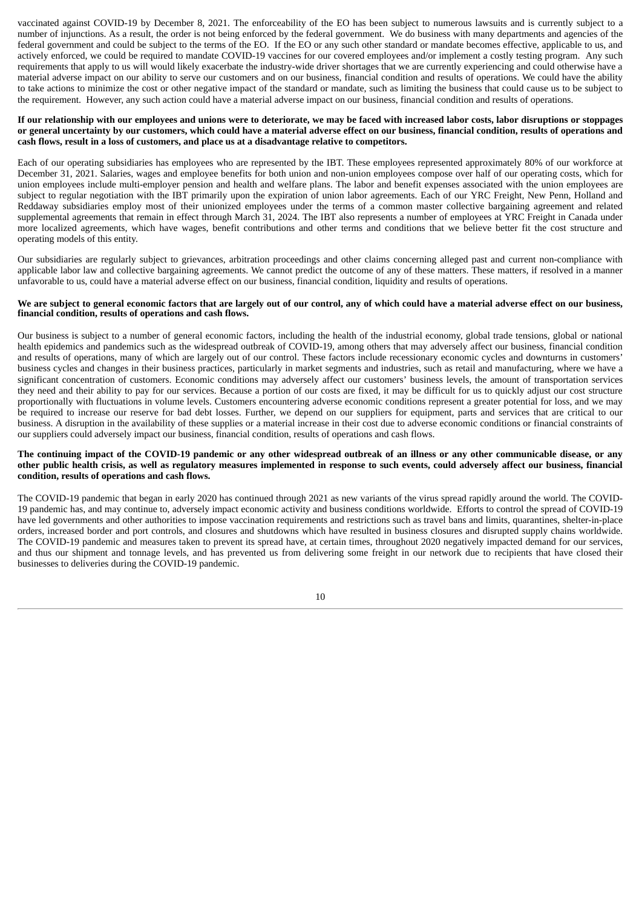vaccinated against COVID-19 by December 8, 2021. The enforceability of the EO has been subject to numerous lawsuits and is currently subject to a number of injunctions. As a result, the order is not being enforced by the federal government. We do business with many departments and agencies of the federal government and could be subject to the terms of the EO. If the EO or any such other standard or mandate becomes effective, applicable to us, and actively enforced, we could be required to mandate COVID-19 vaccines for our covered employees and/or implement a costly testing program. Any such requirements that apply to us will would likely exacerbate the industry-wide driver shortages that we are currently experiencing and could otherwise have a material adverse impact on our ability to serve our customers and on our business, financial condition and results of operations. We could have the ability to take actions to minimize the cost or other negative impact of the standard or mandate, such as limiting the business that could cause us to be subject to the requirement. However, any such action could have a material adverse impact on our business, financial condition and results of operations.

#### If our relationship with our employees and unions were to deteriorate, we may be faced with increased labor costs, labor disruptions or stoppages or general uncertainty by our customers, which could have a material adverse effect on our business, financial condition, results of operations and **cash flows, result in a loss of customers, and place us at a disadvantage relative to competitors.**

Each of our operating subsidiaries has employees who are represented by the IBT. These employees represented approximately 80% of our workforce at December 31, 2021. Salaries, wages and employee benefits for both union and non-union employees compose over half of our operating costs, which for union employees include multi-employer pension and health and welfare plans. The labor and benefit expenses associated with the union employees are subject to regular negotiation with the IBT primarily upon the expiration of union labor agreements. Each of our YRC Freight, New Penn, Holland and Reddaway subsidiaries employ most of their unionized employees under the terms of a common master collective bargaining agreement and related supplemental agreements that remain in effect through March 31, 2024. The IBT also represents a number of employees at YRC Freight in Canada under more localized agreements, which have wages, benefit contributions and other terms and conditions that we believe better fit the cost structure and operating models of this entity.

Our subsidiaries are regularly subject to grievances, arbitration proceedings and other claims concerning alleged past and current non-compliance with applicable labor law and collective bargaining agreements. We cannot predict the outcome of any of these matters. These matters, if resolved in a manner unfavorable to us, could have a material adverse effect on our business, financial condition, liquidity and results of operations.

#### We are subject to general economic factors that are largely out of our control, any of which could have a material adverse effect on our business, **financial condition, results of operations and cash flows.**

Our business is subject to a number of general economic factors, including the health of the industrial economy, global trade tensions, global or national health epidemics and pandemics such as the widespread outbreak of COVID-19, among others that may adversely affect our business, financial condition and results of operations, many of which are largely out of our control. These factors include recessionary economic cycles and downturns in customers' business cycles and changes in their business practices, particularly in market segments and industries, such as retail and manufacturing, where we have a significant concentration of customers. Economic conditions may adversely affect our customers' business levels, the amount of transportation services they need and their ability to pay for our services. Because a portion of our costs are fixed, it may be difficult for us to quickly adjust our cost structure proportionally with fluctuations in volume levels. Customers encountering adverse economic conditions represent a greater potential for loss, and we may be required to increase our reserve for bad debt losses. Further, we depend on our suppliers for equipment, parts and services that are critical to our business. A disruption in the availability of these supplies or a material increase in their cost due to adverse economic conditions or financial constraints of our suppliers could adversely impact our business, financial condition, results of operations and cash flows.

## The continuing impact of the COVID-19 pandemic or any other widespread outbreak of an illness or any other communicable disease, or any other public health crisis, as well as regulatory measures implemented in response to such events, could adversely affect our business, financial **condition, results of operations and cash flows.**

The COVID-19 pandemic that began in early 2020 has continued through 2021 as new variants of the virus spread rapidly around the world. The COVID-19 pandemic has, and may continue to, adversely impact economic activity and business conditions worldwide. Efforts to control the spread of COVID-19 have led governments and other authorities to impose vaccination requirements and restrictions such as travel bans and limits, quarantines, shelter-in-place orders, increased border and port controls, and closures and shutdowns which have resulted in business closures and disrupted supply chains worldwide. The COVID-19 pandemic and measures taken to prevent its spread have, at certain times, throughout 2020 negatively impacted demand for our services, and thus our shipment and tonnage levels, and has prevented us from delivering some freight in our network due to recipients that have closed their businesses to deliveries during the COVID-19 pandemic.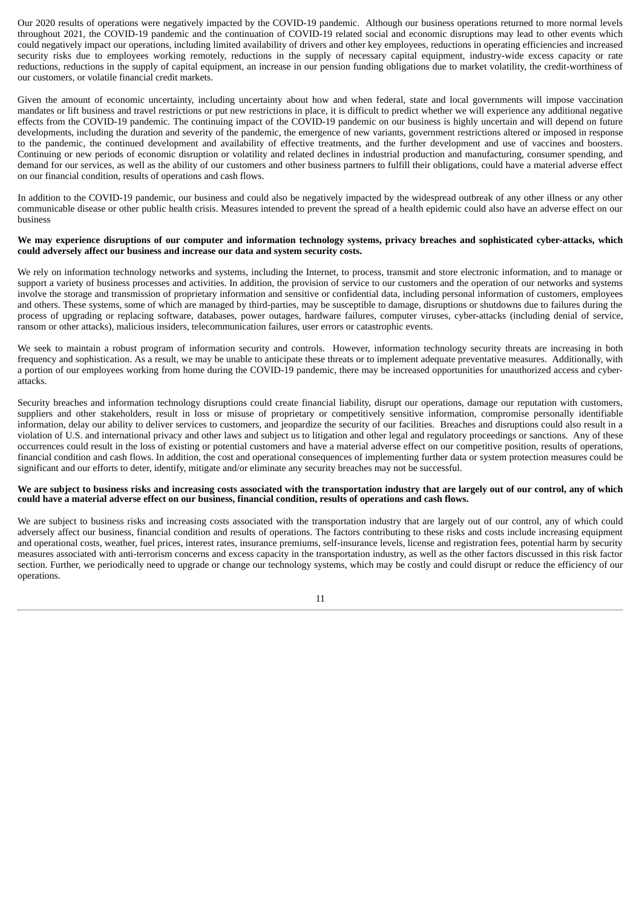Our 2020 results of operations were negatively impacted by the COVID-19 pandemic. Although our business operations returned to more normal levels throughout 2021, the COVID-19 pandemic and the continuation of COVID-19 related social and economic disruptions may lead to other events which could negatively impact our operations, including limited availability of drivers and other key employees, reductions in operating efficiencies and increased security risks due to employees working remotely, reductions in the supply of necessary capital equipment, industry-wide excess capacity or rate reductions, reductions in the supply of capital equipment, an increase in our pension funding obligations due to market volatility, the credit-worthiness of our customers*,* or volatile financial credit markets.

Given the amount of economic uncertainty, including uncertainty about how and when federal, state and local governments will impose vaccination mandates or lift business and travel restrictions or put new restrictions in place, it is difficult to predict whether we will experience any additional negative effects from the COVID-19 pandemic. The continuing impact of the COVID-19 pandemic on our business is highly uncertain and will depend on future developments, including the duration and severity of the pandemic, the emergence of new variants, government restrictions altered or imposed in response to the pandemic, the continued development and availability of effective treatments, and the further development and use of vaccines and boosters. Continuing or new periods of economic disruption or volatility and related declines in industrial production and manufacturing, consumer spending, and demand for our services, as well as the ability of our customers and other business partners to fulfill their obligations, could have a material adverse effect on our financial condition, results of operations and cash flows.

In addition to the COVID-19 pandemic, our business and could also be negatively impacted by the widespread outbreak of any other illness or any other communicable disease or other public health crisis. Measures intended to prevent the spread of a health epidemic could also have an adverse effect on our business

#### We may experience disruptions of our computer and information technology systems, privacy breaches and sophisticated cyber-attacks, which **could adversely affect our business and increase our data and system security costs.**

We rely on information technology networks and systems, including the Internet, to process, transmit and store electronic information, and to manage or support a variety of business processes and activities. In addition, the provision of service to our customers and the operation of our networks and systems involve the storage and transmission of proprietary information and sensitive or confidential data, including personal information of customers, employees and others. These systems, some of which are managed by third-parties, may be susceptible to damage, disruptions or shutdowns due to failures during the process of upgrading or replacing software, databases, power outages, hardware failures, computer viruses, cyber-attacks (including denial of service, ransom or other attacks), malicious insiders, telecommunication failures, user errors or catastrophic events.

We seek to maintain a robust program of information security and controls. However, information technology security threats are increasing in both frequency and sophistication. As a result, we may be unable to anticipate these threats or to implement adequate preventative measures. Additionally, with a portion of our employees working from home during the COVID-19 pandemic, there may be increased opportunities for unauthorized access and cyberattacks.

Security breaches and information technology disruptions could create financial liability, disrupt our operations, damage our reputation with customers, suppliers and other stakeholders, result in loss or misuse of proprietary or competitively sensitive information, compromise personally identifiable information, delay our ability to deliver services to customers, and jeopardize the security of our facilities. Breaches and disruptions could also result in a violation of U.S. and international privacy and other laws and subject us to litigation and other legal and regulatory proceedings or sanctions. Any of these occurrences could result in the loss of existing or potential customers and have a material adverse effect on our competitive position, results of operations, financial condition and cash flows. In addition, the cost and operational consequences of implementing further data or system protection measures could be significant and our efforts to deter, identify, mitigate and/or eliminate any security breaches may not be successful.

#### We are subject to business risks and increasing costs associated with the transportation industry that are largely out of our control, any of which could have a material adverse effect on our business, financial condition, results of operations and cash flows.

We are subject to business risks and increasing costs associated with the transportation industry that are largely out of our control, any of which could adversely affect our business, financial condition and results of operations. The factors contributing to these risks and costs include increasing equipment and operational costs, weather, fuel prices, interest rates, insurance premiums, self-insurance levels, license and registration fees, potential harm by security measures associated with anti-terrorism concerns and excess capacity in the transportation industry, as well as the other factors discussed in this risk factor section. Further, we periodically need to upgrade or change our technology systems, which may be costly and could disrupt or reduce the efficiency of our operations.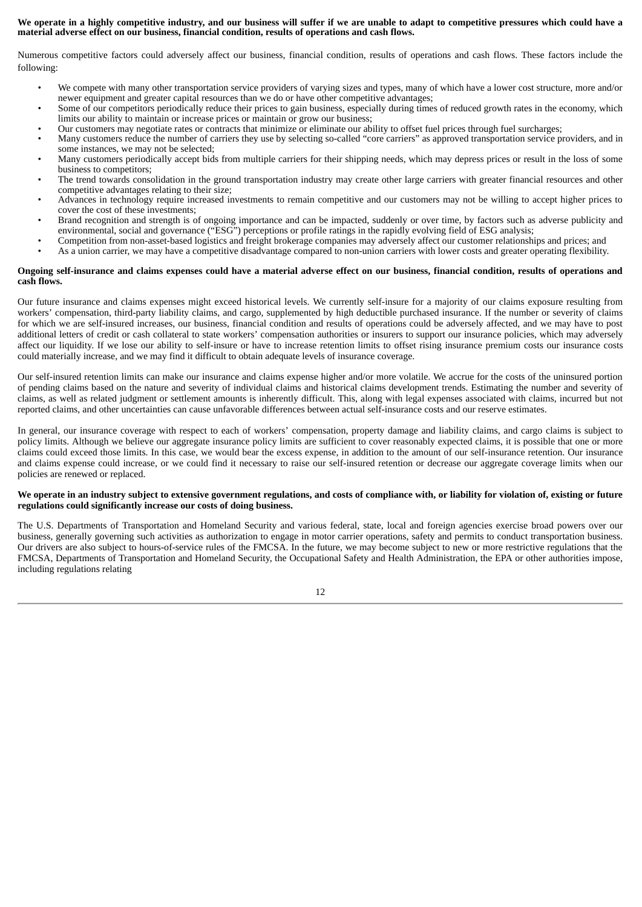#### We operate in a highly competitive industry, and our business will suffer if we are unable to adapt to competitive pressures which could have a **material adverse effect on our business, financial condition, results of operations and cash flows.**

Numerous competitive factors could adversely affect our business, financial condition, results of operations and cash flows. These factors include the following:

- We compete with many other transportation service providers of varying sizes and types, many of which have a lower cost structure, more and/or newer equipment and greater capital resources than we do or have other competitive advantages;
- Some of our competitors periodically reduce their prices to gain business, especially during times of reduced growth rates in the economy, which limits our ability to maintain or increase prices or maintain or grow our business;
- Our customers may negotiate rates or contracts that minimize or eliminate our ability to offset fuel prices through fuel surcharges;
- Many customers reduce the number of carriers they use by selecting so-called "core carriers" as approved transportation service providers, and in some instances, we may not be selected;
- Many customers periodically accept bids from multiple carriers for their shipping needs, which may depress prices or result in the loss of some business to competitors;
- The trend towards consolidation in the ground transportation industry may create other large carriers with greater financial resources and other competitive advantages relating to their size;
- Advances in technology require increased investments to remain competitive and our customers may not be willing to accept higher prices to cover the cost of these investments;
- Brand recognition and strength is of ongoing importance and can be impacted, suddenly or over time, by factors such as adverse publicity and environmental, social and governance ("ESG") perceptions or profile ratings in the rapidly evolving field of ESG analysis;
- Competition from non-asset-based logistics and freight brokerage companies may adversely affect our customer relationships and prices; and
- As a union carrier, we may have a competitive disadvantage compared to non-union carriers with lower costs and greater operating flexibility.

#### Ongoing self-insurance and claims expenses could have a material adverse effect on our business, financial condition, results of operations and **cash flows.**

Our future insurance and claims expenses might exceed historical levels. We currently self-insure for a majority of our claims exposure resulting from workers' compensation, third-party liability claims, and cargo, supplemented by high deductible purchased insurance. If the number or severity of claims for which we are self-insured increases, our business, financial condition and results of operations could be adversely affected, and we may have to post additional letters of credit or cash collateral to state workers' compensation authorities or insurers to support our insurance policies, which may adversely affect our liquidity. If we lose our ability to self-insure or have to increase retention limits to offset rising insurance premium costs our insurance costs could materially increase, and we may find it difficult to obtain adequate levels of insurance coverage.

Our self-insured retention limits can make our insurance and claims expense higher and/or more volatile. We accrue for the costs of the uninsured portion of pending claims based on the nature and severity of individual claims and historical claims development trends. Estimating the number and severity of claims, as well as related judgment or settlement amounts is inherently difficult. This, along with legal expenses associated with claims, incurred but not reported claims, and other uncertainties can cause unfavorable differences between actual self-insurance costs and our reserve estimates.

In general, our insurance coverage with respect to each of workers' compensation, property damage and liability claims, and cargo claims is subject to policy limits. Although we believe our aggregate insurance policy limits are sufficient to cover reasonably expected claims, it is possible that one or more claims could exceed those limits. In this case, we would bear the excess expense, in addition to the amount of our self-insurance retention. Our insurance and claims expense could increase, or we could find it necessary to raise our self-insured retention or decrease our aggregate coverage limits when our policies are renewed or replaced.

#### We operate in an industry subject to extensive government regulations, and costs of compliance with, or liability for violation of, existing or future **regulations could significantly increase our costs of doing business.**

The U.S. Departments of Transportation and Homeland Security and various federal, state, local and foreign agencies exercise broad powers over our business, generally governing such activities as authorization to engage in motor carrier operations, safety and permits to conduct transportation business. Our drivers are also subject to hours-of-service rules of the FMCSA. In the future, we may become subject to new or more restrictive regulations that the FMCSA, Departments of Transportation and Homeland Security, the Occupational Safety and Health Administration, the EPA or other authorities impose, including regulations relating

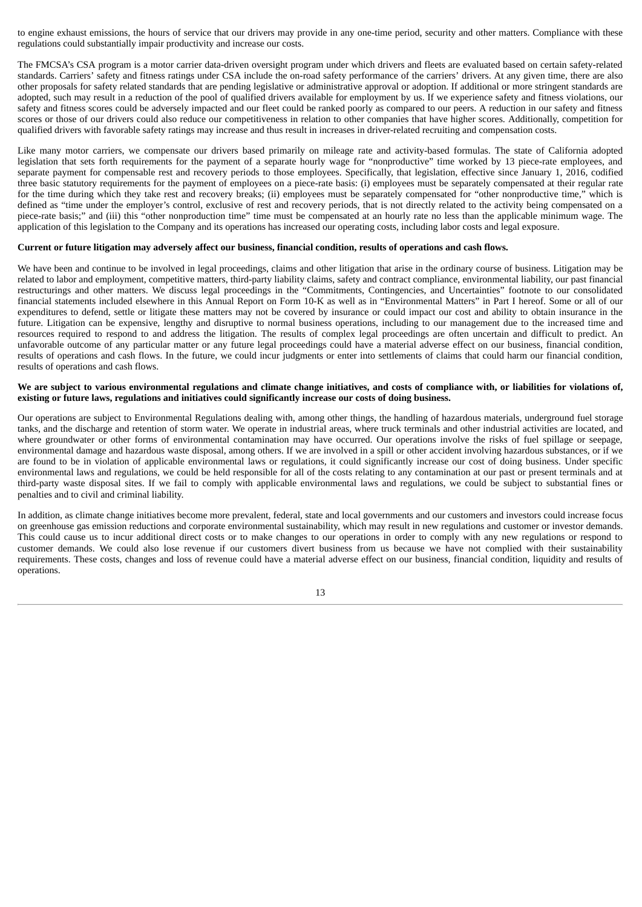to engine exhaust emissions, the hours of service that our drivers may provide in any one-time period, security and other matters. Compliance with these regulations could substantially impair productivity and increase our costs.

The FMCSA's CSA program is a motor carrier data-driven oversight program under which drivers and fleets are evaluated based on certain safety-related standards. Carriers' safety and fitness ratings under CSA include the on-road safety performance of the carriers' drivers. At any given time, there are also other proposals for safety related standards that are pending legislative or administrative approval or adoption. If additional or more stringent standards are adopted, such may result in a reduction of the pool of qualified drivers available for employment by us. If we experience safety and fitness violations, our safety and fitness scores could be adversely impacted and our fleet could be ranked poorly as compared to our peers. A reduction in our safety and fitness scores or those of our drivers could also reduce our competitiveness in relation to other companies that have higher scores. Additionally, competition for qualified drivers with favorable safety ratings may increase and thus result in increases in driver-related recruiting and compensation costs.

Like many motor carriers, we compensate our drivers based primarily on mileage rate and activity-based formulas. The state of California adopted legislation that sets forth requirements for the payment of a separate hourly wage for "nonproductive" time worked by 13 piece-rate employees, and separate payment for compensable rest and recovery periods to those employees. Specifically, that legislation, effective since January 1, 2016, codified three basic statutory requirements for the payment of employees on a piece-rate basis: (i) employees must be separately compensated at their regular rate for the time during which they take rest and recovery breaks; (ii) employees must be separately compensated for "other nonproductive time," which is defined as "time under the employer's control, exclusive of rest and recovery periods, that is not directly related to the activity being compensated on a piece-rate basis;" and (iii) this "other nonproduction time" time must be compensated at an hourly rate no less than the applicable minimum wage. The application of this legislation to the Company and its operations has increased our operating costs, including labor costs and legal exposure.

#### Current or future litigation may adversely affect our business, financial condition, results of operations and cash flows.

We have been and continue to be involved in legal proceedings, claims and other litigation that arise in the ordinary course of business. Litigation may be related to labor and employment, competitive matters, third-party liability claims, safety and contract compliance, environmental liability, our past financial restructurings and other matters. We discuss legal proceedings in the "Commitments, Contingencies, and Uncertainties" footnote to our consolidated financial statements included elsewhere in this Annual Report on Form 10-K as well as in "Environmental Matters" in Part I hereof. Some or all of our expenditures to defend, settle or litigate these matters may not be covered by insurance or could impact our cost and ability to obtain insurance in the future. Litigation can be expensive, lengthy and disruptive to normal business operations, including to our management due to the increased time and resources required to respond to and address the litigation. The results of complex legal proceedings are often uncertain and difficult to predict. An unfavorable outcome of any particular matter or any future legal proceedings could have a material adverse effect on our business, financial condition, results of operations and cash flows. In the future, we could incur judgments or enter into settlements of claims that could harm our financial condition, results of operations and cash flows.

#### We are subject to various environmental regulations and climate change initiatives, and costs of compliance with, or liabilities for violations of, **existing or future laws, regulations and initiatives could significantly increase our costs of doing business.**

Our operations are subject to Environmental Regulations dealing with, among other things, the handling of hazardous materials, underground fuel storage tanks, and the discharge and retention of storm water. We operate in industrial areas, where truck terminals and other industrial activities are located, and where groundwater or other forms of environmental contamination may have occurred. Our operations involve the risks of fuel spillage or seepage, environmental damage and hazardous waste disposal, among others. If we are involved in a spill or other accident involving hazardous substances, or if we are found to be in violation of applicable environmental laws or regulations, it could significantly increase our cost of doing business. Under specific environmental laws and regulations, we could be held responsible for all of the costs relating to any contamination at our past or present terminals and at third-party waste disposal sites. If we fail to comply with applicable environmental laws and regulations, we could be subject to substantial fines or penalties and to civil and criminal liability.

In addition, as climate change initiatives become more prevalent, federal, state and local governments and our customers and investors could increase focus on greenhouse gas emission reductions and corporate environmental sustainability, which may result in new regulations and customer or investor demands. This could cause us to incur additional direct costs or to make changes to our operations in order to comply with any new regulations or respond to customer demands. We could also lose revenue if our customers divert business from us because we have not complied with their sustainability requirements. These costs, changes and loss of revenue could have a material adverse effect on our business, financial condition, liquidity and results of operations.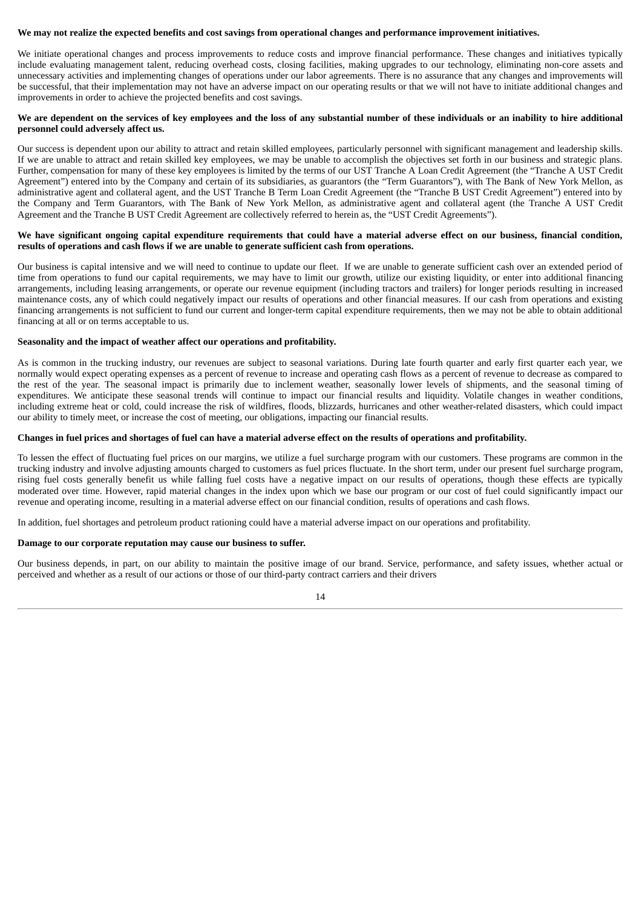#### We may not realize the expected benefits and cost savings from operational changes and performance improvement initiatives.

We initiate operational changes and process improvements to reduce costs and improve financial performance. These changes and initiatives typically include evaluating management talent, reducing overhead costs, closing facilities, making upgrades to our technology, eliminating non-core assets and unnecessary activities and implementing changes of operations under our labor agreements. There is no assurance that any changes and improvements will be successful, that their implementation may not have an adverse impact on our operating results or that we will not have to initiate additional changes and improvements in order to achieve the projected benefits and cost savings.

#### We are dependent on the services of key employees and the loss of any substantial number of these individuals or an inability to hire additional **personnel could adversely affect us.**

Our success is dependent upon our ability to attract and retain skilled employees, particularly personnel with significant management and leadership skills. If we are unable to attract and retain skilled key employees, we may be unable to accomplish the objectives set forth in our business and strategic plans. Further, compensation for many of these key employees is limited by the terms of our UST Tranche A Loan Credit Agreement (the "Tranche A UST Credit Agreement") entered into by the Company and certain of its subsidiaries, as guarantors (the "Term Guarantors"), with The Bank of New York Mellon, as administrative agent and collateral agent, and the UST Tranche B Term Loan Credit Agreement (the "Tranche B UST Credit Agreement") entered into by the Company and Term Guarantors, with The Bank of New York Mellon, as administrative agent and collateral agent (the Tranche A UST Credit Agreement and the Tranche B UST Credit Agreement are collectively referred to herein as, the "UST Credit Agreements").

#### We have significant ongoing capital expenditure requirements that could have a material adverse effect on our business, financial condition, **results of operations and cash flows if we are unable to generate sufficient cash from operations.**

Our business is capital intensive and we will need to continue to update our fleet. If we are unable to generate sufficient cash over an extended period of time from operations to fund our capital requirements, we may have to limit our growth, utilize our existing liquidity, or enter into additional financing arrangements, including leasing arrangements, or operate our revenue equipment (including tractors and trailers) for longer periods resulting in increased maintenance costs, any of which could negatively impact our results of operations and other financial measures. If our cash from operations and existing financing arrangements is not sufficient to fund our current and longer-term capital expenditure requirements, then we may not be able to obtain additional financing at all or on terms acceptable to us.

#### **Seasonality and the impact of weather affect our operations and profitability.**

As is common in the trucking industry, our revenues are subject to seasonal variations. During late fourth quarter and early first quarter each year, we normally would expect operating expenses as a percent of revenue to increase and operating cash flows as a percent of revenue to decrease as compared to the rest of the year. The seasonal impact is primarily due to inclement weather, seasonally lower levels of shipments, and the seasonal timing of expenditures. We anticipate these seasonal trends will continue to impact our financial results and liquidity. Volatile changes in weather conditions, including extreme heat or cold, could increase the risk of wildfires, floods, blizzards, hurricanes and other weather-related disasters, which could impact our ability to timely meet, or increase the cost of meeting, our obligations, impacting our financial results.

#### Changes in fuel prices and shortages of fuel can have a material adverse effect on the results of operations and profitability.

To lessen the effect of fluctuating fuel prices on our margins, we utilize a fuel surcharge program with our customers. These programs are common in the trucking industry and involve adjusting amounts charged to customers as fuel prices fluctuate. In the short term, under our present fuel surcharge program, rising fuel costs generally benefit us while falling fuel costs have a negative impact on our results of operations, though these effects are typically moderated over time. However, rapid material changes in the index upon which we base our program or our cost of fuel could significantly impact our revenue and operating income, resulting in a material adverse effect on our financial condition, results of operations and cash flows.

In addition, fuel shortages and petroleum product rationing could have a material adverse impact on our operations and profitability.

#### **Damage to our corporate reputation may cause our business to suffer.**

Our business depends, in part, on our ability to maintain the positive image of our brand. Service, performance, and safety issues, whether actual or perceived and whether as a result of our actions or those of our third-party contract carriers and their drivers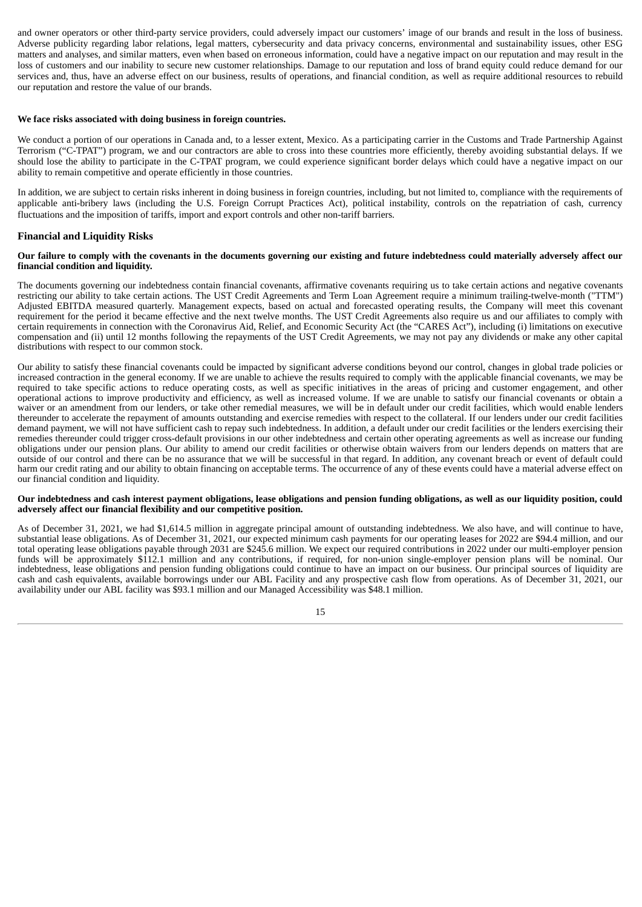and owner operators or other third-party service providers, could adversely impact our customers' image of our brands and result in the loss of business. Adverse publicity regarding labor relations, legal matters, cybersecurity and data privacy concerns, environmental and sustainability issues, other ESG matters and analyses, and similar matters, even when based on erroneous information, could have a negative impact on our reputation and may result in the loss of customers and our inability to secure new customer relationships. Damage to our reputation and loss of brand equity could reduce demand for our services and, thus, have an adverse effect on our business, results of operations, and financial condition, as well as require additional resources to rebuild our reputation and restore the value of our brands.

#### **We face risks associated with doing business in foreign countries.**

We conduct a portion of our operations in Canada and, to a lesser extent, Mexico. As a participating carrier in the Customs and Trade Partnership Against Terrorism ("C-TPAT") program, we and our contractors are able to cross into these countries more efficiently, thereby avoiding substantial delays. If we should lose the ability to participate in the C-TPAT program, we could experience significant border delays which could have a negative impact on our ability to remain competitive and operate efficiently in those countries.

In addition, we are subject to certain risks inherent in doing business in foreign countries, including, but not limited to, compliance with the requirements of applicable anti-bribery laws (including the U.S. Foreign Corrupt Practices Act), political instability, controls on the repatriation of cash, currency fluctuations and the imposition of tariffs, import and export controls and other non-tariff barriers.

## **Financial and Liquidity Risks**

#### Our failure to comply with the covenants in the documents governing our existing and future indebtedness could materially adversely affect our **financial condition and liquidity.**

The documents governing our indebtedness contain financial covenants, affirmative covenants requiring us to take certain actions and negative covenants restricting our ability to take certain actions. The UST Credit Agreements and Term Loan Agreement require a minimum trailing-twelve-month ("TTM") Adjusted EBITDA measured quarterly. Management expects, based on actual and forecasted operating results, the Company will meet this covenant requirement for the period it became effective and the next twelve months. The UST Credit Agreements also require us and our affiliates to comply with certain requirements in connection with the Coronavirus Aid, Relief, and Economic Security Act (the "CARES Act"), including (i) limitations on executive compensation and (ii) until 12 months following the repayments of the UST Credit Agreements, we may not pay any dividends or make any other capital distributions with respect to our common stock.

Our ability to satisfy these financial covenants could be impacted by significant adverse conditions beyond our control, changes in global trade policies or increased contraction in the general economy. If we are unable to achieve the results required to comply with the applicable financial covenants, we may be required to take specific actions to reduce operating costs, as well as specific initiatives in the areas of pricing and customer engagement, and other operational actions to improve productivity and efficiency, as well as increased volume. If we are unable to satisfy our financial covenants or obtain a waiver or an amendment from our lenders, or take other remedial measures, we will be in default under our credit facilities, which would enable lenders thereunder to accelerate the repayment of amounts outstanding and exercise remedies with respect to the collateral. If our lenders under our credit facilities demand payment, we will not have sufficient cash to repay such indebtedness. In addition, a default under our credit facilities or the lenders exercising their remedies thereunder could trigger cross-default provisions in our other indebtedness and certain other operating agreements as well as increase our funding obligations under our pension plans. Our ability to amend our credit facilities or otherwise obtain waivers from our lenders depends on matters that are outside of our control and there can be no assurance that we will be successful in that regard. In addition, any covenant breach or event of default could harm our credit rating and our ability to obtain financing on acceptable terms. The occurrence of any of these events could have a material adverse effect on our financial condition and liquidity.

#### Our indebtedness and cash interest payment obligations, lease obligations and pension funding obligations, as well as our liquidity position, could **adversely affect our financial flexibility and our competitive position.**

As of December 31, 2021, we had \$1,614.5 million in aggregate principal amount of outstanding indebtedness. We also have, and will continue to have, substantial lease obligations. As of December 31, 2021, our expected minimum cash payments for our operating leases for 2022 are \$94.4 million, and our total operating lease obligations payable through 2031 are \$245.6 million. We expect our required contributions in 2022 under our multi-employer pension funds will be approximately \$112.1 million and any contributions, if required, for non-union single-employer pension plans will be nominal. Our indebtedness, lease obligations and pension funding obligations could continue to have an impact on our business. Our principal sources of liquidity are cash and cash equivalents, available borrowings under our ABL Facility and any prospective cash flow from operations. As of December 31, 2021, our availability under our ABL facility was \$93.1 million and our Managed Accessibility was \$48.1 million.

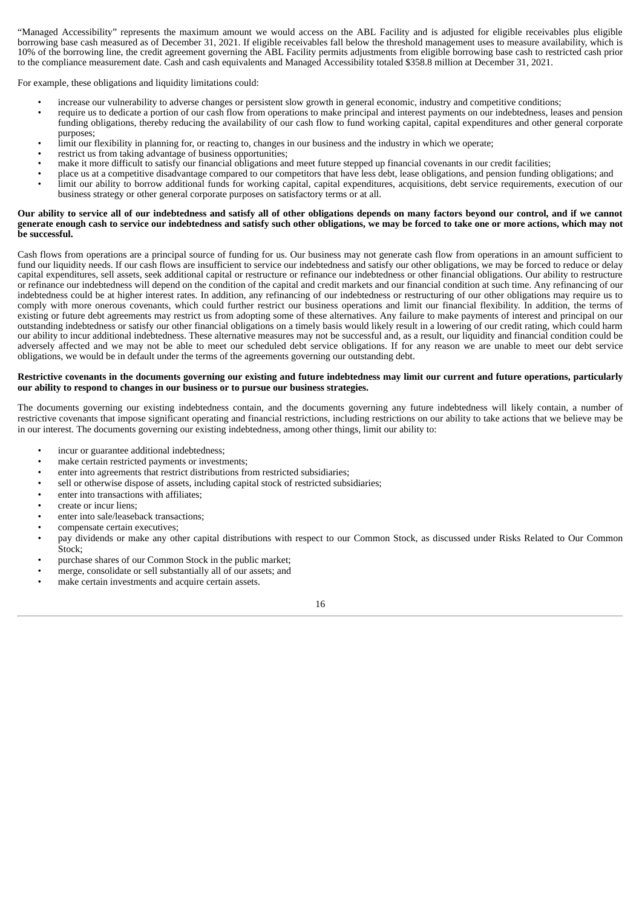"Managed Accessibility" represents the maximum amount we would access on the ABL Facility and is adjusted for eligible receivables plus eligible borrowing base cash measured as of December 31, 2021. If eligible receivables fall below the threshold management uses to measure availability, which is 10% of the borrowing line, the credit agreement governing the ABL Facility permits adjustments from eligible borrowing base cash to restricted cash prior to the compliance measurement date. Cash and cash equivalents and Managed Accessibility totaled \$358.8 million at December 31, 2021.

For example, these obligations and liquidity limitations could:

- increase our vulnerability to adverse changes or persistent slow growth in general economic, industry and competitive conditions;
- require us to dedicate a portion of our cash flow from operations to make principal and interest payments on our indebtedness, leases and pension funding obligations, thereby reducing the availability of our cash flow to fund working capital, capital expenditures and other general corporate purposes;
- limit our flexibility in planning for, or reacting to, changes in our business and the industry in which we operate;
- restrict us from taking advantage of business opportunities;
- make it more difficult to satisfy our financial obligations and meet future stepped up financial covenants in our credit facilities;
- place us at a competitive disadvantage compared to our competitors that have less debt, lease obligations, and pension funding obligations; and
- limit our ability to borrow additional funds for working capital, capital expenditures, acquisitions, debt service requirements, execution of our business strategy or other general corporate purposes on satisfactory terms or at all.

#### Our ability to service all of our indebtedness and satisfy all of other obligations depends on many factors beyond our control, and if we cannot generate enough cash to service our indebtedness and satisfy such other obligations, we may be forced to take one or more actions, which may not **be successful.**

Cash flows from operations are a principal source of funding for us. Our business may not generate cash flow from operations in an amount sufficient to fund our liquidity needs. If our cash flows are insufficient to service our indebtedness and satisfy our other obligations, we may be forced to reduce or delay capital expenditures, sell assets, seek additional capital or restructure or refinance our indebtedness or other financial obligations. Our ability to restructure or refinance our indebtedness will depend on the condition of the capital and credit markets and our financial condition at such time. Any refinancing of our indebtedness could be at higher interest rates. In addition, any refinancing of our indebtedness or restructuring of our other obligations may require us to comply with more onerous covenants, which could further restrict our business operations and limit our financial flexibility. In addition, the terms of existing or future debt agreements may restrict us from adopting some of these alternatives. Any failure to make payments of interest and principal on our outstanding indebtedness or satisfy our other financial obligations on a timely basis would likely result in a lowering of our credit rating, which could harm our ability to incur additional indebtedness. These alternative measures may not be successful and, as a result, our liquidity and financial condition could be adversely affected and we may not be able to meet our scheduled debt service obligations. If for any reason we are unable to meet our debt service obligations, we would be in default under the terms of the agreements governing our outstanding debt.

## Restrictive covenants in the documents governing our existing and future indebtedness may limit our current and future operations, particularly **our ability to respond to changes in our business or to pursue our business strategies.**

The documents governing our existing indebtedness contain, and the documents governing any future indebtedness will likely contain, a number of restrictive covenants that impose significant operating and financial restrictions, including restrictions on our ability to take actions that we believe may be in our interest. The documents governing our existing indebtedness, among other things, limit our ability to:

- incur or guarantee additional indebtedness;
- make certain restricted payments or investments;
- enter into agreements that restrict distributions from restricted subsidiaries;
- sell or otherwise dispose of assets, including capital stock of restricted subsidiaries;
- enter into transactions with affiliates;
- create or incur liens;
- enter into sale/leaseback transactions;
- compensate certain executives;
- pay dividends or make any other capital distributions with respect to our Common Stock, as discussed under Risks Related to Our Common Stock;
- purchase shares of our Common Stock in the public market;
- merge, consolidate or sell substantially all of our assets; and
- make certain investments and acquire certain assets.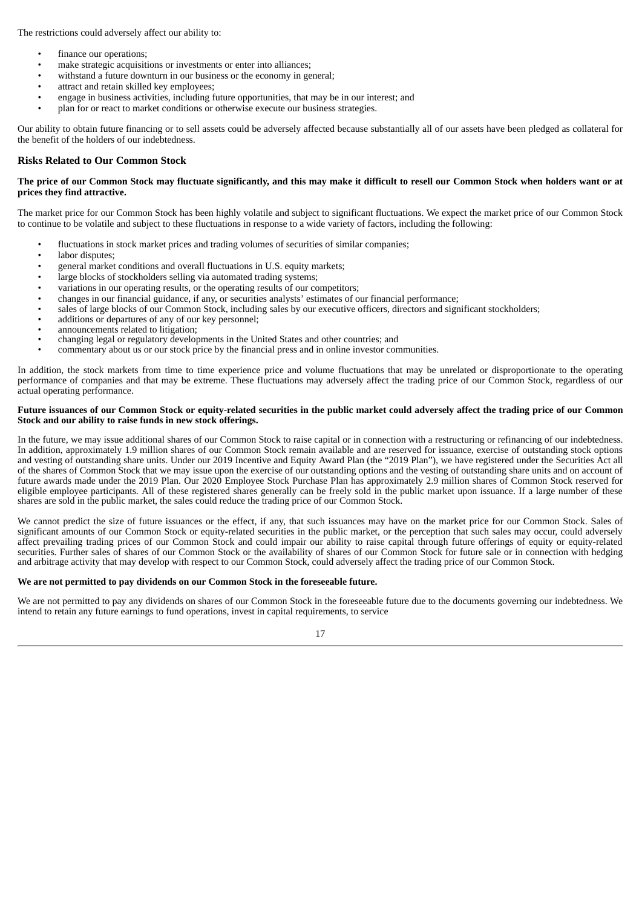#### The restrictions could adversely affect our ability to:

- finance our operations;
- make strategic acquisitions or investments or enter into alliances;
- withstand a future downturn in our business or the economy in general;
- attract and retain skilled key employees;
- engage in business activities, including future opportunities, that may be in our interest; and
- plan for or react to market conditions or otherwise execute our business strategies.

Our ability to obtain future financing or to sell assets could be adversely affected because substantially all of our assets have been pledged as collateral for the benefit of the holders of our indebtedness.

## **Risks Related to Our Common Stock**

### The price of our Common Stock may fluctuate significantly, and this may make it difficult to resell our Common Stock when holders want or at **prices they find attractive.**

The market price for our Common Stock has been highly volatile and subject to significant fluctuations. We expect the market price of our Common Stock to continue to be volatile and subject to these fluctuations in response to a wide variety of factors, including the following:

- fluctuations in stock market prices and trading volumes of securities of similar companies;
- labor disputes:
- general market conditions and overall fluctuations in U.S. equity markets;
- large blocks of stockholders selling via automated trading systems;
- variations in our operating results, or the operating results of our competitors;
- changes in our financial guidance, if any, or securities analysts' estimates of our financial performance;
- sales of large blocks of our Common Stock, including sales by our executive officers, directors and significant stockholders;
- additions or departures of any of our key personnel;
- announcements related to litigation;
- changing legal or regulatory developments in the United States and other countries; and
- commentary about us or our stock price by the financial press and in online investor communities.

In addition, the stock markets from time to time experience price and volume fluctuations that may be unrelated or disproportionate to the operating performance of companies and that may be extreme. These fluctuations may adversely affect the trading price of our Common Stock, regardless of our actual operating performance.

#### Future issuances of our Common Stock or equity-related securities in the public market could adversely affect the trading price of our Common **Stock and our ability to raise funds in new stock offerings.**

In the future, we may issue additional shares of our Common Stock to raise capital or in connection with a restructuring or refinancing of our indebtedness. In addition, approximately 1.9 million shares of our Common Stock remain available and are reserved for issuance, exercise of outstanding stock options and vesting of outstanding share units. Under our 2019 Incentive and Equity Award Plan (the "2019 Plan"), we have registered under the Securities Act all of the shares of Common Stock that we may issue upon the exercise of our outstanding options and the vesting of outstanding share units and on account of future awards made under the 2019 Plan. Our 2020 Employee Stock Purchase Plan has approximately 2.9 million shares of Common Stock reserved for eligible employee participants. All of these registered shares generally can be freely sold in the public market upon issuance. If a large number of these shares are sold in the public market, the sales could reduce the trading price of our Common Stock.

We cannot predict the size of future issuances or the effect, if any, that such issuances may have on the market price for our Common Stock. Sales of significant amounts of our Common Stock or equity-related securities in the public market, or the perception that such sales may occur, could adversely affect prevailing trading prices of our Common Stock and could impair our ability to raise capital through future offerings of equity or equity-related securities. Further sales of shares of our Common Stock or the availability of shares of our Common Stock for future sale or in connection with hedging and arbitrage activity that may develop with respect to our Common Stock, could adversely affect the trading price of our Common Stock.

#### **We are not permitted to pay dividends on our Common Stock in the foreseeable future.**

We are not permitted to pay any dividends on shares of our Common Stock in the foreseeable future due to the documents governing our indebtedness. We intend to retain any future earnings to fund operations, invest in capital requirements, to service

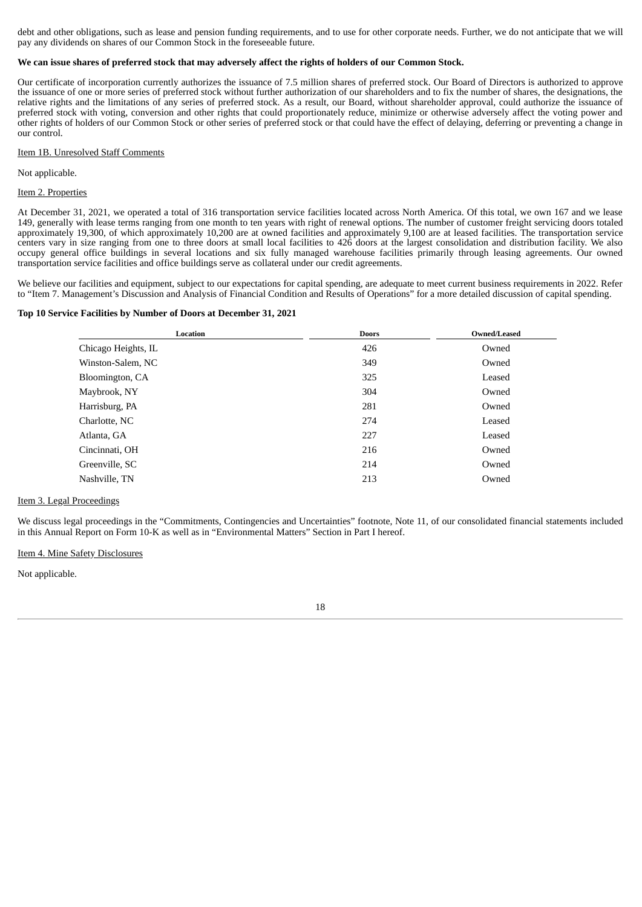debt and other obligations, such as lease and pension funding requirements, and to use for other corporate needs. Further, we do not anticipate that we will pay any dividends on shares of our Common Stock in the foreseeable future.

#### We can issue shares of preferred stock that may adversely affect the rights of holders of our Common Stock.

Our certificate of incorporation currently authorizes the issuance of 7.5 million shares of preferred stock. Our Board of Directors is authorized to approve the issuance of one or more series of preferred stock without further authorization of our shareholders and to fix the number of shares, the designations, the relative rights and the limitations of any series of preferred stock. As a result, our Board, without shareholder approval, could authorize the issuance of preferred stock with voting, conversion and other rights that could proportionately reduce, minimize or otherwise adversely affect the voting power and other rights of holders of our Common Stock or other series of preferred stock or that could have the effect of delaying, deferring or preventing a change in our control.

#### <span id="page-17-0"></span>Item 1B. Unresolved Staff Comments

Not applicable.

## <span id="page-17-1"></span>Item 2. Properties

At December 31, 2021, we operated a total of 316 transportation service facilities located across North America. Of this total, we own 167 and we lease 149, generally with lease terms ranging from one month to ten years with right of renewal options. The number of customer freight servicing doors totaled approximately 19,300, of which approximately 10,200 are at owned facilities and approximately 9,100 are at leased facilities. The transportation service centers vary in size ranging from one to three doors at small local facilities to 426 doors at the largest consolidation and distribution facility. We also occupy general office buildings in several locations and six fully managed warehouse facilities primarily through leasing agreements. Our owned transportation service facilities and office buildings serve as collateral under our credit agreements.

We believe our facilities and equipment, subject to our expectations for capital spending, are adequate to meet current business requirements in 2022. Refer to "Item 7. Management's Discussion and Analysis of Financial Condition and Results of Operations" for a more detailed discussion of capital spending.

#### **Top 10 Service Facilities by Number of Doors at December 31, 2021**

| <b>Location</b>     | <b>Doors</b> | Owned/Leased |
|---------------------|--------------|--------------|
| Chicago Heights, IL | 426          | Owned        |
| Winston-Salem, NC   | 349          | Owned        |
| Bloomington, CA     | 325          | Leased       |
| Maybrook, NY        | 304          | Owned        |
| Harrisburg, PA      | 281          | Owned        |
| Charlotte, NC       | 274          | Leased       |
| Atlanta, GA         | 227          | Leased       |
| Cincinnati, OH      | 216          | Owned        |
| Greenville, SC      | 214          | Owned        |
| Nashville, TN       | 213          | Owned        |

## <span id="page-17-2"></span>Item 3. Legal Proceedings

We discuss legal proceedings in the "Commitments, Contingencies and Uncertainties" footnote, Note 11, of our consolidated financial statements included in this Annual Report on Form 10-K as well as in "Environmental Matters" Section in Part I hereof.

#### <span id="page-17-3"></span>Item 4. Mine Safety Disclosures

Not applicable.

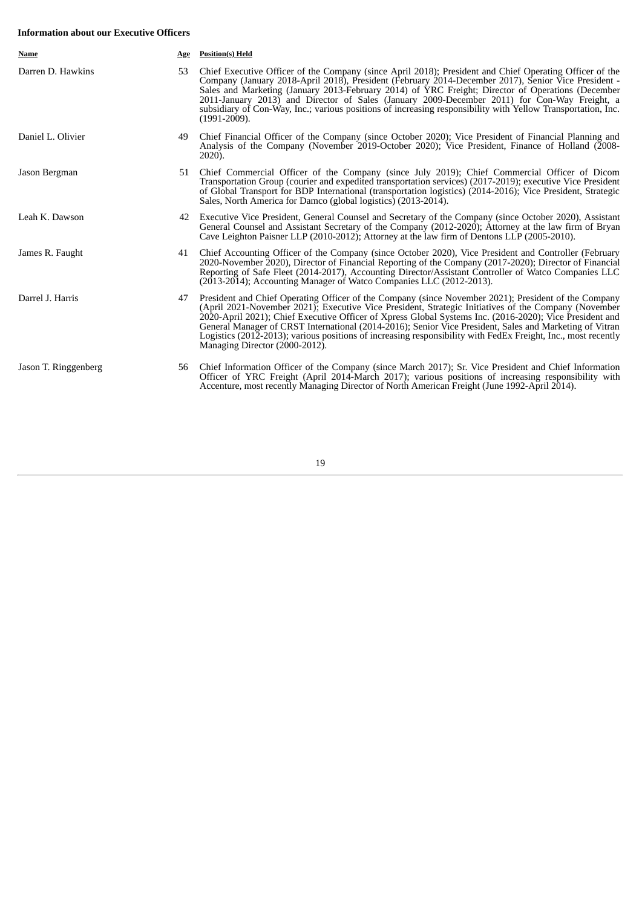<span id="page-18-0"></span>

| <b>Name</b>          | Age | <b>Position(s) Held</b>                                                                                                                                                                                                                                                                                                                                                                                                                                                                                                                                                               |
|----------------------|-----|---------------------------------------------------------------------------------------------------------------------------------------------------------------------------------------------------------------------------------------------------------------------------------------------------------------------------------------------------------------------------------------------------------------------------------------------------------------------------------------------------------------------------------------------------------------------------------------|
| Darren D. Hawkins    | 53  | Chief Executive Officer of the Company (since April 2018); President and Chief Operating Officer of the<br>Company (January 2018-April 2018), President (February 2014-December 2017), Senior Vice President -<br>Sales and Marketing (January 2013-February 2014) of YRC Freight; Director of Operations (December<br>2011-January 2013) and Director of Sales (January 2009-December 2011) for Con-Way Freight, a<br>subsidiary of Con-Way, Inc.; various positions of increasing responsibility with Yellow Transportation, Inc.<br>$(1991 - 2009)$ .                              |
| Daniel L. Olivier    | 49  | Chief Financial Officer of the Company (since October 2020); Vice President of Financial Planning and<br>Analysis of the Company (November 2019-October 2020); Vice President, Finance of Holland (2008-<br>$2020$ ).                                                                                                                                                                                                                                                                                                                                                                 |
| Jason Bergman        | 51  | Chief Commercial Officer of the Company (since July 2019); Chief Commercial Officer of Dicom<br>Transportation Group (courier and expedited transportation services) (2017-2019); executive Vice President<br>of Global Transport for BDP International (transportation logistics) (2014-2016); Vice President, Strategic<br>Sales, North America for Damco (global logistics) (2013-2014).                                                                                                                                                                                           |
| Leah K. Dawson       |     | 42 Executive Vice President, General Counsel and Secretary of the Company (since October 2020), Assistant<br>General Counsel and Assistant Secretary of the Company (2012-2020); Attorney at the law firm of Bryan<br>Cave Leighton Paisner LLP (2010-2012); Attorney at the law firm of Dentons LLP (2005-2010).                                                                                                                                                                                                                                                                     |
| James R. Faught      | 41  | Chief Accounting Officer of the Company (since October 2020), Vice President and Controller (February<br>2020-November 2020), Director of Financial Reporting of the Company (2017-2020); Director of Financial<br>Reporting of Safe Fleet (2014-2017), Accounting Director/Assistant Controller of Watco Companies LLC<br>(2013-2014); Accounting Manager of Watco Companies LLC (2012-2013).                                                                                                                                                                                        |
| Darrel J. Harris     | 47  | President and Chief Operating Officer of the Company (since November 2021); President of the Company<br>(April 2021-November 2021); Executive Vice President, Strategic Initiatives of the Company (November<br>2020-April 2021); Chief Executive Officer of Xpress Global Systems Inc. (2016-2020); Vice President and<br>General Manager of CRST International (2014-2016); Senior Vice President, Sales and Marketing of Vitran<br>Logistics (2012-2013); various positions of increasing responsibility with FedEx Freight, Inc., most recently<br>Managing Director (2000-2012). |
| Jason T. Ringgenberg | 56  | Chief Information Officer of the Company (since March 2017); Sr. Vice President and Chief Information<br>Officer of YRC Freight (April 2014-March 2017); various positions of increasing responsibility with<br>Accenture, most recently Managing Director of North American Freight (June 1992-April 2014).                                                                                                                                                                                                                                                                          |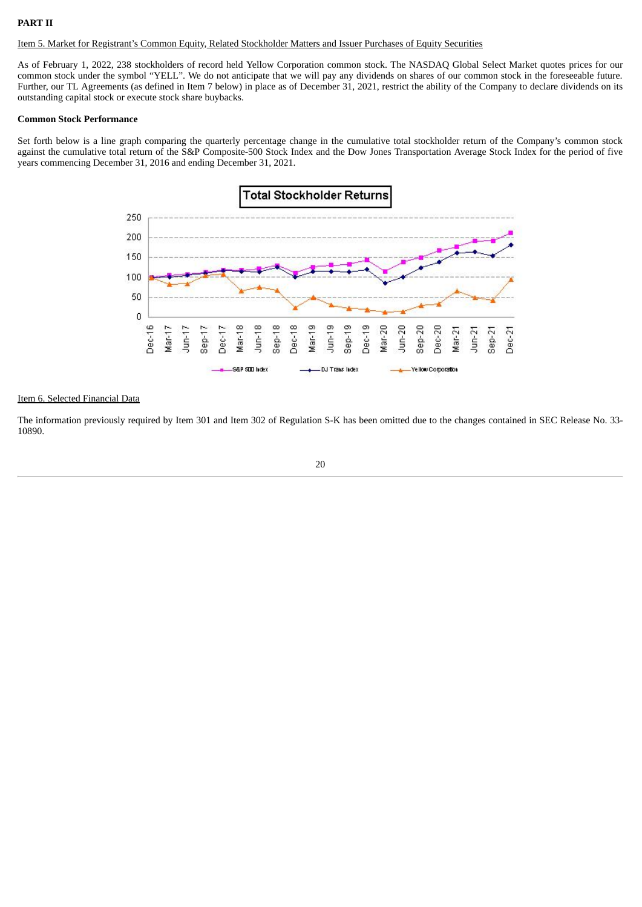## **PART II**

## <span id="page-19-0"></span>Item 5. Market for Registrant's Common Equity, Related Stockholder Matters and Issuer Purchases of Equity Securities

As of February 1, 2022, 238 stockholders of record held Yellow Corporation common stock. The NASDAQ Global Select Market quotes prices for our common stock under the symbol "YELL". We do not anticipate that we will pay any dividends on shares of our common stock in the foreseeable future. Further, our TL Agreements (as defined in Item 7 below) in place as of December 31, 2021, restrict the ability of the Company to declare dividends on its outstanding capital stock or execute stock share buybacks.

#### **Common Stock Performance**

Set forth below is a line graph comparing the quarterly percentage change in the cumulative total stockholder return of the Company's common stock against the cumulative total return of the S&P Composite-500 Stock Index and the Dow Jones Transportation Average Stock Index for the period of five years commencing December 31, 2016 and ending December 31, 2021.



#### <span id="page-19-1"></span>Item 6. Selected Financial Data

The information previously required by Item 301 and Item 302 of Regulation S-K has been omitted due to the changes contained in SEC Release No. 33- 10890.

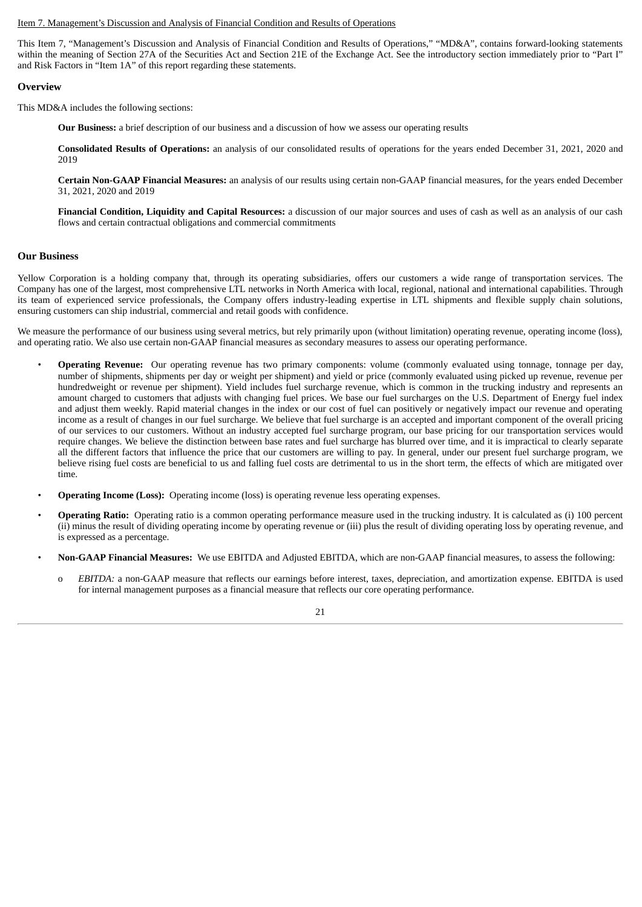<span id="page-20-0"></span>Item 7. Management's Discussion and Analysis of Financial Condition and Results of Operations

This Item 7, "Management's Discussion and Analysis of Financial Condition and Results of Operations," "MD&A", contains forward-looking statements within the meaning of Section 27A of the Securities Act and Section 21E of the Exchange Act. See the introductory section immediately prior to "Part I" and Risk Factors in "Item 1A" of this report regarding these statements.

## **Overview**

This MD&A includes the following sections:

**Our Business:** a brief description of our business and a discussion of how we assess our operating results

**Consolidated Results of Operations:** an analysis of our consolidated results of operations for the years ended December 31, 2021, 2020 and 2019

**Certain Non-GAAP Financial Measures:** an analysis of our results using certain non-GAAP financial measures, for the years ended December 31, 2021, 2020 and 2019

**Financial Condition, Liquidity and Capital Resources:** a discussion of our major sources and uses of cash as well as an analysis of our cash flows and certain contractual obligations and commercial commitments

## **Our Business**

Yellow Corporation is a holding company that, through its operating subsidiaries, offers our customers a wide range of transportation services. The Company has one of the largest, most comprehensive LTL networks in North America with local, regional, national and international capabilities. Through its team of experienced service professionals, the Company offers industry-leading expertise in LTL shipments and flexible supply chain solutions, ensuring customers can ship industrial, commercial and retail goods with confidence.

We measure the performance of our business using several metrics, but rely primarily upon (without limitation) operating revenue, operating income (loss), and operating ratio. We also use certain non-GAAP financial measures as secondary measures to assess our operating performance.

- **Operating Revenue:** Our operating revenue has two primary components: volume (commonly evaluated using tonnage, tonnage per day, number of shipments, shipments per day or weight per shipment) and yield or price (commonly evaluated using picked up revenue, revenue per hundredweight or revenue per shipment). Yield includes fuel surcharge revenue, which is common in the trucking industry and represents an amount charged to customers that adjusts with changing fuel prices. We base our fuel surcharges on the U.S. Department of Energy fuel index and adjust them weekly. Rapid material changes in the index or our cost of fuel can positively or negatively impact our revenue and operating income as a result of changes in our fuel surcharge. We believe that fuel surcharge is an accepted and important component of the overall pricing of our services to our customers. Without an industry accepted fuel surcharge program, our base pricing for our transportation services would require changes. We believe the distinction between base rates and fuel surcharge has blurred over time, and it is impractical to clearly separate all the different factors that influence the price that our customers are willing to pay. In general, under our present fuel surcharge program, we believe rising fuel costs are beneficial to us and falling fuel costs are detrimental to us in the short term, the effects of which are mitigated over time.
- **Operating Income (Loss):** Operating income (loss) is operating revenue less operating expenses.
- **Operating Ratio:** Operating ratio is a common operating performance measure used in the trucking industry. It is calculated as (i) 100 percent (ii) minus the result of dividing operating income by operating revenue or (iii) plus the result of dividing operating loss by operating revenue, and is expressed as a percentage.
- **Non-GAAP Financial Measures:** We use EBITDA and Adjusted EBITDA, which are non-GAAP financial measures, to assess the following:
	- o *EBITDA:* a non-GAAP measure that reflects our earnings before interest, taxes, depreciation, and amortization expense. EBITDA is used for internal management purposes as a financial measure that reflects our core operating performance.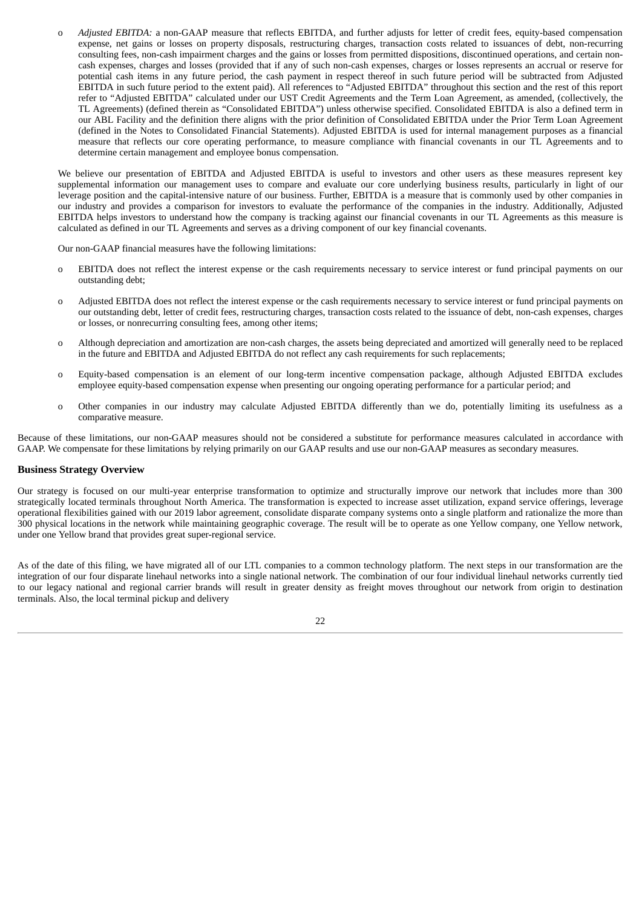o *Adjusted EBITDA:* a non-GAAP measure that reflects EBITDA, and further adjusts for letter of credit fees, equity-based compensation expense, net gains or losses on property disposals, restructuring charges, transaction costs related to issuances of debt, non-recurring consulting fees, non-cash impairment charges and the gains or losses from permitted dispositions, discontinued operations, and certain noncash expenses, charges and losses (provided that if any of such non-cash expenses, charges or losses represents an accrual or reserve for potential cash items in any future period, the cash payment in respect thereof in such future period will be subtracted from Adjusted EBITDA in such future period to the extent paid). All references to "Adjusted EBITDA" throughout this section and the rest of this report refer to "Adjusted EBITDA" calculated under our UST Credit Agreements and the Term Loan Agreement, as amended, (collectively, the TL Agreements) (defined therein as "Consolidated EBITDA") unless otherwise specified. Consolidated EBITDA is also a defined term in our ABL Facility and the definition there aligns with the prior definition of Consolidated EBITDA under the Prior Term Loan Agreement (defined in the Notes to Consolidated Financial Statements). Adjusted EBITDA is used for internal management purposes as a financial measure that reflects our core operating performance, to measure compliance with financial covenants in our TL Agreements and to determine certain management and employee bonus compensation.

We believe our presentation of EBITDA and Adjusted EBITDA is useful to investors and other users as these measures represent key supplemental information our management uses to compare and evaluate our core underlying business results, particularly in light of our leverage position and the capital-intensive nature of our business. Further, EBITDA is a measure that is commonly used by other companies in our industry and provides a comparison for investors to evaluate the performance of the companies in the industry. Additionally, Adjusted EBITDA helps investors to understand how the company is tracking against our financial covenants in our TL Agreements as this measure is calculated as defined in our TL Agreements and serves as a driving component of our key financial covenants.

Our non-GAAP financial measures have the following limitations:

- o EBITDA does not reflect the interest expense or the cash requirements necessary to service interest or fund principal payments on our outstanding debt;
- o Adjusted EBITDA does not reflect the interest expense or the cash requirements necessary to service interest or fund principal payments on our outstanding debt, letter of credit fees, restructuring charges, transaction costs related to the issuance of debt, non-cash expenses, charges or losses, or nonrecurring consulting fees, among other items;
- o Although depreciation and amortization are non-cash charges, the assets being depreciated and amortized will generally need to be replaced in the future and EBITDA and Adjusted EBITDA do not reflect any cash requirements for such replacements;
- o Equity-based compensation is an element of our long-term incentive compensation package, although Adjusted EBITDA excludes employee equity-based compensation expense when presenting our ongoing operating performance for a particular period; and
- o Other companies in our industry may calculate Adjusted EBITDA differently than we do, potentially limiting its usefulness as a comparative measure.

Because of these limitations, our non-GAAP measures should not be considered a substitute for performance measures calculated in accordance with GAAP. We compensate for these limitations by relying primarily on our GAAP results and use our non-GAAP measures as secondary measures.

## **Business Strategy Overview**

Our strategy is focused on our multi-year enterprise transformation to optimize and structurally improve our network that includes more than 300 strategically located terminals throughout North America. The transformation is expected to increase asset utilization, expand service offerings, leverage operational flexibilities gained with our 2019 labor agreement, consolidate disparate company systems onto a single platform and rationalize the more than 300 physical locations in the network while maintaining geographic coverage. The result will be to operate as one Yellow company, one Yellow network, under one Yellow brand that provides great super-regional service.

As of the date of this filing, we have migrated all of our LTL companies to a common technology platform. The next steps in our transformation are the integration of our four disparate linehaul networks into a single national network. The combination of our four individual linehaul networks currently tied to our legacy national and regional carrier brands will result in greater density as freight moves throughout our network from origin to destination terminals. Also, the local terminal pickup and delivery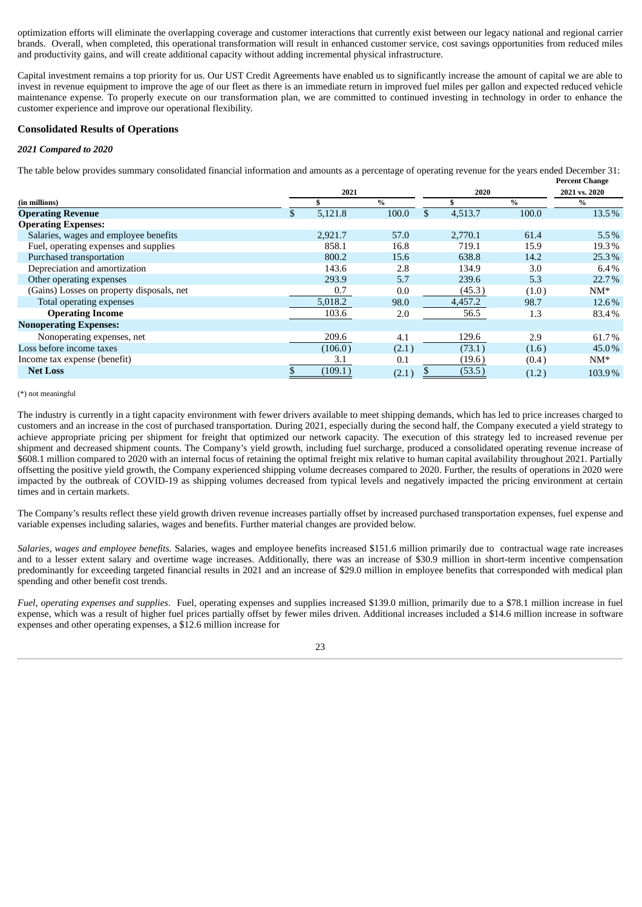optimization efforts will eliminate the overlapping coverage and customer interactions that currently exist between our legacy national and regional carrier brands. Overall, when completed, this operational transformation will result in enhanced customer service, cost savings opportunities from reduced miles and productivity gains, and will create additional capacity without adding incremental physical infrastructure.

Capital investment remains a top priority for us. Our UST Credit Agreements have enabled us to significantly increase the amount of capital we are able to invest in revenue equipment to improve the age of our fleet as there is an immediate return in improved fuel miles per gallon and expected reduced vehicle maintenance expense. To properly execute on our transformation plan, we are committed to continued investing in technology in order to enhance the customer experience and improve our operational flexibility.

## **Consolidated Results of Operations**

#### *2021 Compared to 2020*

The table below provides summary consolidated financial information and amounts as a percentage of operating revenue for the years ended December 31: **Percent Change**

|                                           | 2021 |         |               |               | 2020    | 2021 vs. 2020 |         |
|-------------------------------------------|------|---------|---------------|---------------|---------|---------------|---------|
| (in millions)                             |      |         | $\frac{0}{0}$ |               |         | $\frac{0}{0}$ | $\%$    |
| <b>Operating Revenue</b>                  | \$   | 5,121.8 | 100.0         | $\mathcal{S}$ | 4,513.7 | 100.0         | 13.5%   |
| <b>Operating Expenses:</b>                |      |         |               |               |         |               |         |
| Salaries, wages and employee benefits     |      | 2,921.7 | 57.0          |               | 2.770.1 | 61.4          | $5.5\%$ |
| Fuel, operating expenses and supplies     |      | 858.1   | 16.8          |               | 719.1   | 15.9          | 19.3%   |
| Purchased transportation                  |      | 800.2   | 15.6          |               | 638.8   | 14.2          | 25.3%   |
| Depreciation and amortization             |      | 143.6   | 2.8           |               | 134.9   | 3.0           | $6.4\%$ |
| Other operating expenses                  |      | 293.9   | 5.7           |               | 239.6   | 5.3           | 22.7%   |
| (Gains) Losses on property disposals, net |      | 0.7     | 0.0           |               | (45.3)  | (1.0)         | $NM^*$  |
| Total operating expenses                  |      | 5,018.2 | 98.0          |               | 4,457.2 | 98.7          | 12.6%   |
| <b>Operating Income</b>                   |      | 103.6   | 2.0           |               | 56.5    | 1.3           | 83.4%   |
| <b>Nonoperating Expenses:</b>             |      |         |               |               |         |               |         |
| Nonoperating expenses, net                |      | 209.6   | 4.1           |               | 129.6   | 2.9           | 61.7%   |
| Loss before income taxes                  |      | (106.0) | (2.1)         |               | (73.1)  | (1.6)         | 45.0%   |
| Income tax expense (benefit)              |      | 3.1     | 0.1           |               | (19.6)  | (0.4)         | $NM^*$  |
| <b>Net Loss</b>                           |      | (109.1) | (2.1)         |               | (53.5)  | (1.2)         | 103.9%  |

(\*) not meaningful

The industry is currently in a tight capacity environment with fewer drivers available to meet shipping demands, which has led to price increases charged to customers and an increase in the cost of purchased transportation. During 2021, especially during the second half, the Company executed a yield strategy to achieve appropriate pricing per shipment for freight that optimized our network capacity. The execution of this strategy led to increased revenue per shipment and decreased shipment counts. The Company's yield growth, including fuel surcharge, produced a consolidated operating revenue increase of \$608.1 million compared to 2020 with an internal focus of retaining the optimal freight mix relative to human capital availability throughout 2021. Partially offsetting the positive yield growth, the Company experienced shipping volume decreases compared to 2020. Further, the results of operations in 2020 were impacted by the outbreak of COVID-19 as shipping volumes decreased from typical levels and negatively impacted the pricing environment at certain times and in certain markets.

The Company's results reflect these yield growth driven revenue increases partially offset by increased purchased transportation expenses, fuel expense and variable expenses including salaries, wages and benefits. Further material changes are provided below.

*Salaries, wages and employee benefits.* Salaries, wages and employee benefits increased \$151.6 million primarily due to contractual wage rate increases and to a lesser extent salary and overtime wage increases. Additionally, there was an increase of \$30.9 million in short-term incentive compensation predominantly for exceeding targeted financial results in 2021 and an increase of \$29.0 million in employee benefits that corresponded with medical plan spending and other benefit cost trends.

*Fuel, operating expenses and supplies*. Fuel, operating expenses and supplies increased \$139.0 million, primarily due to a \$78.1 million increase in fuel expense, which was a result of higher fuel prices partially offset by fewer miles driven. Additional increases included a \$14.6 million increase in software expenses and other operating expenses, a \$12.6 million increase for

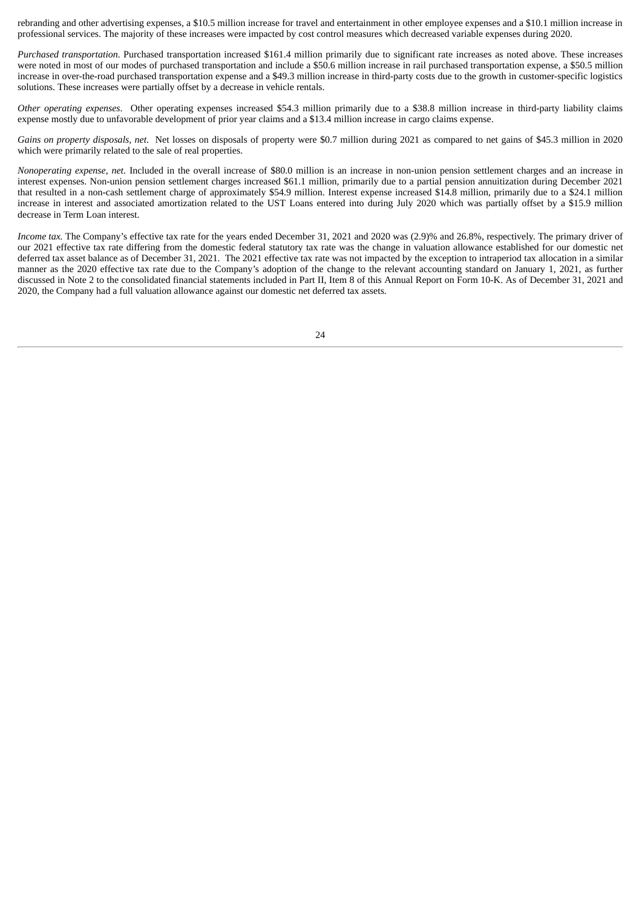rebranding and other advertising expenses, a \$10.5 million increase for travel and entertainment in other employee expenses and a \$10.1 million increase in professional services. The majority of these increases were impacted by cost control measures which decreased variable expenses during 2020.

*Purchased transportation.* Purchased transportation increased \$161.4 million primarily due to significant rate increases as noted above. These increases were noted in most of our modes of purchased transportation and include a \$50.6 million increase in rail purchased transportation expense, a \$50.5 million increase in over-the-road purchased transportation expense and a \$49.3 million increase in third-party costs due to the growth in customer-specific logistics solutions. These increases were partially offset by a decrease in vehicle rentals.

*Other operating expenses*. Other operating expenses increased \$54.3 million primarily due to a \$38.8 million increase in third-party liability claims expense mostly due to unfavorable development of prior year claims and a \$13.4 million increase in cargo claims expense.

*Gains on property disposals, net*. Net losses on disposals of property were \$0.7 million during 2021 as compared to net gains of \$45.3 million in 2020 which were primarily related to the sale of real properties.

*Nonoperating expense, net*. Included in the overall increase of \$80.0 million is an increase in non-union pension settlement charges and an increase in interest expenses. Non-union pension settlement charges increased \$61.1 million, primarily due to a partial pension annuitization during December 2021 that resulted in a non-cash settlement charge of approximately \$54.9 million. Interest expense increased \$14.8 million, primarily due to a \$24.1 million increase in interest and associated amortization related to the UST Loans entered into during July 2020 which was partially offset by a \$15.9 million decrease in Term Loan interest.

*Income tax.* The Company's effective tax rate for the years ended December 31, 2021 and 2020 was (2.9)% and 26.8%, respectively. The primary driver of our 2021 effective tax rate differing from the domestic federal statutory tax rate was the change in valuation allowance established for our domestic net deferred tax asset balance as of December 31, 2021. The 2021 effective tax rate was not impacted by the exception to intraperiod tax allocation in a similar manner as the 2020 effective tax rate due to the Company's adoption of the change to the relevant accounting standard on January 1, 2021, as further discussed in Note 2 to the consolidated financial statements included in Part II, Item 8 of this Annual Report on Form 10-K. As of December 31, 2021 and 2020, the Company had a full valuation allowance against our domestic net deferred tax assets.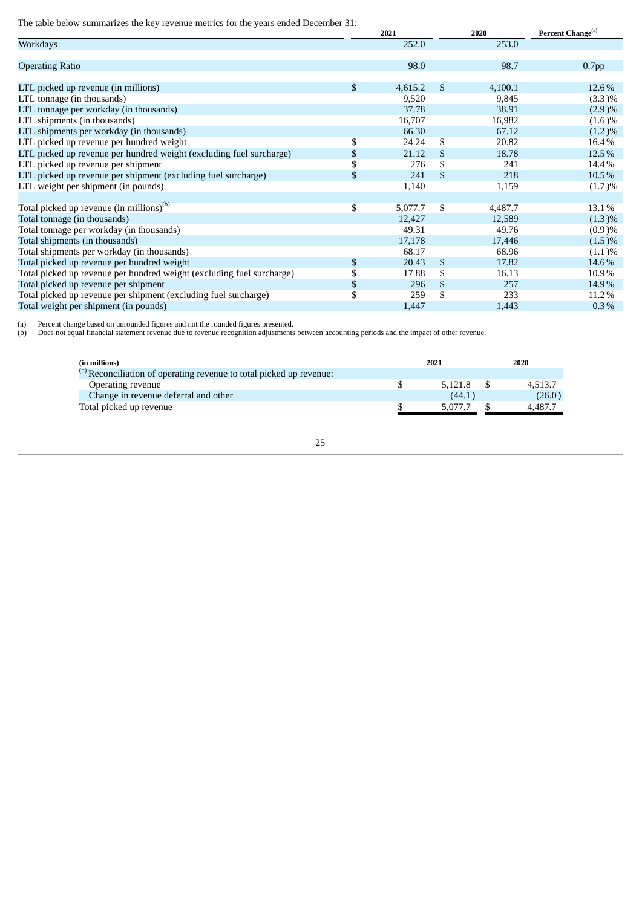The table below summarizes the key revenue metrics for the years ended December 31:

|                                                                       |    | 2021    | 2020          | Percent Change <sup>(a)</sup> |  |
|-----------------------------------------------------------------------|----|---------|---------------|-------------------------------|--|
| Workdays                                                              |    | 252.0   | 253.0         |                               |  |
|                                                                       |    |         |               |                               |  |
| <b>Operating Ratio</b>                                                |    | 98.0    | 98.7          | 0.7 <sub>pp</sub>             |  |
| LTL picked up revenue (in millions)                                   | \$ | 4,615.2 | \$<br>4,100.1 | 12.6%                         |  |
| LTL tonnage (in thousands)                                            |    | 9,520   | 9,845         | $(3.3)\%$                     |  |
| LTL tonnage per workday (in thousands)                                |    | 37.78   | 38.91         | (2.9)%                        |  |
| LTL shipments (in thousands)                                          |    | 16,707  | 16,982        | $(1.6)\%$                     |  |
| LTL shipments per workday (in thousands)                              |    | 66.30   | 67.12         | $(1.2)\%$                     |  |
| LTL picked up revenue per hundred weight                              | S  | 24.24   | \$<br>20.82   | 16.4%                         |  |
| LTL picked up revenue per hundred weight (excluding fuel surcharge)   |    | 21.12   | \$<br>18.78   | 12.5%                         |  |
| LTL picked up revenue per shipment                                    |    | 276     | \$<br>241     | 14.4%                         |  |
| LTL picked up revenue per shipment (excluding fuel surcharge)         | \$ | 241     | \$<br>218     | 10.5%                         |  |
| LTL weight per shipment (in pounds)                                   |    | 1,140   | 1,159         | (1.7)%                        |  |
|                                                                       |    |         |               |                               |  |
| Total picked up revenue (in millions) <sup>(b)</sup>                  | \$ | 5,077.7 | \$<br>4,487.7 | 13.1%                         |  |
| Total tonnage (in thousands)                                          |    | 12,427  | 12,589        | $(1.3)\%$                     |  |
| Total tonnage per workday (in thousands)                              |    | 49.31   | 49.76         | (0.9)%                        |  |
| Total shipments (in thousands)                                        |    | 17,178  | 17,446        | $(1.5)\%$                     |  |
| Total shipments per workday (in thousands)                            |    | 68.17   | 68.96         | (1.1)%                        |  |
| Total picked up revenue per hundred weight                            | \$ | 20.43   | \$<br>17.82   | 14.6%                         |  |
| Total picked up revenue per hundred weight (excluding fuel surcharge) |    | 17.88   | \$<br>16.13   | 10.9%                         |  |
| Total picked up revenue per shipment                                  | \$ | 296     | \$<br>257     | 14.9%                         |  |
| Total picked up revenue per shipment (excluding fuel surcharge)       |    | 259     | \$<br>233     | 11.2%                         |  |
| Total weight per shipment (in pounds)                                 |    | 1,447   | 1,443         | 0.3%                          |  |

(a) Percent change based on unrounded figures and not the rounded figures presented.

(b) Does not equal financial statement revenue due to revenue recognition adjustments between accounting periods and the impact of other revenue.

| 2021    | 2020 |         |
|---------|------|---------|
|         |      |         |
| 5.121.8 |      | 4.513.7 |
| (44.1)  |      | (26.0)  |
| 5.077.7 |      | 4.487.7 |
|         |      |         |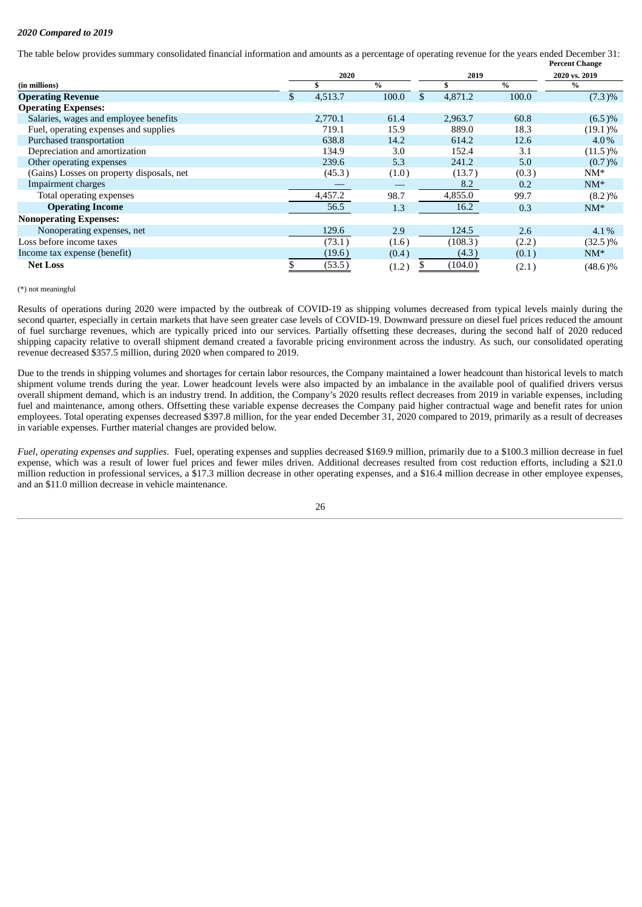#### *2020 Compared to 2019*

The table below provides summary consolidated financial information and amounts as a percentage of operating revenue for the years ended December 31: **Percent Change**

|                                           |    | 2020    |               | 2019          | 2020 vs. 2019 |            |
|-------------------------------------------|----|---------|---------------|---------------|---------------|------------|
| (in millions)                             |    |         | $\frac{0}{0}$ |               | $\frac{0}{0}$ | $\%$       |
| <b>Operating Revenue</b>                  | \$ | 4,513.7 | 100.0         | \$<br>4,871.2 | 100.0         | $(7.3)\%$  |
| <b>Operating Expenses:</b>                |    |         |               |               |               |            |
| Salaries, wages and employee benefits     |    | 2,770.1 | 61.4          | 2,963.7       | 60.8          | $(6.5)\%$  |
| Fuel, operating expenses and supplies     |    | 719.1   | 15.9          | 889.0         | 18.3          | $(19.1)\%$ |
| Purchased transportation                  |    | 638.8   | 14.2          | 614.2         | 12.6          | 4.0%       |
| Depreciation and amortization             |    | 134.9   | 3.0           | 152.4         | 3.1           | $(11.5)\%$ |
| Other operating expenses                  |    | 239.6   | 5.3           | 241.2         | 5.0           | (0.7)%     |
| (Gains) Losses on property disposals, net |    | (45.3)  | (1.0)         | (13.7)        | (0.3)         | $NM^*$     |
| Impairment charges                        |    |         |               | 8.2           | 0.2           | $NM^*$     |
| Total operating expenses                  |    | 4,457.2 | 98.7          | 4,855.0       | 99.7          | $(8.2)\%$  |
| <b>Operating Income</b>                   |    | 56.5    | 1.3           | 16.2          | 0.3           | $NM^*$     |
| <b>Nonoperating Expenses:</b>             |    |         |               |               |               |            |
| Nonoperating expenses, net                |    | 129.6   | 2.9           | 124.5         | 2.6           | $4.1\%$    |
| Loss before income taxes                  |    | (73.1)  | (1.6)         | (108.3)       | (2.2)         | $(32.5)\%$ |
| Income tax expense (benefit)              |    | (19.6)  | (0.4)         | (4.3)         | (0.1)         | $NM^*$     |
| <b>Net Loss</b>                           |    | (53.5)  | (1.2)         | (104.0)       | (2.1)         | $(48.6)\%$ |

(\*) not meaningful

Results of operations during 2020 were impacted by the outbreak of COVID-19 as shipping volumes decreased from typical levels mainly during the second quarter, especially in certain markets that have seen greater case levels of COVID-19. Downward pressure on diesel fuel prices reduced the amount of fuel surcharge revenues, which are typically priced into our services. Partially offsetting these decreases, during the second half of 2020 reduced shipping capacity relative to overall shipment demand created a favorable pricing environment across the industry. As such, our consolidated operating revenue decreased \$357.5 million, during 2020 when compared to 2019.

Due to the trends in shipping volumes and shortages for certain labor resources, the Company maintained a lower headcount than historical levels to match shipment volume trends during the year. Lower headcount levels were also impacted by an imbalance in the available pool of qualified drivers versus overall shipment demand, which is an industry trend. In addition, the Company's 2020 results reflect decreases from 2019 in variable expenses, including fuel and maintenance, among others. Offsetting these variable expense decreases the Company paid higher contractual wage and benefit rates for union employees. Total operating expenses decreased \$397.8 million, for the year ended December 31, 2020 compared to 2019, primarily as a result of decreases in variable expenses. Further material changes are provided below.

*Fuel, operating expenses and supplies*. Fuel, operating expenses and supplies decreased \$169.9 million, primarily due to a \$100.3 million decrease in fuel expense, which was a result of lower fuel prices and fewer miles driven. Additional decreases resulted from cost reduction efforts, including a \$21.0 million reduction in professional services, a \$17.3 million decrease in other operating expenses, and a \$16.4 million decrease in other employee expenses, and an \$11.0 million decrease in vehicle maintenance.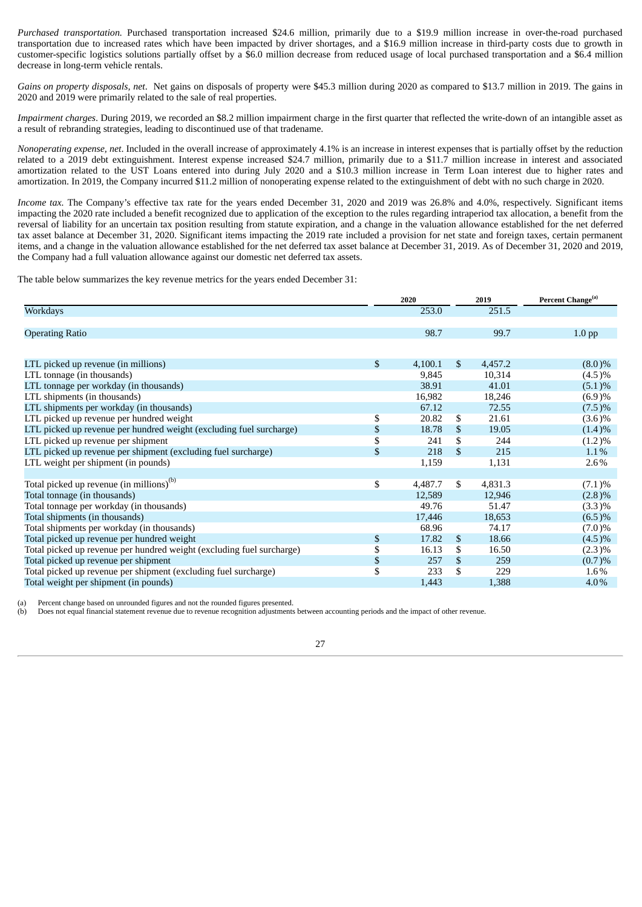*Purchased transportation.* Purchased transportation increased \$24.6 million, primarily due to a \$19.9 million increase in over-the-road purchased transportation due to increased rates which have been impacted by driver shortages, and a \$16.9 million increase in third-party costs due to growth in customer-specific logistics solutions partially offset by a \$6.0 million decrease from reduced usage of local purchased transportation and a \$6.4 million decrease in long-term vehicle rentals.

*Gains on property disposals, net*. Net gains on disposals of property were \$45.3 million during 2020 as compared to \$13.7 million in 2019. The gains in 2020 and 2019 were primarily related to the sale of real properties.

*Impairment charges*. During 2019, we recorded an \$8.2 million impairment charge in the first quarter that reflected the write-down of an intangible asset as a result of rebranding strategies, leading to discontinued use of that tradename.

*Nonoperating expense, net*. Included in the overall increase of approximately 4.1% is an increase in interest expenses that is partially offset by the reduction related to a 2019 debt extinguishment. Interest expense increased \$24.7 million, primarily due to a \$11.7 million increase in interest and associated amortization related to the UST Loans entered into during July 2020 and a \$10.3 million increase in Term Loan interest due to higher rates and amortization. In 2019, the Company incurred \$11.2 million of nonoperating expense related to the extinguishment of debt with no such charge in 2020.

*Income tax.* The Company's effective tax rate for the years ended December 31, 2020 and 2019 was 26.8% and 4.0%, respectively. Significant items impacting the 2020 rate included a benefit recognized due to application of the exception to the rules regarding intraperiod tax allocation, a benefit from the reversal of liability for an uncertain tax position resulting from statute expiration, and a change in the valuation allowance established for the net deferred tax asset balance at December 31, 2020. Significant items impacting the 2019 rate included a provision for net state and foreign taxes, certain permanent items, and a change in the valuation allowance established for the net deferred tax asset balance at December 31, 2019. As of December 31, 2020 and 2019, the Company had a full valuation allowance against our domestic net deferred tax assets.

The table below summarizes the key revenue metrics for the years ended December 31:

|                                                                       | 2020          |              | 2019    | Percent Change <sup>(a)</sup> |  |
|-----------------------------------------------------------------------|---------------|--------------|---------|-------------------------------|--|
| Workdays                                                              | 253.0         |              | 251.5   |                               |  |
|                                                                       |               |              |         |                               |  |
| <b>Operating Ratio</b>                                                | 98.7          |              | 99.7    | $1.0$ pp                      |  |
|                                                                       |               |              |         |                               |  |
| LTL picked up revenue (in millions)                                   | \$<br>4,100.1 | $\mathbb{S}$ | 4,457.2 | $(8.0)\%$                     |  |
| LTL tonnage (in thousands)                                            | 9,845         |              | 10,314  | $(4.5)\%$                     |  |
| LTL tonnage per workday (in thousands)                                | 38.91         |              | 41.01   | $(5.1)\%$                     |  |
| LTL shipments (in thousands)                                          | 16,982        |              | 18,246  | (6.9)%                        |  |
| LTL shipments per workday (in thousands)                              | 67.12         |              | 72.55   | $(7.5)\%$                     |  |
| LTL picked up revenue per hundred weight                              | \$<br>20.82   | \$           | 21.61   | $(3.6)\%$                     |  |
| LTL picked up revenue per hundred weight (excluding fuel surcharge)   | \$<br>18.78   | \$           | 19.05   | $(1.4)\%$                     |  |
| LTL picked up revenue per shipment                                    | \$<br>241     | \$           | 244     | $(1.2)\%$                     |  |
| LTL picked up revenue per shipment (excluding fuel surcharge)         | \$<br>218     | \$.          | 215     | $1.1\%$                       |  |
| LTL weight per shipment (in pounds)                                   | 1,159         |              | 1,131   | 2.6%                          |  |
|                                                                       |               |              |         |                               |  |
| Total picked up revenue (in millions) <sup>(b)</sup>                  | \$<br>4,487.7 | S.           | 4,831.3 | $(7.1)\%$                     |  |
| Total tonnage (in thousands)                                          | 12,589        |              | 12,946  | $(2.8)\%$                     |  |
| Total tonnage per workday (in thousands)                              | 49.76         |              | 51.47   | $(3.3)\%$                     |  |
| Total shipments (in thousands)                                        | 17,446        |              | 18,653  | $(6.5)\%$                     |  |
| Total shipments per workday (in thousands)                            | 68.96         |              | 74.17   | $(7.0)\%$                     |  |
| Total picked up revenue per hundred weight                            | \$<br>17.82   | \$           | 18.66   | $(4.5)\%$                     |  |
| Total picked up revenue per hundred weight (excluding fuel surcharge) | \$<br>16.13   | S            | 16.50   | $(2.3)\%$                     |  |
| Total picked up revenue per shipment                                  | \$<br>257     | \$.          | 259     | (0.7)%                        |  |
| Total picked up revenue per shipment (excluding fuel surcharge)       | \$<br>233     |              | 229     | 1.6%                          |  |
| Total weight per shipment (in pounds)                                 | 1,443         |              | 1,388   | 4.0%                          |  |

(a) Percent change based on unrounded figures and not the rounded figures presented.

(b) Does not equal financial statement revenue due to revenue recognition adjustments between accounting periods and the impact of other revenue.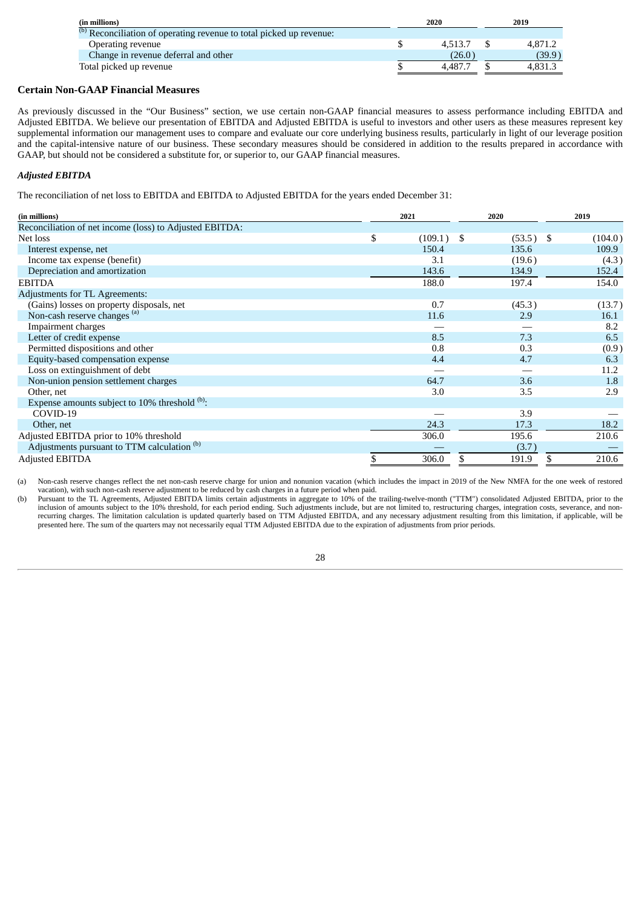| (in millions)                                                                  | 2020    |  |         |  |
|--------------------------------------------------------------------------------|---------|--|---------|--|
| <sup>(b)</sup> Reconciliation of operating revenue to total picked up revenue: |         |  |         |  |
| Operating revenue                                                              | 4.513.7 |  | 4.871.2 |  |
| Change in revenue deferral and other                                           | (26.0   |  | (39.9)  |  |
| Total picked up revenue                                                        | 4.487.  |  | 4.831.3 |  |

## **Certain Non-GAAP Financial Measures**

As previously discussed in the "Our Business" section, we use certain non-GAAP financial measures to assess performance including EBITDA and Adjusted EBITDA. We believe our presentation of EBITDA and Adjusted EBITDA is useful to investors and other users as these measures represent key supplemental information our management uses to compare and evaluate our core underlying business results, particularly in light of our leverage position and the capital-intensive nature of our business. These secondary measures should be considered in addition to the results prepared in accordance with GAAP, but should not be considered a substitute for, or superior to, our GAAP financial measures.

## *Adjusted EBITDA*

The reconciliation of net loss to EBITDA and EBITDA to Adjusted EBITDA for the years ended December 31:

| (in millions)                                           | 2021          | 2020 |        |   | 2019    |
|---------------------------------------------------------|---------------|------|--------|---|---------|
| Reconciliation of net income (loss) to Adjusted EBITDA: |               |      |        |   |         |
| Net loss                                                | \$<br>(109.1) | -S   | (53.5) | S | (104.0) |
| Interest expense, net                                   | 150.4         |      | 135.6  |   | 109.9   |
| Income tax expense (benefit)                            | 3.1           |      | (19.6) |   | (4.3)   |
| Depreciation and amortization                           | 143.6         |      | 134.9  |   | 152.4   |
| <b>EBITDA</b>                                           | 188.0         |      | 197.4  |   | 154.0   |
| <b>Adjustments for TL Agreements:</b>                   |               |      |        |   |         |
| (Gains) losses on property disposals, net               | 0.7           |      | (45.3) |   | (13.7)  |
| Non-cash reserve changes <sup>(a)</sup>                 | 11.6          |      | 2.9    |   | 16.1    |
| Impairment charges                                      |               |      |        |   | 8.2     |
| Letter of credit expense                                | 8.5           |      | 7.3    |   | 6.5     |
| Permitted dispositions and other                        | 0.8           |      | 0.3    |   | (0.9)   |
| Equity-based compensation expense                       | 4.4           |      | 4.7    |   | 6.3     |
| Loss on extinguishment of debt                          |               |      |        |   | 11.2    |
| Non-union pension settlement charges                    | 64.7          |      | 3.6    |   | 1.8     |
| Other, net                                              | 3.0           |      | 3.5    |   | 2.9     |
| Expense amounts subject to 10% threshold (b):           |               |      |        |   |         |
| COVID-19                                                |               |      | 3.9    |   |         |
| Other, net                                              | 24.3          |      | 17.3   |   | 18.2    |
| Adjusted EBITDA prior to 10% threshold                  | 306.0         |      | 195.6  |   | 210.6   |
| Adjustments pursuant to TTM calculation (b)             |               |      | (3.7)  |   |         |
| <b>Adjusted EBITDA</b>                                  | 306.0         |      | 191.9  |   | 210.6   |

(a) Non-cash reserve changes reflect the net non-cash reserve charge for union and nonunion vacation (which includes the impact in 2019 of the New NMFA for the one week of restored vacation), with such non-cash reserve adjustment to be reduced by cash charges in a future period when paid.

(b) Pursuant to the TL Agreements, Adjusted EBITDA limits certain adjustments in aggregate to 10% of the trailing-twelve-month ("TTM") consolidated Adjusted EBITDA, prior to the inclusion of amounts subject to the 10% threshold, for each period ending. Such adjustments include, but are not limited to, restructuring charges, integration costs, severance, and nonrecurring charges. The limitation calculation is updated quarterly based on TTM Adjusted EBITDA, and any necessary adjustment resulting from this limitation, if applicable, will be presented here. The sum of the quarters may not necessarily equal TTM Adjusted EBITDA due to the expiration of adjustments from prior periods.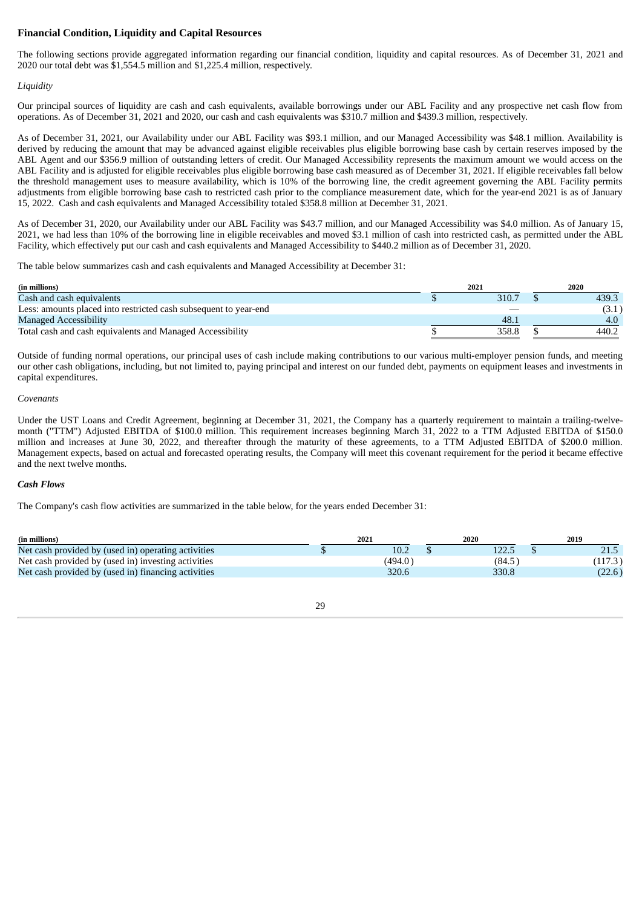## **Financial Condition, Liquidity and Capital Resources**

The following sections provide aggregated information regarding our financial condition, liquidity and capital resources. As of December 31, 2021 and 2020 our total debt was \$1,554.5 million and \$1,225.4 million, respectively.

## *Liquidity*

Our principal sources of liquidity are cash and cash equivalents, available borrowings under our ABL Facility and any prospective net cash flow from operations. As of December 31, 2021 and 2020, our cash and cash equivalents was \$310.7 million and \$439.3 million, respectively.

As of December 31, 2021, our Availability under our ABL Facility was \$93.1 million, and our Managed Accessibility was \$48.1 million. Availability is derived by reducing the amount that may be advanced against eligible receivables plus eligible borrowing base cash by certain reserves imposed by the ABL Agent and our \$356.9 million of outstanding letters of credit. Our Managed Accessibility represents the maximum amount we would access on the ABL Facility and is adjusted for eligible receivables plus eligible borrowing base cash measured as of December 31, 2021. If eligible receivables fall below the threshold management uses to measure availability, which is 10% of the borrowing line, the credit agreement governing the ABL Facility permits adjustments from eligible borrowing base cash to restricted cash prior to the compliance measurement date, which for the year-end 2021 is as of January 15, 2022. Cash and cash equivalents and Managed Accessibility totaled \$358.8 million at December 31, 2021.

As of December 31, 2020, our Availability under our ABL Facility was \$43.7 million, and our Managed Accessibility was \$4.0 million. As of January 15, 2021, we had less than 10% of the borrowing line in eligible receivables and moved \$3.1 million of cash into restricted cash, as permitted under the ABL Facility, which effectively put our cash and cash equivalents and Managed Accessibility to \$440.2 million as of December 31, 2020.

The table below summarizes cash and cash equivalents and Managed Accessibility at December 31:

| (in millions)                                                    | 2021  | 2020  |
|------------------------------------------------------------------|-------|-------|
| Cash and cash equivalents                                        | 310.7 | 439.3 |
| Less: amounts placed into restricted cash subsequent to year-end |       | (3.1) |
| Managed Accessibility                                            | 48.1  | 4.0   |
| Total cash and cash equivalents and Managed Accessibility        | 358.8 | 440.2 |

Outside of funding normal operations, our principal uses of cash include making contributions to our various multi-employer pension funds, and meeting our other cash obligations, including, but not limited to, paying principal and interest on our funded debt, payments on equipment leases and investments in capital expenditures.

## *Covenants*

Under the UST Loans and Credit Agreement, beginning at December 31, 2021, the Company has a quarterly requirement to maintain a trailing-twelvemonth ("TTM") Adjusted EBITDA of \$100.0 million. This requirement increases beginning March 31, 2022 to a TTM Adjusted EBITDA of \$150.0 million and increases at June 30, 2022, and thereafter through the maturity of these agreements, to a TTM Adjusted EBITDA of \$200.0 million. Management expects, based on actual and forecasted operating results, the Company will meet this covenant requirement for the period it became effective and the next twelve months.

## *Cash Flows*

The Company's cash flow activities are summarized in the table below, for the years ended December 31:

| (in millions)                                       |  | 2021    | 2020   | 2019 |         |  |
|-----------------------------------------------------|--|---------|--------|------|---------|--|
| Net cash provided by (used in) operating activities |  | 10.2    | 122.5  |      | 21.5    |  |
| Net cash provided by (used in) investing activities |  | (494.0) | (84.5) |      | (117.3) |  |
| Net cash provided by (used in) financing activities |  | 320.6   | 330.8  |      | (22.6)  |  |

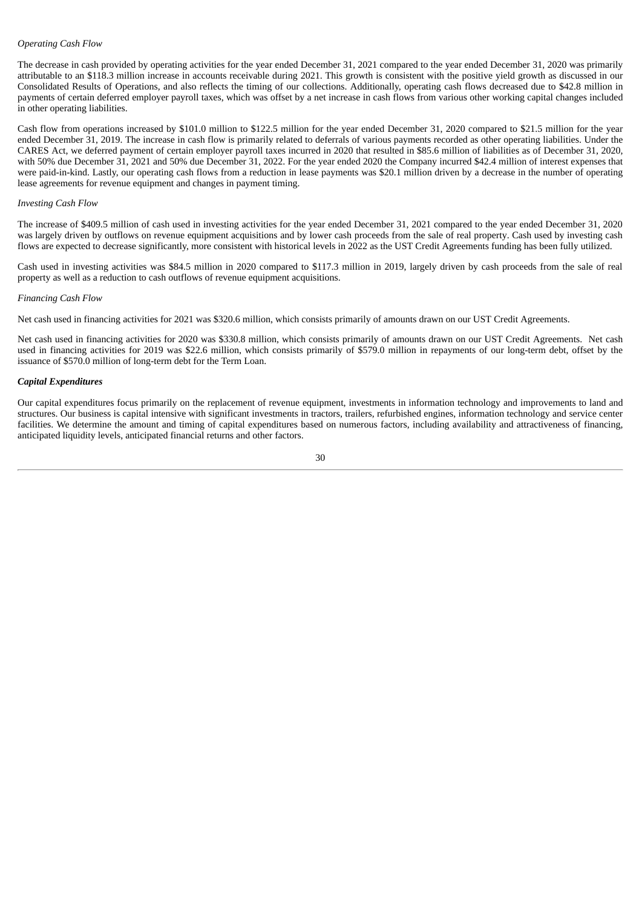## *Operating Cash Flow*

The decrease in cash provided by operating activities for the year ended December 31, 2021 compared to the year ended December 31, 2020 was primarily attributable to an \$118.3 million increase in accounts receivable during 2021. This growth is consistent with the positive yield growth as discussed in our Consolidated Results of Operations, and also reflects the timing of our collections. Additionally, operating cash flows decreased due to \$42.8 million in payments of certain deferred employer payroll taxes, which was offset by a net increase in cash flows from various other working capital changes included in other operating liabilities.

Cash flow from operations increased by \$101.0 million to \$122.5 million for the year ended December 31, 2020 compared to \$21.5 million for the year ended December 31, 2019. The increase in cash flow is primarily related to deferrals of various payments recorded as other operating liabilities. Under the CARES Act, we deferred payment of certain employer payroll taxes incurred in 2020 that resulted in \$85.6 million of liabilities as of December 31, 2020, with 50% due December 31, 2021 and 50% due December 31, 2022. For the year ended 2020 the Company incurred \$42.4 million of interest expenses that were paid-in-kind. Lastly, our operating cash flows from a reduction in lease payments was \$20.1 million driven by a decrease in the number of operating lease agreements for revenue equipment and changes in payment timing.

#### *Investing Cash Flow*

The increase of \$409.5 million of cash used in investing activities for the year ended December 31, 2021 compared to the year ended December 31, 2020 was largely driven by outflows on revenue equipment acquisitions and by lower cash proceeds from the sale of real property. Cash used by investing cash flows are expected to decrease significantly, more consistent with historical levels in 2022 as the UST Credit Agreements funding has been fully utilized.

Cash used in investing activities was \$84.5 million in 2020 compared to \$117.3 million in 2019, largely driven by cash proceeds from the sale of real property as well as a reduction to cash outflows of revenue equipment acquisitions.

#### *Financing Cash Flow*

Net cash used in financing activities for 2021 was \$320.6 million, which consists primarily of amounts drawn on our UST Credit Agreements.

Net cash used in financing activities for 2020 was \$330.8 million, which consists primarily of amounts drawn on our UST Credit Agreements. Net cash used in financing activities for 2019 was \$22.6 million, which consists primarily of \$579.0 million in repayments of our long-term debt, offset by the issuance of \$570.0 million of long-term debt for the Term Loan.

## *Capital Expenditures*

Our capital expenditures focus primarily on the replacement of revenue equipment, investments in information technology and improvements to land and structures. Our business is capital intensive with significant investments in tractors, trailers, refurbished engines, information technology and service center facilities. We determine the amount and timing of capital expenditures based on numerous factors, including availability and attractiveness of financing, anticipated liquidity levels, anticipated financial returns and other factors.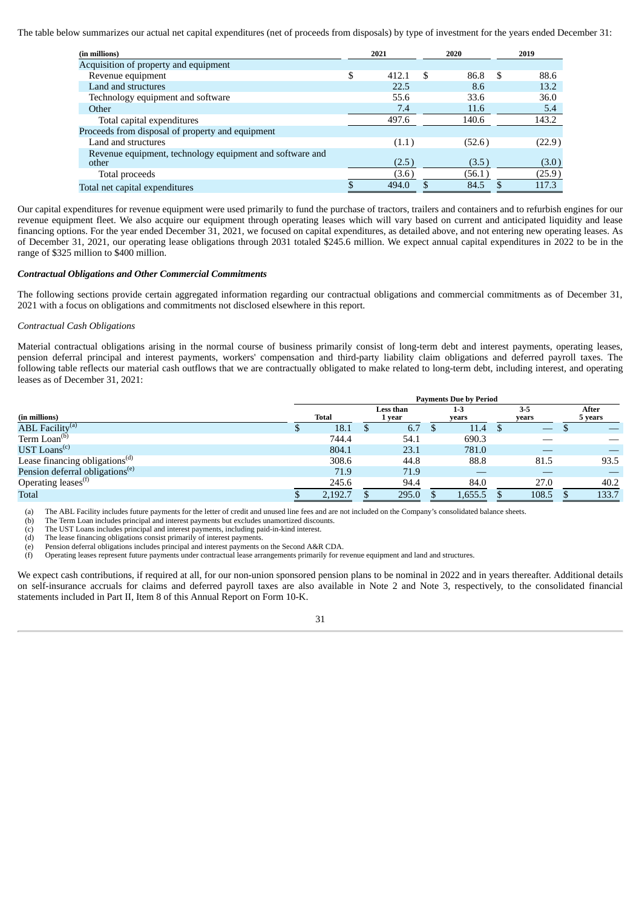The table below summarizes our actual net capital expenditures (net of proceeds from disposals) by type of investment for the years ended December 31:

| (in millions)                                                     | 2021 |       |     | 2020   | 2019 |        |  |
|-------------------------------------------------------------------|------|-------|-----|--------|------|--------|--|
| Acquisition of property and equipment                             |      |       |     |        |      |        |  |
| Revenue equipment                                                 | \$   | 412.1 | \$. | 86.8   | -S   | 88.6   |  |
| Land and structures                                               |      | 22.5  |     | 8.6    |      | 13.2   |  |
| Technology equipment and software                                 |      | 55.6  |     | 33.6   |      | 36.0   |  |
| Other                                                             |      | 7.4   |     | 11.6   |      | 5.4    |  |
| Total capital expenditures                                        |      | 497.6 |     | 140.6  |      | 143.2  |  |
| Proceeds from disposal of property and equipment                  |      |       |     |        |      |        |  |
| Land and structures                                               |      | (1.1) |     | (52.6) |      | (22.9) |  |
| Revenue equipment, technology equipment and software and<br>other |      | (2.5) |     | (3.5)  |      | (3.0)  |  |
| Total proceeds                                                    |      | (3.6) |     | (56.1) |      | (25.9) |  |
| Total net capital expenditures                                    |      | 494.0 | \$  | 84.5   |      | 117.3  |  |

Our capital expenditures for revenue equipment were used primarily to fund the purchase of tractors, trailers and containers and to refurbish engines for our revenue equipment fleet. We also acquire our equipment through operating leases which will vary based on current and anticipated liquidity and lease financing options. For the year ended December 31, 2021, we focused on capital expenditures, as detailed above, and not entering new operating leases. As of December 31, 2021, our operating lease obligations through 2031 totaled \$245.6 million. We expect annual capital expenditures in 2022 to be in the range of \$325 million to \$400 million.

## *Contractual Obligations and Other Commercial Commitments*

The following sections provide certain aggregated information regarding our contractual obligations and commercial commitments as of December 31, 2021 with a focus on obligations and commitments not disclosed elsewhere in this report.

#### *Contractual Cash Obligations*

Material contractual obligations arising in the normal course of business primarily consist of long-term debt and interest payments, operating leases, pension deferral principal and interest payments, workers' compensation and third-party liability claim obligations and deferred payroll taxes. The following table reflects our material cash outflows that we are contractually obligated to make related to long-term debt, including interest, and operating leases as of December 31, 2021:

|                                             | <b>Payments Due by Period</b> |              |  |                                         |  |         |  |                  |                  |       |  |
|---------------------------------------------|-------------------------------|--------------|--|-----------------------------------------|--|---------|--|------------------|------------------|-------|--|
| (in millions)                               |                               | <b>Total</b> |  | Less than<br>$1 - 3$<br>1 year<br>vears |  |         |  | $3 - 5$<br>vears | After<br>5 years |       |  |
| <b>ABL</b> Facility <sup>(a)</sup>          | Φ                             | 18.1         |  | 6.7                                     |  | 11.4    |  |                  |                  |       |  |
| Term Loan <sup>(b)</sup>                    |                               | 744.4        |  | 54.1                                    |  | 690.3   |  |                  |                  |       |  |
| $UST$ Loans <sup>(c)</sup>                  |                               | 804.1        |  | 23.1                                    |  | 781.0   |  |                  |                  |       |  |
| Lease financing obligations <sup>(d)</sup>  |                               | 308.6        |  | 44.8                                    |  | 88.8    |  | 81.5             |                  | 93.5  |  |
| Pension deferral obligations <sup>(e)</sup> |                               | 71.9         |  | 71.9                                    |  | __      |  |                  |                  |       |  |
| Operating leases <sup>(f)</sup>             |                               | 245.6        |  | 94.4                                    |  | 84.0    |  | 27.0             |                  | 40.2  |  |
| Total                                       |                               | 2,192.7      |  | 295.0                                   |  | 1,655.5 |  | 108.5            |                  | 133.7 |  |

(a) The ABL Facility includes future payments for the letter of credit and unused line fees and are not included on the Company's consolidated balance sheets.

(b) The Term Loan includes principal and interest payments but excludes unamortized discounts.<br>(c) The UST Loans includes principal and interest payments, including paid-in-kind interest.

(c) The UST Loans includes principal and interest payments, including paid-in-kind interest.<br>
(d) The lease financing obligations consist primarily of interest payments.

(d) The lease financing obligations consist primarily of interest payments.<br>(e) Pension deferral obligations includes principal and interest payments of (e) Pension deferral obligations includes principal and interest payments on the Second A&R CDA.

(f) Operating leases represent future payments under contractual lease arrangements primarily for revenue equipment and land and structures.

We expect cash contributions, if required at all, for our non-union sponsored pension plans to be nominal in 2022 and in years thereafter. Additional details on self-insurance accruals for claims and deferred payroll taxes are also available in Note 2 and Note 3, respectively, to the consolidated financial statements included in Part II, Item 8 of this Annual Report on Form 10-K.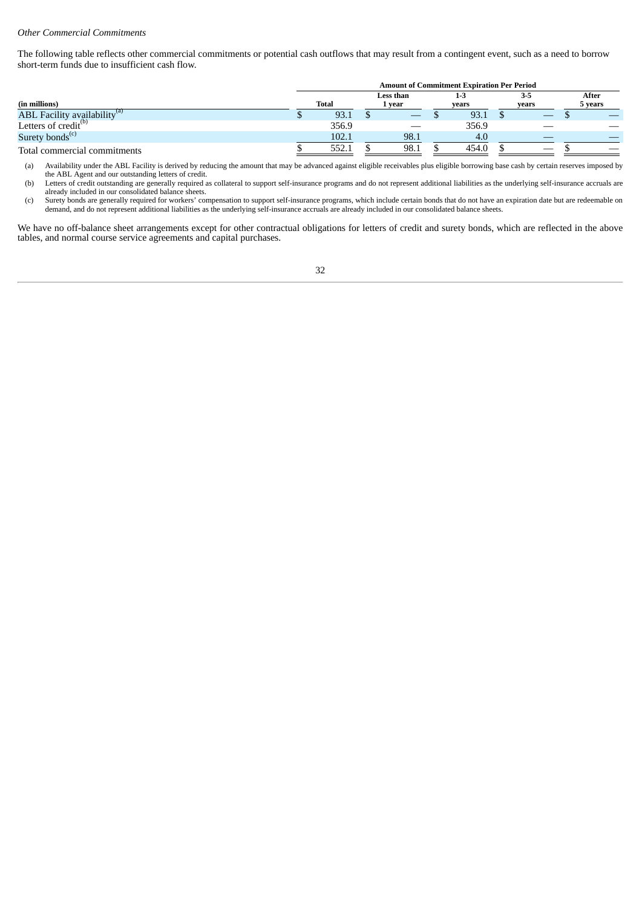#### *Other Commercial Commitments*

The following table reflects other commercial commitments or potential cash outflows that may result from a contingent event, such as a need to borrow short-term funds due to insufficient cash flow.

|                                          | <b>Amount of Commitment Expiration Per Period</b> |              |  |                     |  |              |  |                |  |                  |  |
|------------------------------------------|---------------------------------------------------|--------------|--|---------------------|--|--------------|--|----------------|--|------------------|--|
| (in millions)                            |                                                   | <b>Total</b> |  | Less than<br>1 year |  | 1-3<br>vears |  | $3-5$<br>vears |  | After<br>5 years |  |
| ABL Facility availability <sup>(a)</sup> |                                                   | 93.1         |  |                     |  | 93.1         |  |                |  |                  |  |
| Letters of credit <sup>(b)</sup>         |                                                   | 356.9        |  |                     |  | 356.9        |  |                |  |                  |  |
| Surety bonds <sup>(c)</sup>              |                                                   | 102.1        |  | 98.1                |  | 4.0          |  |                |  |                  |  |
| Total commercial commitments             |                                                   | 552.1        |  | 98.1                |  | 454.0        |  | _              |  |                  |  |

(a) Availability under the ABL Facility is derived by reducing the amount that may be advanced against eligible receivables plus eligible borrowing base cash by certain reserves imposed by the ABL Agent and our outstanding letters of credit.

(b) Letters of credit outstanding are generally required as collateral to support self-insurance programs and do not represent additional liabilities as the underlying self-insurance accruals are already included in our consolidated balance sheets.

(c) Surety bonds are generally required for workers' compensation to support self-insurance programs, which include certain bonds that do not have an expiration date but are redeemable on demand, and do not represent additional liabilities as the underlying self-insurance accruals are already included in our consolidated balance sheets.

We have no off-balance sheet arrangements except for other contractual obligations for letters of credit and surety bonds, which are reflected in the above tables, and normal course service agreements and capital purchases.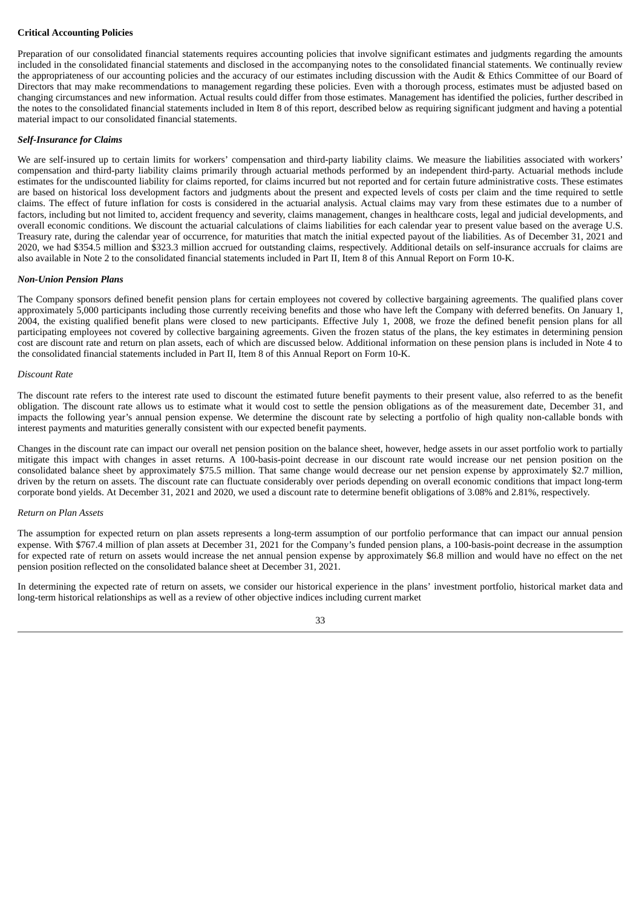## **Critical Accounting Policies**

Preparation of our consolidated financial statements requires accounting policies that involve significant estimates and judgments regarding the amounts included in the consolidated financial statements and disclosed in the accompanying notes to the consolidated financial statements. We continually review the appropriateness of our accounting policies and the accuracy of our estimates including discussion with the Audit & Ethics Committee of our Board of Directors that may make recommendations to management regarding these policies. Even with a thorough process, estimates must be adjusted based on changing circumstances and new information. Actual results could differ from those estimates. Management has identified the policies, further described in the notes to the consolidated financial statements included in Item 8 of this report, described below as requiring significant judgment and having a potential material impact to our consolidated financial statements.

#### *Self-Insurance for Claims*

We are self-insured up to certain limits for workers' compensation and third-party liability claims. We measure the liabilities associated with workers' compensation and third-party liability claims primarily through actuarial methods performed by an independent third-party. Actuarial methods include estimates for the undiscounted liability for claims reported, for claims incurred but not reported and for certain future administrative costs. These estimates are based on historical loss development factors and judgments about the present and expected levels of costs per claim and the time required to settle claims. The effect of future inflation for costs is considered in the actuarial analysis. Actual claims may vary from these estimates due to a number of factors, including but not limited to, accident frequency and severity, claims management, changes in healthcare costs, legal and judicial developments, and overall economic conditions. We discount the actuarial calculations of claims liabilities for each calendar year to present value based on the average U.S. Treasury rate, during the calendar year of occurrence, for maturities that match the initial expected payout of the liabilities. As of December 31, 2021 and 2020, we had \$354.5 million and \$323.3 million accrued for outstanding claims, respectively. Additional details on self-insurance accruals for claims are also available in Note 2 to the consolidated financial statements included in Part II, Item 8 of this Annual Report on Form 10-K.

#### *Non-Union Pension Plans*

The Company sponsors defined benefit pension plans for certain employees not covered by collective bargaining agreements. The qualified plans cover approximately 5,000 participants including those currently receiving benefits and those who have left the Company with deferred benefits. On January 1, 2004, the existing qualified benefit plans were closed to new participants. Effective July 1, 2008, we froze the defined benefit pension plans for all participating employees not covered by collective bargaining agreements. Given the frozen status of the plans, the key estimates in determining pension cost are discount rate and return on plan assets, each of which are discussed below. Additional information on these pension plans is included in Note 4 to the consolidated financial statements included in Part II, Item 8 of this Annual Report on Form 10-K.

#### *Discount Rate*

The discount rate refers to the interest rate used to discount the estimated future benefit payments to their present value, also referred to as the benefit obligation. The discount rate allows us to estimate what it would cost to settle the pension obligations as of the measurement date, December 31, and impacts the following year's annual pension expense. We determine the discount rate by selecting a portfolio of high quality non-callable bonds with interest payments and maturities generally consistent with our expected benefit payments.

Changes in the discount rate can impact our overall net pension position on the balance sheet, however, hedge assets in our asset portfolio work to partially mitigate this impact with changes in asset returns. A 100-basis-point decrease in our discount rate would increase our net pension position on the consolidated balance sheet by approximately \$75.5 million. That same change would decrease our net pension expense by approximately \$2.7 million, driven by the return on assets. The discount rate can fluctuate considerably over periods depending on overall economic conditions that impact long-term corporate bond yields. At December 31, 2021 and 2020, we used a discount rate to determine benefit obligations of 3.08% and 2.81%, respectively.

#### *Return on Plan Assets*

The assumption for expected return on plan assets represents a long-term assumption of our portfolio performance that can impact our annual pension expense. With \$767.4 million of plan assets at December 31, 2021 for the Company's funded pension plans, a 100-basis-point decrease in the assumption for expected rate of return on assets would increase the net annual pension expense by approximately \$6.8 million and would have no effect on the net pension position reflected on the consolidated balance sheet at December 31, 2021.

In determining the expected rate of return on assets, we consider our historical experience in the plans' investment portfolio, historical market data and long-term historical relationships as well as a review of other objective indices including current market

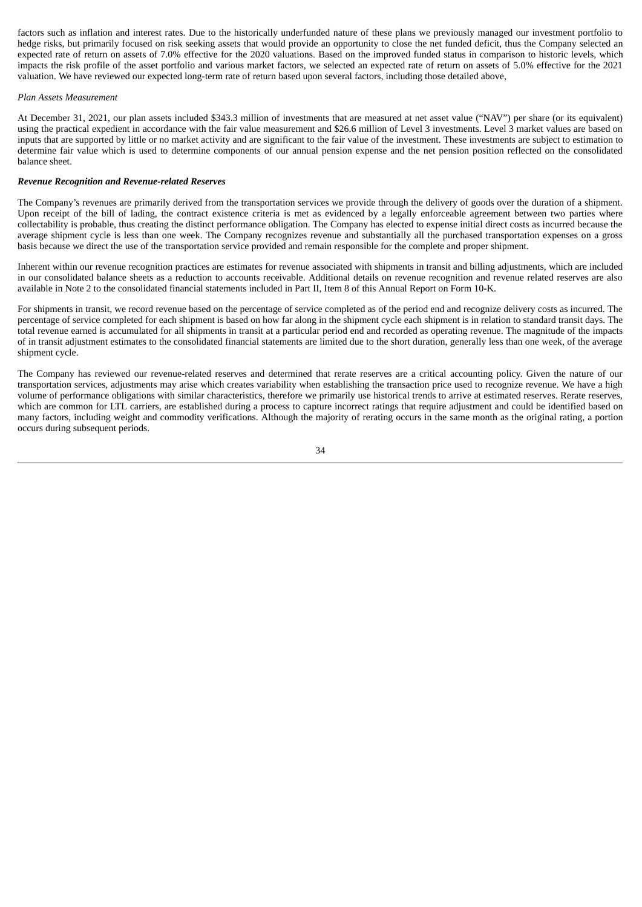factors such as inflation and interest rates. Due to the historically underfunded nature of these plans we previously managed our investment portfolio to hedge risks, but primarily focused on risk seeking assets that would provide an opportunity to close the net funded deficit, thus the Company selected an expected rate of return on assets of 7.0% effective for the 2020 valuations. Based on the improved funded status in comparison to historic levels, which impacts the risk profile of the asset portfolio and various market factors, we selected an expected rate of return on assets of 5.0% effective for the 2021 valuation. We have reviewed our expected long-term rate of return based upon several factors, including those detailed above,

#### *Plan Assets Measurement*

At December 31, 2021, our plan assets included \$343.3 million of investments that are measured at net asset value ("NAV") per share (or its equivalent) using the practical expedient in accordance with the fair value measurement and \$26.6 million of Level 3 investments. Level 3 market values are based on inputs that are supported by little or no market activity and are significant to the fair value of the investment. These investments are subject to estimation to determine fair value which is used to determine components of our annual pension expense and the net pension position reflected on the consolidated balance sheet.

## *Revenue Recognition and Revenue-related Reserves*

The Company's revenues are primarily derived from the transportation services we provide through the delivery of goods over the duration of a shipment. Upon receipt of the bill of lading, the contract existence criteria is met as evidenced by a legally enforceable agreement between two parties where collectability is probable, thus creating the distinct performance obligation. The Company has elected to expense initial direct costs as incurred because the average shipment cycle is less than one week. The Company recognizes revenue and substantially all the purchased transportation expenses on a gross basis because we direct the use of the transportation service provided and remain responsible for the complete and proper shipment.

Inherent within our revenue recognition practices are estimates for revenue associated with shipments in transit and billing adjustments, which are included in our consolidated balance sheets as a reduction to accounts receivable. Additional details on revenue recognition and revenue related reserves are also available in Note 2 to the consolidated financial statements included in Part II, Item 8 of this Annual Report on Form 10-K.

For shipments in transit, we record revenue based on the percentage of service completed as of the period end and recognize delivery costs as incurred. The percentage of service completed for each shipment is based on how far along in the shipment cycle each shipment is in relation to standard transit days. The total revenue earned is accumulated for all shipments in transit at a particular period end and recorded as operating revenue. The magnitude of the impacts of in transit adjustment estimates to the consolidated financial statements are limited due to the short duration, generally less than one week, of the average shipment cycle.

The Company has reviewed our revenue-related reserves and determined that rerate reserves are a critical accounting policy. Given the nature of our transportation services, adjustments may arise which creates variability when establishing the transaction price used to recognize revenue. We have a high volume of performance obligations with similar characteristics, therefore we primarily use historical trends to arrive at estimated reserves. Rerate reserves, which are common for LTL carriers, are established during a process to capture incorrect ratings that require adjustment and could be identified based on many factors, including weight and commodity verifications. Although the majority of rerating occurs in the same month as the original rating, a portion occurs during subsequent periods.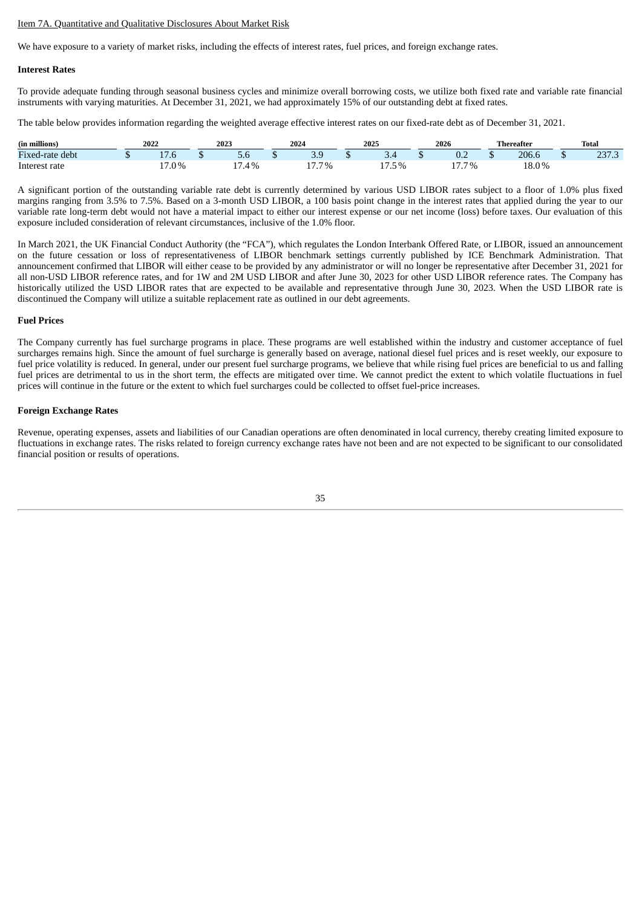#### <span id="page-34-0"></span>Item 7A. Quantitative and Qualitative Disclosures About Market Risk

We have exposure to a variety of market risks, including the effects of interest rates, fuel prices, and foreign exchange rates.

#### **Interest Rates**

To provide adequate funding through seasonal business cycles and minimize overall borrowing costs, we utilize both fixed rate and variable rate financial instruments with varying maturities. At December 31, 2021, we had approximately 15% of our outstanding debt at fixed rates.

The table below provides information regarding the weighted average effective interest rates on our fixed-rate debt as of December 31, 2021.

| (in millions)                            | 2022    |     | 2023       | 2024<br>2025         |  | 2026                    |  | 'hereafter |  | <b>Total</b> |  |                 |
|------------------------------------------|---------|-----|------------|----------------------|--|-------------------------|--|------------|--|--------------|--|-----------------|
| $\mathbf{r}$<br>Fixed-i<br>-rafe<br>debi | . ت     | . . | ں،ب        | $\sim$<br>ں و ب      |  | —                       |  | 0.2        |  | 206.6        |  | ר הרה<br>ن, رن∠ |
| Interest<br>rate                         | $7.0\%$ |     | 40/<br>-70 | $\blacksquare$<br>70 |  | $-0/$<br>-70<br>$\cdot$ |  | $7.7\%$    |  | 18.0%        |  |                 |

A significant portion of the outstanding variable rate debt is currently determined by various USD LIBOR rates subject to a floor of 1.0% plus fixed margins ranging from 3.5% to 7.5%. Based on a 3-month USD LIBOR, a 100 basis point change in the interest rates that applied during the year to our variable rate long-term debt would not have a material impact to either our interest expense or our net income (loss) before taxes. Our evaluation of this exposure included consideration of relevant circumstances, inclusive of the 1.0% floor.

In March 2021, the UK Financial Conduct Authority (the "FCA"), which regulates the London Interbank Offered Rate, or LIBOR, issued an announcement on the future cessation or loss of representativeness of LIBOR benchmark settings currently published by ICE Benchmark Administration. That announcement confirmed that LIBOR will either cease to be provided by any administrator or will no longer be representative after December 31, 2021 for all non-USD LIBOR reference rates, and for 1W and 2M USD LIBOR and after June 30, 2023 for other USD LIBOR reference rates. The Company has historically utilized the USD LIBOR rates that are expected to be available and representative through June 30, 2023. When the USD LIBOR rate is discontinued the Company will utilize a suitable replacement rate as outlined in our debt agreements.

#### **Fuel Prices**

The Company currently has fuel surcharge programs in place. These programs are well established within the industry and customer acceptance of fuel surcharges remains high. Since the amount of fuel surcharge is generally based on average, national diesel fuel prices and is reset weekly, our exposure to fuel price volatility is reduced. In general, under our present fuel surcharge programs, we believe that while rising fuel prices are beneficial to us and falling fuel prices are detrimental to us in the short term, the effects are mitigated over time. We cannot predict the extent to which volatile fluctuations in fuel prices will continue in the future or the extent to which fuel surcharges could be collected to offset fuel-price increases.

#### **Foreign Exchange Rates**

Revenue, operating expenses, assets and liabilities of our Canadian operations are often denominated in local currency, thereby creating limited exposure to fluctuations in exchange rates. The risks related to foreign currency exchange rates have not been and are not expected to be significant to our consolidated financial position or results of operations.

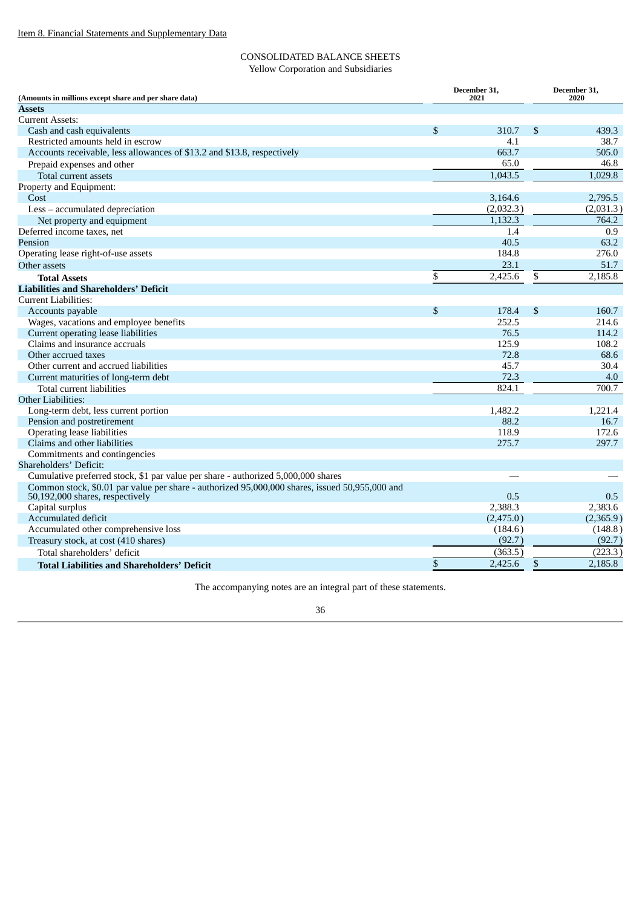## CONSOLIDATED BALANCE SHEETS Yellow Corporation and Subsidiaries

<span id="page-35-0"></span>

| (Amounts in millions except share and per share data)                                                                             | December 31,<br>2021 | December 31,<br>2020 |           |  |
|-----------------------------------------------------------------------------------------------------------------------------------|----------------------|----------------------|-----------|--|
| <b>Assets</b>                                                                                                                     |                      |                      |           |  |
| <b>Current Assets:</b>                                                                                                            |                      |                      |           |  |
| Cash and cash equivalents                                                                                                         | \$<br>310.7          | \$                   | 439.3     |  |
| Restricted amounts held in escrow                                                                                                 | 4.1                  |                      | 38.7      |  |
| Accounts receivable, less allowances of \$13.2 and \$13.8, respectively                                                           | 663.7                |                      | 505.0     |  |
| Prepaid expenses and other                                                                                                        | 65.0                 |                      | 46.8      |  |
| Total current assets                                                                                                              | 1,043.5              |                      | 1,029.8   |  |
| Property and Equipment:                                                                                                           |                      |                      |           |  |
| Cost                                                                                                                              | 3,164.6              |                      | 2,795.5   |  |
| Less - accumulated depreciation                                                                                                   | (2,032.3)            |                      | (2,031.3) |  |
| Net property and equipment                                                                                                        | 1,132.3              |                      | 764.2     |  |
| Deferred income taxes, net                                                                                                        | 1.4                  |                      | 0.9       |  |
| Pension                                                                                                                           | 40.5                 |                      | 63.2      |  |
| Operating lease right-of-use assets                                                                                               | 184.8                |                      | 276.0     |  |
| Other assets                                                                                                                      | 23.1                 |                      | 51.7      |  |
| <b>Total Assets</b>                                                                                                               | \$<br>2,425.6        | \$                   | 2,185.8   |  |
| <b>Liabilities and Shareholders' Deficit</b>                                                                                      |                      |                      |           |  |
| <b>Current Liabilities:</b>                                                                                                       |                      |                      |           |  |
| Accounts payable                                                                                                                  | \$<br>178.4          | $\mathfrak{s}$       | 160.7     |  |
| Wages, vacations and employee benefits                                                                                            | 252.5                |                      | 214.6     |  |
| Current operating lease liabilities                                                                                               | 76.5                 |                      | 114.2     |  |
| Claims and insurance accruals                                                                                                     | 125.9                |                      | 108.2     |  |
| Other accrued taxes                                                                                                               | 72.8                 |                      | 68.6      |  |
| Other current and accrued liabilities                                                                                             | 45.7                 |                      | 30.4      |  |
| Current maturities of long-term debt                                                                                              | 72.3                 |                      | 4.0       |  |
| Total current liabilities                                                                                                         | 824.1                |                      | 700.7     |  |
| <b>Other Liabilities:</b>                                                                                                         |                      |                      |           |  |
| Long-term debt, less current portion                                                                                              | 1,482.2              |                      | 1,221.4   |  |
| Pension and postretirement                                                                                                        | 88.2                 |                      | 16.7      |  |
| Operating lease liabilities                                                                                                       | 118.9                |                      | 172.6     |  |
| Claims and other liabilities                                                                                                      | 275.7                |                      | 297.7     |  |
| Commitments and contingencies                                                                                                     |                      |                      |           |  |
| Shareholders' Deficit:                                                                                                            |                      |                      |           |  |
| Cumulative preferred stock, \$1 par value per share - authorized 5,000,000 shares                                                 |                      |                      |           |  |
| Common stock, \$0.01 par value per share - authorized 95,000,000 shares, issued 50,955,000 and<br>50,192,000 shares, respectively | 0.5                  |                      | 0.5       |  |
| Capital surplus                                                                                                                   | 2,388.3              |                      | 2,383.6   |  |
| Accumulated deficit                                                                                                               | (2,475.0)            |                      | (2,365.9) |  |
| Accumulated other comprehensive loss                                                                                              | (184.6)              |                      | (148.8)   |  |
| Treasury stock, at cost (410 shares)                                                                                              | (92.7)               |                      | (92.7)    |  |
| Total shareholders' deficit                                                                                                       | (363.5)              |                      | (223.3)   |  |
| <b>Total Liabilities and Shareholders' Deficit</b>                                                                                | \$<br>2,425.6        | $\mathbf S$          | 2,185.8   |  |

The accompanying notes are an integral part of these statements.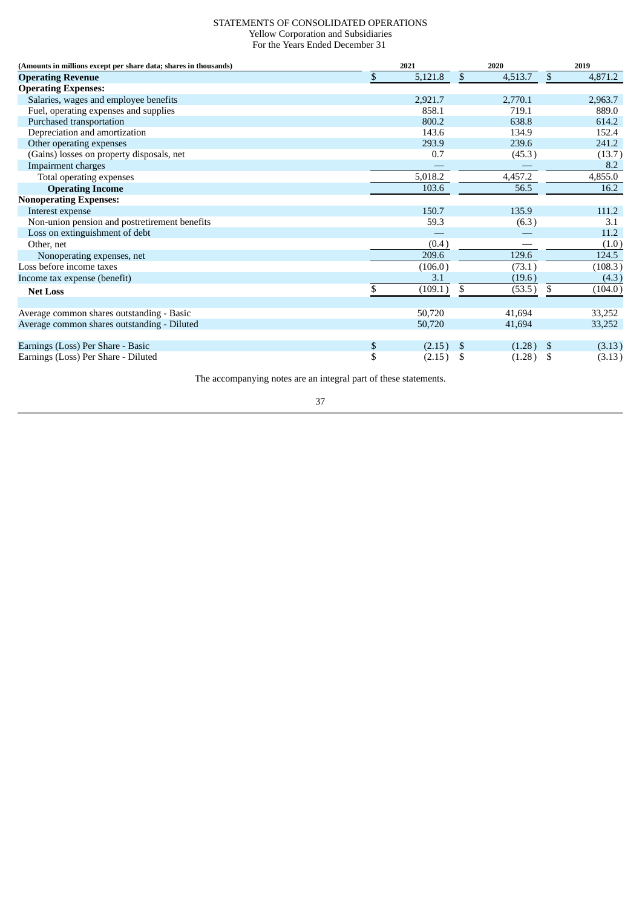#### STATEMENTS OF CONSOLIDATED OPERATIONS Yellow Corporation and Subsidiaries For the Years Ended December 31

| (Amounts in millions except per share data; shares in thousands) | 2021          | 2020                    | 2019          |  |
|------------------------------------------------------------------|---------------|-------------------------|---------------|--|
| <b>Operating Revenue</b>                                         | \$<br>5,121.8 | 4,513.7<br>\$           | \$<br>4,871.2 |  |
| <b>Operating Expenses:</b>                                       |               |                         |               |  |
| Salaries, wages and employee benefits                            | 2,921.7       | 2,770.1                 | 2,963.7       |  |
| Fuel, operating expenses and supplies                            | 858.1         | 719.1                   | 889.0         |  |
| Purchased transportation                                         | 800.2         | 638.8                   | 614.2         |  |
| Depreciation and amortization                                    | 143.6         | 134.9                   | 152.4         |  |
| Other operating expenses                                         | 293.9         | 239.6                   | 241.2         |  |
| (Gains) losses on property disposals, net                        | 0.7           | (45.3)                  | (13.7)        |  |
| Impairment charges                                               |               |                         | 8.2           |  |
| Total operating expenses                                         | 5,018.2       | 4,457.2                 | 4,855.0       |  |
| <b>Operating Income</b>                                          | 103.6         | 56.5                    | 16.2          |  |
| <b>Nonoperating Expenses:</b>                                    |               |                         |               |  |
| Interest expense                                                 | 150.7         | 135.9                   | 111.2         |  |
| Non-union pension and postretirement benefits                    | 59.3          | (6.3)                   | 3.1           |  |
| Loss on extinguishment of debt                                   |               |                         | 11.2          |  |
| Other, net                                                       | (0.4)         |                         | (1.0)         |  |
| Nonoperating expenses, net                                       | 209.6         | 129.6                   | 124.5         |  |
| Loss before income taxes                                         | (106.0)       | (73.1)                  | (108.3)       |  |
| Income tax expense (benefit)                                     | 3.1           | (19.6)                  | (4.3)         |  |
| <b>Net Loss</b>                                                  | (109.1)       | \$<br>(53.5)            | \$<br>(104.0) |  |
|                                                                  |               |                         |               |  |
| Average common shares outstanding - Basic                        | 50,720        | 41,694                  | 33,252        |  |
| Average common shares outstanding - Diluted                      | 50,720        | 41,694                  | 33,252        |  |
| Earnings (Loss) Per Share - Basic                                | \$<br>(2.15)  | (1.28)<br><sup>\$</sup> | \$<br>(3.13)  |  |
| Earnings (Loss) Per Share - Diluted                              | \$<br>(2.15)  | (1.28)<br>\$            | \$<br>(3.13)  |  |

The accompanying notes are an integral part of these statements.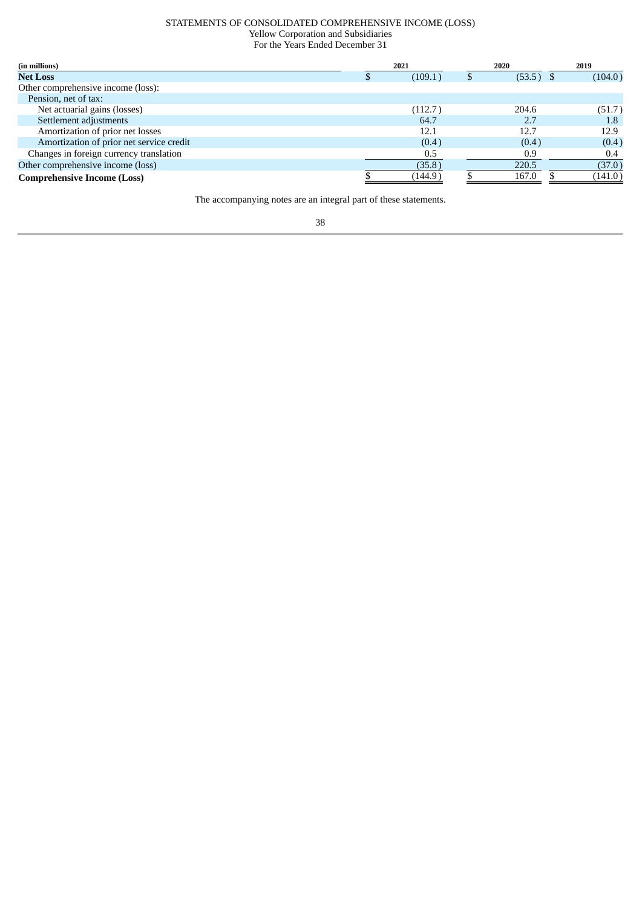### STATEMENTS OF CONSOLIDATED COMPREHENSIVE INCOME (LOSS) Yellow Corporation and Subsidiaries For the Years Ended December 31

| (in millions)                            | 2021    | 2020        | 2019    |
|------------------------------------------|---------|-------------|---------|
| <b>Net Loss</b>                          | (109.1) | $(53.5)$ \$ | (104.0) |
| Other comprehensive income (loss):       |         |             |         |
| Pension, net of tax:                     |         |             |         |
| Net actuarial gains (losses)             | (112.7) | 204.6       | (51.7)  |
| Settlement adjustments                   | 64.7    | 2.7         | 1.8     |
| Amortization of prior net losses         | 12.1    | 12.7        | 12.9    |
| Amortization of prior net service credit | (0.4)   | (0.4)       | (0.4)   |
| Changes in foreign currency translation  | 0.5     | 0.9         | 0.4     |
| Other comprehensive income (loss)        | (35.8)  | 220.5       | (37.0)  |
| <b>Comprehensive Income (Loss)</b>       | (144.9) | 167.0       | (141.0) |

The accompanying notes are an integral part of these statements.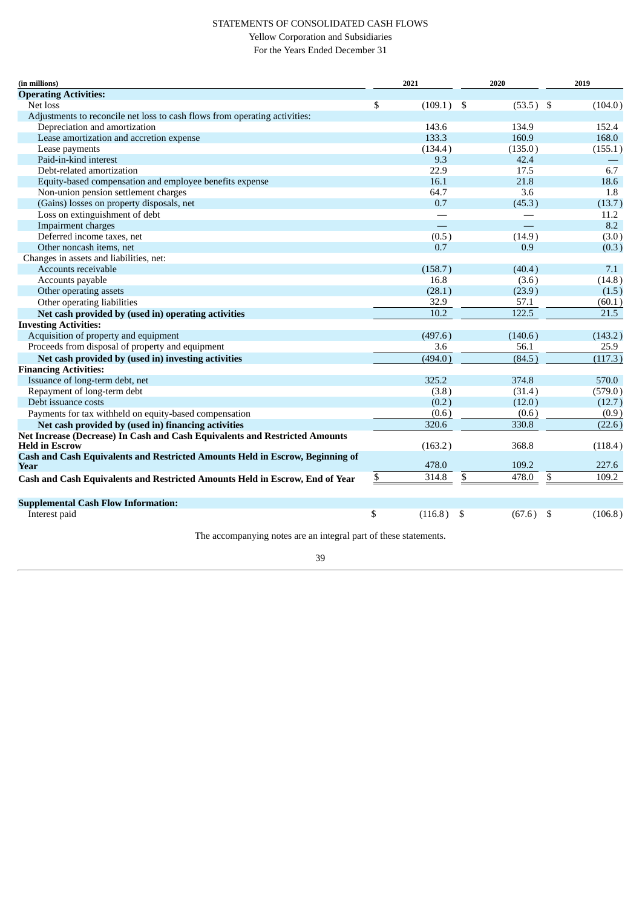# STATEMENTS OF CONSOLIDATED CASH FLOWS Yellow Corporation and Subsidiaries

For the Years Ended December 31

| (in millions)                                                                 | 2021 |         | 2020 |         |      | 2019    |
|-------------------------------------------------------------------------------|------|---------|------|---------|------|---------|
| <b>Operating Activities:</b>                                                  |      |         |      |         |      |         |
| Net loss                                                                      | \$   | (109.1) | \$   | (53.5)  | - \$ | (104.0) |
| Adjustments to reconcile net loss to cash flows from operating activities:    |      |         |      |         |      |         |
| Depreciation and amortization                                                 |      | 143.6   |      | 134.9   |      | 152.4   |
| Lease amortization and accretion expense                                      |      | 133.3   |      | 160.9   |      | 168.0   |
| Lease payments                                                                |      | (134.4) |      | (135.0) |      | (155.1) |
| Paid-in-kind interest                                                         |      | 9.3     |      | 42.4    |      |         |
| Debt-related amortization                                                     |      | 22.9    |      | 17.5    |      | 6.7     |
| Equity-based compensation and employee benefits expense                       |      | 16.1    |      | 21.8    |      | 18.6    |
| Non-union pension settlement charges                                          |      | 64.7    |      | 3.6     |      | 1.8     |
| (Gains) losses on property disposals, net                                     |      | 0.7     |      | (45.3)  |      | (13.7)  |
| Loss on extinguishment of debt                                                |      |         |      |         |      | 11.2    |
| Impairment charges                                                            |      |         |      |         |      | 8.2     |
| Deferred income taxes, net                                                    |      | (0.5)   |      | (14.9)  |      | (3.0)   |
| Other noncash items, net                                                      |      | 0.7     |      | 0.9     |      | (0.3)   |
| Changes in assets and liabilities, net:                                       |      |         |      |         |      |         |
| Accounts receivable                                                           |      | (158.7) |      | (40.4)  |      | 7.1     |
| Accounts payable                                                              |      | 16.8    |      | (3.6)   |      | (14.8)  |
| Other operating assets                                                        |      | (28.1)  |      | (23.9)  |      | (1.5)   |
| Other operating liabilities                                                   |      | 32.9    |      | 57.1    |      | (60.1)  |
| Net cash provided by (used in) operating activities                           |      | 10.2    |      | 122.5   |      | 21.5    |
| <b>Investing Activities:</b>                                                  |      |         |      |         |      |         |
| Acquisition of property and equipment                                         |      | (497.6) |      | (140.6) |      | (143.2) |
| Proceeds from disposal of property and equipment                              |      | 3.6     |      | 56.1    |      | 25.9    |
| Net cash provided by (used in) investing activities                           |      | (494.0) |      | (84.5)  |      | (117.3) |
| <b>Financing Activities:</b>                                                  |      |         |      |         |      |         |
| Issuance of long-term debt, net                                               |      | 325.2   |      | 374.8   |      | 570.0   |
| Repayment of long-term debt                                                   |      | (3.8)   |      | (31.4)  |      | (579.0) |
| Debt issuance costs                                                           |      | (0.2)   |      | (12.0)  |      | (12.7)  |
| Payments for tax withheld on equity-based compensation                        |      | (0.6)   |      | (0.6)   |      | (0.9)   |
| Net cash provided by (used in) financing activities                           |      | 320.6   |      | 330.8   |      | (22.6)  |
| Net Increase (Decrease) In Cash and Cash Equivalents and Restricted Amounts   |      |         |      |         |      |         |
| <b>Held in Escrow</b>                                                         |      | (163.2) |      | 368.8   |      | (118.4) |
| Cash and Cash Equivalents and Restricted Amounts Held in Escrow, Beginning of |      |         |      |         |      |         |
| Year                                                                          |      | 478.0   |      | 109.2   |      | 227.6   |
| Cash and Cash Equivalents and Restricted Amounts Held in Escrow, End of Year  | \$   | 314.8   | \$   | 478.0   | \$   | 109.2   |
| <b>Supplemental Cash Flow Information:</b>                                    |      |         |      |         |      |         |
| Interest paid                                                                 | \$   | (116.8) | - \$ | (67.6)  | -\$  | (106.8) |
|                                                                               |      |         |      |         |      |         |

The accompanying notes are an integral part of these statements.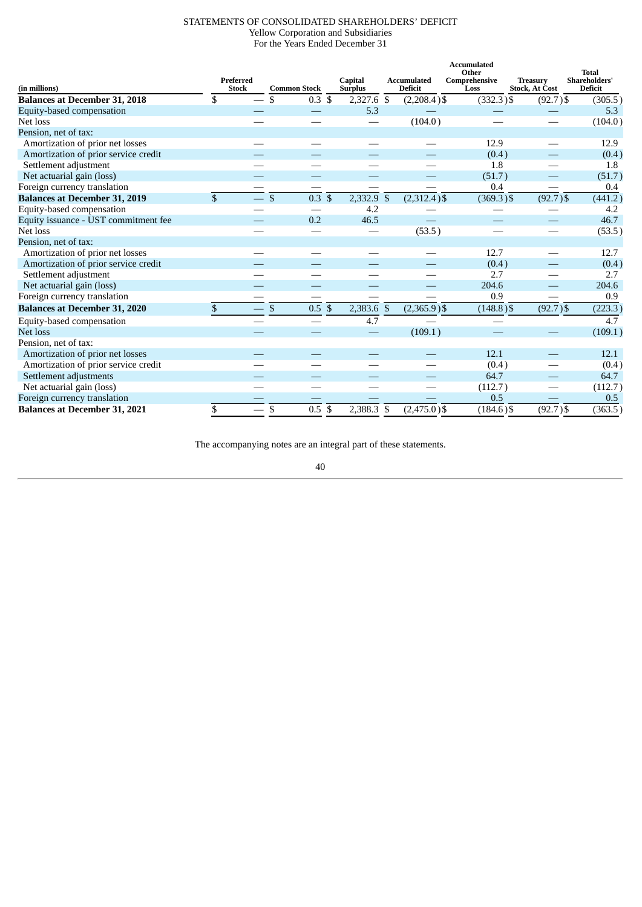### STATEMENTS OF CONSOLIDATED SHAREHOLDERS' DEFICIT Yellow Corporation and Subsidiaries For the Years Ended December 31

| (in millions)                        |               | Preferred<br><b>Stock</b> | <b>Common Stock</b>                  | Capital<br><b>Surplus</b> | <b>Accumulated</b><br><b>Deficit</b> | <b>Accumulated</b><br>Other<br>Comprehensive<br>Loss | <b>Treasury</b><br><b>Stock, At Cost</b> | <b>Total</b><br><b>Shareholders'</b><br><b>Deficit</b> |
|--------------------------------------|---------------|---------------------------|--------------------------------------|---------------------------|--------------------------------------|------------------------------------------------------|------------------------------------------|--------------------------------------------------------|
| <b>Balances at December 31, 2018</b> | \$            |                           | \$<br>$0.3 \text{ } $$               | 2,327.6 \$                | $(2,208.4)$ \$                       | $(332.3)$ \$                                         | $(92.7)$ \$                              | (305.5)                                                |
| Equity-based compensation            |               |                           |                                      | 5.3                       |                                      |                                                      |                                          | 5.3                                                    |
| Net loss                             |               |                           |                                      |                           | (104.0)                              |                                                      |                                          | (104.0)                                                |
| Pension, net of tax:                 |               |                           |                                      |                           |                                      |                                                      |                                          |                                                        |
| Amortization of prior net losses     |               |                           |                                      |                           |                                      | 12.9                                                 |                                          | 12.9                                                   |
| Amortization of prior service credit |               |                           |                                      |                           |                                      | (0.4)                                                |                                          | (0.4)                                                  |
| Settlement adjustment                |               |                           |                                      |                           |                                      | 1.8                                                  |                                          | 1.8                                                    |
| Net actuarial gain (loss)            |               |                           |                                      |                           |                                      | (51.7)                                               |                                          | (51.7)                                                 |
| Foreign currency translation         |               |                           |                                      |                           |                                      | 0.4                                                  |                                          | 0.4                                                    |
| <b>Balances at December 31, 2019</b> | $\mathcal{S}$ |                           | $\mathcal{S}$<br>$\overline{0.3}$ \$ | 2,332.9 \$                | $(2,312.4)$ \$                       | $(369.3)$ \$                                         | $(92.7)$ \$                              | (441.2)                                                |
| Equity-based compensation            |               |                           |                                      | 4.2                       |                                      |                                                      |                                          | 4.2                                                    |
| Equity issuance - UST commitment fee |               |                           | 0.2                                  | 46.5                      |                                      |                                                      |                                          | 46.7                                                   |
| Net loss                             |               |                           |                                      |                           | (53.5)                               |                                                      |                                          | (53.5)                                                 |
| Pension, net of tax:                 |               |                           |                                      |                           |                                      |                                                      |                                          |                                                        |
| Amortization of prior net losses     |               |                           |                                      |                           |                                      | 12.7                                                 |                                          | 12.7                                                   |
| Amortization of prior service credit |               |                           |                                      |                           |                                      | (0.4)                                                |                                          | (0.4)                                                  |
| Settlement adjustment                |               |                           |                                      |                           |                                      | 2.7                                                  |                                          | 2.7                                                    |
| Net actuarial gain (loss)            |               |                           |                                      |                           |                                      | 204.6                                                |                                          | 204.6                                                  |
| Foreign currency translation         |               |                           |                                      |                           |                                      | 0.9                                                  |                                          | 0.9                                                    |
| <b>Balances at December 31, 2020</b> | \$            |                           | 0.5~\$<br>\$                         | 2,383.6 \$                | $(2,365.9)$ \$                       | $(148.8)$ \$                                         | $(92.7)$ \$                              | (223.3)                                                |
| Equity-based compensation            |               |                           |                                      | 4.7                       |                                      |                                                      |                                          | 4.7                                                    |
| Net loss                             |               |                           |                                      |                           | (109.1)                              |                                                      |                                          | (109.1)                                                |
| Pension, net of tax:                 |               |                           |                                      |                           |                                      |                                                      |                                          |                                                        |
| Amortization of prior net losses     |               |                           |                                      |                           |                                      | 12.1                                                 |                                          | 12.1                                                   |
| Amortization of prior service credit |               |                           |                                      |                           |                                      | (0.4)                                                |                                          | (0.4)                                                  |
| Settlement adjustments               |               |                           |                                      |                           |                                      | 64.7                                                 |                                          | 64.7                                                   |
| Net actuarial gain (loss)            |               |                           |                                      |                           |                                      | (112.7)                                              |                                          | (112.7)                                                |
| Foreign currency translation         |               |                           |                                      |                           |                                      | 0.5                                                  |                                          | 0.5                                                    |
| <b>Balances at December 31, 2021</b> | \$            | $\equiv$                  | \$<br>0.5 <sup>5</sup>               | 2,388.3 \$                | $(2,475.0)$ \$                       | $(184.6)$ \$                                         | $(92.7)$ \$                              | (363.5)                                                |

The accompanying notes are an integral part of these statements.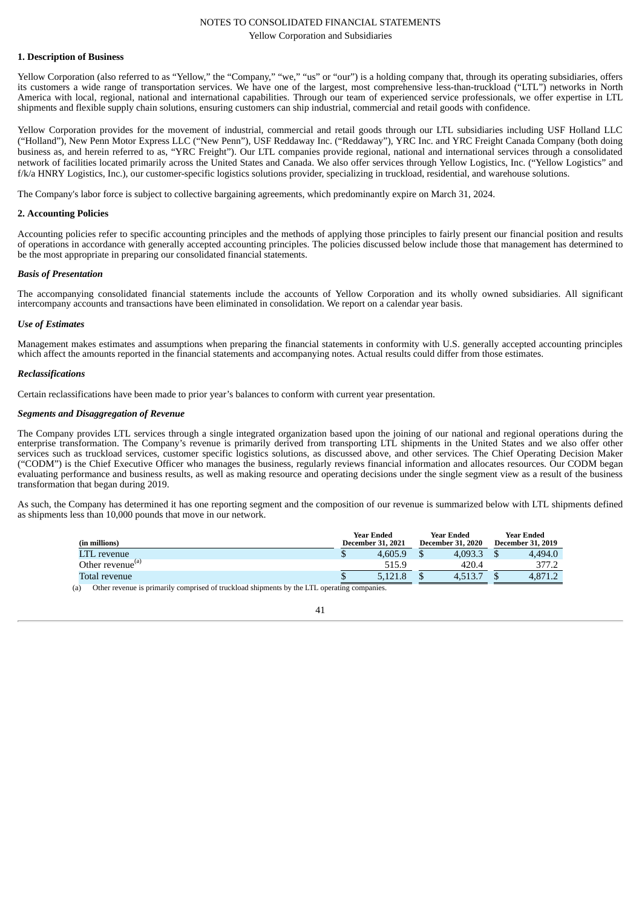### NOTES TO CONSOLIDATED FINANCIAL STATEMENTS Yellow Corporation and Subsidiaries

#### **1. Description of Business**

Yellow Corporation (also referred to as "Yellow," the "Company," "we," "us" or "our") is a holding company that, through its operating subsidiaries, offers its customers a wide range of transportation services. We have one of the largest, most comprehensive less-than-truckload ("LTL") networks in North America with local, regional, national and international capabilities. Through our team of experienced service professionals, we offer expertise in LTL shipments and flexible supply chain solutions, ensuring customers can ship industrial, commercial and retail goods with confidence.

Yellow Corporation provides for the movement of industrial, commercial and retail goods through our LTL subsidiaries including USF Holland LLC ("Holland"), New Penn Motor Express LLC ("New Penn"), USF Reddaway Inc. ("Reddaway"), YRC Inc. and YRC Freight Canada Company (both doing business as, and herein referred to as, "YRC Freight"). Our LTL companies provide regional, national and international services through a consolidated network of facilities located primarily across the United States and Canada. We also offer services through Yellow Logistics, Inc. ("Yellow Logistics" and f/k/a HNRY Logistics, Inc.), our customer-specific logistics solutions provider, specializing in truckload, residential, and warehouse solutions.

The Company's labor force is subject to collective bargaining agreements, which predominantly expire on March 31, 2024.

#### **2. Accounting Policies**

Accounting policies refer to specific accounting principles and the methods of applying those principles to fairly present our financial position and results of operations in accordance with generally accepted accounting principles. The policies discussed below include those that management has determined to be the most appropriate in preparing our consolidated financial statements.

#### *Basis of Presentation*

The accompanying consolidated financial statements include the accounts of Yellow Corporation and its wholly owned subsidiaries. All significant intercompany accounts and transactions have been eliminated in consolidation. We report on a calendar year basis.

### *Use of Estimates*

Management makes estimates and assumptions when preparing the financial statements in conformity with U.S. generally accepted accounting principles which affect the amounts reported in the financial statements and accompanying notes. Actual results could differ from those estimates.

#### *Reclassifications*

Certain reclassifications have been made to prior year's balances to conform with current year presentation.

#### *Segments and Disaggregation of Revenue*

The Company provides LTL services through a single integrated organization based upon the joining of our national and regional operations during the enterprise transformation. The Company's revenue is primarily derived from transporting LTL shipments in the United States and we also offer other services such as truckload services, customer specific logistics solutions, as discussed above, and other services. The Chief Operating Decision Maker ("CODM") is the Chief Executive Officer who manages the business, regularly reviews financial information and allocates resources. Our CODM began evaluating performance and business results, as well as making resource and operating decisions under the single segment view as a result of the business transformation that began during 2019.

As such, the Company has determined it has one reporting segment and the composition of our revenue is summarized below with LTL shipments defined as shipments less than 10,000 pounds that move in our network.

| (in millions)                | Year Ended |         | Year Ended<br><b>December 31, 2021</b><br><b>December 31, 2020</b> |         |         | Year Ended<br><b>December 31, 2019</b> |
|------------------------------|------------|---------|--------------------------------------------------------------------|---------|---------|----------------------------------------|
| LTL revenue                  |            | 4.605.9 |                                                                    | 4.093.3 | 4.494.0 |                                        |
| Other revenue <sup>(a)</sup> |            | 515.9   |                                                                    | 420.4   | 377.2   |                                        |
| Total revenue                |            | 5.121.8 |                                                                    | 4.513.7 | 4,871.4 |                                        |

(a) Other revenue is primarily comprised of truckload shipments by the LTL operating companies.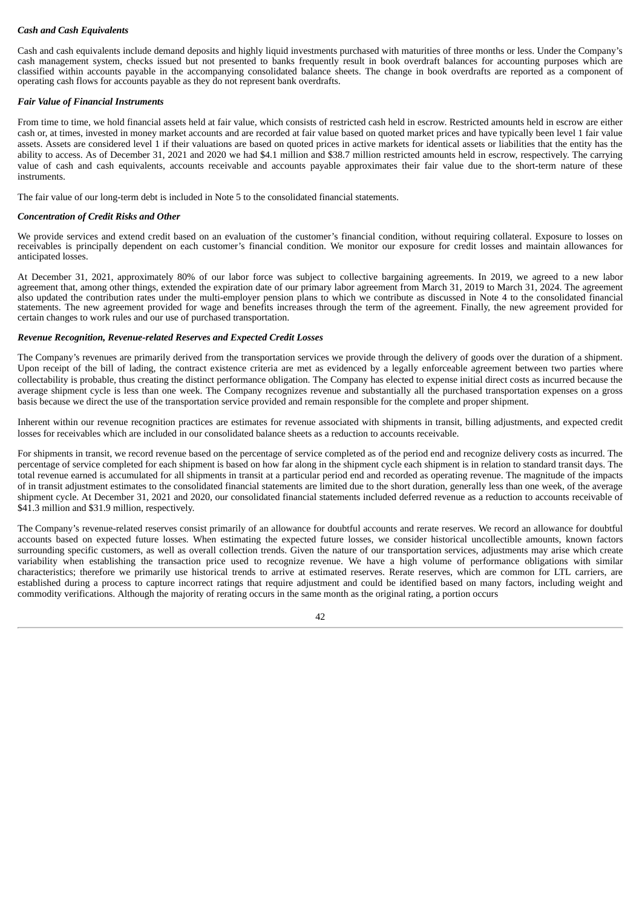#### *Cash and Cash Equivalents*

Cash and cash equivalents include demand deposits and highly liquid investments purchased with maturities of three months or less. Under the Company's cash management system, checks issued but not presented to banks frequently result in book overdraft balances for accounting purposes which are classified within accounts payable in the accompanying consolidated balance sheets. The change in book overdrafts are reported as a component of operating cash flows for accounts payable as they do not represent bank overdrafts.

#### *Fair Value of Financial Instruments*

From time to time, we hold financial assets held at fair value, which consists of restricted cash held in escrow. Restricted amounts held in escrow are either cash or, at times, invested in money market accounts and are recorded at fair value based on quoted market prices and have typically been level 1 fair value assets. Assets are considered level 1 if their valuations are based on quoted prices in active markets for identical assets or liabilities that the entity has the ability to access. As of December 31, 2021 and 2020 we had \$4.1 million and \$38.7 million restricted amounts held in escrow, respectively. The carrying value of cash and cash equivalents, accounts receivable and accounts payable approximates their fair value due to the short-term nature of these instruments.

The fair value of our long-term debt is included in Note 5 to the consolidated financial statements.

#### *Concentration of Credit Risks and Other*

We provide services and extend credit based on an evaluation of the customer's financial condition, without requiring collateral. Exposure to losses on receivables is principally dependent on each customer's financial condition. We monitor our exposure for credit losses and maintain allowances for anticipated losses.

At December 31, 2021, approximately 80% of our labor force was subject to collective bargaining agreements. In 2019, we agreed to a new labor agreement that, among other things, extended the expiration date of our primary labor agreement from March 31, 2019 to March 31, 2024. The agreement also updated the contribution rates under the multi-employer pension plans to which we contribute as discussed in Note 4 to the consolidated financial statements. The new agreement provided for wage and benefits increases through the term of the agreement. Finally, the new agreement provided for certain changes to work rules and our use of purchased transportation.

#### *Revenue Recognition, Revenue-related Reserves and Expected Credit Losses*

The Company's revenues are primarily derived from the transportation services we provide through the delivery of goods over the duration of a shipment. Upon receipt of the bill of lading, the contract existence criteria are met as evidenced by a legally enforceable agreement between two parties where collectability is probable, thus creating the distinct performance obligation. The Company has elected to expense initial direct costs as incurred because the average shipment cycle is less than one week. The Company recognizes revenue and substantially all the purchased transportation expenses on a gross basis because we direct the use of the transportation service provided and remain responsible for the complete and proper shipment.

Inherent within our revenue recognition practices are estimates for revenue associated with shipments in transit, billing adjustments, and expected credit losses for receivables which are included in our consolidated balance sheets as a reduction to accounts receivable.

For shipments in transit, we record revenue based on the percentage of service completed as of the period end and recognize delivery costs as incurred. The percentage of service completed for each shipment is based on how far along in the shipment cycle each shipment is in relation to standard transit days. The total revenue earned is accumulated for all shipments in transit at a particular period end and recorded as operating revenue. The magnitude of the impacts of in transit adjustment estimates to the consolidated financial statements are limited due to the short duration, generally less than one week, of the average shipment cycle. At December 31, 2021 and 2020, our consolidated financial statements included deferred revenue as a reduction to accounts receivable of \$41.3 million and \$31.9 million, respectively.

The Company's revenue-related reserves consist primarily of an allowance for doubtful accounts and rerate reserves. We record an allowance for doubtful accounts based on expected future losses. When estimating the expected future losses, we consider historical uncollectible amounts, known factors surrounding specific customers, as well as overall collection trends. Given the nature of our transportation services, adjustments may arise which create variability when establishing the transaction price used to recognize revenue. We have a high volume of performance obligations with similar characteristics; therefore we primarily use historical trends to arrive at estimated reserves. Rerate reserves, which are common for LTL carriers, are established during a process to capture incorrect ratings that require adjustment and could be identified based on many factors, including weight and commodity verifications. Although the majority of rerating occurs in the same month as the original rating, a portion occurs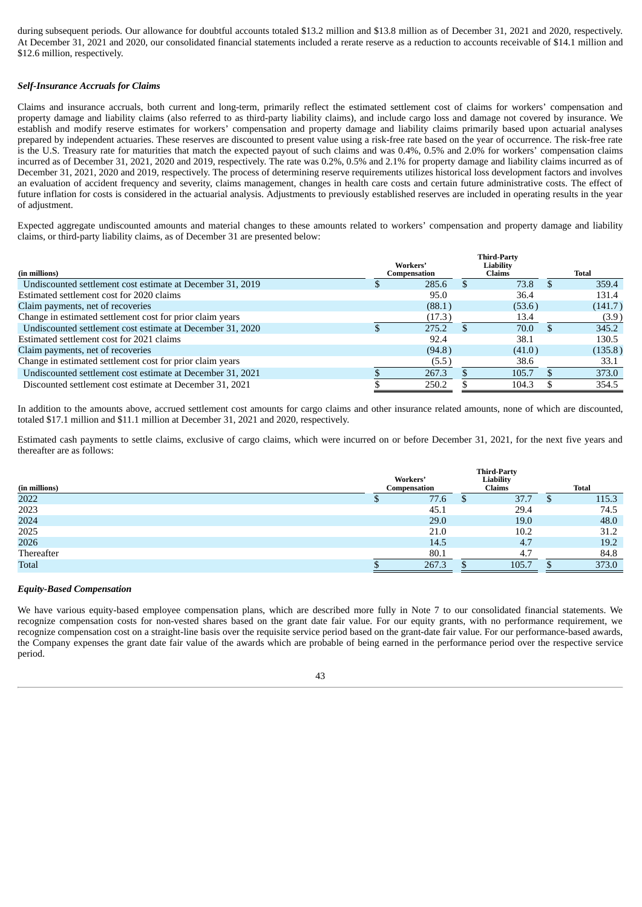during subsequent periods. Our allowance for doubtful accounts totaled \$13.2 million and \$13.8 million as of December 31, 2021 and 2020, respectively. At December 31, 2021 and 2020, our consolidated financial statements included a rerate reserve as a reduction to accounts receivable of \$14.1 million and \$12.6 million, respectively.

#### *Self-Insurance Accruals for Claims*

Claims and insurance accruals, both current and long-term, primarily reflect the estimated settlement cost of claims for workers' compensation and property damage and liability claims (also referred to as third-party liability claims), and include cargo loss and damage not covered by insurance. We establish and modify reserve estimates for workers' compensation and property damage and liability claims primarily based upon actuarial analyses prepared by independent actuaries. These reserves are discounted to present value using a risk-free rate based on the year of occurrence. The risk-free rate is the U.S. Treasury rate for maturities that match the expected payout of such claims and was 0.4%, 0.5% and 2.0% for workers' compensation claims incurred as of December 31, 2021, 2020 and 2019, respectively. The rate was 0.2%, 0.5% and 2.1% for property damage and liability claims incurred as of December 31, 2021, 2020 and 2019, respectively. The process of determining reserve requirements utilizes historical loss development factors and involves an evaluation of accident frequency and severity, claims management, changes in health care costs and certain future administrative costs. The effect of future inflation for costs is considered in the actuarial analysis. Adjustments to previously established reserves are included in operating results in the year of adjustment.

Expected aggregate undiscounted amounts and material changes to these amounts related to workers' compensation and property damage and liability claims, or third-party liability claims, as of December 31 are presented below:

|                                                            | Workers'     | <b>Third-Party</b><br>Liability |         |
|------------------------------------------------------------|--------------|---------------------------------|---------|
| (in millions)                                              | Compensation | <b>Claims</b>                   | Total   |
| Undiscounted settlement cost estimate at December 31, 2019 | 285.6        | 73.8                            | 359.4   |
| Estimated settlement cost for 2020 claims                  | 95.0         | 36.4                            | 131.4   |
| Claim payments, net of recoveries                          | (88.1)       | (53.6)                          | (141.7) |
| Change in estimated settlement cost for prior claim years  | (17.3)       | 13.4                            | (3.9)   |
| Undiscounted settlement cost estimate at December 31, 2020 | 275.2        | 70.0                            | 345.2   |
| Estimated settlement cost for 2021 claims                  | 92.4         | 38.1                            | 130.5   |
| Claim payments, net of recoveries                          | (94.8)       | (41.0)                          | (135.8) |
| Change in estimated settlement cost for prior claim years  | (5.5)        | 38.6                            | 33.1    |
| Undiscounted settlement cost estimate at December 31, 2021 | 267.3        | 105.7                           | 373.0   |
| Discounted settlement cost estimate at December 31, 2021   | 250.2        | 104.3                           | 354.5   |

In addition to the amounts above, accrued settlement cost amounts for cargo claims and other insurance related amounts, none of which are discounted, totaled \$17.1 million and \$11.1 million at December 31, 2021 and 2020, respectively.

Estimated cash payments to settle claims, exclusive of cargo claims, which were incurred on or before December 31, 2021, for the next five years and thereafter are as follows:

|               | <b>Third-Party</b><br><b>Liability</b><br>Workers' |              |   |               |    |              |
|---------------|----------------------------------------------------|--------------|---|---------------|----|--------------|
| (in millions) |                                                    | Compensation |   | <b>Claims</b> |    | <b>Total</b> |
| 2022          |                                                    | 77.6         | D | 37.7          | ۰D | 115.3        |
| 2023          |                                                    | 45.1         |   | 29.4          |    | 74.5         |
| 2024          |                                                    | 29.0         |   | 19.0          |    | 48.0         |
| 2025          |                                                    | 21.0         |   | 10.2          |    | 31.2         |
| 2026          |                                                    | 14.5         |   | 4.7           |    | 19.2         |
| Thereafter    |                                                    | 80.1         |   | 4.7           |    | 84.8         |
| Total         |                                                    | 267.3        |   | 105.7         |    | 373.0        |
|               |                                                    |              |   |               |    |              |

#### *Equity-Based Compensation*

We have various equity-based employee compensation plans, which are described more fully in Note 7 to our consolidated financial statements. We recognize compensation costs for non-vested shares based on the grant date fair value. For our equity grants, with no performance requirement, we recognize compensation cost on a straight-line basis over the requisite service period based on the grant-date fair value. For our performance-based awards, the Company expenses the grant date fair value of the awards which are probable of being earned in the performance period over the respective service period.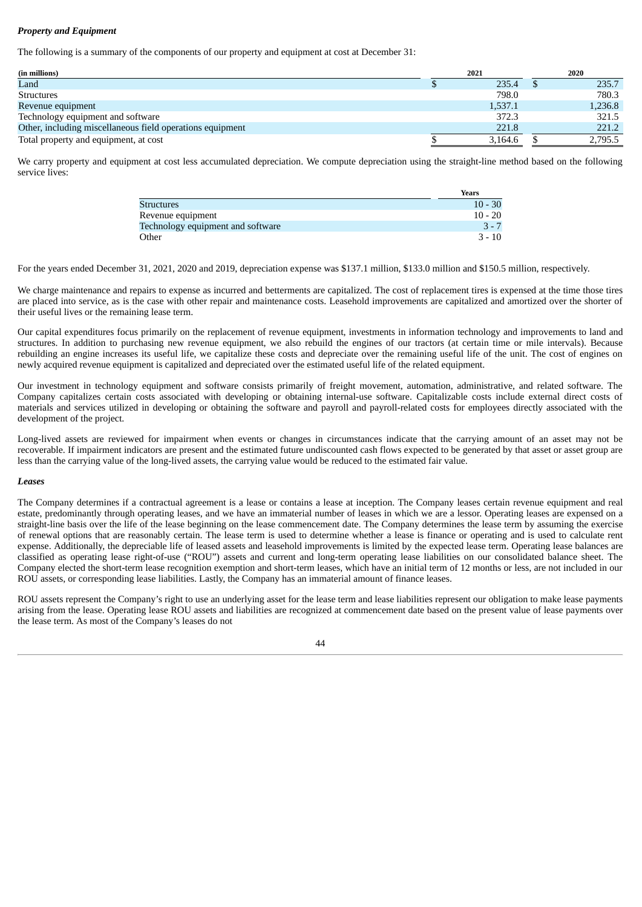### *Property and Equipment*

The following is a summary of the components of our property and equipment at cost at December 31:

| (in millions)                                             | 2021    | 2020    |
|-----------------------------------------------------------|---------|---------|
| Land                                                      | 235.4   | 235.7   |
| <b>Structures</b>                                         | 798.0   | 780.3   |
| Revenue equipment                                         | 1,537.1 | 1,236.8 |
| Technology equipment and software                         | 372.3   | 321.5   |
| Other, including miscellaneous field operations equipment | 221.8   | 221.2   |
| Total property and equipment, at cost                     | 3.164.6 | 2,795.5 |

We carry property and equipment at cost less accumulated depreciation. We compute depreciation using the straight-line method based on the following service lives:

|                                   | Years     |
|-----------------------------------|-----------|
| <b>Structures</b>                 | $10 - 30$ |
| Revenue equipment                 | $10 - 20$ |
| Technology equipment and software | $3 - 7$   |
| Other                             | $3 - 10$  |

For the years ended December 31, 2021, 2020 and 2019, depreciation expense was \$137.1 million, \$133.0 million and \$150.5 million, respectively.

We charge maintenance and repairs to expense as incurred and betterments are capitalized. The cost of replacement tires is expensed at the time those tires are placed into service, as is the case with other repair and maintenance costs. Leasehold improvements are capitalized and amortized over the shorter of their useful lives or the remaining lease term.

Our capital expenditures focus primarily on the replacement of revenue equipment, investments in information technology and improvements to land and structures. In addition to purchasing new revenue equipment, we also rebuild the engines of our tractors (at certain time or mile intervals). Because rebuilding an engine increases its useful life, we capitalize these costs and depreciate over the remaining useful life of the unit. The cost of engines on newly acquired revenue equipment is capitalized and depreciated over the estimated useful life of the related equipment.

Our investment in technology equipment and software consists primarily of freight movement, automation, administrative, and related software. The Company capitalizes certain costs associated with developing or obtaining internal-use software. Capitalizable costs include external direct costs of materials and services utilized in developing or obtaining the software and payroll and payroll-related costs for employees directly associated with the development of the project.

Long-lived assets are reviewed for impairment when events or changes in circumstances indicate that the carrying amount of an asset may not be recoverable. If impairment indicators are present and the estimated future undiscounted cash flows expected to be generated by that asset or asset group are less than the carrying value of the long-lived assets, the carrying value would be reduced to the estimated fair value.

#### *Leases*

The Company determines if a contractual agreement is a lease or contains a lease at inception. The Company leases certain revenue equipment and real estate, predominantly through operating leases, and we have an immaterial number of leases in which we are a lessor. Operating leases are expensed on a straight-line basis over the life of the lease beginning on the lease commencement date. The Company determines the lease term by assuming the exercise of renewal options that are reasonably certain. The lease term is used to determine whether a lease is finance or operating and is used to calculate rent expense. Additionally, the depreciable life of leased assets and leasehold improvements is limited by the expected lease term. Operating lease balances are classified as operating lease right-of-use ("ROU") assets and current and long-term operating lease liabilities on our consolidated balance sheet. The Company elected the short-term lease recognition exemption and short-term leases, which have an initial term of 12 months or less, are not included in our ROU assets, or corresponding lease liabilities. Lastly, the Company has an immaterial amount of finance leases.

ROU assets represent the Company's right to use an underlying asset for the lease term and lease liabilities represent our obligation to make lease payments arising from the lease. Operating lease ROU assets and liabilities are recognized at commencement date based on the present value of lease payments over the lease term. As most of the Company's leases do not

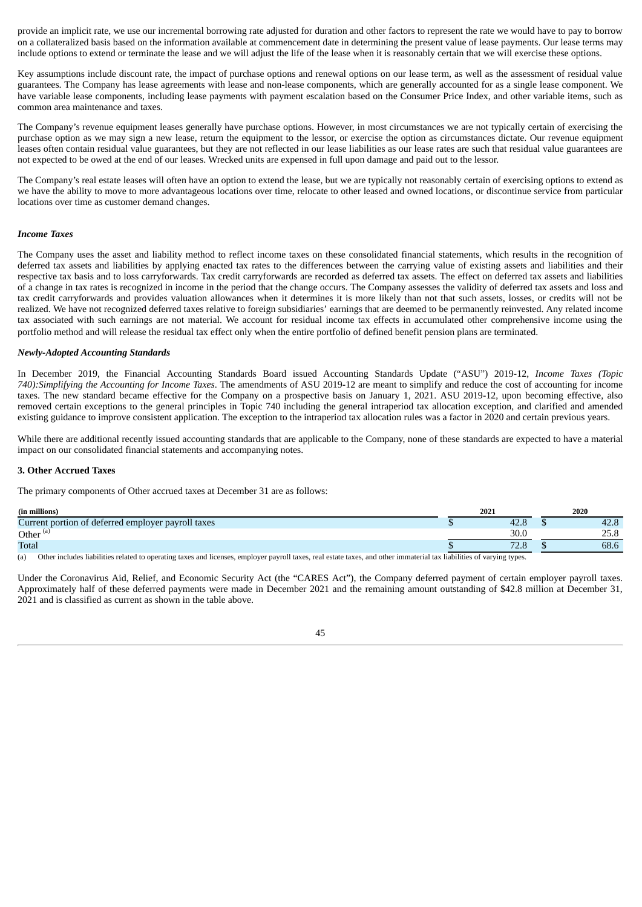provide an implicit rate, we use our incremental borrowing rate adjusted for duration and other factors to represent the rate we would have to pay to borrow on a collateralized basis based on the information available at commencement date in determining the present value of lease payments. Our lease terms may include options to extend or terminate the lease and we will adjust the life of the lease when it is reasonably certain that we will exercise these options.

Key assumptions include discount rate, the impact of purchase options and renewal options on our lease term, as well as the assessment of residual value guarantees. The Company has lease agreements with lease and non-lease components, which are generally accounted for as a single lease component. We have variable lease components, including lease payments with payment escalation based on the Consumer Price Index, and other variable items, such as common area maintenance and taxes.

The Company's revenue equipment leases generally have purchase options. However, in most circumstances we are not typically certain of exercising the purchase option as we may sign a new lease, return the equipment to the lessor, or exercise the option as circumstances dictate. Our revenue equipment leases often contain residual value guarantees, but they are not reflected in our lease liabilities as our lease rates are such that residual value guarantees are not expected to be owed at the end of our leases. Wrecked units are expensed in full upon damage and paid out to the lessor.

The Company's real estate leases will often have an option to extend the lease, but we are typically not reasonably certain of exercising options to extend as we have the ability to move to more advantageous locations over time, relocate to other leased and owned locations, or discontinue service from particular locations over time as customer demand changes.

#### *Income Taxes*

The Company uses the asset and liability method to reflect income taxes on these consolidated financial statements, which results in the recognition of deferred tax assets and liabilities by applying enacted tax rates to the differences between the carrying value of existing assets and liabilities and their respective tax basis and to loss carryforwards. Tax credit carryforwards are recorded as deferred tax assets. The effect on deferred tax assets and liabilities of a change in tax rates is recognized in income in the period that the change occurs. The Company assesses the validity of deferred tax assets and loss and tax credit carryforwards and provides valuation allowances when it determines it is more likely than not that such assets, losses, or credits will not be realized. We have not recognized deferred taxes relative to foreign subsidiaries' earnings that are deemed to be permanently reinvested. Any related income tax associated with such earnings are not material. We account for residual income tax effects in accumulated other comprehensive income using the portfolio method and will release the residual tax effect only when the entire portfolio of defined benefit pension plans are terminated.

#### *Newly-Adopted Accounting Standards*

In December 2019, the Financial Accounting Standards Board issued Accounting Standards Update ("ASU") 2019-12, *Income Taxes (Topic 740):Simplifying the Accounting for Income Taxes*. The amendments of ASU 2019-12 are meant to simplify and reduce the cost of accounting for income taxes. The new standard became effective for the Company on a prospective basis on January 1, 2021. ASU 2019-12, upon becoming effective, also removed certain exceptions to the general principles in Topic 740 including the general intraperiod tax allocation exception, and clarified and amended existing guidance to improve consistent application. The exception to the intraperiod tax allocation rules was a factor in 2020 and certain previous years.

While there are additional recently issued accounting standards that are applicable to the Company, none of these standards are expected to have a material impact on our consolidated financial statements and accompanying notes.

### **3. Other Accrued Taxes**

The primary components of Other accrued taxes at December 31 are as follows:

| (in millions)                                      | 2021                     | 2020         |
|----------------------------------------------------|--------------------------|--------------|
| Current portion of deferred employer payroll taxes | 42.8                     | 42.O         |
| Other <sup>(a)</sup>                               | 30.0                     | ס בר<br>20.O |
| Total                                              | $\blacksquare$<br>$\sim$ | 68.6         |
| .<br>$\sim$ $\sim$<br>.                            | .                        |              |

(a) Other includes liabilities related to operating taxes and licenses, employer payroll taxes, real estate taxes, and other immaterial tax liabilities of varying types.

Under the Coronavirus Aid, Relief, and Economic Security Act (the "CARES Act"), the Company deferred payment of certain employer payroll taxes. Approximately half of these deferred payments were made in December 2021 and the remaining amount outstanding of \$42.8 million at December 31, 2021 and is classified as current as shown in the table above.

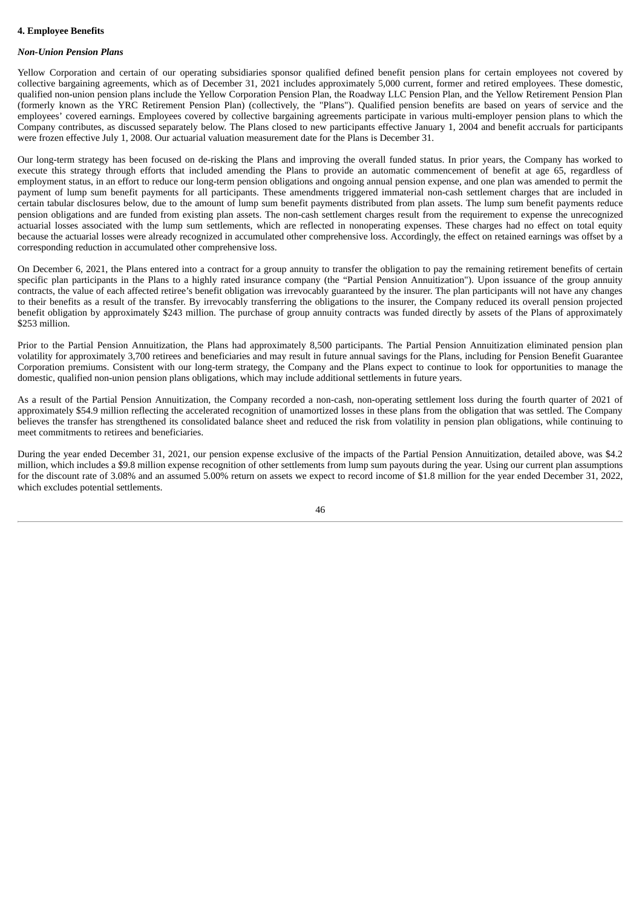#### **4. Employee Benefits**

#### *Non-Union Pension Plans*

Yellow Corporation and certain of our operating subsidiaries sponsor qualified defined benefit pension plans for certain employees not covered by collective bargaining agreements, which as of December 31, 2021 includes approximately 5,000 current, former and retired employees. These domestic, qualified non-union pension plans include the Yellow Corporation Pension Plan, the Roadway LLC Pension Plan, and the Yellow Retirement Pension Plan (formerly known as the YRC Retirement Pension Plan) (collectively, the "Plans"). Qualified pension benefits are based on years of service and the employees' covered earnings. Employees covered by collective bargaining agreements participate in various multi-employer pension plans to which the Company contributes, as discussed separately below. The Plans closed to new participants effective January 1, 2004 and benefit accruals for participants were frozen effective July 1, 2008. Our actuarial valuation measurement date for the Plans is December 31.

Our long-term strategy has been focused on de-risking the Plans and improving the overall funded status. In prior years, the Company has worked to execute this strategy through efforts that included amending the Plans to provide an automatic commencement of benefit at age 65, regardless of employment status, in an effort to reduce our long-term pension obligations and ongoing annual pension expense, and one plan was amended to permit the payment of lump sum benefit payments for all participants. These amendments triggered immaterial non-cash settlement charges that are included in certain tabular disclosures below, due to the amount of lump sum benefit payments distributed from plan assets. The lump sum benefit payments reduce pension obligations and are funded from existing plan assets. The non-cash settlement charges result from the requirement to expense the unrecognized actuarial losses associated with the lump sum settlements, which are reflected in nonoperating expenses. These charges had no effect on total equity because the actuarial losses were already recognized in accumulated other comprehensive loss. Accordingly, the effect on retained earnings was offset by a corresponding reduction in accumulated other comprehensive loss.

On December 6, 2021, the Plans entered into a contract for a group annuity to transfer the obligation to pay the remaining retirement benefits of certain specific plan participants in the Plans to a highly rated insurance company (the "Partial Pension Annuitization"). Upon issuance of the group annuity contracts, the value of each affected retiree's benefit obligation was irrevocably guaranteed by the insurer. The plan participants will not have any changes to their benefits as a result of the transfer. By irrevocably transferring the obligations to the insurer, the Company reduced its overall pension projected benefit obligation by approximately \$243 million. The purchase of group annuity contracts was funded directly by assets of the Plans of approximately \$253 million.

Prior to the Partial Pension Annuitization, the Plans had approximately 8,500 participants. The Partial Pension Annuitization eliminated pension plan volatility for approximately 3,700 retirees and beneficiaries and may result in future annual savings for the Plans, including for Pension Benefit Guarantee Corporation premiums. Consistent with our long-term strategy, the Company and the Plans expect to continue to look for opportunities to manage the domestic, qualified non-union pension plans obligations, which may include additional settlements in future years.

As a result of the Partial Pension Annuitization, the Company recorded a non-cash, non-operating settlement loss during the fourth quarter of 2021 of approximately \$54.9 million reflecting the accelerated recognition of unamortized losses in these plans from the obligation that was settled. The Company believes the transfer has strengthened its consolidated balance sheet and reduced the risk from volatility in pension plan obligations, while continuing to meet commitments to retirees and beneficiaries.

During the year ended December 31, 2021, our pension expense exclusive of the impacts of the Partial Pension Annuitization, detailed above, was \$4.2 million, which includes a \$9.8 million expense recognition of other settlements from lump sum payouts during the year. Using our current plan assumptions for the discount rate of 3.08% and an assumed 5.00% return on assets we expect to record income of \$1.8 million for the year ended December 31, 2022, which excludes potential settlements.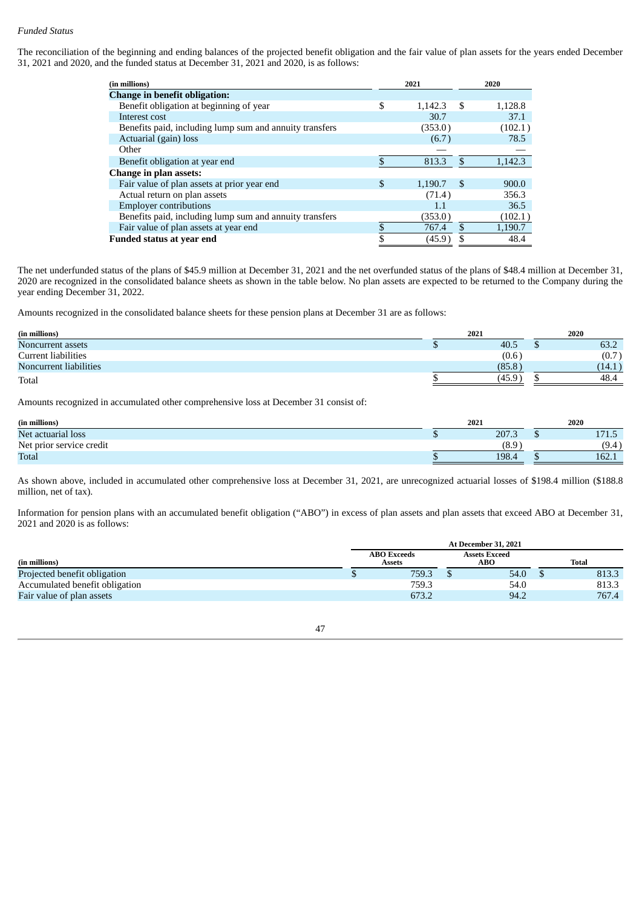### *Funded Status*

The reconciliation of the beginning and ending balances of the projected benefit obligation and the fair value of plan assets for the years ended December 31, 2021 and 2020, and the funded status at December 31, 2021 and 2020, is as follows:

| (in millions)                                           | 2021 |         |     | 2020    |
|---------------------------------------------------------|------|---------|-----|---------|
| <b>Change in benefit obligation:</b>                    |      |         |     |         |
| Benefit obligation at beginning of year                 | \$   | 1,142.3 | -S  | 1,128.8 |
| Interest cost                                           |      | 30.7    |     | 37.1    |
| Benefits paid, including lump sum and annuity transfers |      | (353.0) |     | (102.1) |
| Actuarial (gain) loss                                   |      | (6.7)   |     | 78.5    |
| Other                                                   |      |         |     |         |
| Benefit obligation at year end                          |      | 813.3   |     | 1,142.3 |
| Change in plan assets:                                  |      |         |     |         |
| Fair value of plan assets at prior year end             | \$   | 1.190.7 | -S  | 900.0   |
| Actual return on plan assets                            |      | (71.4)  |     | 356.3   |
| <b>Employer contributions</b>                           |      | 1.1     |     | 36.5    |
| Benefits paid, including lump sum and annuity transfers |      | (353.0) |     | (102.1) |
| Fair value of plan assets at year end                   | \$   | 767.4   | \$. | 1,190.7 |
| Funded status at year end                               | \$   | (45.9)  |     | 48.4    |

The net underfunded status of the plans of \$45.9 million at December 31, 2021 and the net overfunded status of the plans of \$48.4 million at December 31, 2020 are recognized in the consolidated balance sheets as shown in the table below. No plan assets are expected to be returned to the Company during the year ending December 31, 2022.

Amounts recognized in the consolidated balance sheets for these pension plans at December 31 are as follows:

| (in millions)              | 2021   |   | 2020   |
|----------------------------|--------|---|--------|
| Noncurrent assets          | 40.5   | w | 63.2   |
| <b>Current liabilities</b> | (0.6)  |   | (0.7)  |
| Noncurrent liabilities     | (85.8) |   | (14.1) |
| Total                      | (45.9) |   | 48.4   |

Amounts recognized in accumulated other comprehensive loss at December 31 consist of:

| (in millions)            | 2021  | 2020                 |
|--------------------------|-------|----------------------|
| Net actuarial loss       | 207.3 | 171 E<br><b>TIT'</b> |
| Net prior service credit | (8.9) | (9.4)                |
| <b>Total</b>             | 198.4 | 162.1                |

As shown above, included in accumulated other comprehensive loss at December 31, 2021, are unrecognized actuarial losses of \$198.4 million (\$188.8 million, net of tax).

Information for pension plans with an accumulated benefit obligation ("ABO") in excess of plan assets and plan assets that exceed ABO at December 31, 2021 and 2020 is as follows:

|                                |                                     | <b>At December 31, 2021</b> |       |
|--------------------------------|-------------------------------------|-----------------------------|-------|
| (in millions)                  | <b>ABO</b> Exceeds<br><b>Assets</b> | <b>Assets Exceed</b><br>ABO | Total |
| Projected benefit obligation   | 759.3                               | 54.0                        | 813.3 |
| Accumulated benefit obligation | 759.3                               | 54.0                        | 813.3 |
| Fair value of plan assets      | 673.2                               | 94.2                        | 767.4 |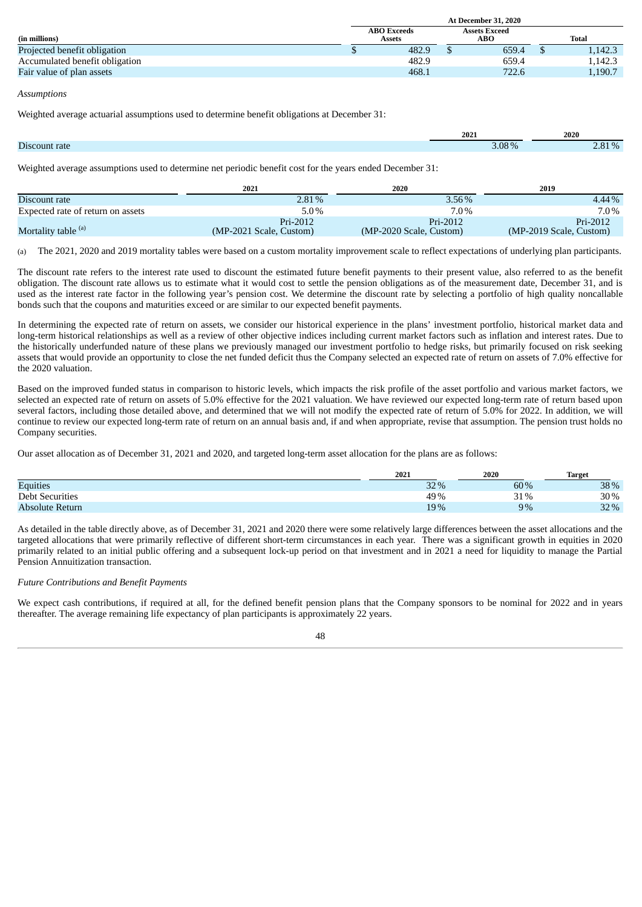|                                  | <b>At December 31, 2020</b> |                                     |  |                             |  |              |  |  |  |  |
|----------------------------------|-----------------------------|-------------------------------------|--|-----------------------------|--|--------------|--|--|--|--|
| (in millions)                    |                             | <b>ABO</b> Exceeds<br><b>Assets</b> |  | <b>Assets Exceed</b><br>ABO |  | <b>Total</b> |  |  |  |  |
| Projected benefit obligation     |                             | 482.9                               |  | 659.4                       |  | 1,142.3      |  |  |  |  |
| Accumulated benefit obligation   |                             | 482.9                               |  | 659.4                       |  | 1,142.3      |  |  |  |  |
| <b>Fair value of plan assets</b> |                             | 468.1                               |  | 722.6                       |  | 1,190.7      |  |  |  |  |

*Assumptions*

Weighted average actuarial assumptions used to determine benefit obligations at December 31:

|               | 2021  | 2020           |
|---------------|-------|----------------|
| Discount rate | 3.08% | $\Omega$<br>70 |
|               |       |                |

Weighted average assumptions used to determine net periodic benefit cost for the years ended December 31:

|                                   | 2021                      | 2020                      | 2019                    |
|-----------------------------------|---------------------------|---------------------------|-------------------------|
| Discount rate                     | 2.81%                     | $3.56\%$                  | 4.44%                   |
| Expected rate of return on assets | $5.0\%$                   | 7.0%                      | 7.0%                    |
|                                   | Pri-2012                  | Pri-2012                  | Pri-2012                |
| Mortality table (a)               | $(MP-2021$ Scale, Custom) | $(MP-2020$ Scale, Custom) | (MP-2019 Scale, Custom) |

(a) The 2021, 2020 and 2019 mortality tables were based on a custom mortality improvement scale to reflect expectations of underlying plan participants.

The discount rate refers to the interest rate used to discount the estimated future benefit payments to their present value, also referred to as the benefit obligation. The discount rate allows us to estimate what it would cost to settle the pension obligations as of the measurement date, December 31, and is used as the interest rate factor in the following year's pension cost. We determine the discount rate by selecting a portfolio of high quality noncallable bonds such that the coupons and maturities exceed or are similar to our expected benefit payments.

In determining the expected rate of return on assets, we consider our historical experience in the plans' investment portfolio, historical market data and long-term historical relationships as well as a review of other objective indices including current market factors such as inflation and interest rates. Due to the historically underfunded nature of these plans we previously managed our investment portfolio to hedge risks, but primarily focused on risk seeking assets that would provide an opportunity to close the net funded deficit thus the Company selected an expected rate of return on assets of 7.0% effective for the 2020 valuation.

Based on the improved funded status in comparison to historic levels, which impacts the risk profile of the asset portfolio and various market factors, we selected an expected rate of return on assets of 5.0% effective for the 2021 valuation. We have reviewed our expected long-term rate of return based upon several factors, including those detailed above, and determined that we will not modify the expected rate of return of 5.0% for 2022. In addition, we will continue to review our expected long-term rate of return on an annual basis and, if and when appropriate, revise that assumption. The pension trust holds no Company securities.

Our asset allocation as of December 31, 2021 and 2020, and targeted long-term asset allocation for the plans are as follows:

|                        | 2021 | 2020 | Target |
|------------------------|------|------|--------|
| <b>Equities</b>        | 32%  | 60%  | 38%    |
| <b>Debt Securities</b> | 49%  | 31%  | 30%    |
| <b>Absolute Return</b> | 19%  | 9%   | 32%    |

As detailed in the table directly above, as of December 31, 2021 and 2020 there were some relatively large differences between the asset allocations and the targeted allocations that were primarily reflective of different short-term circumstances in each year. There was a significant growth in equities in 2020 primarily related to an initial public offering and a subsequent lock-up period on that investment and in 2021 a need for liquidity to manage the Partial Pension Annuitization transaction.

### *Future Contributions and Benefit Payments*

We expect cash contributions, if required at all, for the defined benefit pension plans that the Company sponsors to be nominal for 2022 and in years thereafter. The average remaining life expectancy of plan participants is approximately 22 years.

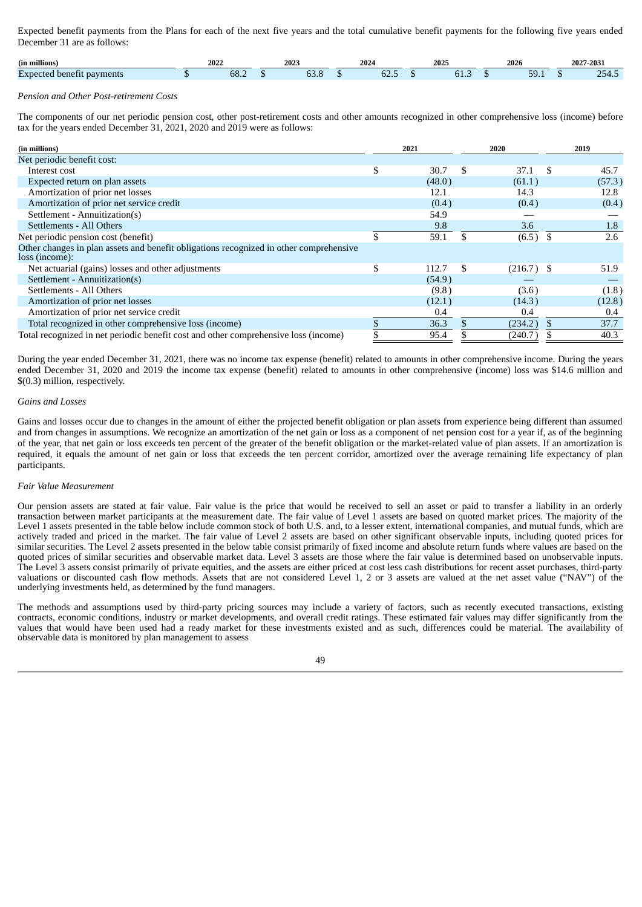Expected benefit payments from the Plans for each of the next five years and the total cumulative benefit payments for the following five years ended December 31 are as follows:

| <br>$\overline{\phantom{a}}$<br>ı millione<br>1 i n | 2022             | 2023 | 2024            | 2025 |   | 2026 | 2027-<br>-2031 |
|-----------------------------------------------------|------------------|------|-----------------|------|---|------|----------------|
| Expec<br>'ent.                                      | co<br><b>bo.</b> | ,,,, | $\sim$<br>ں ۔ ب |      | . | ---  | ----           |

#### *Pension and Other Post-retirement Costs*

The components of our net periodic pension cost, other post-retirement costs and other amounts recognized in other comprehensive loss (income) before tax for the years ended December 31, 2021, 2020 and 2019 were as follows:

| (in millions)                                                                                            |    | 2021   |    | 2020         |     | 2019   |
|----------------------------------------------------------------------------------------------------------|----|--------|----|--------------|-----|--------|
| Net periodic benefit cost:                                                                               |    |        |    |              |     |        |
| Interest cost                                                                                            | S  | 30.7   | S  | 37.1         | -\$ | 45.7   |
| Expected return on plan assets                                                                           |    | (48.0) |    | (61.1)       |     | (57.3) |
| Amortization of prior net losses                                                                         |    | 12.1   |    | 14.3         |     | 12.8   |
| Amortization of prior net service credit                                                                 |    | (0.4)  |    | (0.4)        |     | (0.4)  |
| Settlement - Annuitization(s)                                                                            |    | 54.9   |    |              |     |        |
| Settlements - All Others                                                                                 |    | 9.8    |    | 3.6          |     | 1.8    |
| Net periodic pension cost (benefit)                                                                      |    | 59.1   |    | $(6.5)$ \$   |     | 2.6    |
| Other changes in plan assets and benefit obligations recognized in other comprehensive<br>loss (income): |    |        |    |              |     |        |
| Net actuarial (gains) losses and other adjustments                                                       | \$ | 112.7  | £. | $(216.7)$ \$ |     | 51.9   |
| Settlement - Annuitization(s)                                                                            |    | (54.9) |    |              |     |        |
| Settlements - All Others                                                                                 |    | (9.8)  |    | (3.6)        |     | (1.8)  |
| Amortization of prior net losses                                                                         |    | (12.1) |    | (14.3)       |     | (12.8) |
| Amortization of prior net service credit                                                                 |    | 0.4    |    | 0.4          |     | 0.4    |
| Total recognized in other comprehensive loss (income)                                                    |    | 36.3   |    | (234.2)      | -S  | 37.7   |
| Total recognized in net periodic benefit cost and other comprehensive loss (income)                      |    | 95.4   |    | (240.7)      |     | 40.3   |

During the year ended December 31, 2021, there was no income tax expense (benefit) related to amounts in other comprehensive income. During the years ended December 31, 2020 and 2019 the income tax expense (benefit) related to amounts in other comprehensive (income) loss was \$14.6 million and \$(0.3) million, respectively.

#### *Gains and Losses*

Gains and losses occur due to changes in the amount of either the projected benefit obligation or plan assets from experience being different than assumed and from changes in assumptions. We recognize an amortization of the net gain or loss as a component of net pension cost for a year if, as of the beginning of the year, that net gain or loss exceeds ten percent of the greater of the benefit obligation or the market-related value of plan assets. If an amortization is required, it equals the amount of net gain or loss that exceeds the ten percent corridor, amortized over the average remaining life expectancy of plan participants.

#### *Fair Value Measurement*

Our pension assets are stated at fair value. Fair value is the price that would be received to sell an asset or paid to transfer a liability in an orderly transaction between market participants at the measurement date. The fair value of Level 1 assets are based on quoted market prices. The majority of the Level 1 assets presented in the table below include common stock of both U.S. and, to a lesser extent, international companies, and mutual funds, which are actively traded and priced in the market. The fair value of Level 2 assets are based on other significant observable inputs, including quoted prices for similar securities. The Level 2 assets presented in the below table consist primarily of fixed income and absolute return funds where values are based on the quoted prices of similar securities and observable market data. Level 3 assets are those where the fair value is determined based on unobservable inputs. The Level 3 assets consist primarily of private equities, and the assets are either priced at cost less cash distributions for recent asset purchases, third-party valuations or discounted cash flow methods. Assets that are not considered Level 1, 2 or 3 assets are valued at the net asset value ("NAV") of the underlying investments held, as determined by the fund managers.

The methods and assumptions used by third-party pricing sources may include a variety of factors, such as recently executed transactions, existing contracts, economic conditions, industry or market developments, and overall credit ratings. These estimated fair values may differ significantly from the values that would have been used had a ready market for these investments existed and as such, differences could be material. The availability of observable data is monitored by plan management to assess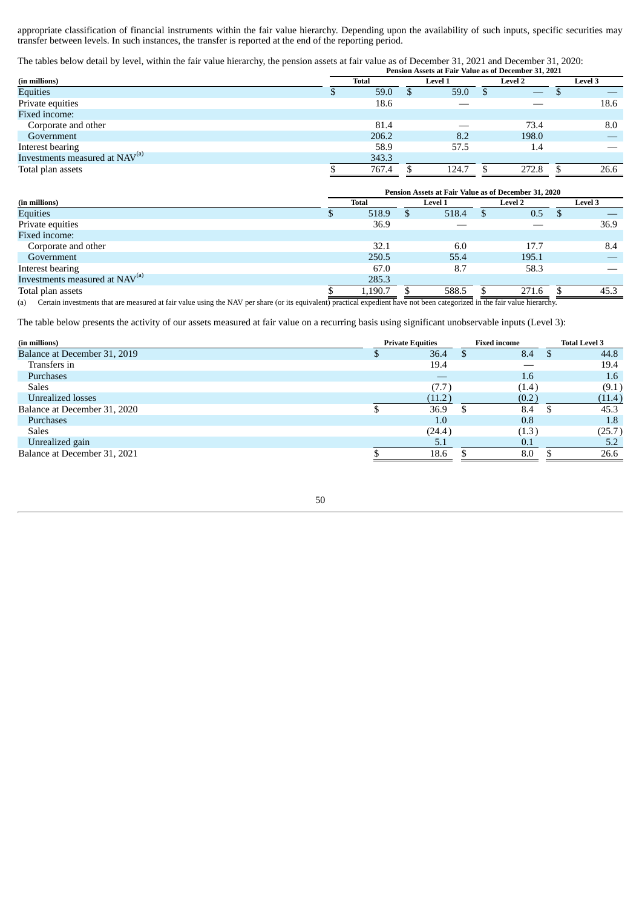appropriate classification of financial instruments within the fair value hierarchy. Depending upon the availability of such inputs, specific securities may transfer between levels. In such instances, the transfer is reported at the end of the reporting period.

The tables below detail by level, within the fair value hierarchy, the pension assets at fair value as of December 31, 2021 and December 31, 2020:

|                                            | Pension Assets at Fair Value as of December 31, 2021 |       |                |       |                |       |  |         |
|--------------------------------------------|------------------------------------------------------|-------|----------------|-------|----------------|-------|--|---------|
| (in millions)                              | Total                                                |       | <b>Level 1</b> |       | <b>Level 2</b> |       |  | Level 3 |
| <b>Equities</b>                            |                                                      | 59.0  | -S             | 59.0  |                |       |  |         |
| Private equities                           |                                                      | 18.6  |                |       |                |       |  | 18.6    |
| Fixed income:                              |                                                      |       |                |       |                |       |  |         |
| Corporate and other                        |                                                      | 81.4  |                |       |                | 73.4  |  | 8.0     |
| Government                                 |                                                      | 206.2 |                | 8.2   |                | 198.0 |  |         |
| Interest bearing                           |                                                      | 58.9  |                | 57.5  |                | 1.4   |  |         |
| Investments measured at NAV <sup>(a)</sup> |                                                      | 343.3 |                |       |                |       |  |         |
| Total plan assets                          |                                                      | 767.4 |                | 124.7 |                | 272.8 |  | 26.6    |

|                                            |  |              | Pension Assets at Fair Value as of December 31, 2020 |  |                |  |                |
|--------------------------------------------|--|--------------|------------------------------------------------------|--|----------------|--|----------------|
| (in millions)                              |  | <b>Total</b> | Level 1                                              |  | <b>Level 2</b> |  | <b>Level 3</b> |
| <b>Equities</b>                            |  | 518.9        | 518.4                                                |  | 0.5            |  |                |
| Private equities                           |  | 36.9         |                                                      |  |                |  | 36.9           |
| Fixed income:                              |  |              |                                                      |  |                |  |                |
| Corporate and other                        |  | 32.1         | 6.0                                                  |  | 17.7           |  | 8.4            |
| Government                                 |  | 250.5        | 55.4                                                 |  | 195.1          |  |                |
| Interest bearing                           |  | 67.0         | 8.7                                                  |  | 58.3           |  |                |
| Investments measured at NAV <sup>(a)</sup> |  | 285.3        |                                                      |  |                |  |                |
| Total plan assets                          |  | 1,190.7      | 588.5                                                |  | 271.6          |  | 45.3           |

(a) Certain investments that are measured at fair value using the NAV per share (or its equivalent) practical expedient have not been categorized in the fair value hierarchy.

The table below presents the activity of our assets measured at fair value on a recurring basis using significant unobservable inputs (Level 3):

| (in millions)                | <b>Private Equities</b> |        |  | <b>Fixed income</b> | <b>Total Level 3</b> |  |
|------------------------------|-------------------------|--------|--|---------------------|----------------------|--|
| Balance at December 31, 2019 |                         | 36.4   |  | 8.4                 | 44.8                 |  |
| Transfers in                 |                         | 19.4   |  |                     | 19.4                 |  |
| Purchases                    |                         | __     |  | 1.6                 | 1.6                  |  |
| <b>Sales</b>                 |                         | (7.7)  |  | (1.4)               | (9.1)                |  |
| Unrealized losses            |                         | (11.2) |  | (0.2)               | (11.4)               |  |
| Balance at December 31, 2020 |                         | 36.9   |  | 8.4                 | 45.3                 |  |
| Purchases                    |                         | 1.0    |  | 0.8                 | 1.8                  |  |
| <b>Sales</b>                 |                         | (24.4) |  | (1.3)               | (25.7)               |  |
| Unrealized gain              |                         | 5.1    |  | 0.1                 | 5.2                  |  |
| Balance at December 31, 2021 |                         | 18.6   |  | 8.0                 | 26.6                 |  |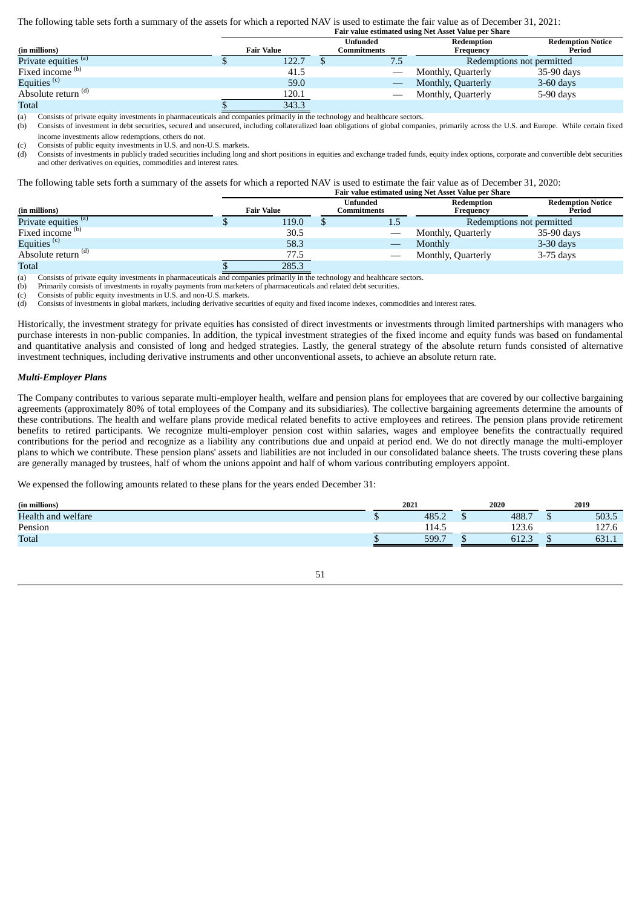The following table sets forth a summary of the assets for which a reported NAV is used to estimate the fair value as of December 31, 2021: **Fair value estimated using Net Asset Value per Share**

|                                 | r an vanit committed asing rut risset vanit per share |                   |  |                         |                           |                                    |  |  |  |  |  |
|---------------------------------|-------------------------------------------------------|-------------------|--|-------------------------|---------------------------|------------------------------------|--|--|--|--|--|
| (in millions)                   |                                                       | <b>Fair Value</b> |  | Unfunded<br>Commitments | Redemption<br>Frequency   | <b>Redemption Notice</b><br>Period |  |  |  |  |  |
| Private equities <sup>(a)</sup> |                                                       | 122.7             |  | 7.5                     | Redemptions not permitted |                                    |  |  |  |  |  |
| Fixed income <sup>(b)</sup>     |                                                       | 41.5              |  |                         | Monthly, Quarterly        | 35-90 days                         |  |  |  |  |  |
| Equities <sup>(c)</sup>         |                                                       | 59.0              |  |                         | Monthly, Quarterly        | $3-60$ days                        |  |  |  |  |  |
| Absolute return <sup>(d)</sup>  |                                                       | 120.1             |  |                         | Monthly, Quarterly        | $5-90$ days                        |  |  |  |  |  |
| <b>Total</b>                    |                                                       | 343.3             |  |                         |                           |                                    |  |  |  |  |  |

(a) Consists of private equity investments in pharmaceuticals and companies primarily in the technology and healthcare sectors.

(b) Consists of investment in debt securities, secured and unsecured, including collateralized loan obligations of global companies, primarily across the U.S. and Europe. While certain fixed income investments allow redemptions, others do not.

(c) Consists of public equity investments in U.S. and non-U.S. markets.

(d) Consists of investments in publicly traded securities including long and short positions in equities and exchange traded funds, equity index options, corporate and convertible debt securities and other derivatives on equities, commodities and interest rates.

The following table sets forth a summary of the assets for which a reported NAV is used to estimate the fair value as of December 31, 2020:

|                                 |                   |       | Fair value estimated using Net Asset Value per Share |                         |                           |                                    |  |  |  |  |  |
|---------------------------------|-------------------|-------|------------------------------------------------------|-------------------------|---------------------------|------------------------------------|--|--|--|--|--|
| (in millions)                   | <b>Fair Value</b> |       |                                                      | Unfunded<br>Commitments | Redemption<br>Frequency   | <b>Redemption Notice</b><br>Period |  |  |  |  |  |
| Private equities <sup>(a)</sup> |                   | 119.0 |                                                      | L.5                     | Redemptions not permitted |                                    |  |  |  |  |  |
| Fixed income <sup>(b)</sup>     |                   | 30.5  |                                                      |                         | Monthly, Quarterly        | 35-90 days                         |  |  |  |  |  |
| Equities <sup>(c)</sup>         |                   | 58.3  |                                                      |                         | Monthly                   | $3-30$ days                        |  |  |  |  |  |
| Absolute return <sup>(d)</sup>  |                   | 77.5  |                                                      |                         | Monthly, Quarterly        | 3-75 days                          |  |  |  |  |  |
| Total                           |                   | 285.3 |                                                      |                         |                           |                                    |  |  |  |  |  |

(a) Consists of private equity investments in pharmaceuticals and companies primarily in the technology and healthcare sectors.

(b) Primarily consists of investments in royalty payments from marketers of pharmaceuticals and related debt securities.

(c) Consists of public equity investments in U.S. and non-U.S. markets.

Consists of investments in global markets, including derivative securities of equity and fixed income indexes, commodities and interest rates.

Historically, the investment strategy for private equities has consisted of direct investments or investments through limited partnerships with managers who purchase interests in non-public companies. In addition, the typical investment strategies of the fixed income and equity funds was based on fundamental and quantitative analysis and consisted of long and hedged strategies. Lastly, the general strategy of the absolute return funds consisted of alternative investment techniques, including derivative instruments and other unconventional assets, to achieve an absolute return rate.

#### *Multi-Employer Plans*

The Company contributes to various separate multi-employer health, welfare and pension plans for employees that are covered by our collective bargaining agreements (approximately 80% of total employees of the Company and its subsidiaries). The collective bargaining agreements determine the amounts of these contributions. The health and welfare plans provide medical related benefits to active employees and retirees. The pension plans provide retirement benefits to retired participants. We recognize multi-employer pension cost within salaries, wages and employee benefits the contractually required contributions for the period and recognize as a liability any contributions due and unpaid at period end. We do not directly manage the multi-employer plans to which we contribute. These pension plans' assets and liabilities are not included in our consolidated balance sheets. The trusts covering these plans are generally managed by trustees, half of whom the unions appoint and half of whom various contributing employers appoint.

We expensed the following amounts related to these plans for the years ended December 31:

| (in millions)      | 2021 |       |  | 2020            | 2019 |                        |  |
|--------------------|------|-------|--|-----------------|------|------------------------|--|
| Health and welfare |      | 485.2 |  | 488.7           | ╜    | 503.5                  |  |
| Pension            |      | 114.5 |  | $\sim$<br>140.U |      | 27c<br>147.U           |  |
| Total              |      | 599.7 |  | 612.3           | - 12 | ር ጋ 1<br><b>D</b> 2T.T |  |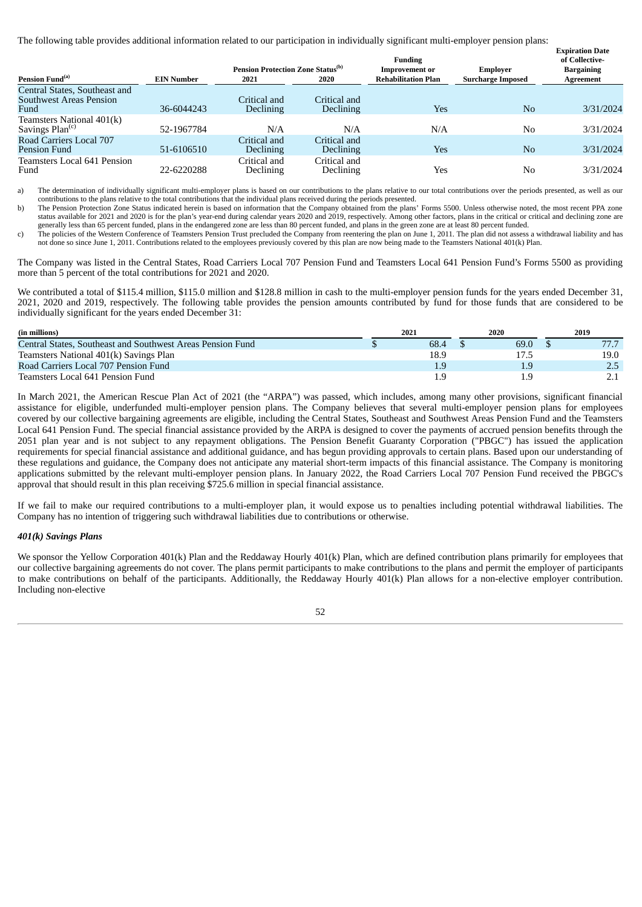The following table provides additional information related to our participation in individually significant multi-employer pension plans:

|                                                                         |                   | Pension Protection Zone Status <sup>(b)</sup> |                                  | Funding<br><b>Improvement</b> or | Employer                 | <b>Expiration Date</b><br>of Collective-<br><b>Bargaining</b> |
|-------------------------------------------------------------------------|-------------------|-----------------------------------------------|----------------------------------|----------------------------------|--------------------------|---------------------------------------------------------------|
| Pension Fund <sup>(a)</sup>                                             | <b>EIN Number</b> | 2021                                          | 2020                             | <b>Rehabilitation Plan</b>       | <b>Surcharge Imposed</b> | <b>Agreement</b>                                              |
| Central States, Southeast and<br><b>Southwest Areas Pension</b><br>Fund | 36-6044243        | Critical and<br><b>Declining</b>              | Critical and<br><b>Declining</b> | Yes                              | N <sub>o</sub>           | 3/31/2024                                                     |
| Teamsters National 401(k)<br>Savings Plan <sup>(c)</sup>                | 52-1967784        | N/A                                           | N/A                              | N/A                              | No                       | 3/31/2024                                                     |
| Road Carriers Local 707<br>Pension Fund                                 | 51-6106510        | Critical and<br>Declining                     | Critical and<br><b>Declining</b> | Yes                              | N <sub>o</sub>           | 3/31/2024                                                     |
| Teamsters Local 641 Pension<br>Fund                                     | 22-6220288        | Critical and<br>Declining                     | Critical and<br>Declining        | Yes                              | No                       | 3/31/2024                                                     |

a) The determination of individually significant multi-employer plans is based on our contributions to the plans relative to our total contributions over the periods presented, as well as our contributions to the plans relative to the total contributions that the individual plans received during the periods presented.

b) The Pension Protection Zone Status indicated herein is based on information that the Company obtained from the plans' Forms 5500. Unless otherwise noted, the most recent PPA zone status available for 2021 and 2020 is for the plan's year-end during calendar years 2020 and 2019, respectively. Among other factors, plans in the critical or critical and declining zone are generally less than 65 percent funded, plans in the endangered zone are less than 80 percent funded, and plans in the green zone are at least 80 percent funded.

c) The policies of the Western Conference of Teamsters Pension Trust precluded the Company from reentering the plan on June 1, 2011. The plan did not assess a withdrawal liability and has not done so since June 1, 2011. Contributions related to the employees previously covered by this plan are now being made to the Teamsters National 401(k) Plan.

The Company was listed in the Central States, Road Carriers Local 707 Pension Fund and Teamsters Local 641 Pension Fund's Forms 5500 as providing more than 5 percent of the total contributions for 2021 and 2020.

We contributed a total of \$115.4 million, \$115.0 million and \$128.8 million in cash to the multi-employer pension funds for the years ended December 31, 2021, 2020 and 2019, respectively. The following table provides the pension amounts contributed by fund for those funds that are considered to be individually significant for the years ended December 31:

| (in millions)                                              | 2021 | 2020 | 2019 |
|------------------------------------------------------------|------|------|------|
| Central States, Southeast and Southwest Areas Pension Fund | 68.4 | 69.0 |      |
| Teamsters National 401(k) Savings Plan                     | 18.9 | 17.5 | 19.0 |
| Road Carriers Local 707 Pension Fund                       | 1.9  |      | 2.5  |
| Teamsters Local 641 Pension Fund                           |      |      |      |

In March 2021, the American Rescue Plan Act of 2021 (the "ARPA") was passed, which includes, among many other provisions, significant financial assistance for eligible, underfunded multi-employer pension plans. The Company believes that several multi-employer pension plans for employees covered by our collective bargaining agreements are eligible, including the Central States, Southeast and Southwest Areas Pension Fund and the Teamsters Local 641 Pension Fund. The special financial assistance provided by the ARPA is designed to cover the payments of accrued pension benefits through the 2051 plan year and is not subject to any repayment obligations. The Pension Benefit Guaranty Corporation ("PBGC") has issued the application requirements for special financial assistance and additional guidance, and has begun providing approvals to certain plans. Based upon our understanding of these regulations and guidance, the Company does not anticipate any material short-term impacts of this financial assistance. The Company is monitoring applications submitted by the relevant multi-employer pension plans. In January 2022, the Road Carriers Local 707 Pension Fund received the PBGC's approval that should result in this plan receiving \$725.6 million in special financial assistance.

If we fail to make our required contributions to a multi-employer plan, it would expose us to penalties including potential withdrawal liabilities. The Company has no intention of triggering such withdrawal liabilities due to contributions or otherwise.

### *401(k) Savings Plans*

We sponsor the Yellow Corporation 401(k) Plan and the Reddaway Hourly 401(k) Plan, which are defined contribution plans primarily for employees that our collective bargaining agreements do not cover. The plans permit participants to make contributions to the plans and permit the employer of participants to make contributions on behalf of the participants. Additionally, the Reddaway Hourly 401(k) Plan allows for a non-elective employer contribution. Including non-elective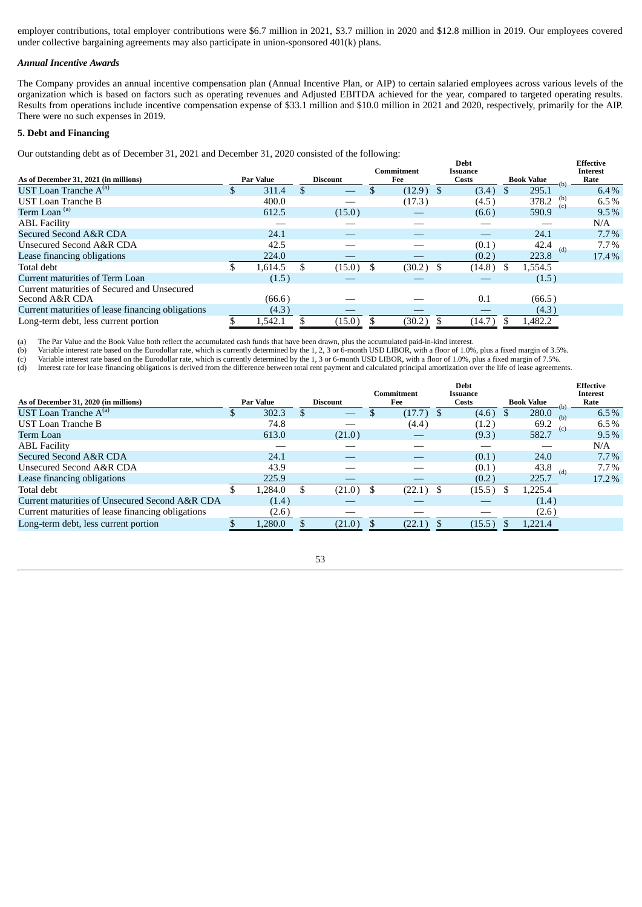employer contributions, total employer contributions were \$6.7 million in 2021, \$3.7 million in 2020 and \$12.8 million in 2019. Our employees covered under collective bargaining agreements may also participate in union-sponsored 401(k) plans.

#### *Annual Incentive Awards*

The Company provides an annual incentive compensation plan (Annual Incentive Plan, or AIP) to certain salaried employees across various levels of the organization which is based on factors such as operating revenues and Adjusted EBITDA achieved for the year, compared to targeted operating results. Results from operations include incentive compensation expense of \$33.1 million and \$10.0 million in 2021 and 2020, respectively, primarily for the AIP. There were no such expenses in 2019.

#### **5. Debt and Financing**

Our outstanding debt as of December 31, 2021 and December 31, 2020 consisted of the following:

|                                                               |    |                  |                 |      |                   | <b>Debt</b>       |     |                   |            | <b>Effective</b> |
|---------------------------------------------------------------|----|------------------|-----------------|------|-------------------|-------------------|-----|-------------------|------------|------------------|
| As of December 31, 2021 (in millions)                         |    | <b>Par Value</b> | <b>Discount</b> |      | Commitment<br>Fee | Issuance<br>Costs |     | <b>Book Value</b> |            | Interest<br>Rate |
| UST Loan Tranche $A^{(a)}$                                    | \$ | 311.4            |                 |      | $(12.9)$ \$       | (3.4)             | -S  | 295.1             |            | $6.4\%$          |
| <b>UST Loan Tranche B</b>                                     |    | 400.0            |                 |      | (17.3)            | (4.5)             |     | 378.2             | (b)<br>(c) | $6.5\%$          |
| Term Loan <sup>(a)</sup>                                      |    | 612.5            | (15.0)          |      |                   | (6.6)             |     | 590.9             |            | 9.5%             |
| <b>ABL Facility</b>                                           |    |                  |                 |      |                   |                   |     |                   |            | N/A              |
| Secured Second A&R CDA                                        |    | 24.1             |                 |      |                   |                   |     | 24.1              |            | $7.7\%$          |
| Unsecured Second A&R CDA                                      |    | 42.5             |                 |      |                   | (0.1)             |     | 42.4              | (d)        | $7.7\%$          |
| Lease financing obligations                                   |    | 224.0            |                 |      |                   | (0.2)             |     | 223.8             |            | 17.4%            |
| Total debt                                                    | S  | 1,614.5          | (15.0)          | - \$ | $(30.2)$ \$       | (14.8)            | \$. | 1,554.5           |            |                  |
| Current maturities of Term Loan                               |    | (1.5)            |                 |      |                   |                   |     | (1.5)             |            |                  |
| Current maturities of Secured and Unsecured<br>Second A&R CDA |    | (66.6)           |                 |      |                   | 0.1               |     | (66.5)            |            |                  |
| Current maturities of lease financing obligations             |    | (4.3)            |                 |      |                   |                   |     | (4.3)             |            |                  |
| Long-term debt, less current portion                          |    | 1,542.1          | (15.0)          |      | (30.2)            | (14.7)            |     | 1,482.2           |            |                  |

(a) The Par Value and the Book Value both reflect the accumulated cash funds that have been drawn, plus the accumulated paid-in-kind interest.<br>(b) Variable interest rate based on the Eurodollar rate, which is currently det

Variable interest rate based on the Eurodollar rate, which is currently determined by the 1, 2, 3 or 6-month USD LIBOR, with a floor of 1.0%, plus a fixed margin of 3.5%.

(c) Variable interest rate based on the Eurodollar rate, which is currently determined by the 1, 3 or 6-month USD LIBOR, with a floor of 1.0%, plus a fixed margin of 7.5%.

(d) Interest rate for lease financing obligations is derived from the difference between total rent payment and calculated principal amortization over the life of lease agreements.

| As of December 31, 2020 (in millions)<br><b>Par Value</b><br><b>Book Value</b><br><b>Discount</b><br>Rate<br>Fee<br>Costs<br>UST Loan Tranche $A^{(a)}$<br>302.3<br>(4.6)<br>280.0<br>(17.7)<br>S.<br>D<br>(b)<br><b>UST Loan Tranche B</b><br>69.2<br>74.8<br>(4.4)<br>(1.2)<br>(c)<br>582.7<br>613.0<br>Term Loan<br>(21.0)<br>(9.3)<br><b>ABL Facility</b> | <b>Effective</b><br><b>Interest</b> |
|---------------------------------------------------------------------------------------------------------------------------------------------------------------------------------------------------------------------------------------------------------------------------------------------------------------------------------------------------------------|-------------------------------------|
|                                                                                                                                                                                                                                                                                                                                                               |                                     |
|                                                                                                                                                                                                                                                                                                                                                               | 6.5%                                |
|                                                                                                                                                                                                                                                                                                                                                               | $6.5\%$                             |
|                                                                                                                                                                                                                                                                                                                                                               | $9.5\%$                             |
|                                                                                                                                                                                                                                                                                                                                                               | N/A                                 |
| Secured Second A&R CDA<br>24.1<br>(0.1)<br>24.0                                                                                                                                                                                                                                                                                                               | $7.7\%$                             |
| <b>Unsecured Second A&amp;R CDA</b><br>43.9<br>43.8<br>(0.1)<br>(d)                                                                                                                                                                                                                                                                                           | $7.7\%$                             |
| 225.7<br>Lease financing obligations<br>225.9<br>(0.2)                                                                                                                                                                                                                                                                                                        | 17.2%                               |
| Total debt<br>1.225.4<br>(15.5)<br>1.284.0<br>(21.0)<br>(22.1)<br>S<br>- S<br>ъ.                                                                                                                                                                                                                                                                              |                                     |
| Current maturities of Unsecured Second A&R CDA<br>(1.4)<br>(1.4)                                                                                                                                                                                                                                                                                              |                                     |
| Current maturities of lease financing obligations<br>(2.6)<br>(2.6)                                                                                                                                                                                                                                                                                           |                                     |
| Long-term debt, less current portion<br>1,280.0<br>1,221.4<br>(21.0)<br>(22.1)<br>(15.5)                                                                                                                                                                                                                                                                      |                                     |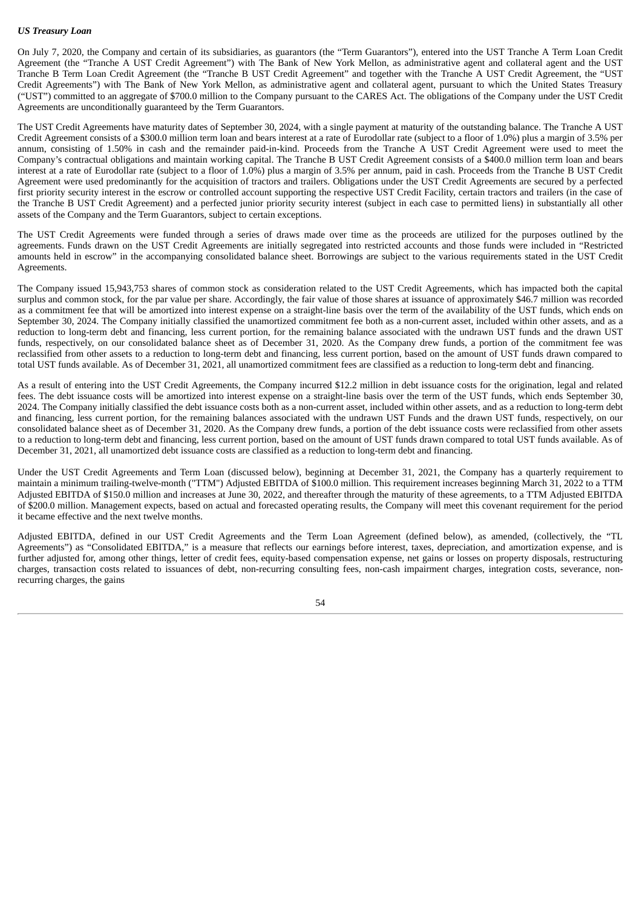#### *US Treasury Loan*

On July 7, 2020, the Company and certain of its subsidiaries, as guarantors (the "Term Guarantors"), entered into the UST Tranche A Term Loan Credit Agreement (the "Tranche A UST Credit Agreement") with The Bank of New York Mellon, as administrative agent and collateral agent and the UST Tranche B Term Loan Credit Agreement (the "Tranche B UST Credit Agreement" and together with the Tranche A UST Credit Agreement, the "UST Credit Agreements") with The Bank of New York Mellon, as administrative agent and collateral agent, pursuant to which the United States Treasury ("UST") committed to an aggregate of \$700.0 million to the Company pursuant to the CARES Act. The obligations of the Company under the UST Credit Agreements are unconditionally guaranteed by the Term Guarantors.

The UST Credit Agreements have maturity dates of September 30, 2024, with a single payment at maturity of the outstanding balance. The Tranche A UST Credit Agreement consists of a \$300.0 million term loan and bears interest at a rate of Eurodollar rate (subject to a floor of 1.0%) plus a margin of 3.5% per annum, consisting of 1.50% in cash and the remainder paid-in-kind. Proceeds from the Tranche A UST Credit Agreement were used to meet the Company's contractual obligations and maintain working capital. The Tranche B UST Credit Agreement consists of a \$400.0 million term loan and bears interest at a rate of Eurodollar rate (subject to a floor of 1.0%) plus a margin of 3.5% per annum, paid in cash. Proceeds from the Tranche B UST Credit Agreement were used predominantly for the acquisition of tractors and trailers. Obligations under the UST Credit Agreements are secured by a perfected first priority security interest in the escrow or controlled account supporting the respective UST Credit Facility, certain tractors and trailers (in the case of the Tranche B UST Credit Agreement) and a perfected junior priority security interest (subject in each case to permitted liens) in substantially all other assets of the Company and the Term Guarantors, subject to certain exceptions.

The UST Credit Agreements were funded through a series of draws made over time as the proceeds are utilized for the purposes outlined by the agreements. Funds drawn on the UST Credit Agreements are initially segregated into restricted accounts and those funds were included in "Restricted amounts held in escrow" in the accompanying consolidated balance sheet. Borrowings are subject to the various requirements stated in the UST Credit Agreements.

The Company issued 15,943,753 shares of common stock as consideration related to the UST Credit Agreements, which has impacted both the capital surplus and common stock, for the par value per share. Accordingly, the fair value of those shares at issuance of approximately \$46.7 million was recorded as a commitment fee that will be amortized into interest expense on a straight-line basis over the term of the availability of the UST funds, which ends on September 30, 2024. The Company initially classified the unamortized commitment fee both as a non-current asset, included within other assets, and as a reduction to long-term debt and financing, less current portion, for the remaining balance associated with the undrawn UST funds and the drawn UST funds, respectively, on our consolidated balance sheet as of December 31, 2020. As the Company drew funds, a portion of the commitment fee was reclassified from other assets to a reduction to long-term debt and financing, less current portion, based on the amount of UST funds drawn compared to total UST funds available. As of December 31, 2021, all unamortized commitment fees are classified as a reduction to long-term debt and financing.

As a result of entering into the UST Credit Agreements, the Company incurred \$12.2 million in debt issuance costs for the origination, legal and related fees. The debt issuance costs will be amortized into interest expense on a straight-line basis over the term of the UST funds, which ends September 30, 2024. The Company initially classified the debt issuance costs both as a non-current asset, included within other assets, and as a reduction to long-term debt and financing, less current portion, for the remaining balances associated with the undrawn UST Funds and the drawn UST funds, respectively, on our consolidated balance sheet as of December 31, 2020. As the Company drew funds, a portion of the debt issuance costs were reclassified from other assets to a reduction to long-term debt and financing, less current portion, based on the amount of UST funds drawn compared to total UST funds available. As of December 31, 2021, all unamortized debt issuance costs are classified as a reduction to long-term debt and financing.

Under the UST Credit Agreements and Term Loan (discussed below), beginning at December 31, 2021, the Company has a quarterly requirement to maintain a minimum trailing-twelve-month ("TTM") Adjusted EBITDA of \$100.0 million. This requirement increases beginning March 31, 2022 to a TTM Adjusted EBITDA of \$150.0 million and increases at June 30, 2022, and thereafter through the maturity of these agreements, to a TTM Adjusted EBITDA of \$200.0 million. Management expects, based on actual and forecasted operating results, the Company will meet this covenant requirement for the period it became effective and the next twelve months.

Adjusted EBITDA, defined in our UST Credit Agreements and the Term Loan Agreement (defined below), as amended, (collectively, the "TL Agreements") as "Consolidated EBITDA," is a measure that reflects our earnings before interest, taxes, depreciation, and amortization expense, and is further adjusted for, among other things, letter of credit fees, equity-based compensation expense, net gains or losses on property disposals, restructuring charges, transaction costs related to issuances of debt, non-recurring consulting fees, non-cash impairment charges, integration costs, severance, nonrecurring charges, the gains

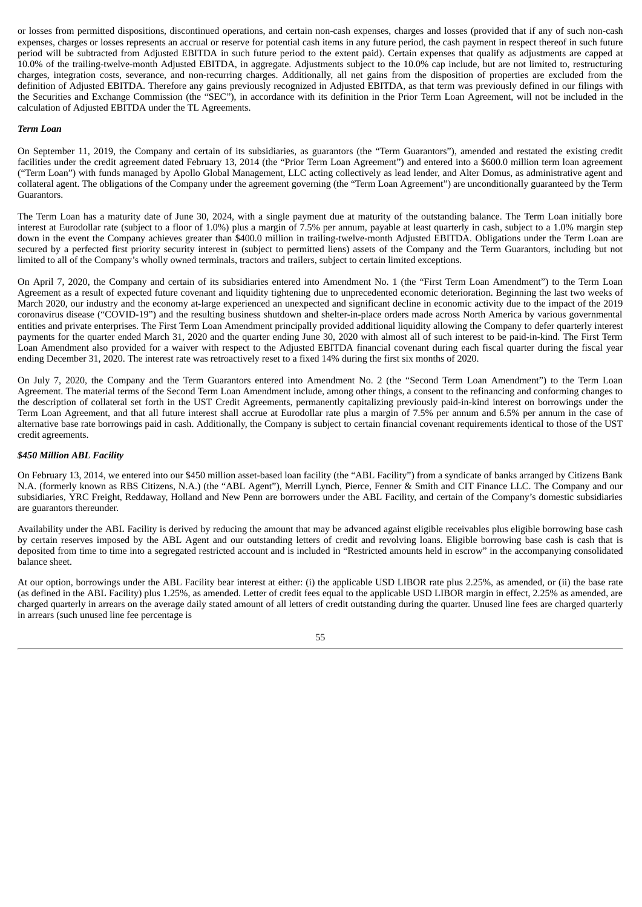or losses from permitted dispositions, discontinued operations, and certain non-cash expenses, charges and losses (provided that if any of such non-cash expenses, charges or losses represents an accrual or reserve for potential cash items in any future period, the cash payment in respect thereof in such future period will be subtracted from Adjusted EBITDA in such future period to the extent paid). Certain expenses that qualify as adjustments are capped at 10.0% of the trailing-twelve-month Adjusted EBITDA, in aggregate. Adjustments subject to the 10.0% cap include, but are not limited to, restructuring charges, integration costs, severance, and non-recurring charges. Additionally, all net gains from the disposition of properties are excluded from the definition of Adjusted EBITDA. Therefore any gains previously recognized in Adjusted EBITDA, as that term was previously defined in our filings with the Securities and Exchange Commission (the "SEC"), in accordance with its definition in the Prior Term Loan Agreement, will not be included in the calculation of Adjusted EBITDA under the TL Agreements.

#### *Term Loan*

On September 11, 2019, the Company and certain of its subsidiaries, as guarantors (the "Term Guarantors"), amended and restated the existing credit facilities under the credit agreement dated February 13, 2014 (the "Prior Term Loan Agreement") and entered into a \$600.0 million term loan agreement ("Term Loan") with funds managed by Apollo Global Management, LLC acting collectively as lead lender, and Alter Domus, as administrative agent and collateral agent. The obligations of the Company under the agreement governing (the "Term Loan Agreement") are unconditionally guaranteed by the Term Guarantors.

The Term Loan has a maturity date of June 30, 2024, with a single payment due at maturity of the outstanding balance. The Term Loan initially bore interest at Eurodollar rate (subject to a floor of 1.0%) plus a margin of 7.5% per annum, payable at least quarterly in cash, subject to a 1.0% margin step down in the event the Company achieves greater than \$400.0 million in trailing-twelve-month Adjusted EBITDA. Obligations under the Term Loan are secured by a perfected first priority security interest in (subject to permitted liens) assets of the Company and the Term Guarantors, including but not limited to all of the Company's wholly owned terminals, tractors and trailers, subject to certain limited exceptions.

On April 7, 2020, the Company and certain of its subsidiaries entered into Amendment No. 1 (the "First Term Loan Amendment") to the Term Loan Agreement as a result of expected future covenant and liquidity tightening due to unprecedented economic deterioration. Beginning the last two weeks of March 2020, our industry and the economy at-large experienced an unexpected and significant decline in economic activity due to the impact of the 2019 coronavirus disease ("COVID-19") and the resulting business shutdown and shelter-in-place orders made across North America by various governmental entities and private enterprises. The First Term Loan Amendment principally provided additional liquidity allowing the Company to defer quarterly interest payments for the quarter ended March 31, 2020 and the quarter ending June 30, 2020 with almost all of such interest to be paid-in-kind. The First Term Loan Amendment also provided for a waiver with respect to the Adjusted EBITDA financial covenant during each fiscal quarter during the fiscal year ending December 31, 2020. The interest rate was retroactively reset to a fixed 14% during the first six months of 2020.

On July 7, 2020, the Company and the Term Guarantors entered into Amendment No. 2 (the "Second Term Loan Amendment") to the Term Loan Agreement. The material terms of the Second Term Loan Amendment include, among other things, a consent to the refinancing and conforming changes to the description of collateral set forth in the UST Credit Agreements, permanently capitalizing previously paid-in-kind interest on borrowings under the Term Loan Agreement, and that all future interest shall accrue at Eurodollar rate plus a margin of 7.5% per annum and 6.5% per annum in the case of alternative base rate borrowings paid in cash. Additionally, the Company is subject to certain financial covenant requirements identical to those of the UST credit agreements.

### *\$450 Million ABL Facility*

On February 13, 2014, we entered into our \$450 million asset-based loan facility (the "ABL Facility") from a syndicate of banks arranged by Citizens Bank N.A. (formerly known as RBS Citizens, N.A.) (the "ABL Agent"), Merrill Lynch, Pierce, Fenner & Smith and CIT Finance LLC. The Company and our subsidiaries, YRC Freight, Reddaway, Holland and New Penn are borrowers under the ABL Facility, and certain of the Company's domestic subsidiaries are guarantors thereunder.

Availability under the ABL Facility is derived by reducing the amount that may be advanced against eligible receivables plus eligible borrowing base cash by certain reserves imposed by the ABL Agent and our outstanding letters of credit and revolving loans. Eligible borrowing base cash is cash that is deposited from time to time into a segregated restricted account and is included in "Restricted amounts held in escrow" in the accompanying consolidated balance sheet.

At our option, borrowings under the ABL Facility bear interest at either: (i) the applicable USD LIBOR rate plus 2.25%, as amended, or (ii) the base rate (as defined in the ABL Facility) plus 1.25%, as amended. Letter of credit fees equal to the applicable USD LIBOR margin in effect, 2.25% as amended, are charged quarterly in arrears on the average daily stated amount of all letters of credit outstanding during the quarter. Unused line fees are charged quarterly in arrears (such unused line fee percentage is

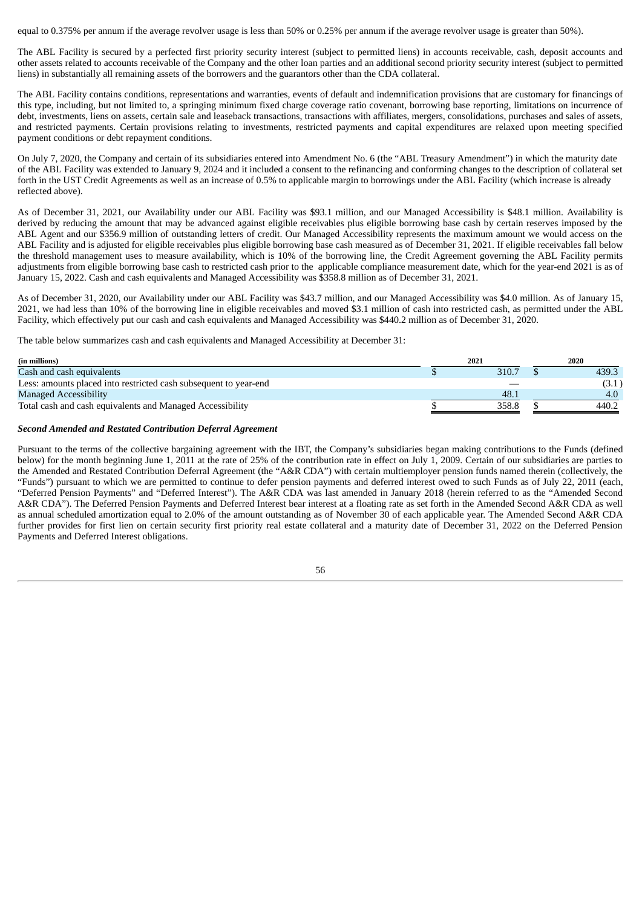equal to 0.375% per annum if the average revolver usage is less than 50% or 0.25% per annum if the average revolver usage is greater than 50%).

The ABL Facility is secured by a perfected first priority security interest (subject to permitted liens) in accounts receivable, cash, deposit accounts and other assets related to accounts receivable of the Company and the other loan parties and an additional second priority security interest (subject to permitted liens) in substantially all remaining assets of the borrowers and the guarantors other than the CDA collateral.

The ABL Facility contains conditions, representations and warranties, events of default and indemnification provisions that are customary for financings of this type, including, but not limited to, a springing minimum fixed charge coverage ratio covenant, borrowing base reporting, limitations on incurrence of debt, investments, liens on assets, certain sale and leaseback transactions, transactions with affiliates, mergers, consolidations, purchases and sales of assets, and restricted payments. Certain provisions relating to investments, restricted payments and capital expenditures are relaxed upon meeting specified payment conditions or debt repayment conditions.

On July 7, 2020, the Company and certain of its subsidiaries entered into Amendment No. 6 (the "ABL Treasury Amendment") in which the maturity date of the ABL Facility was extended to January 9, 2024 and it included a consent to the refinancing and conforming changes to the description of collateral set forth in the UST Credit Agreements as well as an increase of 0.5% to applicable margin to borrowings under the ABL Facility (which increase is already reflected above).

As of December 31, 2021, our Availability under our ABL Facility was \$93.1 million, and our Managed Accessibility is \$48.1 million. Availability is derived by reducing the amount that may be advanced against eligible receivables plus eligible borrowing base cash by certain reserves imposed by the ABL Agent and our \$356.9 million of outstanding letters of credit. Our Managed Accessibility represents the maximum amount we would access on the ABL Facility and is adjusted for eligible receivables plus eligible borrowing base cash measured as of December 31, 2021. If eligible receivables fall below the threshold management uses to measure availability, which is 10% of the borrowing line, the Credit Agreement governing the ABL Facility permits adjustments from eligible borrowing base cash to restricted cash prior to the applicable compliance measurement date, which for the year-end 2021 is as of January 15, 2022. Cash and cash equivalents and Managed Accessibility was \$358.8 million as of December 31, 2021.

As of December 31, 2020, our Availability under our ABL Facility was \$43.7 million, and our Managed Accessibility was \$4.0 million. As of January 15, 2021, we had less than 10% of the borrowing line in eligible receivables and moved \$3.1 million of cash into restricted cash, as permitted under the ABL Facility, which effectively put our cash and cash equivalents and Managed Accessibility was \$440.2 million as of December 31, 2020.

The table below summarizes cash and cash equivalents and Managed Accessibility at December 31:

| (in millions)                                                    | 2021    | 2020 |       |  |
|------------------------------------------------------------------|---------|------|-------|--|
| Cash and cash equivalents                                        | 310.7   |      | 439.3 |  |
| Less: amounts placed into restricted cash subsequent to year-end |         |      | (3.1) |  |
| Managed Accessibility                                            | $-48.1$ |      | 4.0   |  |
| Total cash and cash equivalents and Managed Accessibility        | 358.8   |      | 440.2 |  |

#### *Second Amended and Restated Contribution Deferral Agreement*

Pursuant to the terms of the collective bargaining agreement with the IBT, the Company's subsidiaries began making contributions to the Funds (defined below) for the month beginning June 1, 2011 at the rate of 25% of the contribution rate in effect on July 1, 2009. Certain of our subsidiaries are parties to the Amended and Restated Contribution Deferral Agreement (the "A&R CDA") with certain multiemployer pension funds named therein (collectively, the "Funds") pursuant to which we are permitted to continue to defer pension payments and deferred interest owed to such Funds as of July 22, 2011 (each, "Deferred Pension Payments" and "Deferred Interest"). The A&R CDA was last amended in January 2018 (herein referred to as the "Amended Second A&R CDA"). The Deferred Pension Payments and Deferred Interest bear interest at a floating rate as set forth in the Amended Second A&R CDA as well as annual scheduled amortization equal to 2.0% of the amount outstanding as of November 30 of each applicable year. The Amended Second A&R CDA further provides for first lien on certain security first priority real estate collateral and a maturity date of December 31, 2022 on the Deferred Pension Payments and Deferred Interest obligations.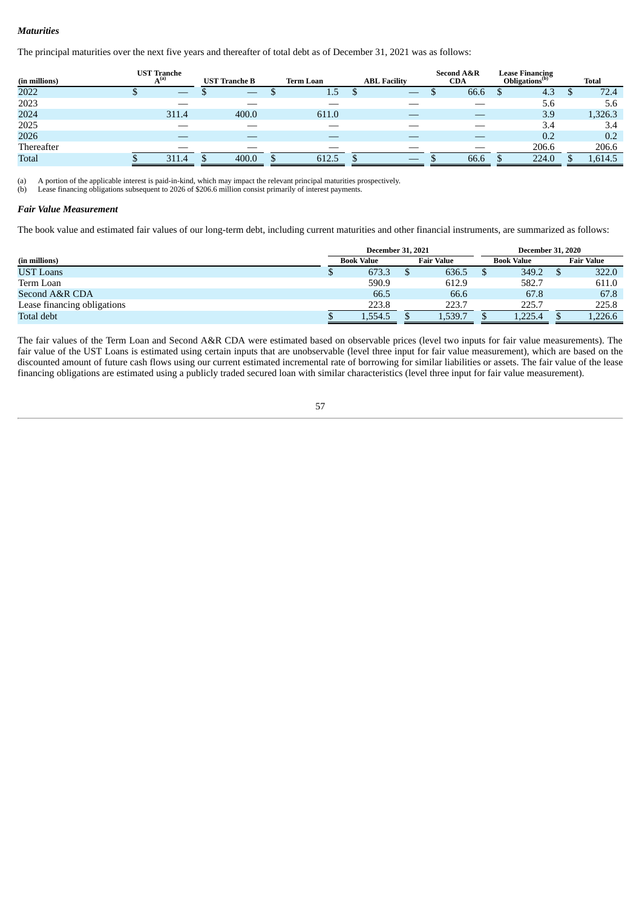### *Maturities*

The principal maturities over the next five years and thereafter of total debt as of December 31, 2021 was as follows:

| (in millions) | <b>UST Tranche</b><br>$A^{(a)}$ | <b>UST Tranche B</b> | Term Loan     | <b>ABL Facility</b>            | <b>Second A&amp;R</b><br><b>CDA</b> | <b>Lease Financing</b><br>Obligations <sup>(b)</sup> | <b>Total</b> |
|---------------|---------------------------------|----------------------|---------------|--------------------------------|-------------------------------------|------------------------------------------------------|--------------|
| 2022          |                                 |                      | $1.5^{\circ}$ |                                | 66.6                                | 4.3                                                  | 72.4         |
| 2023          |                                 |                      |               |                                |                                     | 5.6                                                  | 5.6          |
| 2024          | 311.4                           | 400.0                | 611.0         |                                |                                     | 3.9                                                  | 1,326.3      |
| 2025          |                                 |                      |               |                                |                                     | 3.4                                                  | 3.4          |
| 2026          |                                 |                      |               |                                |                                     | 0.2                                                  | 0.2          |
| Thereafter    |                                 |                      |               |                                |                                     | 206.6                                                | 206.6        |
| <b>Total</b>  | 311.4                           | 400.0                | 612.5         | $\overbrace{\hspace{25mm}}^{}$ | 66.6                                | 224.0                                                | 1,614.5      |
|               |                                 |                      |               |                                |                                     |                                                      |              |

(a) A portion of the applicable interest is paid-in-kind, which may impact the relevant principal maturities prospectively.<br>(b) Lease financing obligations subsequent to 2026 of \$206.6 million consist primarily of interest

Lease financing obligations subsequent to 2026 of \$206.6 million consist primarily of interest payments.

### *Fair Value Measurement*

The book value and estimated fair values of our long-term debt, including current maturities and other financial instruments, are summarized as follows:

|                             | <b>December 31, 2021</b> |                   |                   |         |                   |         | <b>December 31, 2020</b> |         |  |
|-----------------------------|--------------------------|-------------------|-------------------|---------|-------------------|---------|--------------------------|---------|--|
| (in millions)               |                          | <b>Book Value</b> | <b>Fair Value</b> |         | <b>Book Value</b> |         | <b>Fair Value</b>        |         |  |
| <b>UST Loans</b>            | Ψ                        | 673.3             |                   | 636.5   |                   | 349.2   |                          | 322.0   |  |
| Term Loan                   |                          | 590.9             |                   | 612.9   |                   | 582.7   |                          | 611.0   |  |
| Second A&R CDA              |                          | 66.5              |                   | 66.6    |                   | 67.8    |                          | 67.8    |  |
| Lease financing obligations |                          | 223.8             |                   | 223.7   |                   | 225.7   |                          | 225.8   |  |
| Total debt                  |                          | 1,554.5           |                   | 1,539.7 |                   | 1,225.4 |                          | 1,226.6 |  |

The fair values of the Term Loan and Second A&R CDA were estimated based on observable prices (level two inputs for fair value measurements). The fair value of the UST Loans is estimated using certain inputs that are unobservable (level three input for fair value measurement), which are based on the discounted amount of future cash flows using our current estimated incremental rate of borrowing for similar liabilities or assets. The fair value of the lease financing obligations are estimated using a publicly traded secured loan with similar characteristics (level three input for fair value measurement).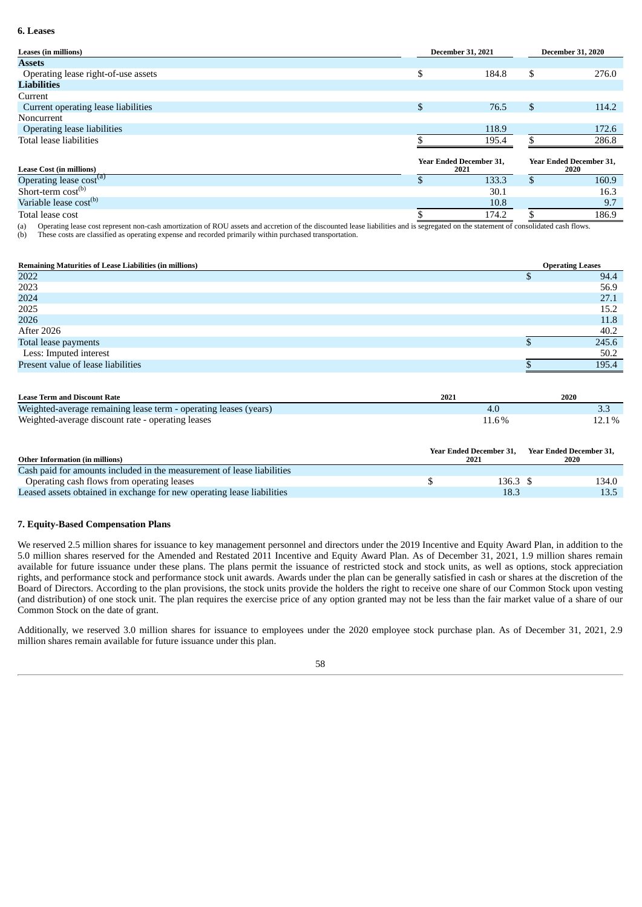### **6. Leases**

| <b>Leases (in millions)</b>         |               | <b>December 31, 2021</b>               |                                        | <b>December 31, 2020</b> |  |
|-------------------------------------|---------------|----------------------------------------|----------------------------------------|--------------------------|--|
| <b>Assets</b>                       |               |                                        |                                        |                          |  |
| Operating lease right-of-use assets | \$            | 184.8                                  | \$                                     | 276.0                    |  |
| <b>Liabilities</b>                  |               |                                        |                                        |                          |  |
| Current                             |               |                                        |                                        |                          |  |
| Current operating lease liabilities | \$            | 76.5                                   | \$                                     | 114.2                    |  |
| Noncurrent                          |               |                                        |                                        |                          |  |
| Operating lease liabilities         |               | 118.9                                  |                                        | 172.6                    |  |
| Total lease liabilities             |               | 195.4                                  |                                        | 286.8                    |  |
| <b>Lease Cost (in millions)</b>     |               | <b>Year Ended December 31,</b><br>2021 | <b>Year Ended December 31,</b><br>2020 |                          |  |
| Operating lease cost <sup>(a)</sup> | $\mathcal{S}$ | 133.3                                  | \$.                                    | 160.9                    |  |
| Short-term cost <sup>(b)</sup>      |               | 30.1                                   |                                        | 16.3                     |  |
| Variable lease cost <sup>(b)</sup>  |               | 10.8                                   |                                        | 9.7                      |  |
| Total lease cost                    |               | 174.2                                  |                                        | 186.9                    |  |

(a) Operating lease cost represent non-cash amortization of ROU assets and accretion of the discounted lease liabilities and is segregated on the statement of consolidated cash flows. (b) These costs are classified as operating expense and recorded primarily within purchased transportation.

| <b>Remaining Maturities of Lease Liabilities (in millions)</b> | <b>Operating Leases</b> |  |  |
|----------------------------------------------------------------|-------------------------|--|--|
| 2022                                                           | 94.4                    |  |  |
| 2023                                                           | 56.9                    |  |  |
| 2024                                                           | 27.1                    |  |  |
| 2025                                                           | 15.2                    |  |  |
| 2026                                                           | 11.8                    |  |  |
| After 2026                                                     | 40.2                    |  |  |
| Total lease payments                                           | 245.6                   |  |  |
| Less: Imputed interest                                         | 50.2                    |  |  |
| Present value of lease liabilities                             | 195.4                   |  |  |

| <b>Lease Term and Discount Rate</b>                              | 2021  | 2020  |
|------------------------------------------------------------------|-------|-------|
| Weighted-average remaining lease term - operating leases (years) |       | C     |
| Weighted-average discount rate - operating leases                | 11.6% | 12.1% |

| <b>Other Information (in millions)</b>                                 | <b>Year Ended December 31,</b><br>2021 | Year Ended December 31.<br>2020 |
|------------------------------------------------------------------------|----------------------------------------|---------------------------------|
| Cash paid for amounts included in the measurement of lease liabilities |                                        |                                 |
| Operating cash flows from operating leases                             | 136.3 \$                               | 134.0                           |
| Leased assets obtained in exchange for new operating lease liabilities | 18.3                                   | 13.5                            |

### **7. Equity-Based Compensation Plans**

We reserved 2.5 million shares for issuance to key management personnel and directors under the 2019 Incentive and Equity Award Plan, in addition to the 5.0 million shares reserved for the Amended and Restated 2011 Incentive and Equity Award Plan. As of December 31, 2021, 1.9 million shares remain available for future issuance under these plans. The plans permit the issuance of restricted stock and stock units, as well as options, stock appreciation rights, and performance stock and performance stock unit awards. Awards under the plan can be generally satisfied in cash or shares at the discretion of the Board of Directors. According to the plan provisions, the stock units provide the holders the right to receive one share of our Common Stock upon vesting (and distribution) of one stock unit. The plan requires the exercise price of any option granted may not be less than the fair market value of a share of our Common Stock on the date of grant.

Additionally, we reserved 3.0 million shares for issuance to employees under the 2020 employee stock purchase plan. As of December 31, 2021, 2.9 million shares remain available for future issuance under this plan.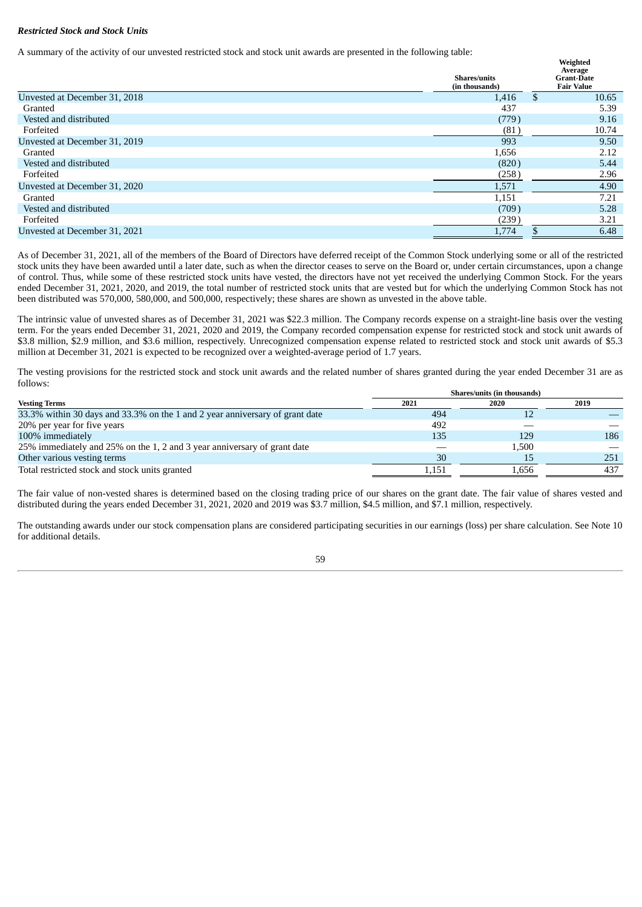### *Restricted Stock and Stock Units*

A summary of the activity of our unvested restricted stock and stock unit awards are presented in the following table:

|                               | <b>Shares/units</b><br>(in thousands) | Average<br><b>Grant-Date</b><br><b>Fair Value</b> |
|-------------------------------|---------------------------------------|---------------------------------------------------|
| Unvested at December 31, 2018 | 1.416                                 | \$<br>10.65                                       |
| Granted                       | 437                                   | 5.39                                              |
| Vested and distributed        | (779)                                 | 9.16                                              |
| Forfeited                     | (81)                                  | 10.74                                             |
| Unvested at December 31, 2019 | 993                                   | 9.50                                              |
| Granted                       | 1,656                                 | 2.12                                              |
| Vested and distributed        | (820)                                 | 5.44                                              |
| Forfeited                     | (258)                                 | 2.96                                              |
| Unvested at December 31, 2020 | 1,571                                 | 4.90                                              |
| Granted                       | 1,151                                 | 7.21                                              |
| Vested and distributed        | (709)                                 | 5.28                                              |
| Forfeited                     | (239)                                 | 3.21                                              |
| Unvested at December 31, 2021 | 1,774                                 | 6.48                                              |

**Weighted**

As of December 31, 2021, all of the members of the Board of Directors have deferred receipt of the Common Stock underlying some or all of the restricted stock units they have been awarded until a later date, such as when the director ceases to serve on the Board or, under certain circumstances, upon a change of control. Thus, while some of these restricted stock units have vested, the directors have not yet received the underlying Common Stock. For the years ended December 31, 2021, 2020, and 2019, the total number of restricted stock units that are vested but for which the underlying Common Stock has not been distributed was 570,000, 580,000, and 500,000, respectively; these shares are shown as unvested in the above table.

The intrinsic value of unvested shares as of December 31, 2021 was \$22.3 million. The Company records expense on a straight-line basis over the vesting term. For the years ended December 31, 2021, 2020 and 2019, the Company recorded compensation expense for restricted stock and stock unit awards of \$3.8 million, \$2.9 million, and \$3.6 million, respectively. Unrecognized compensation expense related to restricted stock and stock unit awards of \$5.3 million at December 31, 2021 is expected to be recognized over a weighted-average period of 1.7 years.

The vesting provisions for the restricted stock and stock unit awards and the related number of shares granted during the year ended December 31 are as follows:

|                                                                              | Shares/units (in thousands) |       |      |
|------------------------------------------------------------------------------|-----------------------------|-------|------|
| <b>Vesting Terms</b>                                                         | 2021                        | 2020  | 2019 |
| 33.3% within 30 days and 33.3% on the 1 and 2 year anniversary of grant date | 494                         |       |      |
| 20% per year for five years                                                  | 492                         |       |      |
| 100% immediately                                                             | 135                         | 129   | 186  |
| 25% immediately and 25% on the 1, 2 and 3 year anniversary of grant date     |                             | 1,500 |      |
| Other various vesting terms                                                  | 30                          |       | 251  |
| Total restricted stock and stock units granted                               | 1.151                       | 1.656 | 437  |

The fair value of non-vested shares is determined based on the closing trading price of our shares on the grant date. The fair value of shares vested and distributed during the years ended December 31, 2021, 2020 and 2019 was \$3.7 million, \$4.5 million, and \$7.1 million, respectively.

The outstanding awards under our stock compensation plans are considered participating securities in our earnings (loss) per share calculation. See Note 10 for additional details.

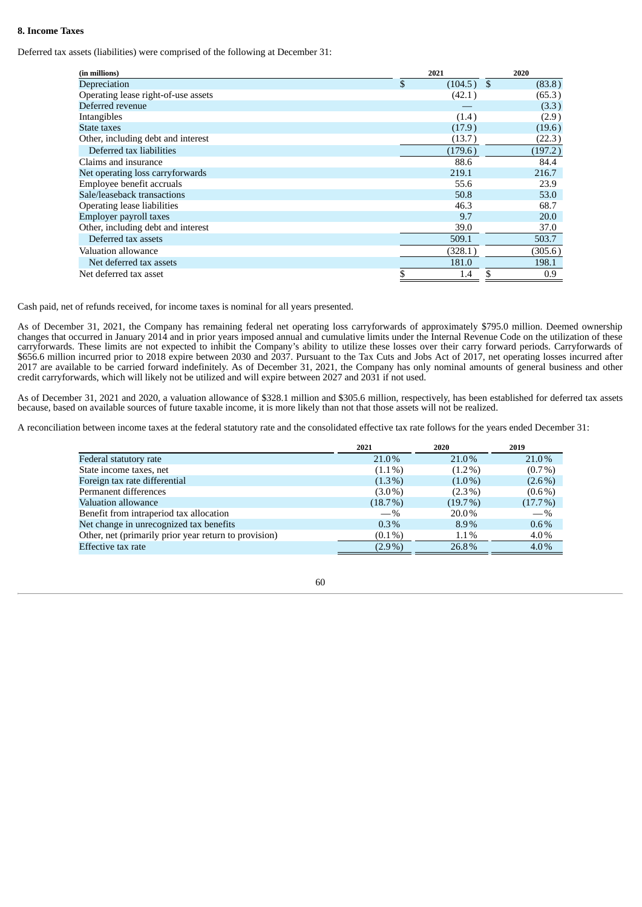#### **8. Income Taxes**

Deferred tax assets (liabilities) were comprised of the following at December 31:

| (in millions)                       | 2021 |              | 2020        |
|-------------------------------------|------|--------------|-------------|
| Depreciation                        | \$   | $(104.5)$ \$ | (83.8)      |
| Operating lease right-of-use assets |      | (42.1)       | (65.3)      |
| Deferred revenue                    |      |              | (3.3)       |
| Intangibles                         |      | (1.4)        | (2.9)       |
| <b>State taxes</b>                  |      | (17.9)       | (19.6)      |
| Other, including debt and interest  |      | (13.7)       | (22.3)      |
| Deferred tax liabilities            |      | (179.6)      | (197.2)     |
| Claims and insurance                |      | 88.6         | 84.4        |
| Net operating loss carryforwards    |      | 219.1        | 216.7       |
| Employee benefit accruals           |      | 55.6         | 23.9        |
| Sale/leaseback transactions         |      | 50.8         | 53.0        |
| Operating lease liabilities         |      | 46.3         | 68.7        |
| Employer payroll taxes              |      | 9.7          | <b>20.0</b> |
| Other, including debt and interest  |      | 39.0         | 37.0        |
| Deferred tax assets                 |      | 509.1        | 503.7       |
| Valuation allowance                 |      | (328.1)      | (305.6)     |
| Net deferred tax assets             |      | 181.0        | 198.1       |
| Net deferred tax asset              | \$   | 1.4          | \$<br>0.9   |

Cash paid, net of refunds received, for income taxes is nominal for all years presented.

As of December 31, 2021, the Company has remaining federal net operating loss carryforwards of approximately \$795.0 million. Deemed ownership changes that occurred in January 2014 and in prior years imposed annual and cumulative limits under the Internal Revenue Code on the utilization of these carryforwards. These limits are not expected to inhibit the Company's ability to utilize these losses over their carry forward periods. Carryforwards of \$656.6 million incurred prior to 2018 expire between 2030 and 2037. Pursuant to the Tax Cuts and Jobs Act of 2017, net operating losses incurred after 2017 are available to be carried forward indefinitely. As of December 31, 2021, the Company has only nominal amounts of general business and other credit carryforwards, which will likely not be utilized and will expire between 2027 and 2031 if not used.

As of December 31, 2021 and 2020, a valuation allowance of \$328.1 million and \$305.6 million, respectively, has been established for deferred tax assets because, based on available sources of future taxable income, it is more likely than not that those assets will not be realized.

A reconciliation between income taxes at the federal statutory rate and the consolidated effective tax rate follows for the years ended December 31:

|                                                       | 2021       | 2020       | 2019       |
|-------------------------------------------------------|------------|------------|------------|
| Federal statutory rate                                | 21.0%      | 21.0%      | 21.0%      |
| State income taxes, net                               | $(1.1\%)$  | $(1.2\%)$  | $(0.7\%)$  |
| Foreign tax rate differential                         | $(1.3\%)$  | $(1.0\%)$  | $(2.6\%)$  |
| Permanent differences                                 | $(3.0\%)$  | $(2.3\%)$  | $(0.6\%)$  |
| Valuation allowance                                   | $(18.7\%)$ | $(19.7\%)$ | $(17.7\%)$ |
| Benefit from intraperiod tax allocation               | $-$ %      | 20.0%      | $-$ %      |
| Net change in unrecognized tax benefits               | $0.3\%$    | 8.9%       | $0.6\%$    |
| Other, net (primarily prior year return to provision) | $(0.1\%)$  | 1.1%       | 4.0%       |
| Effective tax rate                                    | $(2.9\%)$  | 26.8%      | 4.0%       |

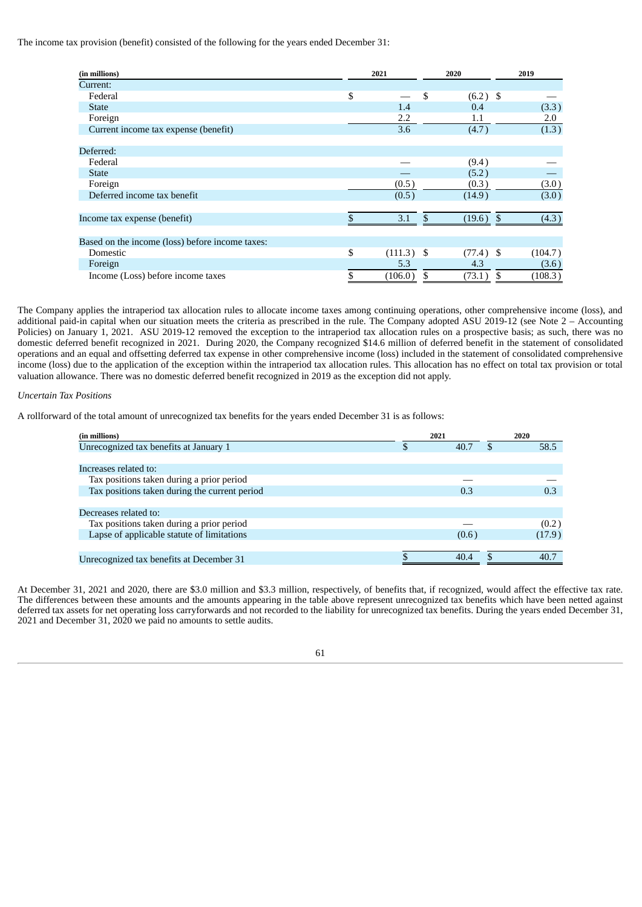The income tax provision (benefit) consisted of the following for the years ended December 31:

| (in millions)                                   | 2021               |                | 2020        | 2019          |
|-------------------------------------------------|--------------------|----------------|-------------|---------------|
| Current:                                        |                    |                |             |               |
| Federal                                         | \$                 | \$             | $(6.2)$ \$  |               |
| <b>State</b>                                    | 1.4                |                | 0.4         | (3.3)         |
| Foreign                                         | 2.2                |                | 1.1         | 2.0           |
| Current income tax expense (benefit)            | 3.6                |                | (4.7)       | (1.3)         |
|                                                 |                    |                |             |               |
| Deferred:                                       |                    |                |             |               |
| Federal                                         |                    |                | (9.4)       |               |
| <b>State</b>                                    |                    |                | (5.2)       |               |
| Foreign                                         | (0.5)              |                | (0.3)       | (3.0)         |
| Deferred income tax benefit                     | (0.5)              |                | (14.9)      | (3.0)         |
|                                                 |                    |                |             |               |
| Income tax expense (benefit)                    | \$<br>3.1          | $\mathfrak{S}$ | (19.6)      | \$<br>(4.3)   |
|                                                 |                    |                |             |               |
| Based on the income (loss) before income taxes: |                    |                |             |               |
| Domestic                                        | \$<br>$(111.3)$ \$ |                | $(77.4)$ \$ | (104.7)       |
| Foreign                                         | 5.3                |                | 4.3         | (3.6)         |
| Income (Loss) before income taxes               | \$<br>(106.0)      | \$             | (73.1)      | \$<br>(108.3) |

The Company applies the intraperiod tax allocation rules to allocate income taxes among continuing operations, other comprehensive income (loss), and additional paid-in capital when our situation meets the criteria as prescribed in the rule. The Company adopted ASU 2019-12 (see Note 2 – Accounting Policies) on January 1, 2021. ASU 2019-12 removed the exception to the intraperiod tax allocation rules on a prospective basis; as such, there was no domestic deferred benefit recognized in 2021. During 2020, the Company recognized \$14.6 million of deferred benefit in the statement of consolidated operations and an equal and offsetting deferred tax expense in other comprehensive income (loss) included in the statement of consolidated comprehensive income (loss) due to the application of the exception within the intraperiod tax allocation rules. This allocation has no effect on total tax provision or total valuation allowance. There was no domestic deferred benefit recognized in 2019 as the exception did not apply.

#### *Uncertain Tax Positions*

A rollforward of the total amount of unrecognized tax benefits for the years ended December 31 is as follows:

| (in millions)                                 | 2021 |       | 2020 |        |
|-----------------------------------------------|------|-------|------|--------|
| Unrecognized tax benefits at January 1        |      | 40.7  | .S   | 58.5   |
|                                               |      |       |      |        |
| Increases related to:                         |      |       |      |        |
| Tax positions taken during a prior period     |      |       |      |        |
| Tax positions taken during the current period |      | 0.3   |      | 0.3    |
|                                               |      |       |      |        |
| Decreases related to:                         |      |       |      |        |
| Tax positions taken during a prior period     |      |       |      | (0.2)  |
| Lapse of applicable statute of limitations    |      | (0.6) |      | (17.9) |
|                                               |      |       |      |        |
| Unrecognized tax benefits at December 31      |      | 40.4  |      | 40.7   |

At December 31, 2021 and 2020, there are \$3.0 million and \$3.3 million, respectively, of benefits that, if recognized, would affect the effective tax rate. The differences between these amounts and the amounts appearing in the table above represent unrecognized tax benefits which have been netted against deferred tax assets for net operating loss carryforwards and not recorded to the liability for unrecognized tax benefits. During the years ended December 31, 2021 and December 31, 2020 we paid no amounts to settle audits.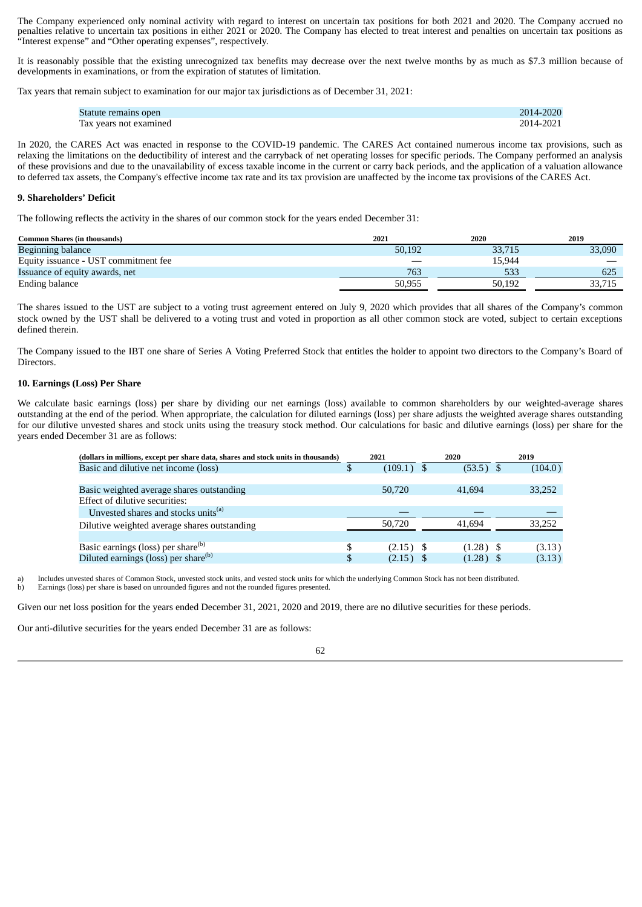The Company experienced only nominal activity with regard to interest on uncertain tax positions for both 2021 and 2020. The Company accrued no penalties relative to uncertain tax positions in either 2021 or 2020. The Company has elected to treat interest and penalties on uncertain tax positions as "Interest expense" and "Other operating expenses", respectively.

It is reasonably possible that the existing unrecognized tax benefits may decrease over the next twelve months by as much as \$7.3 million because of developments in examinations, or from the expiration of statutes of limitation.

Tax years that remain subject to examination for our major tax jurisdictions as of December 31, 2021:

| Statute remains open   | 2014-2020 |
|------------------------|-----------|
| Tax years not examined | 2014-2021 |

In 2020, the CARES Act was enacted in response to the COVID-19 pandemic. The CARES Act contained numerous income tax provisions, such as relaxing the limitations on the deductibility of interest and the carryback of net operating losses for specific periods. The Company performed an analysis of these provisions and due to the unavailability of excess taxable income in the current or carry back periods, and the application of a valuation allowance to deferred tax assets, the Company's effective income tax rate and its tax provision are unaffected by the income tax provisions of the CARES Act.

#### **9. Shareholders' Deficit**

The following reflects the activity in the shares of our common stock for the years ended December 31:

| Common Shares (in thousands)         | 2021   | 2020   | 2019   |
|--------------------------------------|--------|--------|--------|
| Beginning balance                    | 50,192 | 33,715 | 33,090 |
| Equity issuance - UST commitment fee |        | 15.944 |        |
| Issuance of equity awards, net       | 763    | 533    | 625    |
| Ending balance                       | 50.955 | 50.192 | 33,715 |

The shares issued to the UST are subject to a voting trust agreement entered on July 9, 2020 which provides that all shares of the Company's common stock owned by the UST shall be delivered to a voting trust and voted in proportion as all other common stock are voted, subject to certain exceptions defined therein.

The Company issued to the IBT one share of Series A Voting Preferred Stock that entitles the holder to appoint two directors to the Company's Board of Directors.

#### **10. Earnings (Loss) Per Share**

We calculate basic earnings (loss) per share by dividing our net earnings (loss) available to common shareholders by our weighted-average shares outstanding at the end of the period. When appropriate, the calculation for diluted earnings (loss) per share adjusts the weighted average shares outstanding for our dilutive unvested shares and stock units using the treasury stock method. Our calculations for basic and dilutive earnings (loss) per share for the years ended December 31 are as follows:

| (dollars in millions, except per share data, shares and stock units in thousands) | 2021               | 2020        | 2019    |
|-----------------------------------------------------------------------------------|--------------------|-------------|---------|
| Basic and dilutive net income (loss)                                              | \$<br>$(109.1)$ \$ | $(53.5)$ \$ | (104.0) |
|                                                                                   |                    |             |         |
| Basic weighted average shares outstanding                                         | 50,720             | 41.694      | 33,252  |
| Effect of dilutive securities:                                                    |                    |             |         |
| Unvested shares and stocks units <sup>(a)</sup>                                   |                    |             |         |
| Dilutive weighted average shares outstanding                                      | 50,720             | 41.694      | 33,252  |
|                                                                                   |                    |             |         |
| Basic earnings (loss) per share <sup>(b)</sup>                                    | \$<br>$(2.15)$ \$  | $(1.28)$ \$ | (3.13)  |
| Diluted earnings (loss) per share <sup>(b)</sup>                                  | \$<br>(2.15)       | $(1.28)$ \$ | (3.13)  |

a) Includes unvested shares of Common Stock, unvested stock units, and vested stock units for which the underlying Common Stock has not been distributed.

b) Earnings (loss) per share is based on unrounded figures and not the rounded figures presented.

Given our net loss position for the years ended December 31, 2021, 2020 and 2019, there are no dilutive securities for these periods.

Our anti-dilutive securities for the years ended December 31 are as follows:

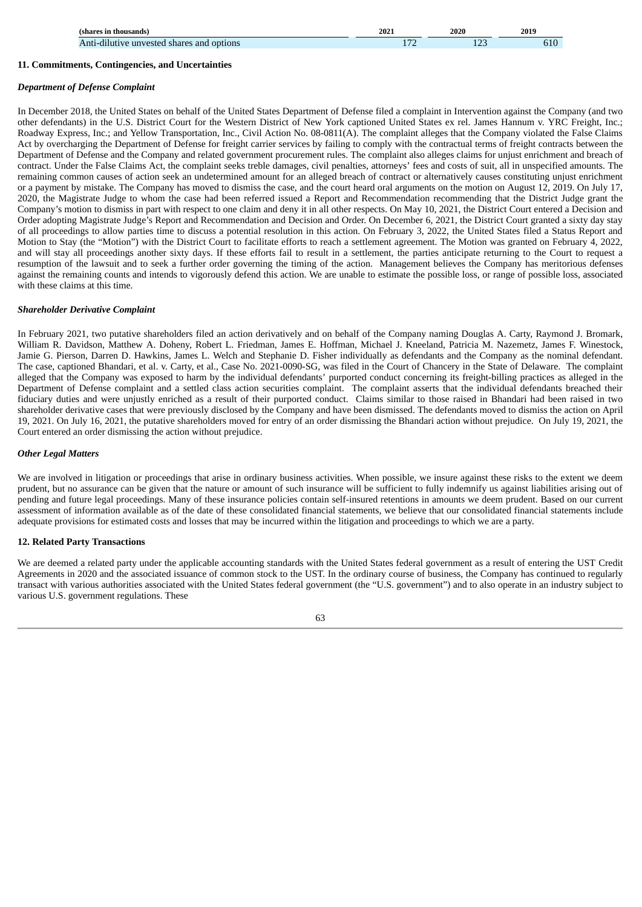| (shares in<br>ı thousands                    | 2021 | 2020 | 2019 |
|----------------------------------------------|------|------|------|
| shares and options<br>Anti-dilutive unvested |      | ᅩᅩ   |      |

#### **11. Commitments, Contingencies, and Uncertainties**

### *Department of Defense Complaint*

In December 2018, the United States on behalf of the United States Department of Defense filed a complaint in Intervention against the Company (and two other defendants) in the U.S. District Court for the Western District of New York captioned United States ex rel. James Hannum v. YRC Freight, Inc.; Roadway Express, Inc.; and Yellow Transportation, Inc., Civil Action No. 08-0811(A). The complaint alleges that the Company violated the False Claims Act by overcharging the Department of Defense for freight carrier services by failing to comply with the contractual terms of freight contracts between the Department of Defense and the Company and related government procurement rules. The complaint also alleges claims for unjust enrichment and breach of contract. Under the False Claims Act, the complaint seeks treble damages, civil penalties, attorneys' fees and costs of suit, all in unspecified amounts. The remaining common causes of action seek an undetermined amount for an alleged breach of contract or alternatively causes constituting unjust enrichment or a payment by mistake. The Company has moved to dismiss the case, and the court heard oral arguments on the motion on August 12, 2019. On July 17, 2020, the Magistrate Judge to whom the case had been referred issued a Report and Recommendation recommending that the District Judge grant the Company's motion to dismiss in part with respect to one claim and deny it in all other respects. On May 10, 2021, the District Court entered a Decision and Order adopting Magistrate Judge's Report and Recommendation and Decision and Order. On December 6, 2021, the District Court granted a sixty day stay of all proceedings to allow parties time to discuss a potential resolution in this action. On February 3, 2022, the United States filed a Status Report and Motion to Stay (the "Motion") with the District Court to facilitate efforts to reach a settlement agreement. The Motion was granted on February 4, 2022, and will stay all proceedings another sixty days. If these efforts fail to result in a settlement, the parties anticipate returning to the Court to request a resumption of the lawsuit and to seek a further order governing the timing of the action. Management believes the Company has meritorious defenses against the remaining counts and intends to vigorously defend this action. We are unable to estimate the possible loss, or range of possible loss, associated with these claims at this time.

### *Shareholder Derivative Complaint*

In February 2021, two putative shareholders filed an action derivatively and on behalf of the Company naming Douglas A. Carty, Raymond J. Bromark, William R. Davidson, Matthew A. Doheny, Robert L. Friedman, James E. Hoffman, Michael J. Kneeland, Patricia M. Nazemetz, James F. Winestock, Jamie G. Pierson, Darren D. Hawkins, James L. Welch and Stephanie D. Fisher individually as defendants and the Company as the nominal defendant. The case, captioned Bhandari, et al. v. Carty, et al., Case No. 2021-0090-SG, was filed in the Court of Chancery in the State of Delaware. The complaint alleged that the Company was exposed to harm by the individual defendants' purported conduct concerning its freight-billing practices as alleged in the Department of Defense complaint and a settled class action securities complaint. The complaint asserts that the individual defendants breached their fiduciary duties and were unjustly enriched as a result of their purported conduct. Claims similar to those raised in Bhandari had been raised in two shareholder derivative cases that were previously disclosed by the Company and have been dismissed. The defendants moved to dismiss the action on April 19, 2021. On July 16, 2021, the putative shareholders moved for entry of an order dismissing the Bhandari action without prejudice. On July 19, 2021, the Court entered an order dismissing the action without prejudice.

#### *Other Legal Matters*

We are involved in litigation or proceedings that arise in ordinary business activities. When possible, we insure against these risks to the extent we deem prudent, but no assurance can be given that the nature or amount of such insurance will be sufficient to fully indemnify us against liabilities arising out of pending and future legal proceedings. Many of these insurance policies contain self-insured retentions in amounts we deem prudent. Based on our current assessment of information available as of the date of these consolidated financial statements, we believe that our consolidated financial statements include adequate provisions for estimated costs and losses that may be incurred within the litigation and proceedings to which we are a party.

#### **12. Related Party Transactions**

We are deemed a related party under the applicable accounting standards with the United States federal government as a result of entering the UST Credit Agreements in 2020 and the associated issuance of common stock to the UST. In the ordinary course of business, the Company has continued to regularly transact with various authorities associated with the United States federal government (the "U.S. government") and to also operate in an industry subject to various U.S. government regulations. These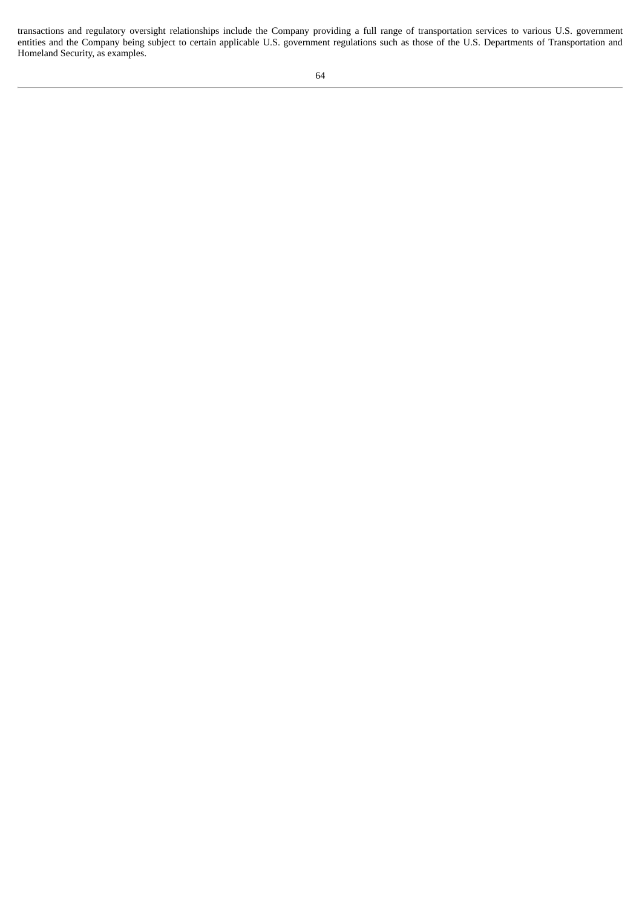transactions and regulatory oversight relationships include the Company providing a full range of transportation services to various U.S. government entities and the Company being subject to certain applicable U.S. government regulations such as those of the U.S. Departments of Transportation and Homeland Security, as examples.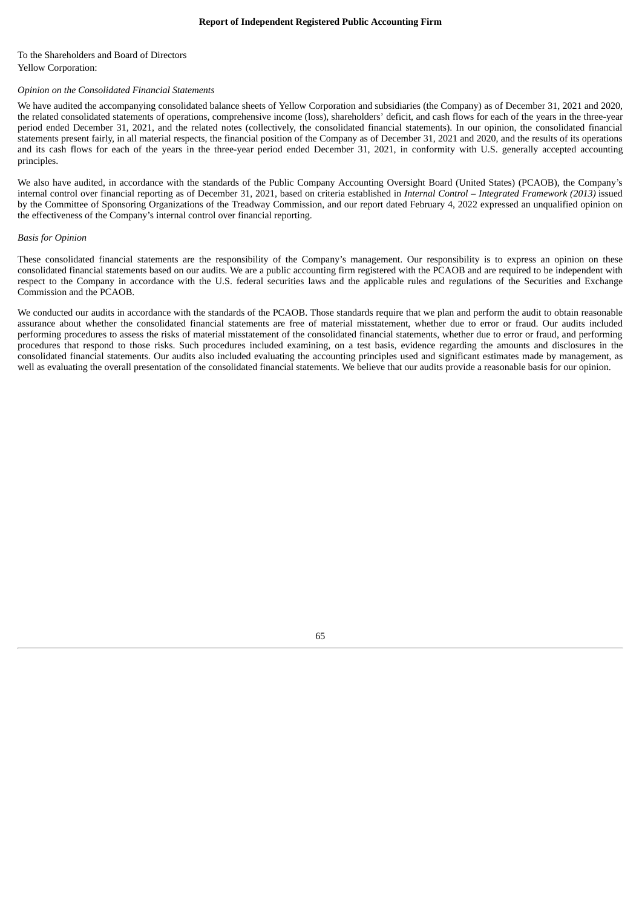### **Report of Independent Registered Public Accounting Firm**

### To the Shareholders and Board of Directors Yellow Corporation:

#### *Opinion on the Consolidated Financial Statements*

We have audited the accompanying consolidated balance sheets of Yellow Corporation and subsidiaries (the Company) as of December 31, 2021 and 2020, the related consolidated statements of operations, comprehensive income (loss), shareholders' deficit, and cash flows for each of the years in the three-year period ended December 31, 2021, and the related notes (collectively, the consolidated financial statements). In our opinion, the consolidated financial statements present fairly, in all material respects, the financial position of the Company as of December 31, 2021 and 2020, and the results of its operations and its cash flows for each of the years in the three-year period ended December 31, 2021, in conformity with U.S. generally accepted accounting principles.

We also have audited, in accordance with the standards of the Public Company Accounting Oversight Board (United States) (PCAOB), the Company's internal control over financial reporting as of December 31, 2021, based on criteria established in *Internal Control – Integrated Framework (2013)* issued by the Committee of Sponsoring Organizations of the Treadway Commission, and our report dated February 4, 2022 expressed an unqualified opinion on the effectiveness of the Company's internal control over financial reporting.

#### *Basis for Opinion*

These consolidated financial statements are the responsibility of the Company's management. Our responsibility is to express an opinion on these consolidated financial statements based on our audits. We are a public accounting firm registered with the PCAOB and are required to be independent with respect to the Company in accordance with the U.S. federal securities laws and the applicable rules and regulations of the Securities and Exchange Commission and the PCAOB.

We conducted our audits in accordance with the standards of the PCAOB. Those standards require that we plan and perform the audit to obtain reasonable assurance about whether the consolidated financial statements are free of material misstatement, whether due to error or fraud. Our audits included performing procedures to assess the risks of material misstatement of the consolidated financial statements, whether due to error or fraud, and performing procedures that respond to those risks. Such procedures included examining, on a test basis, evidence regarding the amounts and disclosures in the consolidated financial statements. Our audits also included evaluating the accounting principles used and significant estimates made by management, as well as evaluating the overall presentation of the consolidated financial statements. We believe that our audits provide a reasonable basis for our opinion.

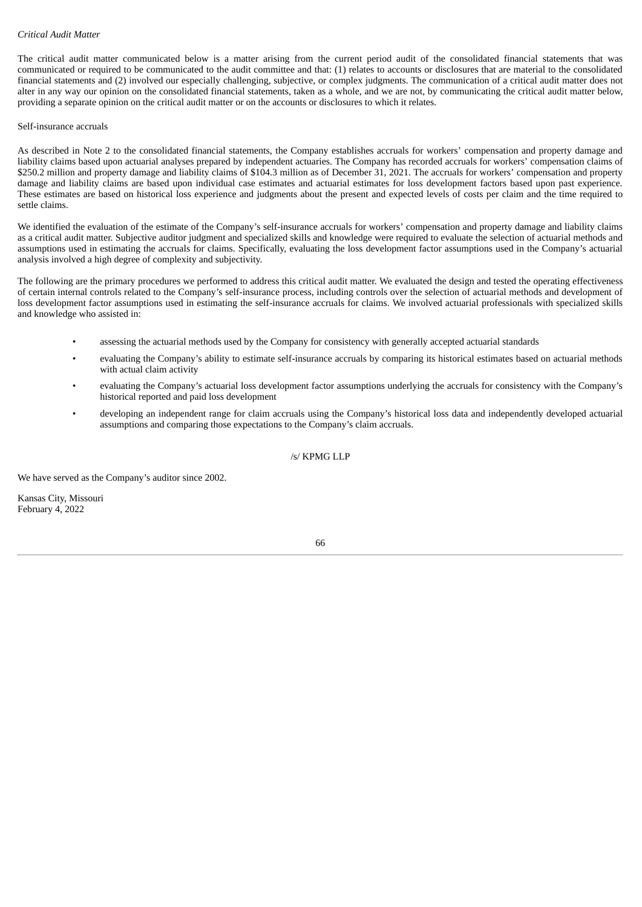The critical audit matter communicated below is a matter arising from the current period audit of the consolidated financial statements that was communicated or required to be communicated to the audit committee and that: (1) relates to accounts or disclosures that are material to the consolidated financial statements and (2) involved our especially challenging, subjective, or complex judgments. The communication of a critical audit matter does not alter in any way our opinion on the consolidated financial statements, taken as a whole, and we are not, by communicating the critical audit matter below, providing a separate opinion on the critical audit matter or on the accounts or disclosures to which it relates.

#### Self-insurance accruals

As described in Note 2 to the consolidated financial statements, the Company establishes accruals for workers' compensation and property damage and liability claims based upon actuarial analyses prepared by independent actuaries. The Company has recorded accruals for workers' compensation claims of \$250.2 million and property damage and liability claims of \$104.3 million as of December 31, 2021. The accruals for workers' compensation and property damage and liability claims are based upon individual case estimates and actuarial estimates for loss development factors based upon past experience. These estimates are based on historical loss experience and judgments about the present and expected levels of costs per claim and the time required to settle claims.

We identified the evaluation of the estimate of the Company's self-insurance accruals for workers' compensation and property damage and liability claims as a critical audit matter. Subjective auditor judgment and specialized skills and knowledge were required to evaluate the selection of actuarial methods and assumptions used in estimating the accruals for claims. Specifically, evaluating the loss development factor assumptions used in the Company's actuarial analysis involved a high degree of complexity and subjectivity.

The following are the primary procedures we performed to address this critical audit matter. We evaluated the design and tested the operating effectiveness of certain internal controls related to the Company's self-insurance process, including controls over the selection of actuarial methods and development of loss development factor assumptions used in estimating the self-insurance accruals for claims. We involved actuarial professionals with specialized skills and knowledge who assisted in:

- assessing the actuarial methods used by the Company for consistency with generally accepted actuarial standards
- evaluating the Company's ability to estimate self-insurance accruals by comparing its historical estimates based on actuarial methods with actual claim activity
- evaluating the Company's actuarial loss development factor assumptions underlying the accruals for consistency with the Company's historical reported and paid loss development
- developing an independent range for claim accruals using the Company's historical loss data and independently developed actuarial assumptions and comparing those expectations to the Company's claim accruals.

#### /s/ KPMG LLP

We have served as the Company's auditor since 2002.

Kansas City, Missouri February 4, 2022

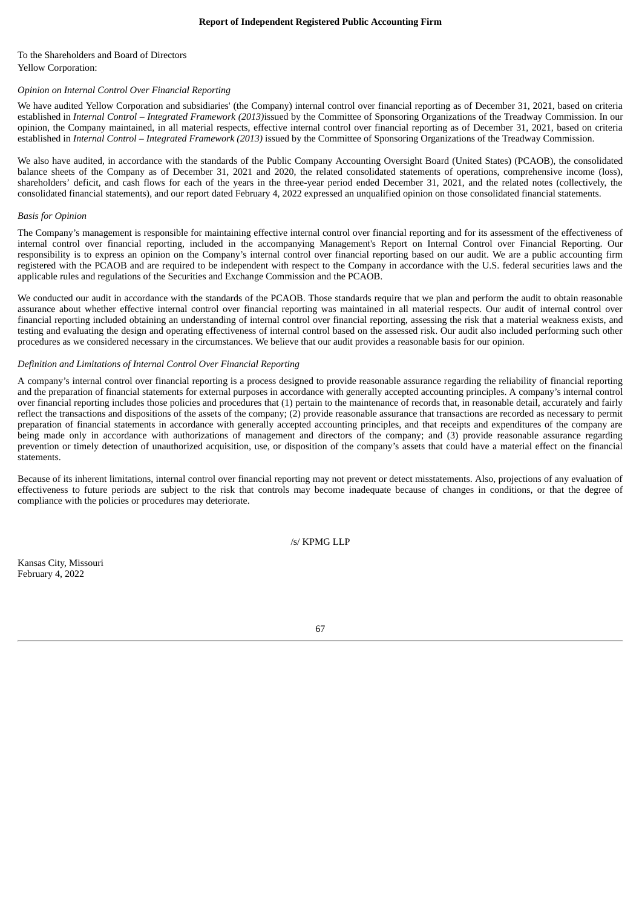#### **Report of Independent Registered Public Accounting Firm**

### To the Shareholders and Board of Directors Yellow Corporation:

#### *Opinion on Internal Control Over Financial Reporting*

We have audited Yellow Corporation and subsidiaries' (the Company) internal control over financial reporting as of December 31, 2021, based on criteria established in *Internal Control – Integrated Framework (2013)*issued by the Committee of Sponsoring Organizations of the Treadway Commission. In our opinion, the Company maintained, in all material respects, effective internal control over financial reporting as of December 31, 2021, based on criteria established in *Internal Control – Integrated Framework (2013)* issued by the Committee of Sponsoring Organizations of the Treadway Commission.

We also have audited, in accordance with the standards of the Public Company Accounting Oversight Board (United States) (PCAOB), the consolidated balance sheets of the Company as of December 31, 2021 and 2020, the related consolidated statements of operations, comprehensive income (loss), shareholders' deficit, and cash flows for each of the years in the three-year period ended December 31, 2021, and the related notes (collectively, the consolidated financial statements), and our report dated February 4, 2022 expressed an unqualified opinion on those consolidated financial statements.

#### *Basis for Opinion*

The Company's management is responsible for maintaining effective internal control over financial reporting and for its assessment of the effectiveness of internal control over financial reporting, included in the accompanying Management's Report on Internal Control over Financial Reporting. Our responsibility is to express an opinion on the Company's internal control over financial reporting based on our audit. We are a public accounting firm registered with the PCAOB and are required to be independent with respect to the Company in accordance with the U.S. federal securities laws and the applicable rules and regulations of the Securities and Exchange Commission and the PCAOB.

We conducted our audit in accordance with the standards of the PCAOB. Those standards require that we plan and perform the audit to obtain reasonable assurance about whether effective internal control over financial reporting was maintained in all material respects. Our audit of internal control over financial reporting included obtaining an understanding of internal control over financial reporting, assessing the risk that a material weakness exists, and testing and evaluating the design and operating effectiveness of internal control based on the assessed risk. Our audit also included performing such other procedures as we considered necessary in the circumstances. We believe that our audit provides a reasonable basis for our opinion.

#### *Definition and Limitations of Internal Control Over Financial Reporting*

A company's internal control over financial reporting is a process designed to provide reasonable assurance regarding the reliability of financial reporting and the preparation of financial statements for external purposes in accordance with generally accepted accounting principles. A company's internal control over financial reporting includes those policies and procedures that (1) pertain to the maintenance of records that, in reasonable detail, accurately and fairly reflect the transactions and dispositions of the assets of the company; (2) provide reasonable assurance that transactions are recorded as necessary to permit preparation of financial statements in accordance with generally accepted accounting principles, and that receipts and expenditures of the company are being made only in accordance with authorizations of management and directors of the company; and (3) provide reasonable assurance regarding prevention or timely detection of unauthorized acquisition, use, or disposition of the company's assets that could have a material effect on the financial statements.

Because of its inherent limitations, internal control over financial reporting may not prevent or detect misstatements. Also, projections of any evaluation of effectiveness to future periods are subject to the risk that controls may become inadequate because of changes in conditions, or that the degree of compliance with the policies or procedures may deteriorate.

/s/ KPMG LLP

Kansas City, Missouri February 4, 2022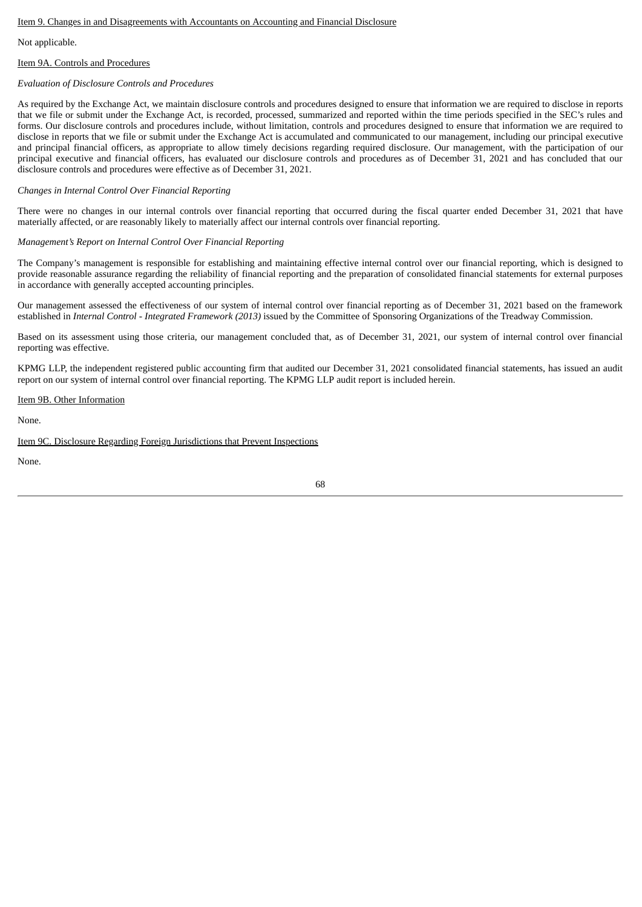### Item 9. Changes in and Disagreements with Accountants on Accounting and Financial Disclosure

Not applicable.

### Item 9A. Controls and Procedures

#### *Evaluation of Disclosure Controls and Procedures*

As required by the Exchange Act, we maintain disclosure controls and procedures designed to ensure that information we are required to disclose in reports that we file or submit under the Exchange Act, is recorded, processed, summarized and reported within the time periods specified in the SEC's rules and forms. Our disclosure controls and procedures include, without limitation, controls and procedures designed to ensure that information we are required to disclose in reports that we file or submit under the Exchange Act is accumulated and communicated to our management, including our principal executive and principal financial officers, as appropriate to allow timely decisions regarding required disclosure. Our management, with the participation of our principal executive and financial officers, has evaluated our disclosure controls and procedures as of December 31, 2021 and has concluded that our disclosure controls and procedures were effective as of December 31, 2021.

#### *Changes in Internal Control Over Financial Reporting*

There were no changes in our internal controls over financial reporting that occurred during the fiscal quarter ended December 31, 2021 that have materially affected, or are reasonably likely to materially affect our internal controls over financial reporting.

### *Management's Report on Internal Control Over Financial Reporting*

The Company's management is responsible for establishing and maintaining effective internal control over our financial reporting, which is designed to provide reasonable assurance regarding the reliability of financial reporting and the preparation of consolidated financial statements for external purposes in accordance with generally accepted accounting principles.

Our management assessed the effectiveness of our system of internal control over financial reporting as of December 31, 2021 based on the framework established in *Internal Control - Integrated Framework (2013)* issued by the Committee of Sponsoring Organizations of the Treadway Commission.

Based on its assessment using those criteria, our management concluded that, as of December 31, 2021, our system of internal control over financial reporting was effective.

KPMG LLP, the independent registered public accounting firm that audited our December 31, 2021 consolidated financial statements, has issued an audit report on our system of internal control over financial reporting. The KPMG LLP audit report is included herein.

#### Item 9B. Other Information

None.

Item 9C. Disclosure Regarding Foreign Jurisdictions that Prevent Inspections

None.

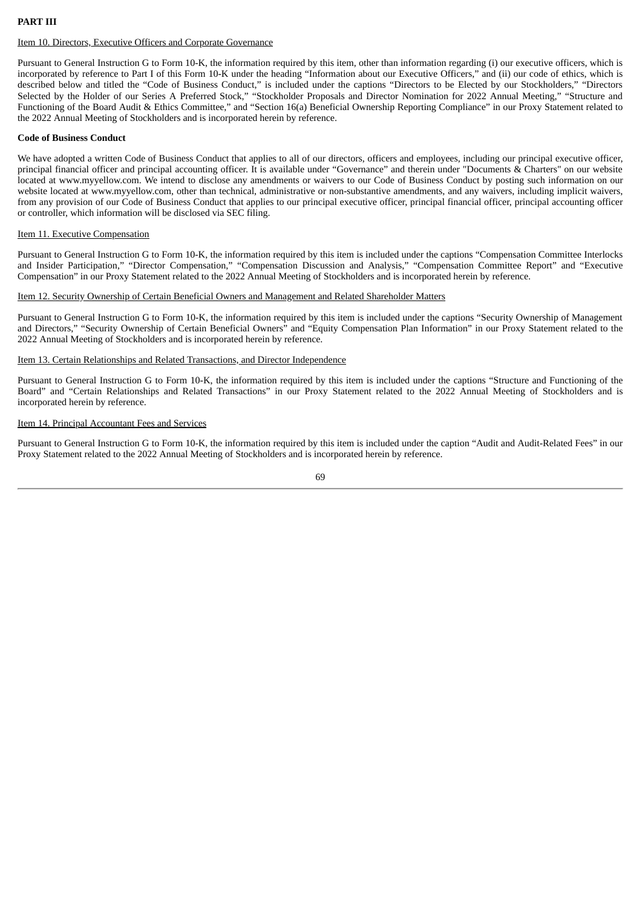### Item 10. Directors, Executive Officers and Corporate Governance

Pursuant to General Instruction G to Form 10-K, the information required by this item, other than information regarding (i) our executive officers, which is incorporated by reference to Part I of this Form 10-K under the heading "Information about our Executive Officers," and (ii) our code of ethics, which is described below and titled the "Code of Business Conduct," is included under the captions "Directors to be Elected by our Stockholders," "Directors Selected by the Holder of our Series A Preferred Stock," "Stockholder Proposals and Director Nomination for 2022 Annual Meeting," "Structure and Functioning of the Board Audit & Ethics Committee," and "Section 16(a) Beneficial Ownership Reporting Compliance" in our Proxy Statement related to the 2022 Annual Meeting of Stockholders and is incorporated herein by reference.

### **Code of Business Conduct**

We have adopted a written Code of Business Conduct that applies to all of our directors, officers and employees, including our principal executive officer, principal financial officer and principal accounting officer. It is available under "Governance" and therein under "Documents & Charters" on our website located at www.myyellow.com. We intend to disclose any amendments or waivers to our Code of Business Conduct by posting such information on our website located at www.myyellow.com, other than technical, administrative or non-substantive amendments, and any waivers, including implicit waivers, from any provision of our Code of Business Conduct that applies to our principal executive officer, principal financial officer, principal accounting officer or controller, which information will be disclosed via SEC filing.

### Item 11. Executive Compensation

Pursuant to General Instruction G to Form 10-K, the information required by this item is included under the captions "Compensation Committee Interlocks and Insider Participation," "Director Compensation," "Compensation Discussion and Analysis," "Compensation Committee Report" and "Executive Compensation" in our Proxy Statement related to the 2022 Annual Meeting of Stockholders and is incorporated herein by reference.

### Item 12. Security Ownership of Certain Beneficial Owners and Management and Related Shareholder Matters

Pursuant to General Instruction G to Form 10-K, the information required by this item is included under the captions "Security Ownership of Management and Directors," "Security Ownership of Certain Beneficial Owners" and "Equity Compensation Plan Information" in our Proxy Statement related to the 2022 Annual Meeting of Stockholders and is incorporated herein by reference.

### Item 13. Certain Relationships and Related Transactions, and Director Independence

Pursuant to General Instruction G to Form 10-K, the information required by this item is included under the captions "Structure and Functioning of the Board" and "Certain Relationships and Related Transactions" in our Proxy Statement related to the 2022 Annual Meeting of Stockholders and is incorporated herein by reference.

### Item 14. Principal Accountant Fees and Services

Pursuant to General Instruction G to Form 10-K, the information required by this item is included under the caption "Audit and Audit-Related Fees" in our Proxy Statement related to the 2022 Annual Meeting of Stockholders and is incorporated herein by reference.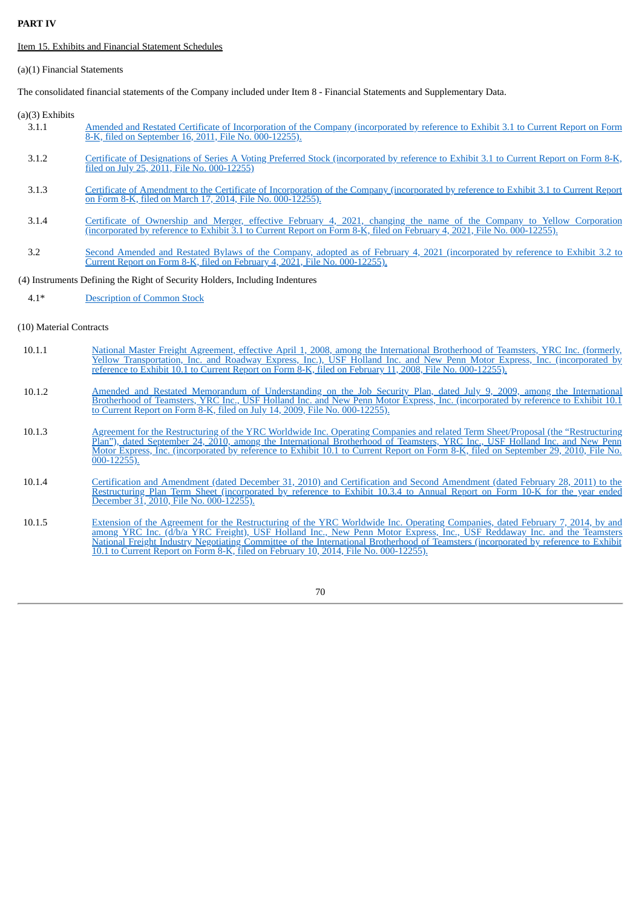### **PART IV**

# Item 15. Exhibits and Financial Statement Schedules

(a)(1) Financial Statements

The consolidated financial statements of the Company included under Item 8 - Financial Statements and Supplementary Data.

## (a)(3) Exhibits

| 3.1.1 | Amended and Restated Certificate of Incorporation of the Company (incorporated by reference to Exhibit 3.1 to Current Report on Form |
|-------|--------------------------------------------------------------------------------------------------------------------------------------|
|       | 8-K, filed on September 16, 2011, File No. 000-12255).                                                                               |

- 3.1.2 Certificate of Designations of Series A Voting Preferred Stock [\(incorporated](https://www.sec.gov/Archives/edgar/data/0000716006/000119312511196217/d8k.htm) by reference to Exhibit 3.1 to Current Report on Form 8-K, filed on July 25, 2011, File No. 000-12255)
- 3.1.3 Certificate of Amendment to the Certificate of [Incorporation](https://www.sec.gov/Archives/edgar/data/716006/000119312514102367/d695445dex31.htm) of the Company (incorporated by reference to Exhibit 3.1 to Current Report on Form 8-K, filed on March 17, 2014, File No. 000-12255).
- 3.1.4 Certificate of Ownership and Merger, effective February 4, 2021, changing the name of the Company to Yellow Corporation [\(incorporated](https://www.sec.gov/Archives/edgar/data/716006/000156459021004307/yrcw-ex31_133.htm) by reference to Exhibit 3.1 to Current Report on Form 8-K, filed on February 4, 2021, File No. 000-12255).
- 3.2 Second Amended and Restated Bylaws of the Company, adopted as of February 4, 2021 [\(incorporated](https://www.sec.gov/Archives/edgar/data/716006/000156459021004307/yrcw-ex32_515.htm) by reference to Exhibit 3.2 to Current Report on Form 8-K, filed on February 4, 2021, File No. 000-12255).

# (4) Instruments Defining the Right of Security Holders, Including Indentures

4.1\* [Description](#page-75-0) of Common Stock

# (10) Material Contracts

- 10.1.1 National Master Freight Agreement, effective April 1, 2008, among the International Brotherhood of Teamsters, YRC Inc. (formerly, Yellow [Transportation,](https://www.sec.gov/Archives/edgar/data/716006/000119312508025469/dex101.htm) Inc. and Roadway Express, Inc.), USF Holland Inc. and New Penn Motor Express, Inc. (incorporated by reference to Exhibit 10.1 to Current Report on Form 8-K, filed on February 11, 2008, File No. 000-12255).
- 10.1.2 Amended and Restated Memorandum of [Understanding](https://www.sec.gov/Archives/edgar/data/716006/000119312509148794/dex101.htm) on the Job Security Plan, dated July 9, 2009, among the International Brotherhood of Teamsters, YRC Inc., USF Holland Inc. and New Penn Motor Express, Inc. (incorporated by reference to Exhibit 10.1 to Current Report on Form 8-K, filed on July 14, 2009, File No. 000-12255).
- 10.1.3 Agreement for the Restructuring of the YRC Worldwide Inc. Operating Companies and related Term [Sheet/Proposal](https://www.sec.gov/Archives/edgar/data/716006/000119312510219854/dex101.htm) (the "Restructuring  $Plan$ "), dated September 24, 2010, among the International Brotherhood of Teamsters, YR Motor Express, Inc. (incorporated by reference to Exhibit 10.1 to Current Report on Form 8-K, filed on September 29, 2010, File No.  $000 - 12255$ ).
- 10.1.4 Certification and Amendment (dated December 31, 2010) and Certification and Second Amendment (dated February 28, 2011) to the [Restructuring](https://www.sec.gov/Archives/edgar/data/716006/000119312511066014/dex1034.htm) Plan Term Sheet (incorporated by reference to Exhibit 10.3.4 to Annual Report on Form 10-K for the year ended December 31, 2010, File No. 000-12255).
- 10.1.5 Extension of the Agreement for the [Restructuring](https://www.sec.gov/Archives/edgar/data/716006/000119312514043473/d672613dex101.htm) of the YRC Worldwide Inc. Operating Companies, dated February 7, 2014, by and among YRC Inc. (d/b/a YRC Freight), USF Holland Inc., New Penn Motor Express, Inc., USF Reddaway Inc. and the Teamsters National Freight Industry Negotiating Committee of the International Brotherhood of Teamsters (incorporated by reference to Exhibit 10.1 to Current Report on Form 8-K, filed on February 10, 2014, File No. 000-12255).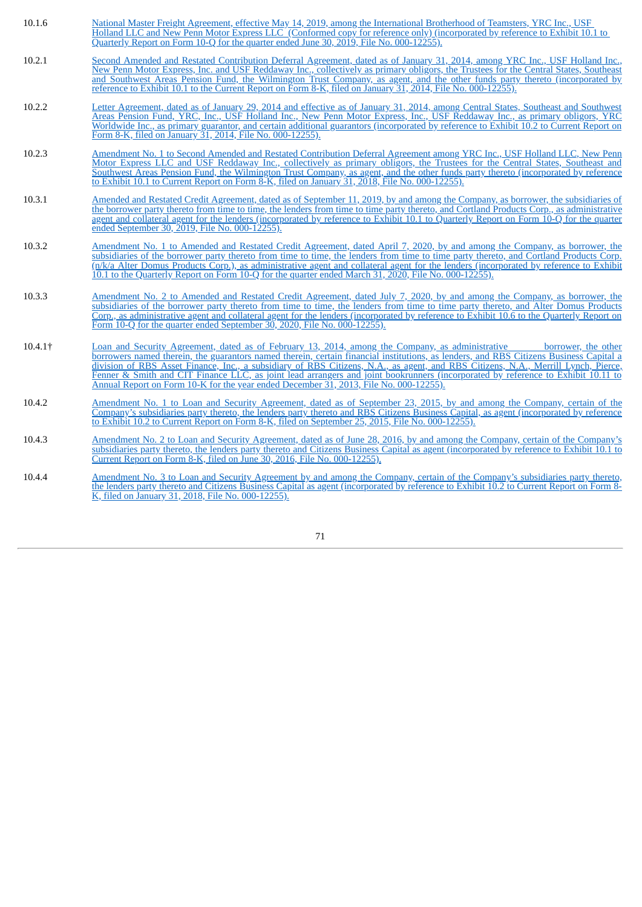- 10.1.6 National Master Freight Agreement, effective May 14, 2019, among the International Brotherhood of Teamsters, YRC Inc., Holland LLC and New Penn Motor Express LLC (Conformed copy for reference only) [\(incorporated](https://www.sec.gov/Archives/edgar/data/716006/000071600619000010/yrcw-2019630xex101.htm) by reference to Exhibit 10.1 to Quarterly Report on Form 10-Q for the quarter ended June 30, 2019, File No. 000-12255).
- 10.2.1 Second Amended and Restated Contribution Deferral Agreement, dated as of January 31, 2014, among YRC Inc., USF Holland Inc., New Penn Motor Express, Inc. and USF Reddaway Inc., collectively as primary obligors, the Trustees for the Central States, Southeast and Southwest Areas Pension Fund, the Wilmington Trust Company, as agent, and the other funds party thereto [\(incorporated](https://www.sec.gov/Archives/edgar/data/716006/000119312514031213/d667949dex101.htm) by reference to Exhibit 10.1 to the Current Report on Form 8-K, filed on January 31, 2014, File No. 000-12255).
- 10.2.2 Letter Agreement, dated as of January 29, 2014 and effective as of January 31, 2014, among Central States, Southeast and Southwest Areas Pension Fund, YRC, Inc., USF Holland Inc., New Penn Motor Express, Inc., USF Reddaway Inc., as primary obligors, YRC Worldwide Inc., as primary guarantor, and certain additional guarantors [\(incorporated](https://www.sec.gov/Archives/edgar/data/716006/000119312514031213/d667949dex102.htm) by reference to Exhibit 10.2 to Current Report on Form 8-K, filed on January 31, 2014, File No. 000-12255).
- 10.2.3 Amendment No. 1 to Second Amended and Restated Contribution Deferral Agreement among YRC Inc., USF Holland LLC, New Penn<br>Motor Express LLC and USF Reddaway Inc., collectively as primary obligors, the Trustees for th Southwest Areas Pension Fund, the Wilmington Trust Company, as agent, and the other funds party thereto [\(incorporated](https://www.sec.gov/Archives/edgar/data/716006/000119312518026584/d520490dex101.htm) by reference to Exhibit 10.1 to Current Report on Form 8-K, filed on January 31, 2018, File No. 000-12255).
- 10.3.1 Amended and Restated Credit Agreement, dated as of September 11, 2019, by and among the Company, as borrower, the subsidiaries of the borrower party thereto from time to time, the lenders from time to time party thereto, and Cortland Products Corp., as [administrative](https://www.sec.gov/Archives/edgar/data/716006/000071600619000012/yrcw-2019930xex101.htm) agent and collateral agent for the lenders (incorporated by reference to Exhibit 10.1 to Quarterly Report on Form 10-Q for the quarter ended September 30, 2019, File No. 000-12255).
- 10.3.2 Amendment No. 1 to Amended and Restated Credit Agreement, dated April 7, 2020, by and among the Company, as borrower, the subsidiaries of the borrower party thereto from time to time, the lenders from time to time party thereto, and Cortland Products Corp. (n/k/a Alter Domus Products Corp.), as [administrative](https://www.sec.gov/Archives/edgar/data/0000716006/000156459020024217/yrcw-ex101_587.htm) agent and collateral agent for the lenders (incorporated by reference to Exhibit 10.1 to the Quarterly Report on Form 10-Q for the quarter ended March 31, 2020, File No. 000-12255).
- 10.3.3 Amendment No. 2 to Amended and Restated Credit Agreement, dated July 7, 2020, by and among the Company, as borrower, the subsidiaries of the borrower party thereto from time to time, the lenders from time to time party thereto, and Alter Domus Products Corp., as [administrative](https://www.sec.gov/Archives/edgar/data/716006/000156459020035521/yrcw-ex108_590.htm) agent and collateral agent for the lenders (incorporated by reference to Exhibit 10.6 to the Quarterly Report on Form 10-Q for the quarter ended September 30, 2020, File No. 000-12255).
- 10.4.1† Loan and Security Agreement, dated as of February 13, 2014, among the Company, as [administrative](https://www.sec.gov/Archives/edgar/data/716006/000071600614000006/yrcw-20131231xex1011.htm) borrower, the other borrowers named therein, the guarantors named therein, certain financial institutions, as lenders, and RBS Citizens Business Capital a division of RBS Asset Finance, Inc., a subsidiary of RBS Citizens, N.A., as agent, and RBS Citizens, N.A., Merrill Lynch, Pierce, Fenner & Smith and CIT Finance LLC, as joint lead arrangers and joint bookrunners (incorporated by reference to Exhibit 10.11 to Annual Report on Form 10-K for the year ended December 31, 2013, File No. 000-12255).
- 10.4.2 Amendment No. 1 to Loan and Security Agreement, dated as of September 23, 2015, by and among the Company, certain of the Company's subsidiaries party thereto, the lenders party thereto and RBS Citizens Business Capital, as agent [\(incorporated](https://www.sec.gov/Archives/edgar/data/716006/000119312515329162/d79434dex102.htm) by reference to Exhibit 10.2 to Current Report on Form 8-K, filed on September 25, 2015, File No. 000-12255).
- 10.4.3 Amendment No. 2 to Loan and Security Agreement, dated as of June 28, 2016, by and among the Company, certain of the Company's subsidiaries party thereto, the lenders party thereto and Citizens Business Capital as agent [\(incorporated](https://www.sec.gov/Archives/edgar/data/716006/000119312516638425/d210822dex101.htm) by reference to Exhibit 10.1 to Current Report on Form 8-K, filed on June 30, 2016, File No. 000-12255).
- 10.4.4 Amendment No. 3 to Loan and Security Agreement by and among the Company, certain of the Company's subsidiaries party thereto, the lenders party thereto and Citizens Business Capital as agent [\(incorporated](https://www.sec.gov/Archives/edgar/data/716006/000119312518026584/d520490dex102.htm) by reference to Exhibit 10.2 to Current Report on Form 8- K, filed on January 31, 2018, File No. 000-12255).

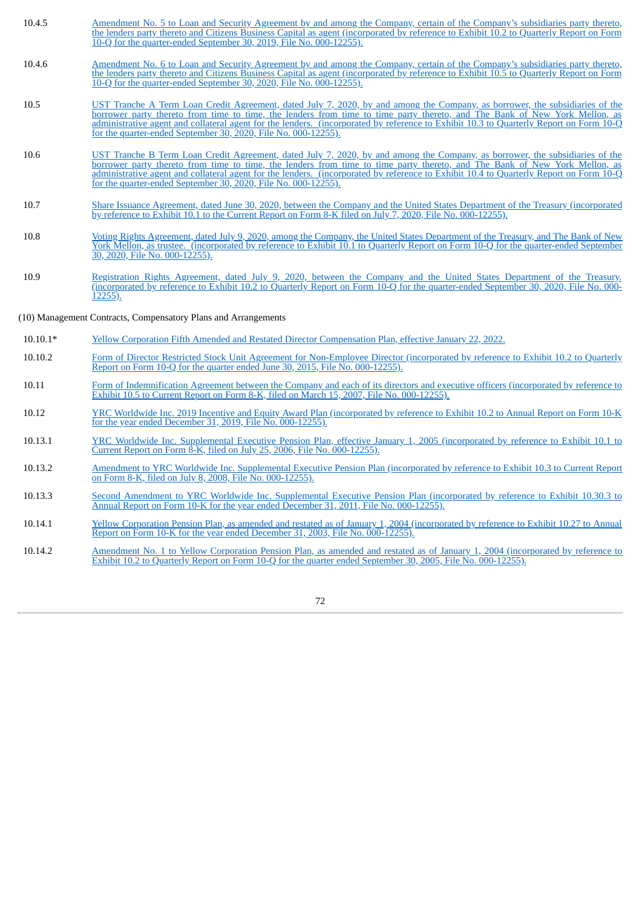| 10.4.5 | Amendment No. 5 to Loan and Security Agreement by and among the Company, certain of the Company's subsidiaries party thereto,           |
|--------|-----------------------------------------------------------------------------------------------------------------------------------------|
|        | the lenders party thereto and Citizens Business Capital as agent (incorporated by reference to Exhibit 10.2 to Quarterly Report on Form |
|        | 10-O for the quarter-ended September 30, 2019. File No. 000-12255).                                                                     |

- 10.4.6 Amendment No. 6 to Loan and Security Agreement by and among the Company, certain of the Company's subsidiaries party thereto, the lenders party thereto and Citizens Business Capital as agent (incorporated by reference to Exhibit 10.5 to Quarterly Report on Form 10-Q for the [quarter-ended](https://www.sec.gov/Archives/edgar/data/716006/000156459020035521/yrcw-ex106_589.htm) September 30, 2020, File No. 000-12255).
- 10.5 UST Tranche A Term Loan Credit Agreement, dated July 7, 2020, by and among the Company, as borrower, the subsidiaries of the borrower party thereto from time to time, the lenders from time to time party thereto, and The Bank of New York Mellon, as [administrative](https://www.sec.gov/Archives/edgar/data/716006/000156459020035521/yrcw-ex104_568.htm) agent and collateral agent for the lenders. (incorporated by reference to Exhibit 10.3 to Quarterly Report on Form 10-Q for the quarter-ended September 30, 2020, File No. 000-12255).
- 10.6 UST Tranche B Term Loan Credit Agreement, dated July 7, 2020, by and among the Company, as borrower, the subsidiaries of the borrower party thereto from time to time, the lenders from time to time party thereto, and The Bank of New York Mellon, as [administrative](https://www.sec.gov/Archives/edgar/data/716006/000156459020035521/yrcw-ex105_567.htm) agent and collateral agent for the lenders. (incorporated by reference to Exhibit 10.4 to Quarterly Report on Form 10-Q for the quarter-ended September 30, 2020, File No. 000-12255).
- 10.7 Share Issuance Agreement, dated June 30, 2020, between the Company and the United States Department of the Treasury [\(incorporated](https://www.sec.gov/Archives/edgar/data/0000716006/000119312520188904/d48416dex101.htm) by reference to Exhibit 10.1 to the Current Report on Form 8-K filed on July 7, 2020, File No. 000-12255).
- 10.8 Voting Rights Agreement, dated July 9, 2020, among the Company, the United States Department of the Treasury, and The Bank of New York Mellon, as trustee. (incorporated by reference to Exhibit 10.1 to Quarterly Report on Form 10-Q for the [quarter-ended](https://www.sec.gov/Archives/edgar/data/716006/000156459020035521/yrcw-ex102_570.htm) September <u>30, 2020, File No. 000-12255).</u>
- 10.9 Registration Rights Agreement, dated July 9, 2020, between the Company and the United States Department of the Treasury. (incorporated by reference to Exhibit 10.2 to Quarterly Report on Form 10-Q for the [quarter-ended](https://www.sec.gov/Archives/edgar/data/716006/000156459020035521/yrcw-ex103_569.htm) September 30, 2020, File No. 000- 12255).
- (10) Management Contracts, Compensatory Plans and Arrangements
- 10.10.1\* Yellow Corporation Fifth Amended and Restated Director [Compensation](#page-78-0) Plan, effective January 22, 2022.
- 10.10.2 Form of Director Restricted Stock Unit Agreement for [Non-Employee](https://www.sec.gov/Archives/edgar/data/716006/000071600615000043/yrcw-2015630xex102.htm) Director (incorporated by reference to Exhibit 10.2 to Quarterly Report on Form 10-Q for the quarter ended June 30, 2015, File No. 000-12255).
- 10.11 Form of [Indemnification](https://www.sec.gov/Archives/edgar/data/716006/000119312507055710/dex105.htm) Agreement between the Company and each of its directors and executive officers (incorporated by reference to Exhibit 10.5 to Current Report on Form 8-K, filed on March 15, 2007, File No. 000-12255).
- 10.12 YRC Worldwide Inc. 2019 Incentive and Equity Award Plan [\(incorporated](https://www.sec.gov/Archives/edgar/data/716006/000156459020010103/yrcw-ex1073_590.htm) by reference to Exhibit 10.2 to Annual Report on Form 10-K for the year ended December 31, 2019, File No. 000-12255).
- 10.13.1 YRC Worldwide Inc. [Supplemental](https://www.sec.gov/Archives/edgar/data/716006/000119312506152735/dex101.htm) Executive Pension Plan, effective January 1, 2005 (incorporated by reference to Exhibit 10.1 to Current Report on Form 8-K, filed on July 25, 2006, File No. 000-12255).
- 10.13.2 Amendment to YRC Worldwide Inc. [Supplemental](https://www.sec.gov/Archives/edgar/data/716006/000119312508148085/dex103.htm) Executive Pension Plan (incorporated by reference to Exhibit 10.3 to Current Report <u>on Form 8-K, filed on July 8, 2008, File No. 000-12255).</u>
- 10.13.3 Second Amendment to YRC Worldwide Inc. [Supplemental](https://www.sec.gov/Archives/edgar/data/716006/000119312512083494/d273159dex10303.htm) Executive Pension Plan (incorporated by reference to Exhibit 10.30.3 to Annual Report on Form 10-K for the year ended December 31, 2011, File No. 000-12255).
- 10.14.1 Yellow Corporation Pension Plan, as amended and restated as of January 1, 2004 [\(incorporated](https://www.sec.gov/Archives/edgar/data/716006/000095013704001846/c83426exv10w27.txt) by reference to Exhibit 10.27 to Annual Report on Form 10-K for the year ended December 31, 2003, File No. 000-12255).
- 10.14.2 Amendment No. 1 to Yellow Corporation Pension Plan, as amended and restated as of January 1, 2004 [\(incorporated](https://www.sec.gov/Archives/edgar/data/716006/000119312505221269/dex102.htm) by reference to Exhibit 10.2 to Quarterly Report on Form 10-Q for the quarter ended September 30, 2005, File No. 000-12255).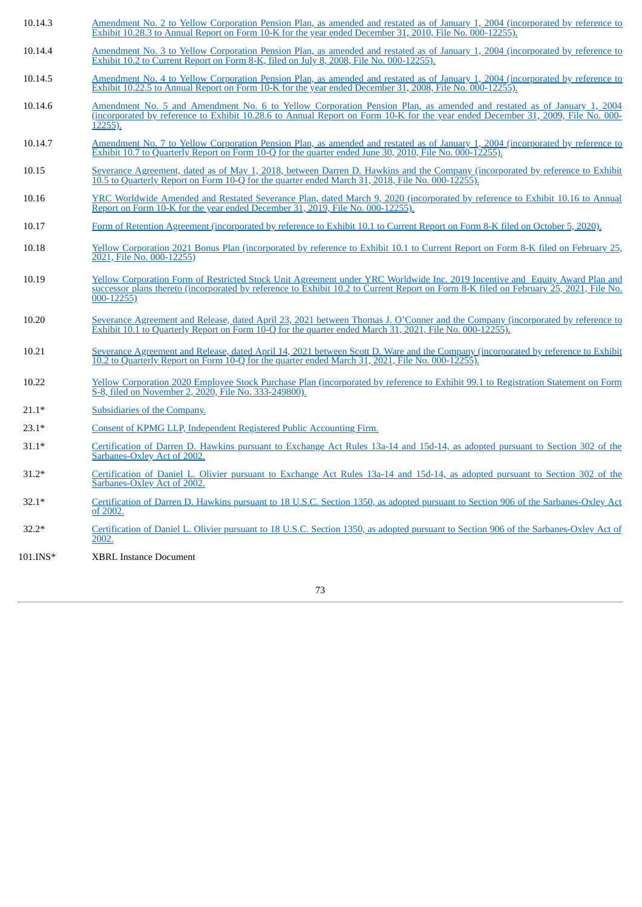- 10.14.3 Amendment No. 2 to Yellow Corporation Pension Plan, as amended and restated as of January 1, 2004 [\(incorporated](https://www.sec.gov/Archives/edgar/data/716006/000119312511066014/dex10283.htm) by reference to Exhibit 10.28.3 to Annual Report on Form 10-K for the year ended December 31, 2010, File No. 000-12255).
- 10.14.4 Amendment No. 3 to Yellow Corporation Pension Plan, as amended and restated as of January 1, 2004 [\(incorporated](https://www.sec.gov/Archives/edgar/data/716006/000119312508148085/dex102.htm) by reference to Exhibit 10.2 to Current Report on Form 8-K, filed on July 8, 2008, File No. 000-12255).
- 10.14.5 Amendment No. 4 to Yellow Corporation Pension Plan, as amended and restated as of January 1, 2004 [\(incorporated](https://www.sec.gov/Archives/edgar/data/716006/000119312509042369/dex10225.htm) by reference to Exhibit 10.22.5 to Annual Report on Form 10-K for the year ended December 31, 2008, File No. 000-12255).
- 10.14.6 Amendment No. 5 and Amendment No. 6 to Yellow Corporation Pension Plan, as amended and restated as of January 1, 2004 [\(incorporated](https://www.sec.gov/Archives/edgar/data/716006/000119312510058523/dex10286.htm) by reference to Exhibit 10.28.6 to Annual Report on Form 10-K for the year ended December 31, 2009, File No. 000- 12255).
- 10.14.7 Amendment No. 7 to Yellow Corporation Pension Plan, as amended and restated as of January 1, 2004 [\(incorporated](https://www.sec.gov/Archives/edgar/data/716006/000119312510182535/dex107.htm) by reference to Exhibit 10.7 to Quarterly Report on Form 10-Q for the quarter ended June 30, 2010, File No. 000-12255).
- 10.15 Severance Agreement, dated as of May 1, 2018, between Darren D. Hawkins and the Company [\(incorporated](https://www.sec.gov/Archives/edgar/data/716006/000071600618000008/yrcw-2018331xex105.htm) by reference to Exhibit 10.5 to Quarterly Report on Form 10-Q for the quarter ended March 31, 2018, File No. 000-12255).
- 10.16 YRC Worldwide Amended and Restated Severance Plan, dated March 9, 2020 [\(incorporated](https://www.sec.gov/Archives/edgar/data/716006/000156459020010103/yrcw-ex1016_780.htm) by reference to Exhibit 10.16 to Annual Report on Form 10-K for the year ended December 31, 2019, File No. 000-12255).
- 10.17 Form of Retention Agreement [\(incorporated](https://www.sec.gov/Archives/edgar/data/716006/000156459020045821/yrcw-ex101_9.htm) by reference to Exhibit 10.1 to Current Report on Form 8-K filed on October 5, 2020).
- 10.18 Yellow Corporation 2021 Bonus Plan [\(incorporated](https://www.sec.gov/Archives/edgar/data/0000716006/000156459021008809/yell-ex101_9.htm) by reference to Exhibit 10.1 to Current Report on Form 8-K filed on February 25, 2021, File No. 000-12255)
- 10.19 Yellow Corporation Form of Restricted Stock Unit Agreement under YRC Worldwide Inc. 2019 Incentive and Equity Award Plan and successor plans thereto [\(incorporated](https://www.sec.gov/Archives/edgar/data/0000716006/000156459021008809/yell-ex102_10.htm) by reference to Exhibit 10.2 to Current Report on Form 8-K filed on February 25, 2021, File No.  $000 - 12255$
- 10.20 Severance Agreement and Release, dated April 23, 2021 between Thomas J. O'Conner and the Company [\(incorporated](https://www.sec.gov/Archives/edgar/data/716006/000156459021024038/yell-ex101_416.htm) by reference to Exhibit 10.1 to Quarterly Report on Form 10-Q for the quarter ended March 31, 2021, File No. 000-12255
- 10.21 Severance Agreement and Release, dated April 14, 2021 between Scott D. Ware and the Company [\(incorporated](https://www.sec.gov/Archives/edgar/data/716006/000156459021024038/yell-ex102_415.htm) by reference to Exhibit 10.2 to Quarterly Report on Form 10-Q for the quarter ended March 31, 2021, File No. 000-12255).
- 10.22 Yellow Corporation 2020 Employee Stock Purchase Plan (incorporated by reference to Exhibit 99.1 to Registration Statement on Form S-8, filed on November 2, 2020, File No. [333-249800\).](https://www.sec.gov/Archives/edgar/data/0000716006/000119312520284000/d42755dex991.htm)
- 21.1\* [Subsidiaries](#page-86-0) of the Company.
- 23.1\* Consent of KPMG LLP, [Independent](#page-87-0) Registered Public Accounting Firm.
- 31.1\* Certification of Darren D. Hawkins pursuant to Exchange Act Rules 13a-14 and 15d-14, as adopted pursuant to Section 302 of the [Sarbanes-Oxley](#page-88-0) Act of 2002.
- 31.2\* Certification of Daniel L. Olivier pursuant to Exchange Act Rules 13a-14 and 15d-14, as adopted pursuant to Section 302 of the [Sarbanes-Oxley](#page-89-0) Act of 2002.
- 32.1\* Certification of Darren D. Hawkins pursuant to 18 U.S.C. Section 1350, as adopted pursuant to Section 906 of the [Sarbanes-Oxley](#page-90-0) Act of 2002.
- 32.2\* Certification of Daniel L. Olivier pursuant to 18 U.S.C. Section 1350, as adopted pursuant to Section 906 of the [Sarbanes-Oxley](#page-91-0) Act of 2002.
- 101.INS\* XBRL Instance Document

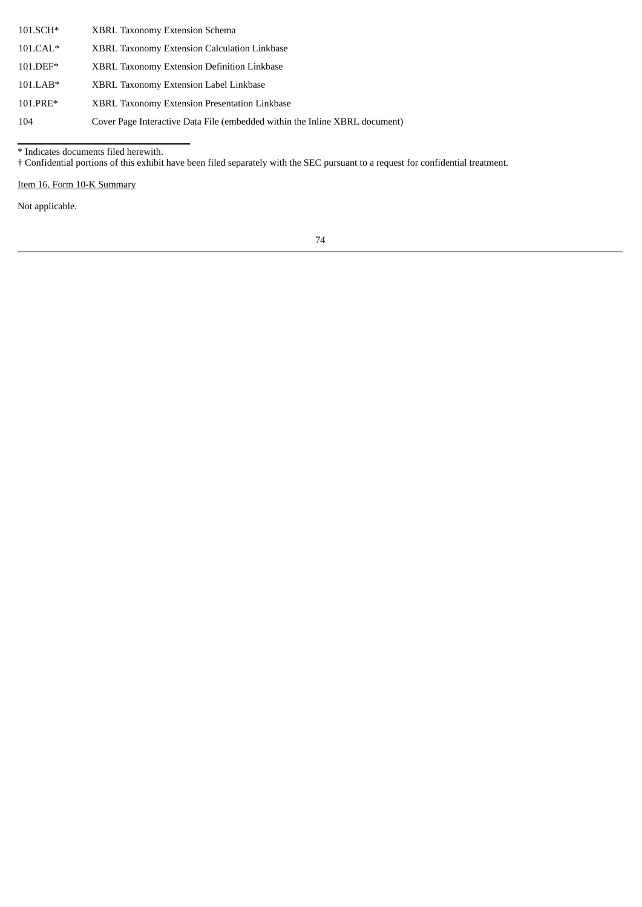| 101.SCH*    | <b>XBRL Taxonomy Extension Schema</b>                                       |
|-------------|-----------------------------------------------------------------------------|
| $101.CAL*$  | <b>XBRL Taxonomy Extension Calculation Linkbase</b>                         |
| $101.$ DEF* | <b>XBRL Taxonomy Extension Definition Linkbase</b>                          |
| $101.LAB*$  | XBRL Taxonomy Extension Label Linkbase                                      |
| 101.PRE*    | <b>XBRL Taxonomy Extension Presentation Linkbase</b>                        |
| 104         | Cover Page Interactive Data File (embedded within the Inline XBRL document) |

\* Indicates documents filed herewith.

† Confidential portions of this exhibit have been filed separately with the SEC pursuant to a request for confidential treatment.

# Item 16. Form 10-K Summary

Not applicable.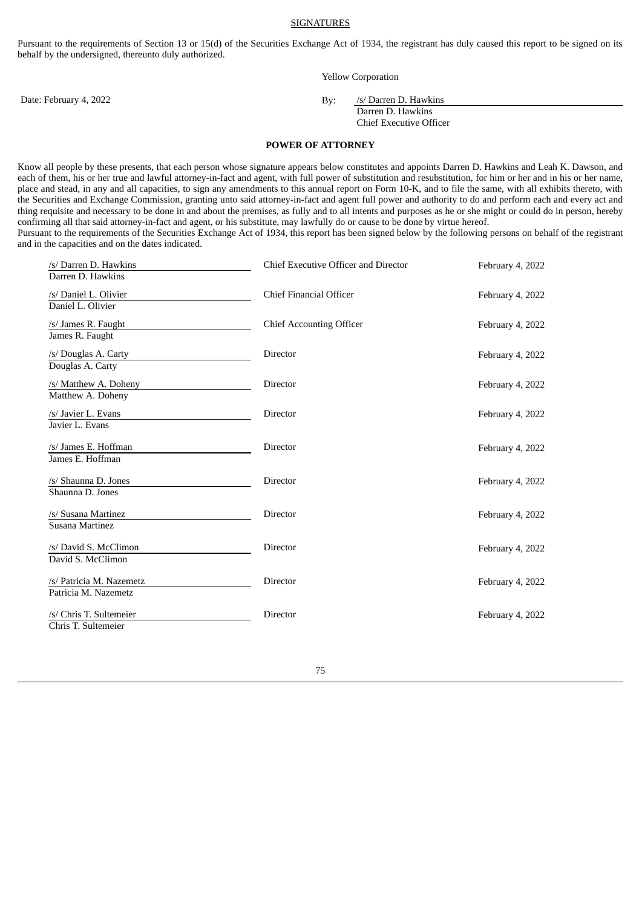**SIGNATURES** 

Pursuant to the requirements of Section 13 or 15(d) of the Securities Exchange Act of 1934, the registrant has duly caused this report to be signed on its behalf by the undersigned, thereunto duly authorized.

Yellow Corporation

Date: February 4, 2022 By: /s/ Darren D. Hawkins

Darren D. Hawkins Chief Executive Officer

#### **POWER OF ATTORNEY**

Know all people by these presents, that each person whose signature appears below constitutes and appoints Darren D. Hawkins and Leah K. Dawson, and each of them, his or her true and lawful attorney-in-fact and agent, with full power of substitution and resubstitution, for him or her and in his or her name, place and stead, in any and all capacities, to sign any amendments to this annual report on Form 10-K, and to file the same, with all exhibits thereto, with the Securities and Exchange Commission, granting unto said attorney-in-fact and agent full power and authority to do and perform each and every act and thing requisite and necessary to be done in and about the premises, as fully and to all intents and purposes as he or she might or could do in person, hereby confirming all that said attorney-in-fact and agent, or his substitute, may lawfully do or cause to be done by virtue hereof. Pursuant to the requirements of the Securities Exchange Act of 1934, this report has been signed below by the following persons on behalf of the registrant and in the capacities and on the dates indicated.

| /s/ Darren D. Hawkins<br>Darren D. Hawkins       | Chief Executive Officer and Director | February 4, 2022 |
|--------------------------------------------------|--------------------------------------|------------------|
| /s/ Daniel L. Olivier<br>Daniel L. Olivier       | <b>Chief Financial Officer</b>       | February 4, 2022 |
| /s/ James R. Faught<br>James R. Faught           | <b>Chief Accounting Officer</b>      | February 4, 2022 |
| /s/ Douglas A. Carty<br>Douglas A. Carty         | Director                             | February 4, 2022 |
| /s/ Matthew A. Doheny<br>Matthew A. Doheny       | Director                             | February 4, 2022 |
| /s/ Javier L. Evans<br>Javier L. Evans           | Director                             | February 4, 2022 |
| /s/ James E. Hoffman<br>James E. Hoffman         | Director                             | February 4, 2022 |
| /s/ Shaunna D. Jones<br>Shaunna D. Jones         | Director                             | February 4, 2022 |
| /s/ Susana Martinez<br>Susana Martinez           | Director                             | February 4, 2022 |
| /s/ David S. McClimon<br>David S. McClimon       | Director                             | February 4, 2022 |
| /s/ Patricia M. Nazemetz<br>Patricia M. Nazemetz | Director                             | February 4, 2022 |
| /s/ Chris T. Sultemeier<br>Chris T. Sultemeier   | Director                             | February 4, 2022 |

75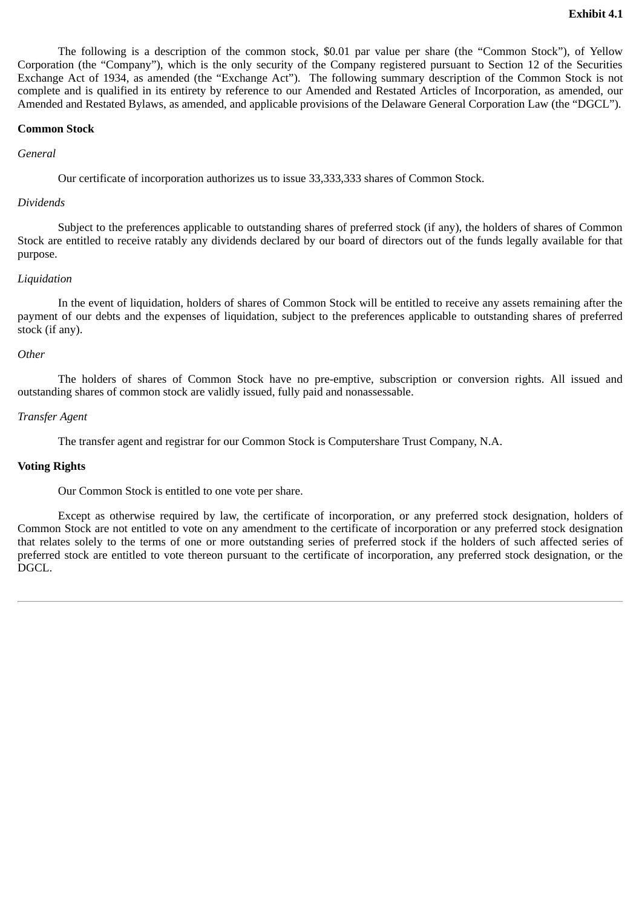The following is a description of the common stock, \$0.01 par value per share (the "Common Stock"), of Yellow Corporation (the "Company"), which is the only security of the Company registered pursuant to Section 12 of the Securities Exchange Act of 1934, as amended (the "Exchange Act"). The following summary description of the Common Stock is not complete and is qualified in its entirety by reference to our Amended and Restated Articles of Incorporation, as amended, our Amended and Restated Bylaws, as amended, and applicable provisions of the Delaware General Corporation Law (the "DGCL").

#### **Common Stock**

#### *General*

Our certificate of incorporation authorizes us to issue 33,333,333 shares of Common Stock.

#### *Dividends*

Subject to the preferences applicable to outstanding shares of preferred stock (if any), the holders of shares of Common Stock are entitled to receive ratably any dividends declared by our board of directors out of the funds legally available for that purpose.

#### *Liquidation*

In the event of liquidation, holders of shares of Common Stock will be entitled to receive any assets remaining after the payment of our debts and the expenses of liquidation, subject to the preferences applicable to outstanding shares of preferred stock (if any).

#### *Other*

The holders of shares of Common Stock have no pre-emptive, subscription or conversion rights. All issued and outstanding shares of common stock are validly issued, fully paid and nonassessable.

#### *Transfer Agent*

The transfer agent and registrar for our Common Stock is Computershare Trust Company, N.A.

### **Voting Rights**

Our Common Stock is entitled to one vote per share.

Except as otherwise required by law, the certificate of incorporation, or any preferred stock designation, holders of Common Stock are not entitled to vote on any amendment to the certificate of incorporation or any preferred stock designation that relates solely to the terms of one or more outstanding series of preferred stock if the holders of such affected series of preferred stock are entitled to vote thereon pursuant to the certificate of incorporation, any preferred stock designation, or the DGCL.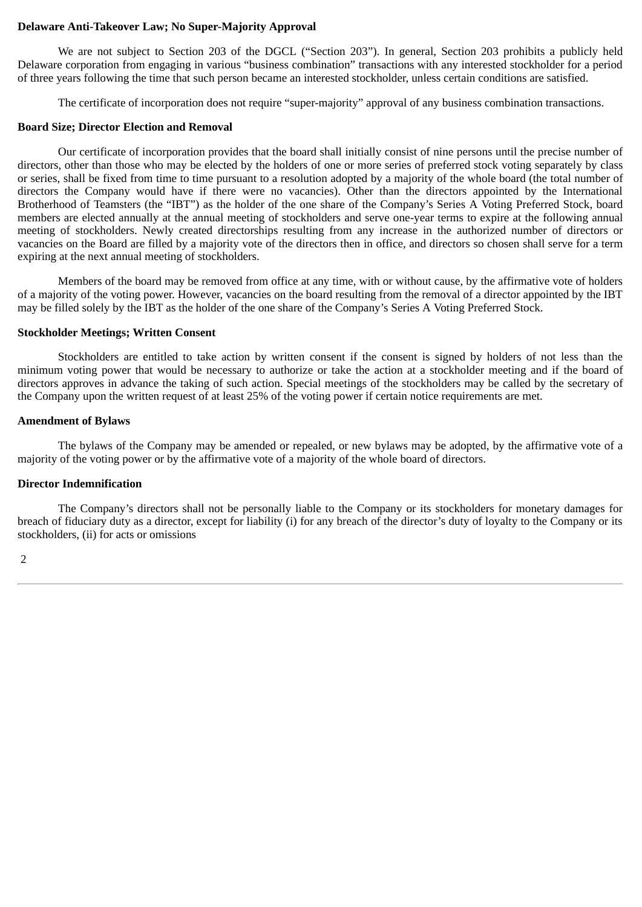#### **Delaware Anti-Takeover Law; No Super-Majority Approval**

We are not subject to Section 203 of the DGCL ("Section 203"). In general, Section 203 prohibits a publicly held Delaware corporation from engaging in various "business combination" transactions with any interested stockholder for a period of three years following the time that such person became an interested stockholder, unless certain conditions are satisfied.

The certificate of incorporation does not require "super-majority" approval of any business combination transactions.

#### **Board Size; Director Election and Removal**

Our certificate of incorporation provides that the board shall initially consist of nine persons until the precise number of directors, other than those who may be elected by the holders of one or more series of preferred stock voting separately by class or series, shall be fixed from time to time pursuant to a resolution adopted by a majority of the whole board (the total number of directors the Company would have if there were no vacancies). Other than the directors appointed by the International Brotherhood of Teamsters (the "IBT") as the holder of the one share of the Company's Series A Voting Preferred Stock, board members are elected annually at the annual meeting of stockholders and serve one-year terms to expire at the following annual meeting of stockholders. Newly created directorships resulting from any increase in the authorized number of directors or vacancies on the Board are filled by a majority vote of the directors then in office, and directors so chosen shall serve for a term expiring at the next annual meeting of stockholders.

Members of the board may be removed from office at any time, with or without cause, by the affirmative vote of holders of a majority of the voting power. However, vacancies on the board resulting from the removal of a director appointed by the IBT may be filled solely by the IBT as the holder of the one share of the Company's Series A Voting Preferred Stock.

#### **Stockholder Meetings; Written Consent**

Stockholders are entitled to take action by written consent if the consent is signed by holders of not less than the minimum voting power that would be necessary to authorize or take the action at a stockholder meeting and if the board of directors approves in advance the taking of such action. Special meetings of the stockholders may be called by the secretary of the Company upon the written request of at least 25% of the voting power if certain notice requirements are met.

#### **Amendment of Bylaws**

The bylaws of the Company may be amended or repealed, or new bylaws may be adopted, by the affirmative vote of a majority of the voting power or by the affirmative vote of a majority of the whole board of directors.

#### **Director Indemnification**

The Company's directors shall not be personally liable to the Company or its stockholders for monetary damages for breach of fiduciary duty as a director, except for liability (i) for any breach of the director's duty of loyalty to the Company or its stockholders, (ii) for acts or omissions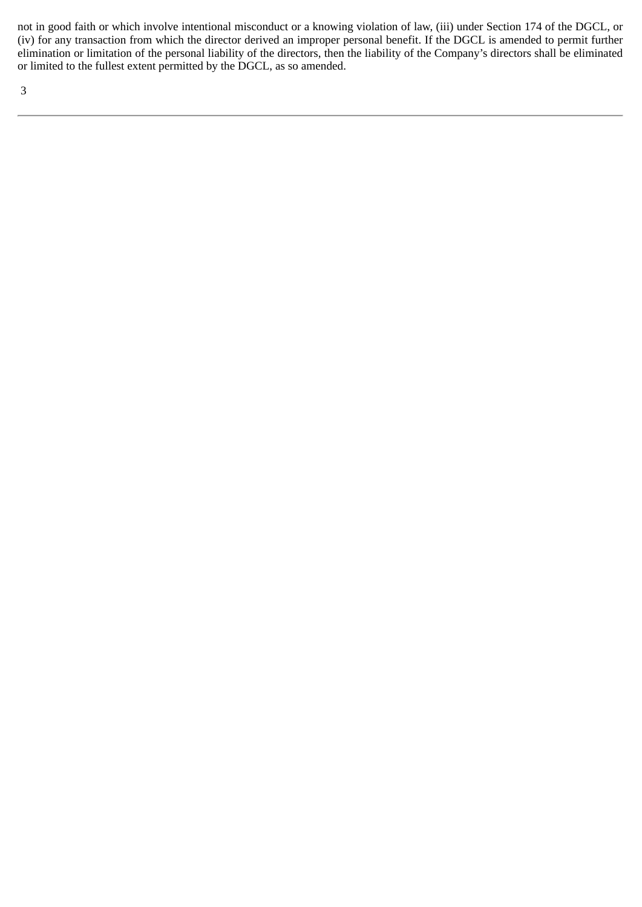not in good faith or which involve intentional misconduct or a knowing violation of law, (iii) under Section 174 of the DGCL, or (iv) for any transaction from which the director derived an improper personal benefit. If the DGCL is amended to permit further elimination or limitation of the personal liability of the directors, then the liability of the Company's directors shall be eliminated or limited to the fullest extent permitted by the DGCL, as so amended.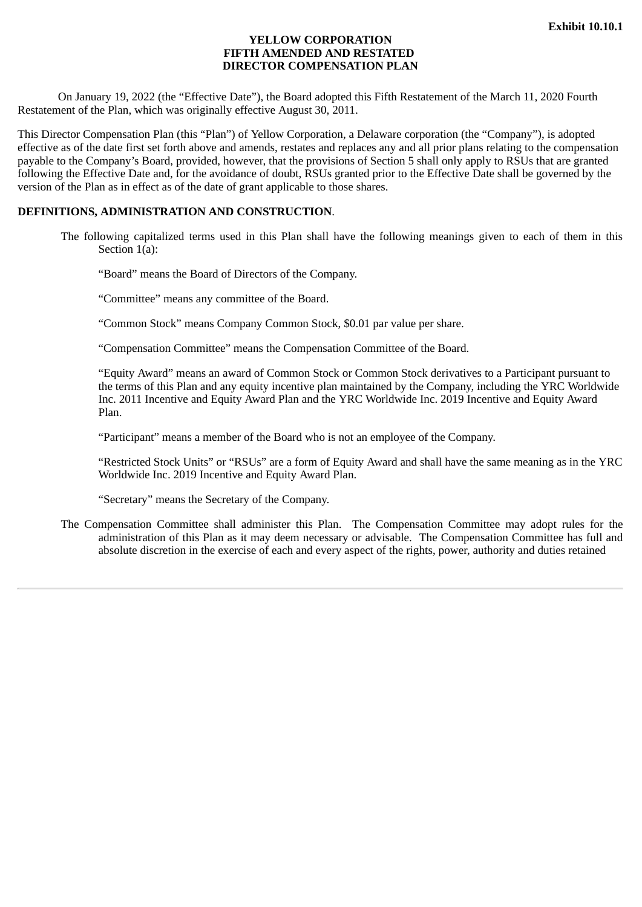### **YELLOW CORPORATION FIFTH AMENDED AND RESTATED DIRECTOR COMPENSATION PLAN**

On January 19, 2022 (the "Effective Date"), the Board adopted this Fifth Restatement of the March 11, 2020 Fourth Restatement of the Plan, which was originally effective August 30, 2011.

This Director Compensation Plan (this "Plan") of Yellow Corporation, a Delaware corporation (the "Company"), is adopted effective as of the date first set forth above and amends, restates and replaces any and all prior plans relating to the compensation payable to the Company's Board, provided, however, that the provisions of Section 5 shall only apply to RSUs that are granted following the Effective Date and, for the avoidance of doubt, RSUs granted prior to the Effective Date shall be governed by the version of the Plan as in effect as of the date of grant applicable to those shares.

#### **DEFINITIONS, ADMINISTRATION AND CONSTRUCTION**.

The following capitalized terms used in this Plan shall have the following meanings given to each of them in this Section 1(a):

"Board" means the Board of Directors of the Company.

"Committee" means any committee of the Board.

"Common Stock" means Company Common Stock, \$0.01 par value per share.

"Compensation Committee" means the Compensation Committee of the Board.

"Equity Award" means an award of Common Stock or Common Stock derivatives to a Participant pursuant to the terms of this Plan and any equity incentive plan maintained by the Company, including the YRC Worldwide Inc. 2011 Incentive and Equity Award Plan and the YRC Worldwide Inc. 2019 Incentive and Equity Award Plan.

"Participant" means a member of the Board who is not an employee of the Company.

"Restricted Stock Units" or "RSUs" are a form of Equity Award and shall have the same meaning as in the YRC Worldwide Inc. 2019 Incentive and Equity Award Plan.

"Secretary" means the Secretary of the Company.

The Compensation Committee shall administer this Plan. The Compensation Committee may adopt rules for the administration of this Plan as it may deem necessary or advisable. The Compensation Committee has full and absolute discretion in the exercise of each and every aspect of the rights, power, authority and duties retained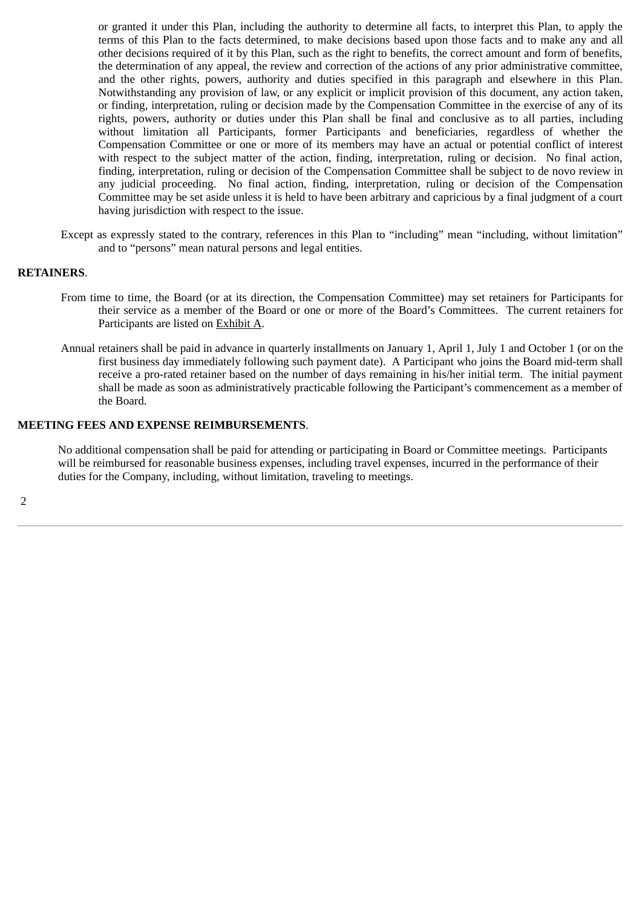or granted it under this Plan, including the authority to determine all facts, to interpret this Plan, to apply the terms of this Plan to the facts determined, to make decisions based upon those facts and to make any and all other decisions required of it by this Plan, such as the right to benefits, the correct amount and form of benefits, the determination of any appeal, the review and correction of the actions of any prior administrative committee, and the other rights, powers, authority and duties specified in this paragraph and elsewhere in this Plan. Notwithstanding any provision of law, or any explicit or implicit provision of this document, any action taken, or finding, interpretation, ruling or decision made by the Compensation Committee in the exercise of any of its rights, powers, authority or duties under this Plan shall be final and conclusive as to all parties, including without limitation all Participants, former Participants and beneficiaries, regardless of whether the Compensation Committee or one or more of its members may have an actual or potential conflict of interest with respect to the subject matter of the action, finding, interpretation, ruling or decision. No final action, finding, interpretation, ruling or decision of the Compensation Committee shall be subject to de novo review in any judicial proceeding. No final action, finding, interpretation, ruling or decision of the Compensation Committee may be set aside unless it is held to have been arbitrary and capricious by a final judgment of a court having jurisdiction with respect to the issue.

Except as expressly stated to the contrary, references in this Plan to "including" mean "including, without limitation" and to "persons" mean natural persons and legal entities.

#### **RETAINERS**.

- From time to time, the Board (or at its direction, the Compensation Committee) may set retainers for Participants for their service as a member of the Board or one or more of the Board's Committees. The current retainers for Participants are listed on Exhibit A.
- Annual retainers shall be paid in advance in quarterly installments on January 1, April 1, July 1 and October 1 (or on the first business day immediately following such payment date). A Participant who joins the Board mid-term shall receive a pro-rated retainer based on the number of days remaining in his/her initial term. The initial payment shall be made as soon as administratively practicable following the Participant's commencement as a member of the Board.

#### **MEETING FEES AND EXPENSE REIMBURSEMENTS**.

No additional compensation shall be paid for attending or participating in Board or Committee meetings. Participants will be reimbursed for reasonable business expenses, including travel expenses, incurred in the performance of their duties for the Company, including, without limitation, traveling to meetings.

2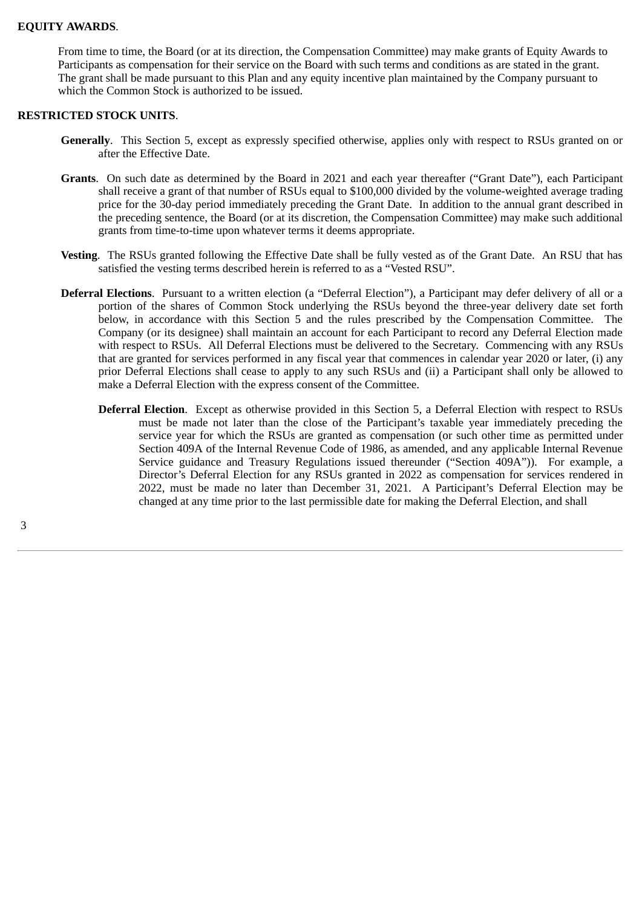#### **EQUITY AWARDS**.

From time to time, the Board (or at its direction, the Compensation Committee) may make grants of Equity Awards to Participants as compensation for their service on the Board with such terms and conditions as are stated in the grant. The grant shall be made pursuant to this Plan and any equity incentive plan maintained by the Company pursuant to which the Common Stock is authorized to be issued.

#### **RESTRICTED STOCK UNITS**.

- **Generally**. This Section 5, except as expressly specified otherwise, applies only with respect to RSUs granted on or after the Effective Date.
- **Grants**. On such date as determined by the Board in 2021 and each year thereafter ("Grant Date"), each Participant shall receive a grant of that number of RSUs equal to \$100,000 divided by the volume-weighted average trading price for the 30-day period immediately preceding the Grant Date. In addition to the annual grant described in the preceding sentence, the Board (or at its discretion, the Compensation Committee) may make such additional grants from time-to-time upon whatever terms it deems appropriate.
- **Vesting**. The RSUs granted following the Effective Date shall be fully vested as of the Grant Date. An RSU that has satisfied the vesting terms described herein is referred to as a "Vested RSU".
- **Deferral Elections**. Pursuant to a written election (a "Deferral Election"), a Participant may defer delivery of all or a portion of the shares of Common Stock underlying the RSUs beyond the three-year delivery date set forth below, in accordance with this Section 5 and the rules prescribed by the Compensation Committee. The Company (or its designee) shall maintain an account for each Participant to record any Deferral Election made with respect to RSUs. All Deferral Elections must be delivered to the Secretary. Commencing with any RSUs that are granted for services performed in any fiscal year that commences in calendar year 2020 or later, (i) any prior Deferral Elections shall cease to apply to any such RSUs and (ii) a Participant shall only be allowed to make a Deferral Election with the express consent of the Committee.
	- **Deferral Election**. Except as otherwise provided in this Section 5, a Deferral Election with respect to RSUs must be made not later than the close of the Participant's taxable year immediately preceding the service year for which the RSUs are granted as compensation (or such other time as permitted under Section 409A of the Internal Revenue Code of 1986, as amended, and any applicable Internal Revenue Service guidance and Treasury Regulations issued thereunder ("Section 409A")). For example, a Director's Deferral Election for any RSUs granted in 2022 as compensation for services rendered in 2022, must be made no later than December 31, 2021. A Participant's Deferral Election may be changed at any time prior to the last permissible date for making the Deferral Election, and shall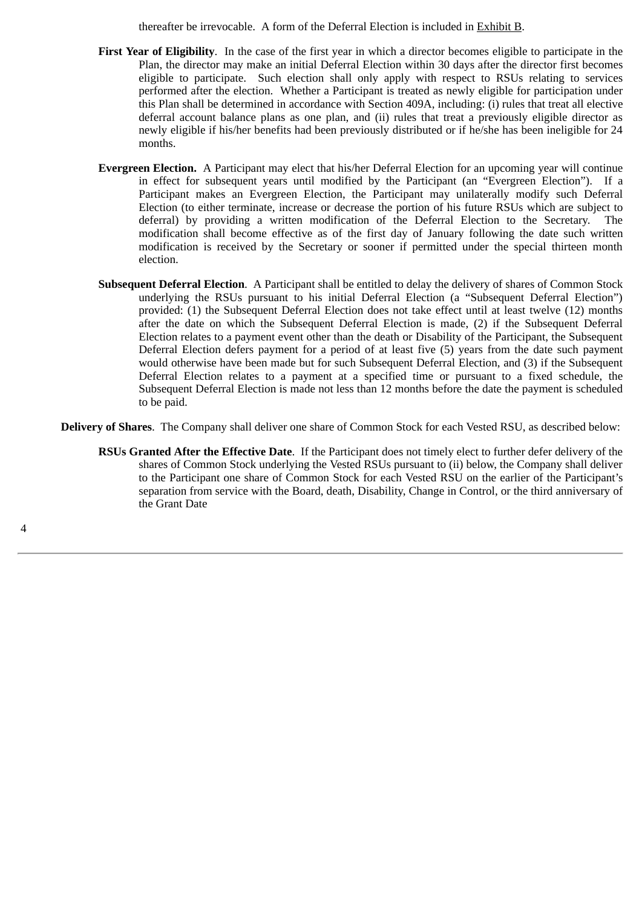thereafter be irrevocable. A form of the Deferral Election is included in Exhibit B.

- **First Year of Eligibility**. In the case of the first year in which a director becomes eligible to participate in the Plan, the director may make an initial Deferral Election within 30 days after the director first becomes eligible to participate. Such election shall only apply with respect to RSUs relating to services performed after the election. Whether a Participant is treated as newly eligible for participation under this Plan shall be determined in accordance with Section 409A, including: (i) rules that treat all elective deferral account balance plans as one plan, and (ii) rules that treat a previously eligible director as newly eligible if his/her benefits had been previously distributed or if he/she has been ineligible for 24 months.
- **Evergreen Election.** A Participant may elect that his/her Deferral Election for an upcoming year will continue in effect for subsequent years until modified by the Participant (an "Evergreen Election"). If a Participant makes an Evergreen Election, the Participant may unilaterally modify such Deferral Election (to either terminate, increase or decrease the portion of his future RSUs which are subject to deferral) by providing a written modification of the Deferral Election to the Secretary. The modification shall become effective as of the first day of January following the date such written modification is received by the Secretary or sooner if permitted under the special thirteen month election.
- **Subsequent Deferral Election**. A Participant shall be entitled to delay the delivery of shares of Common Stock underlying the RSUs pursuant to his initial Deferral Election (a "Subsequent Deferral Election") provided: (1) the Subsequent Deferral Election does not take effect until at least twelve (12) months after the date on which the Subsequent Deferral Election is made, (2) if the Subsequent Deferral Election relates to a payment event other than the death or Disability of the Participant, the Subsequent Deferral Election defers payment for a period of at least five (5) years from the date such payment would otherwise have been made but for such Subsequent Deferral Election, and (3) if the Subsequent Deferral Election relates to a payment at a specified time or pursuant to a fixed schedule, the Subsequent Deferral Election is made not less than 12 months before the date the payment is scheduled to be paid.

**Delivery of Shares**. The Company shall deliver one share of Common Stock for each Vested RSU, as described below:

**RSUs Granted After the Effective Date**. If the Participant does not timely elect to further defer delivery of the shares of Common Stock underlying the Vested RSUs pursuant to (ii) below, the Company shall deliver to the Participant one share of Common Stock for each Vested RSU on the earlier of the Participant's separation from service with the Board, death, Disability, Change in Control, or the third anniversary of the Grant Date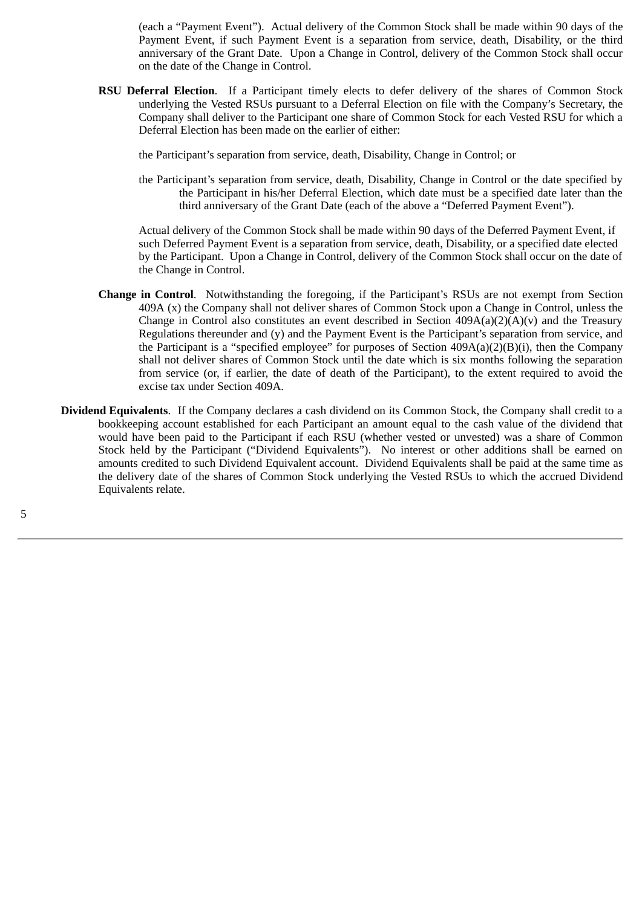(each a "Payment Event"). Actual delivery of the Common Stock shall be made within 90 days of the Payment Event, if such Payment Event is a separation from service, death, Disability, or the third anniversary of the Grant Date. Upon a Change in Control, delivery of the Common Stock shall occur on the date of the Change in Control.

**RSU Deferral Election**. If a Participant timely elects to defer delivery of the shares of Common Stock underlying the Vested RSUs pursuant to a Deferral Election on file with the Company's Secretary, the Company shall deliver to the Participant one share of Common Stock for each Vested RSU for which a Deferral Election has been made on the earlier of either:

the Participant's separation from service, death, Disability, Change in Control; or

the Participant's separation from service, death, Disability, Change in Control or the date specified by the Participant in his/her Deferral Election, which date must be a specified date later than the third anniversary of the Grant Date (each of the above a "Deferred Payment Event").

Actual delivery of the Common Stock shall be made within 90 days of the Deferred Payment Event, if such Deferred Payment Event is a separation from service, death, Disability, or a specified date elected by the Participant. Upon a Change in Control, delivery of the Common Stock shall occur on the date of the Change in Control.

- **Change in Control**. Notwithstanding the foregoing, if the Participant's RSUs are not exempt from Section 409A (x) the Company shall not deliver shares of Common Stock upon a Change in Control, unless the Change in Control also constitutes an event described in Section  $409A(a)(2)(A)(v)$  and the Treasury Regulations thereunder and (y) and the Payment Event is the Participant's separation from service, and the Participant is a "specified employee" for purposes of Section 409A(a)(2)(B)(i), then the Company shall not deliver shares of Common Stock until the date which is six months following the separation from service (or, if earlier, the date of death of the Participant), to the extent required to avoid the excise tax under Section 409A.
- **Dividend Equivalents**. If the Company declares a cash dividend on its Common Stock, the Company shall credit to a bookkeeping account established for each Participant an amount equal to the cash value of the dividend that would have been paid to the Participant if each RSU (whether vested or unvested) was a share of Common Stock held by the Participant ("Dividend Equivalents"). No interest or other additions shall be earned on amounts credited to such Dividend Equivalent account. Dividend Equivalents shall be paid at the same time as the delivery date of the shares of Common Stock underlying the Vested RSUs to which the accrued Dividend Equivalents relate.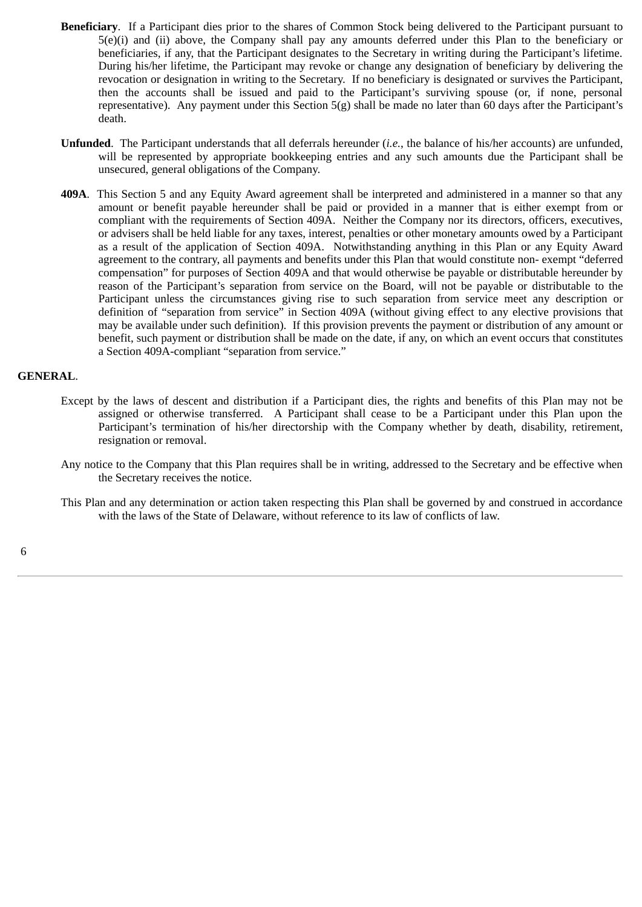- **Beneficiary**. If a Participant dies prior to the shares of Common Stock being delivered to the Participant pursuant to 5(e)(i) and (ii) above, the Company shall pay any amounts deferred under this Plan to the beneficiary or beneficiaries, if any, that the Participant designates to the Secretary in writing during the Participant's lifetime. During his/her lifetime, the Participant may revoke or change any designation of beneficiary by delivering the revocation or designation in writing to the Secretary. If no beneficiary is designated or survives the Participant, then the accounts shall be issued and paid to the Participant's surviving spouse (or, if none, personal representative). Any payment under this Section 5(g) shall be made no later than 60 days after the Participant's death.
- **Unfunded**. The Participant understands that all deferrals hereunder (*i.e.*, the balance of his/her accounts) are unfunded, will be represented by appropriate bookkeeping entries and any such amounts due the Participant shall be unsecured, general obligations of the Company.
- **409A**. This Section 5 and any Equity Award agreement shall be interpreted and administered in a manner so that any amount or benefit payable hereunder shall be paid or provided in a manner that is either exempt from or compliant with the requirements of Section 409A. Neither the Company nor its directors, officers, executives, or advisers shall be held liable for any taxes, interest, penalties or other monetary amounts owed by a Participant as a result of the application of Section 409A. Notwithstanding anything in this Plan or any Equity Award agreement to the contrary, all payments and benefits under this Plan that would constitute non- exempt "deferred compensation" for purposes of Section 409A and that would otherwise be payable or distributable hereunder by reason of the Participant's separation from service on the Board, will not be payable or distributable to the Participant unless the circumstances giving rise to such separation from service meet any description or definition of "separation from service" in Section 409A (without giving effect to any elective provisions that may be available under such definition). If this provision prevents the payment or distribution of any amount or benefit, such payment or distribution shall be made on the date, if any, on which an event occurs that constitutes a Section 409A-compliant "separation from service."

#### **GENERAL**.

- Except by the laws of descent and distribution if a Participant dies, the rights and benefits of this Plan may not be assigned or otherwise transferred. A Participant shall cease to be a Participant under this Plan upon the Participant's termination of his/her directorship with the Company whether by death, disability, retirement, resignation or removal.
- Any notice to the Company that this Plan requires shall be in writing, addressed to the Secretary and be effective when the Secretary receives the notice.
- This Plan and any determination or action taken respecting this Plan shall be governed by and construed in accordance with the laws of the State of Delaware, without reference to its law of conflicts of law.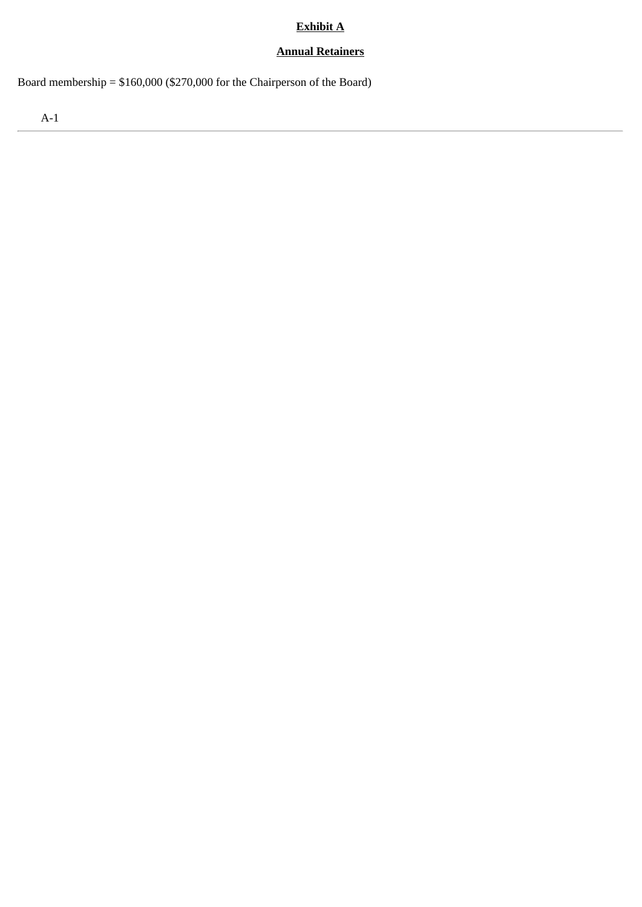# **Exhibit A**

# **Annual Retainers**

Board membership = \$160,000 (\$270,000 for the Chairperson of the Board)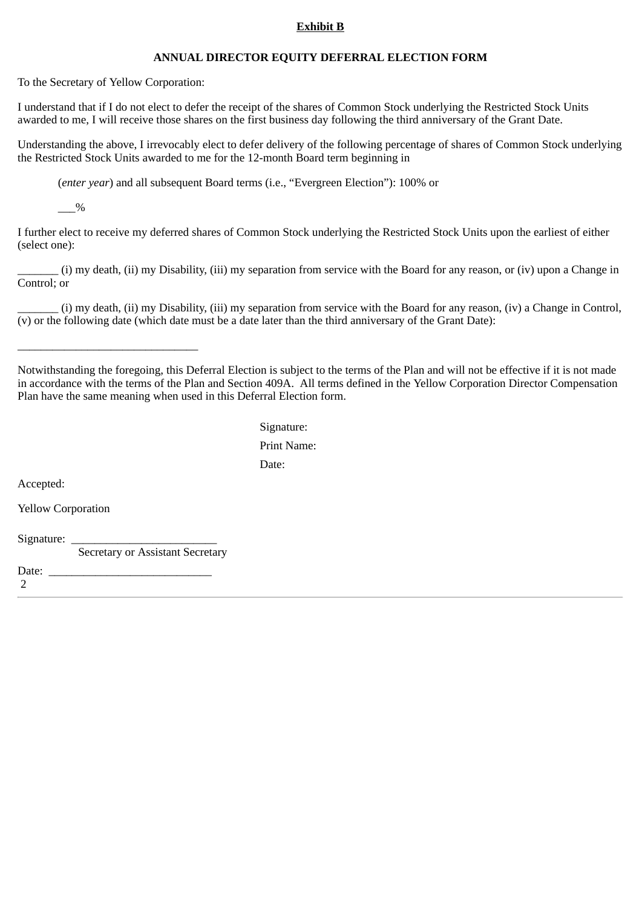### **Exhibit B**

## **ANNUAL DIRECTOR EQUITY DEFERRAL ELECTION FORM**

To the Secretary of Yellow Corporation:

\_\_\_\_\_\_\_\_\_\_\_\_\_\_\_\_\_\_\_\_\_\_\_\_\_\_\_\_\_\_\_

I understand that if I do not elect to defer the receipt of the shares of Common Stock underlying the Restricted Stock Units awarded to me, I will receive those shares on the first business day following the third anniversary of the Grant Date.

Understanding the above, I irrevocably elect to defer delivery of the following percentage of shares of Common Stock underlying the Restricted Stock Units awarded to me for the 12-month Board term beginning in

(*enter year*) and all subsequent Board terms (i.e., "Evergreen Election"): 100% or

 $_{\%}$ 

I further elect to receive my deferred shares of Common Stock underlying the Restricted Stock Units upon the earliest of either (select one):

\_\_\_\_\_\_\_ (i) my death, (ii) my Disability, (iii) my separation from service with the Board for any reason, or (iv) upon a Change in Control; or

\_\_\_\_\_\_\_ (i) my death, (ii) my Disability, (iii) my separation from service with the Board for any reason, (iv) a Change in Control, (v) or the following date (which date must be a date later than the third anniversary of the Grant Date):

Signature: Print Name: Date:

Accepted:

Yellow Corporation

Signature:

Secretary or Assistant Secretary

Date: 2

Notwithstanding the foregoing, this Deferral Election is subject to the terms of the Plan and will not be effective if it is not made in accordance with the terms of the Plan and Section 409A. All terms defined in the Yellow Corporation Director Compensation Plan have the same meaning when used in this Deferral Election form.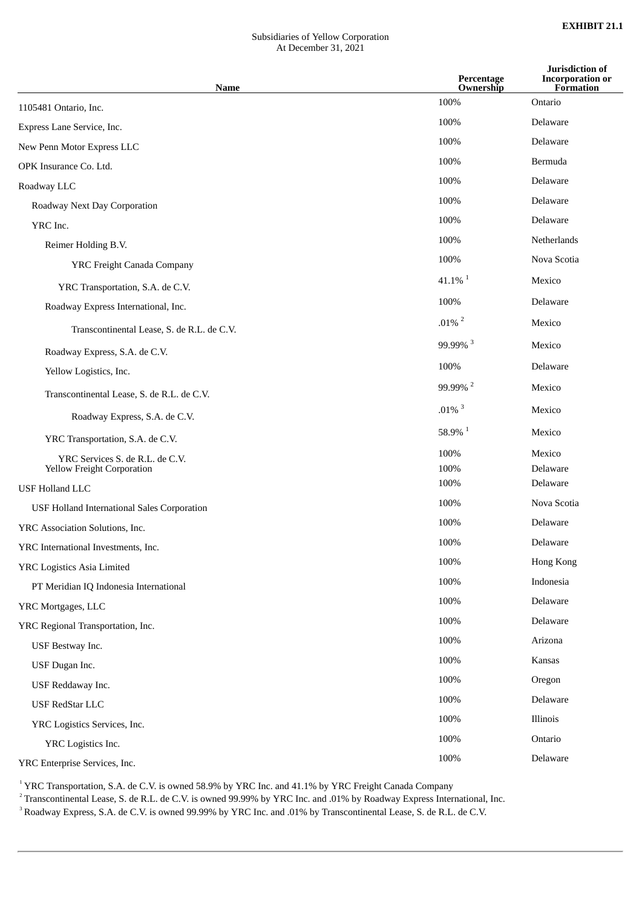#### Subsidiaries of Yellow Corporation At December 31, 2021

<span id="page-86-0"></span>

| <b>Name</b>                                                          | Percentage<br>Ownership | Jurisdiction of<br><b>Incorporation or</b><br><b>Formation</b> |
|----------------------------------------------------------------------|-------------------------|----------------------------------------------------------------|
| 1105481 Ontario, Inc.                                                | 100%                    | Ontario                                                        |
| Express Lane Service, Inc.                                           | 100%                    | Delaware                                                       |
| New Penn Motor Express LLC                                           | 100%                    | Delaware                                                       |
| OPK Insurance Co. Ltd.                                               | 100%                    | Bermuda                                                        |
| Roadway LLC                                                          | 100%                    | Delaware                                                       |
| Roadway Next Day Corporation                                         | 100%                    | Delaware                                                       |
| YRC Inc.                                                             | 100%                    | Delaware                                                       |
| Reimer Holding B.V.                                                  | 100%                    | Netherlands                                                    |
| YRC Freight Canada Company                                           | 100%                    | Nova Scotia                                                    |
| YRC Transportation, S.A. de C.V.                                     | $41.1\%$ <sup>1</sup>   | Mexico                                                         |
| Roadway Express International, Inc.                                  | 100%                    | Delaware                                                       |
| Transcontinental Lease, S. de R.L. de C.V.                           | .01% $^{2}$             | Mexico                                                         |
| Roadway Express, S.A. de C.V.                                        | 99.99% 3                | Mexico                                                         |
| Yellow Logistics, Inc.                                               | 100%                    | Delaware                                                       |
|                                                                      | 99.99% <sup>2</sup>     | Mexico                                                         |
| Transcontinental Lease, S. de R.L. de C.V.                           | $.01\%$ <sup>3</sup>    | Mexico                                                         |
| Roadway Express, S.A. de C.V.                                        | $58.9\%$ <sup>1</sup>   | Mexico                                                         |
| YRC Transportation, S.A. de C.V.                                     |                         |                                                                |
| YRC Services S. de R.L. de C.V.<br><b>Yellow Freight Corporation</b> | 100%<br>100%            | Mexico<br>Delaware                                             |
| <b>USF Holland LLC</b>                                               | 100%                    | Delaware                                                       |
| USF Holland International Sales Corporation                          | 100%                    | Nova Scotia                                                    |
| YRC Association Solutions, Inc.                                      | 100%                    | Delaware                                                       |
| YRC International Investments, Inc.                                  | 100%                    | Delaware                                                       |
| <b>YRC Logistics Asia Limited</b>                                    | 100%                    | Hong Kong                                                      |
| PT Meridian IQ Indonesia International                               | 100%                    | Indonesia                                                      |
| YRC Mortgages, LLC                                                   | 100%                    | Delaware                                                       |
| YRC Regional Transportation, Inc.                                    | 100%                    | Delaware                                                       |
| USF Bestway Inc.                                                     | 100%                    | Arizona                                                        |
|                                                                      | 100%                    | Kansas                                                         |
| USF Dugan Inc.                                                       | 100%                    | Oregon                                                         |
| USF Reddaway Inc.                                                    | 100%                    | Delaware                                                       |
| <b>USF RedStar LLC</b>                                               | 100%                    | Illinois                                                       |
| YRC Logistics Services, Inc.                                         | 100%                    | Ontario                                                        |
| YRC Logistics Inc.                                                   | 100%                    | Delaware                                                       |
| YRC Enterprise Services, Inc.                                        |                         |                                                                |

 $^{\rm 1}$  YRC Transportation, S.A. de C.V. is owned 58.9% by YRC Inc. and 41.1% by YRC Freight Canada Company

<sup>2</sup> Transcontinental Lease, S. de R.L. de C.V. is owned 99.99% by YRC Inc. and .01% by Roadway Express International, Inc.

<sup>3</sup> Roadway Express, S.A. de C.V. is owned 99.99% by YRC Inc. and .01% by Transcontinental Lease, S. de R.L. de C.V.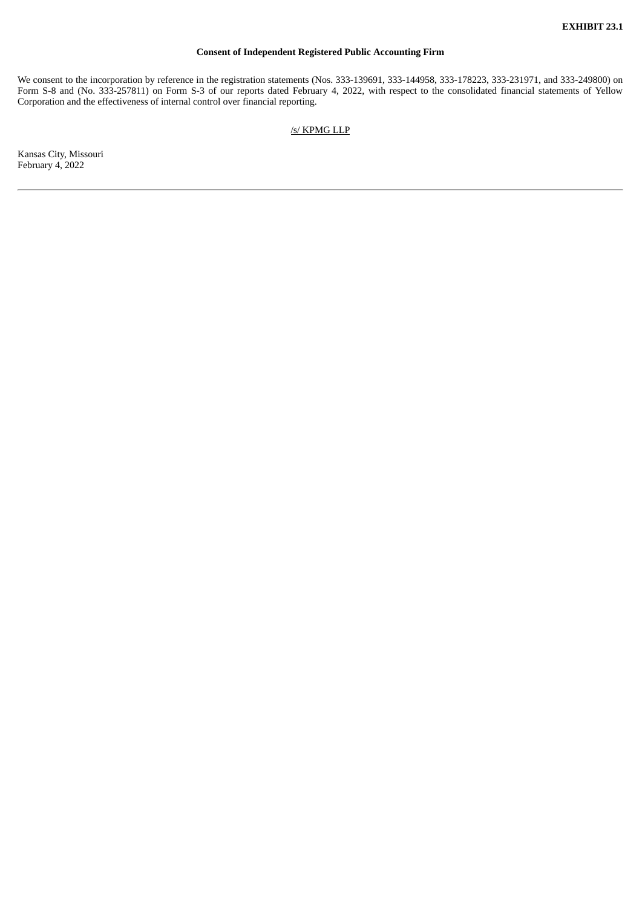#### **Consent of Independent Registered Public Accounting Firm**

<span id="page-87-0"></span>We consent to the incorporation by reference in the registration statements (Nos. 333-139691, 333-144958, 333-178223, 333-231971, and 333-249800) on Form S-8 and (No. 333-257811) on Form S-3 of our reports dated February 4, 2022, with respect to the consolidated financial statements of Yellow Corporation and the effectiveness of internal control over financial reporting.

#### /s/ KPMG LLP

Kansas City, Missouri February 4, 2022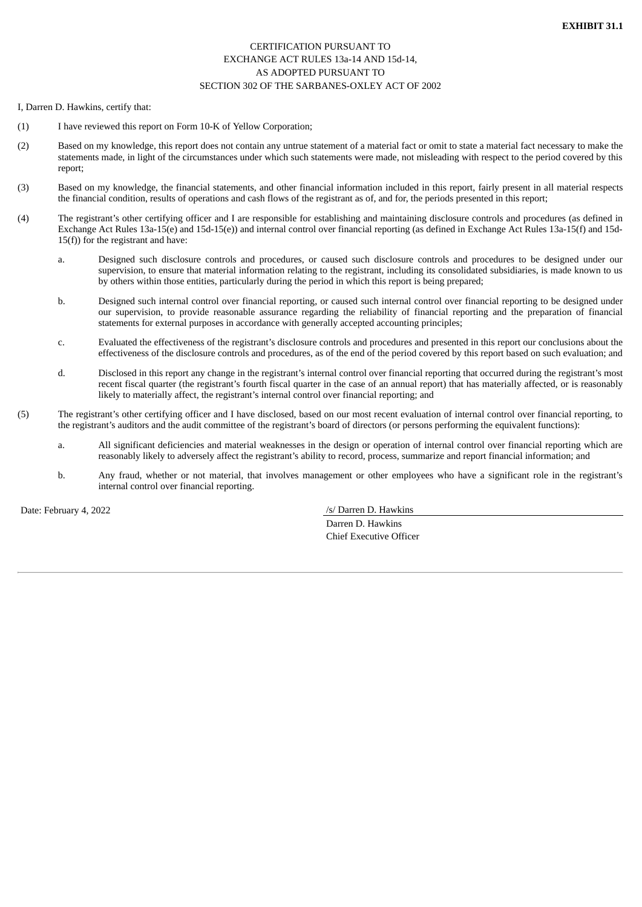#### CERTIFICATION PURSUANT TO EXCHANGE ACT RULES 13a-14 AND 15d-14, AS ADOPTED PURSUANT TO SECTION 302 OF THE SARBANES-OXLEY ACT OF 2002

<span id="page-88-0"></span>I, Darren D. Hawkins, certify that:

- (1) I have reviewed this report on Form 10-K of Yellow Corporation;
- (2) Based on my knowledge, this report does not contain any untrue statement of a material fact or omit to state a material fact necessary to make the statements made, in light of the circumstances under which such statements were made, not misleading with respect to the period covered by this report;
- (3) Based on my knowledge, the financial statements, and other financial information included in this report, fairly present in all material respects the financial condition, results of operations and cash flows of the registrant as of, and for, the periods presented in this report;
- (4) The registrant's other certifying officer and I are responsible for establishing and maintaining disclosure controls and procedures (as defined in Exchange Act Rules 13a-15(e) and 15d-15(e)) and internal control over financial reporting (as defined in Exchange Act Rules 13a-15(f) and 15d-15(f)) for the registrant and have:
	- a. Designed such disclosure controls and procedures, or caused such disclosure controls and procedures to be designed under our supervision, to ensure that material information relating to the registrant, including its consolidated subsidiaries, is made known to us by others within those entities, particularly during the period in which this report is being prepared;
	- b. Designed such internal control over financial reporting, or caused such internal control over financial reporting to be designed under our supervision, to provide reasonable assurance regarding the reliability of financial reporting and the preparation of financial statements for external purposes in accordance with generally accepted accounting principles;
	- c. Evaluated the effectiveness of the registrant's disclosure controls and procedures and presented in this report our conclusions about the effectiveness of the disclosure controls and procedures, as of the end of the period covered by this report based on such evaluation; and
	- d. Disclosed in this report any change in the registrant's internal control over financial reporting that occurred during the registrant's most recent fiscal quarter (the registrant's fourth fiscal quarter in the case of an annual report) that has materially affected, or is reasonably likely to materially affect, the registrant's internal control over financial reporting; and
- (5) The registrant's other certifying officer and I have disclosed, based on our most recent evaluation of internal control over financial reporting, to the registrant's auditors and the audit committee of the registrant's board of directors (or persons performing the equivalent functions):
	- a. All significant deficiencies and material weaknesses in the design or operation of internal control over financial reporting which are reasonably likely to adversely affect the registrant's ability to record, process, summarize and report financial information; and
	- b. Any fraud, whether or not material, that involves management or other employees who have a significant role in the registrant's internal control over financial reporting.

Date: February 4, 2022 /s/ Darren D. Hawkins Darren D. Hawkins Chief Executive Officer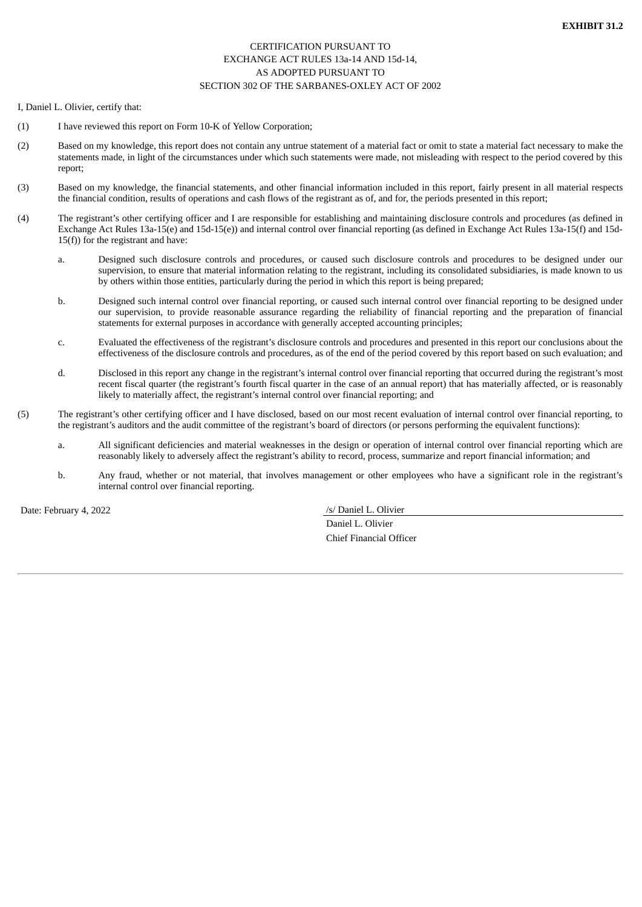#### CERTIFICATION PURSUANT TO EXCHANGE ACT RULES 13a-14 AND 15d-14, AS ADOPTED PURSUANT TO SECTION 302 OF THE SARBANES-OXLEY ACT OF 2002

<span id="page-89-0"></span>I, Daniel L. Olivier, certify that:

- (1) I have reviewed this report on Form 10-K of Yellow Corporation;
- (2) Based on my knowledge, this report does not contain any untrue statement of a material fact or omit to state a material fact necessary to make the statements made, in light of the circumstances under which such statements were made, not misleading with respect to the period covered by this report;
- (3) Based on my knowledge, the financial statements, and other financial information included in this report, fairly present in all material respects the financial condition, results of operations and cash flows of the registrant as of, and for, the periods presented in this report;
- (4) The registrant's other certifying officer and I are responsible for establishing and maintaining disclosure controls and procedures (as defined in Exchange Act Rules 13a-15(e) and 15d-15(e)) and internal control over financial reporting (as defined in Exchange Act Rules 13a-15(f) and 15d-15(f)) for the registrant and have:
	- a. Designed such disclosure controls and procedures, or caused such disclosure controls and procedures to be designed under our supervision, to ensure that material information relating to the registrant, including its consolidated subsidiaries, is made known to us by others within those entities, particularly during the period in which this report is being prepared;
	- b. Designed such internal control over financial reporting, or caused such internal control over financial reporting to be designed under our supervision, to provide reasonable assurance regarding the reliability of financial reporting and the preparation of financial statements for external purposes in accordance with generally accepted accounting principles;
	- c. Evaluated the effectiveness of the registrant's disclosure controls and procedures and presented in this report our conclusions about the effectiveness of the disclosure controls and procedures, as of the end of the period covered by this report based on such evaluation; and
	- d. Disclosed in this report any change in the registrant's internal control over financial reporting that occurred during the registrant's most recent fiscal quarter (the registrant's fourth fiscal quarter in the case of an annual report) that has materially affected, or is reasonably likely to materially affect, the registrant's internal control over financial reporting; and
- (5) The registrant's other certifying officer and I have disclosed, based on our most recent evaluation of internal control over financial reporting, to the registrant's auditors and the audit committee of the registrant's board of directors (or persons performing the equivalent functions):
	- a. All significant deficiencies and material weaknesses in the design or operation of internal control over financial reporting which are reasonably likely to adversely affect the registrant's ability to record, process, summarize and report financial information; and
	- b. Any fraud, whether or not material, that involves management or other employees who have a significant role in the registrant's internal control over financial reporting.

Date: February 4, 2022 */s/ Daniel L. Olivier* /s/ Daniel L. Olivier

Daniel L. Olivier Chief Financial Officer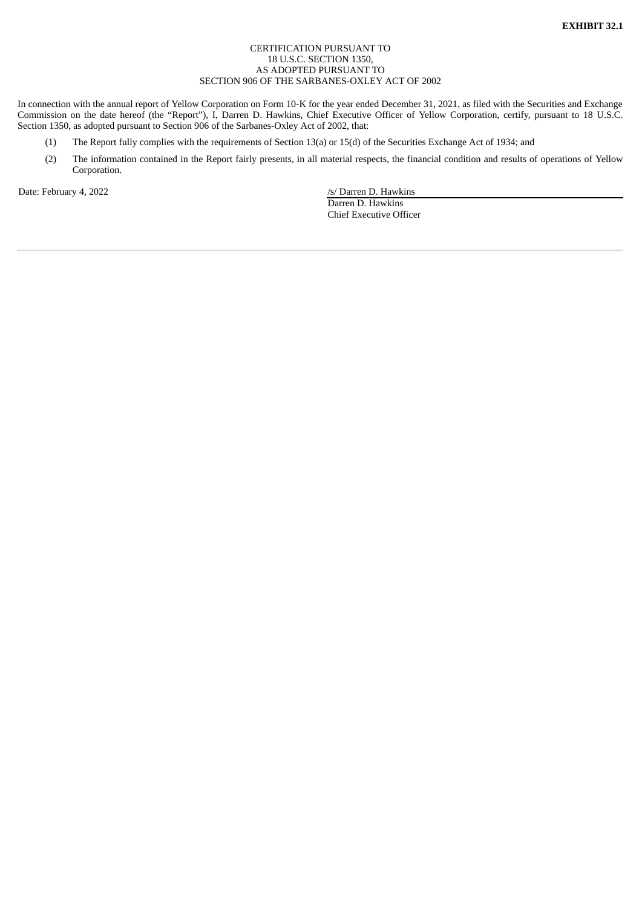#### CERTIFICATION PURSUANT TO 18 U.S.C. SECTION 1350, AS ADOPTED PURSUANT TO SECTION 906 OF THE SARBANES-OXLEY ACT OF 2002

<span id="page-90-0"></span>In connection with the annual report of Yellow Corporation on Form 10-K for the year ended December 31, 2021, as filed with the Securities and Exchange Commission on the date hereof (the "Report"), I, Darren D. Hawkins, Chief Executive Officer of Yellow Corporation, certify, pursuant to 18 U.S.C. Section 1350, as adopted pursuant to Section 906 of the Sarbanes-Oxley Act of 2002, that:

- (1) The Report fully complies with the requirements of Section 13(a) or 15(d) of the Securities Exchange Act of 1934; and
- (2) The information contained in the Report fairly presents, in all material respects, the financial condition and results of operations of Yellow Corporation.

Date: February 4, 2022 /s/ Darren D. Hawkins Darren D. Hawkins Chief Executive Officer